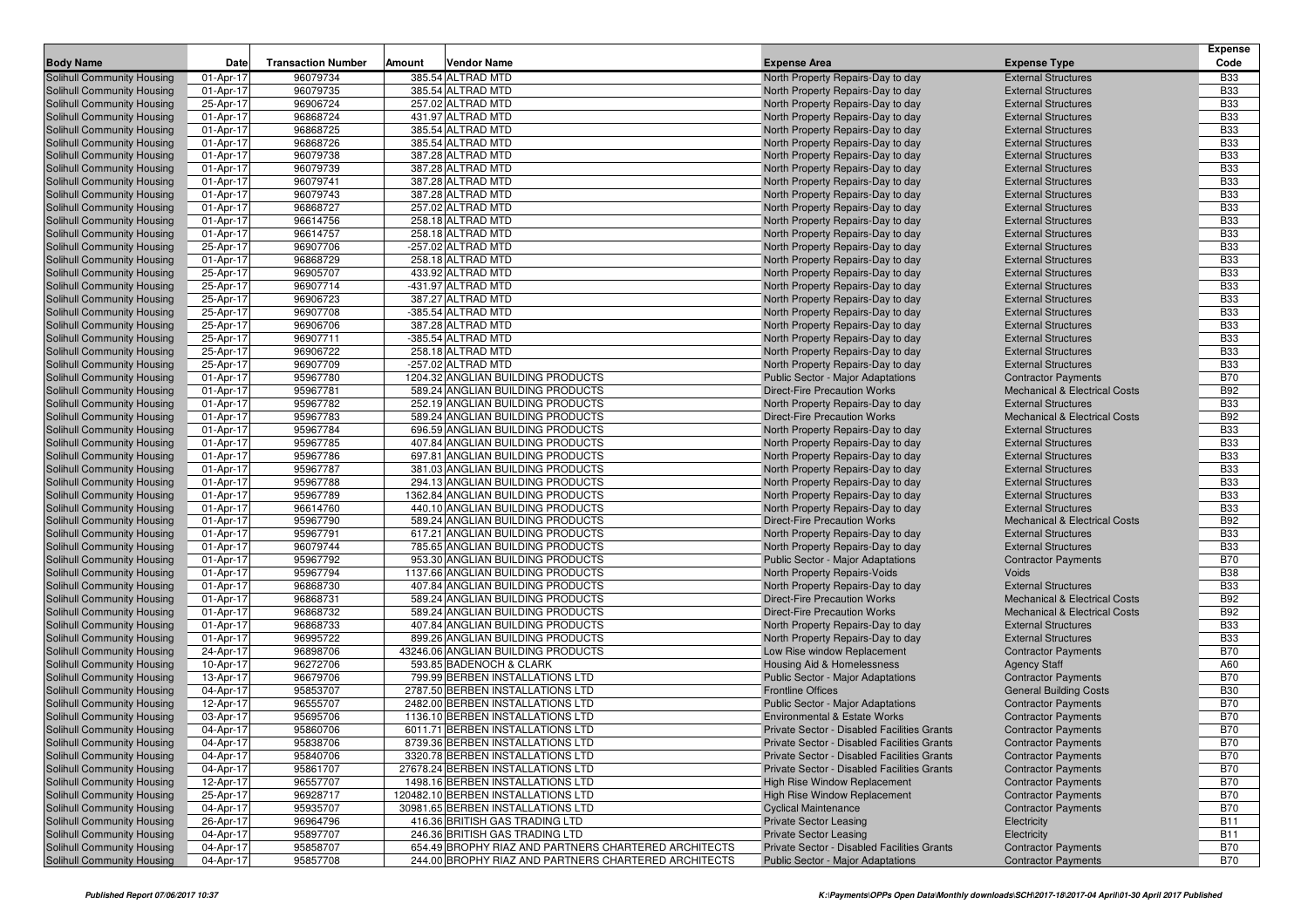| <b>Body Name</b><br>Date<br><b>Transaction Number</b><br>Amount<br><b>Vendor Name</b><br><b>Expense Area</b><br><b>Expense Type</b><br>Code<br>96079734<br>385.54 ALTRAD MTD<br><b>Solihull Community Housing</b><br>01-Apr-17<br>North Property Repairs-Day to day<br><b>External Structures</b><br><b>B33</b><br>96079735<br><b>B33</b><br>01-Apr-17<br>385.54 ALTRAD MTD<br>North Property Repairs-Day to day<br><b>External Structures</b><br>96906724<br>257.02 ALTRAD MTD<br><b>B33</b><br><b>Solihull Community Housing</b><br>25-Apr-17<br>North Property Repairs-Day to day<br><b>External Structures</b><br>96868724<br>431.97 ALTRAD MTD<br><b>B33</b><br><b>Solihull Community Housing</b><br>01-Apr-17<br>North Property Repairs-Day to day<br><b>External Structures</b><br>96868725<br>385.54 ALTRAD MTD<br><b>B33</b><br>01-Apr-17<br>North Property Repairs-Day to day<br><b>External Structures</b><br><b>Solihull Community Housing</b><br>96868726<br>385.54 ALTRAD MTD<br><b>B33</b><br><b>Solihull Community Housing</b><br>01-Apr-17<br>North Property Repairs-Day to day<br><b>External Structures</b><br>96079738<br><b>B33</b><br><b>Solihull Community Housing</b><br>01-Apr-17<br>387.28 ALTRAD MTD<br>North Property Repairs-Day to day<br><b>External Structures</b><br>96079739<br>387.28 ALTRAD MTD<br><b>B33</b><br>01-Apr-17<br><b>External Structures</b><br><b>Solihull Community Housing</b><br>North Property Repairs-Day to day<br>96079741<br>387.28 ALTRAD MTD<br><b>B33</b><br><b>Solihull Community Housing</b><br>01-Apr-17<br>North Property Repairs-Day to day<br><b>External Structures</b><br>96079743<br>387.28 ALTRAD MTD<br><b>B33</b><br>01-Apr-17<br>North Property Repairs-Day to day<br><b>External Structures</b><br>Solihull Community Housing<br>96868727<br>257.02 ALTRAD MTD<br><b>B33</b><br><b>Solihull Community Housing</b><br>01-Apr-17<br>North Property Repairs-Day to day<br><b>External Structures</b><br>96614756<br><b>B33</b><br>01-Apr-17<br>258.18 ALTRAD MTD<br>North Property Repairs-Day to day<br><b>Solihull Community Housing</b><br><b>External Structures</b><br><b>B33</b><br><b>Solihull Community Housing</b><br>01-Apr-17<br>96614757<br>258.18 ALTRAD MTD<br>North Property Repairs-Day to day<br><b>External Structures</b><br>96907706<br>-257.02 ALTRAD MTD<br><b>B33</b><br><b>Solihull Community Housing</b><br>25-Apr-17<br>North Property Repairs-Day to day<br><b>External Structures</b><br>96868729<br>258.18 ALTRAD MTD<br><b>B33</b><br>01-Apr-17<br>North Property Repairs-Day to day<br><b>External Structures</b><br><b>Solihull Community Housing</b><br>96905707<br>433.92 ALTRAD MTD<br><b>B33</b><br><b>Solihull Community Housing</b><br>25-Apr-17<br>North Property Repairs-Day to day<br><b>External Structures</b><br>96907714<br>-431.97 ALTRAD MTD<br><b>B33</b><br><b>Solihull Community Housing</b><br>25-Apr-17<br>North Property Repairs-Day to day<br><b>External Structures</b><br><b>B33</b><br>25-Apr-17<br>96906723<br>387.27 ALTRAD MTD<br><b>External Structures</b><br><b>Solihull Community Housing</b><br>North Property Repairs-Day to day<br>96907708<br>-385.54 ALTRAD MTD<br><b>B33</b><br><b>Solihull Community Housing</b><br>25-Apr-17<br>North Property Repairs-Day to day<br><b>External Structures</b><br>96906706<br>387.28 ALTRAD MTD<br><b>B33</b><br>25-Apr-17<br>North Property Repairs-Day to day<br><b>External Structures</b><br><b>Solihull Community Housing</b><br>96907711<br>-385.54 ALTRAD MTD<br><b>B33</b><br><b>Solihull Community Housing</b><br>25-Apr-17<br>North Property Repairs-Day to day<br><b>External Structures</b><br>96906722<br>258.18 ALTRAD MTD<br><b>B33</b><br>25-Apr-17<br><b>Solihull Community Housing</b><br>North Property Repairs-Day to day<br><b>External Structures</b><br>-257.02 ALTRAD MTD<br><b>B33</b><br>25-Apr-17<br>96907709<br>North Property Repairs-Day to day<br><b>External Structures</b><br><b>Solihull Community Housing</b><br>95967780<br>1204.32 ANGLIAN BUILDING PRODUCTS<br><b>B70</b><br><b>Solihull Community Housing</b><br>01-Apr-17<br>Public Sector - Major Adaptations<br><b>Contractor Payments</b><br>95967781<br>589.24 ANGLIAN BUILDING PRODUCTS<br><b>B92</b><br>01-Apr-17<br><b>Direct-Fire Precaution Works</b><br>Solihull Community Housing<br><b>Mechanical &amp; Electrical Costs</b><br>95967782<br>252.19 ANGLIAN BUILDING PRODUCTS<br><b>B33</b><br><b>Solihull Community Housing</b><br>01-Apr-17<br>North Property Repairs-Day to day<br><b>External Structures</b><br>95967783<br>589.24 ANGLIAN BUILDING PRODUCTS<br><b>B92</b><br><b>Solihull Community Housing</b><br>01-Apr-17<br><b>Direct-Fire Precaution Works</b><br><b>Mechanical &amp; Electrical Costs</b><br>01-Apr-17<br>95967784<br>696.59 ANGLIAN BUILDING PRODUCTS<br>North Property Repairs-Day to day<br><b>External Structures</b><br><b>B33</b><br><b>Solihull Community Housing</b><br><b>B33</b><br>95967785<br>407.84 ANGLIAN BUILDING PRODUCTS<br><b>Solihull Community Housing</b><br>01-Apr-17<br>North Property Repairs-Day to day<br><b>External Structures</b><br>95967786<br>697.81 ANGLIAN BUILDING PRODUCTS<br><b>B33</b><br>01-Apr-17<br>North Property Repairs-Day to day<br><b>External Structures</b><br>Solihull Community Housing<br>95967787<br>381.03 ANGLIAN BUILDING PRODUCTS<br><b>B33</b><br><b>Solihull Community Housing</b><br>01-Apr-17<br>North Property Repairs-Day to day<br><b>External Structures</b><br>95967788<br>294.13 ANGLIAN BUILDING PRODUCTS<br><b>B33</b><br>01-Apr-17<br>North Property Repairs-Day to day<br><b>External Structures</b><br>01-Apr-17<br>95967789<br>1362.84 ANGLIAN BUILDING PRODUCTS<br>North Property Repairs-Day to day<br><b>External Structures</b><br><b>B33</b><br><b>B33</b><br>96614760<br>440.10 ANGLIAN BUILDING PRODUCTS<br>01-Apr-17<br>North Property Repairs-Day to day<br><b>External Structures</b><br>95967790<br><b>B92</b><br>01-Apr-17<br>589.24 ANGLIAN BUILDING PRODUCTS<br><b>Direct-Fire Precaution Works</b><br><b>Mechanical &amp; Electrical Costs</b><br>95967791<br>617.21 ANGLIAN BUILDING PRODUCTS<br><b>B33</b><br>01-Apr-17<br>North Property Repairs-Day to day<br><b>External Structures</b><br>96079744<br><b>B33</b><br>01-Apr-17<br>785.65 ANGLIAN BUILDING PRODUCTS<br>North Property Repairs-Day to day<br><b>External Structures</b><br>95967792<br>953.30 ANGLIAN BUILDING PRODUCTS<br><b>B70</b><br>01-Apr-17<br>Public Sector - Major Adaptations<br><b>Contractor Payments</b><br>95967794<br>1137.66 ANGLIAN BUILDING PRODUCTS<br><b>B38</b><br>01-Apr-17<br>North Property Repairs-Voids<br>Voids<br>96868730<br><b>B33</b><br>01-Apr-17<br>407.84 ANGLIAN BUILDING PRODUCTS<br><b>External Structures</b><br>North Property Repairs-Day to day<br>96868731<br>589.24 ANGLIAN BUILDING PRODUCTS<br><b>B92</b><br>01-Apr-17<br><b>Direct-Fire Precaution Works</b><br><b>Mechanical &amp; Electrical Costs</b><br>96868732<br><b>B92</b><br>01-Apr-17<br>589.24 ANGLIAN BUILDING PRODUCTS<br><b>Direct-Fire Precaution Works</b><br><b>Mechanical &amp; Electrical Costs</b><br>96868733<br>407.84 ANGLIAN BUILDING PRODUCTS<br><b>B33</b><br>01-Apr-17<br>North Property Repairs-Day to day<br><b>External Structures</b><br>96995722<br><b>B33</b><br>899.26 ANGLIAN BUILDING PRODUCTS<br>North Property Repairs-Day to day<br><b>External Structures</b><br>01-Apr-17<br>96898706<br><b>B70</b><br>24-Apr-17<br>43246.06 ANGLIAN BUILDING PRODUCTS<br>Low Rise window Replacement<br><b>Contractor Payments</b><br>96272706<br>593.85 BADENOCH & CLARK<br>A60<br>10-Apr-17<br><b>Housing Aid &amp; Homelessness</b><br><b>Agency Staff</b><br><b>B70</b><br>13-Apr-17<br>96679706<br>799.99 BERBEN INSTALLATIONS LTD<br>Public Sector - Major Adaptations<br><b>Contractor Payments</b><br>95853707<br>2787.50 BERBEN INSTALLATIONS LTD<br><b>B30</b><br>04-Apr-17<br><b>Frontline Offices</b><br><b>General Building Costs</b><br><b>B70</b><br>96555707<br>2482.00 BERBEN INSTALLATIONS LTD<br>Public Sector - Major Adaptations<br>12-Apr-17<br><b>Contractor Payments</b><br>95695706<br>1136.10 BERBEN INSTALLATIONS LTD<br><b>B70</b><br>03-Apr-17<br><b>Environmental &amp; Estate Works</b><br>Solihull Community Housing<br><b>Contractor Payments</b><br>95860706<br>6011.71 BERBEN INSTALLATIONS LTD<br><b>B70</b><br><b>Solihull Community Housing</b><br>04-Apr-17<br>Private Sector - Disabled Facilities Grants<br><b>Contractor Payments</b><br><b>Solihull Community Housing</b><br>04-Apr-17<br>95838706<br>8739.36 BERBEN INSTALLATIONS LTD<br>Private Sector - Disabled Facilities Grants<br><b>Contractor Payments</b><br>B70<br><b>B70</b><br>Solihull Community Housing<br>04-Apr-17<br>95840706<br>3320.78 BERBEN INSTALLATIONS LTD<br><b>Contractor Payments</b><br>Private Sector - Disabled Facilities Grants<br><b>Solihull Community Housing</b><br>04-Apr-17<br>95861707<br>27678.24 BERBEN INSTALLATIONS LTD<br>Private Sector - Disabled Facilities Grants<br><b>Contractor Payments</b><br><b>B70</b><br>96557707<br><b>B70</b><br>Solihull Community Housing<br>12-Apr-17<br>1498.16 BERBEN INSTALLATIONS LTD<br>High Rise Window Replacement<br><b>Contractor Payments</b><br>96928717<br>Solihull Community Housing<br>25-Apr-17<br>120482.10 BERBEN INSTALLATIONS LTD<br><b>High Rise Window Replacement</b><br><b>Contractor Payments</b><br><b>B70</b><br><b>B70</b><br>Solihull Community Housing<br>04-Apr-17<br>95935707<br>30981.65 BERBEN INSTALLATIONS LTD<br><b>Cyclical Maintenance</b><br><b>Contractor Payments</b><br>416.36 BRITISH GAS TRADING LTD<br><b>B11</b><br>Solihull Community Housing<br>26-Apr-17<br>96964796<br><b>Private Sector Leasing</b><br>Electricity<br>Solihull Community Housing<br>04-Apr-17<br>95897707<br>246.36 BRITISH GAS TRADING LTD<br><b>Private Sector Leasing</b><br>Electricity<br><b>B11</b><br>95858707<br><b>Contractor Payments</b><br><b>B70</b><br><b>Solihull Community Housing</b><br>04-Apr-17<br>654.49 BROPHY RIAZ AND PARTNERS CHARTERED ARCHITECTS<br>Private Sector - Disabled Facilities Grants<br>244.00 BROPHY RIAZ AND PARTNERS CHARTERED ARCHITECTS |                                   |           |          |  |                                          |                            | <b>Expense</b> |
|---------------------------------------------------------------------------------------------------------------------------------------------------------------------------------------------------------------------------------------------------------------------------------------------------------------------------------------------------------------------------------------------------------------------------------------------------------------------------------------------------------------------------------------------------------------------------------------------------------------------------------------------------------------------------------------------------------------------------------------------------------------------------------------------------------------------------------------------------------------------------------------------------------------------------------------------------------------------------------------------------------------------------------------------------------------------------------------------------------------------------------------------------------------------------------------------------------------------------------------------------------------------------------------------------------------------------------------------------------------------------------------------------------------------------------------------------------------------------------------------------------------------------------------------------------------------------------------------------------------------------------------------------------------------------------------------------------------------------------------------------------------------------------------------------------------------------------------------------------------------------------------------------------------------------------------------------------------------------------------------------------------------------------------------------------------------------------------------------------------------------------------------------------------------------------------------------------------------------------------------------------------------------------------------------------------------------------------------------------------------------------------------------------------------------------------------------------------------------------------------------------------------------------------------------------------------------------------------------------------------------------------------------------------------------------------------------------------------------------------------------------------------------------------------------------------------------------------------------------------------------------------------------------------------------------------------------------------------------------------------------------------------------------------------------------------------------------------------------------------------------------------------------------------------------------------------------------------------------------------------------------------------------------------------------------------------------------------------------------------------------------------------------------------------------------------------------------------------------------------------------------------------------------------------------------------------------------------------------------------------------------------------------------------------------------------------------------------------------------------------------------------------------------------------------------------------------------------------------------------------------------------------------------------------------------------------------------------------------------------------------------------------------------------------------------------------------------------------------------------------------------------------------------------------------------------------------------------------------------------------------------------------------------------------------------------------------------------------------------------------------------------------------------------------------------------------------------------------------------------------------------------------------------------------------------------------------------------------------------------------------------------------------------------------------------------------------------------------------------------------------------------------------------------------------------------------------------------------------------------------------------------------------------------------------------------------------------------------------------------------------------------------------------------------------------------------------------------------------------------------------------------------------------------------------------------------------------------------------------------------------------------------------------------------------------------------------------------------------------------------------------------------------------------------------------------------------------------------------------------------------------------------------------------------------------------------------------------------------------------------------------------------------------------------------------------------------------------------------------------------------------------------------------------------------------------------------------------------------------------------------------------------------------------------------------------------------------------------------------------------------------------------------------------------------------------------------------------------------------------------------------------------------------------------------------------------------------------------------------------------------------------------------------------------------------------------------------------------------------------------------------------------------------------------------------------------------------------------------------------------------------------------------------------------------------------------------------------------------------------------------------------------------------------------------------------------------------------------------------------------------------------------------------------------------------------------------------------------------------------------------------------------------------------------------------------------------------------------------------------------------------------------------------------------------------------------------------------------------------------------------------------------------------------------------------------------------------------------------------------------------------------------------------------------------------------------------------------------------------------------------------------------------------------------------------------------------------------------------------------------------------------------------------------------------------------------------------------------------------------------------------------------------------------------------------------------------------------------------------------------------------------------------------------------------------------------------------------------------------------------------------------------------------------------------------------------------------------------------------------------------------------------------------------------------------------------------------------------------------------------------------------------------------------------------------------------------------------------------------------------------------------------------------------------------------------------------------------------------------------------------------------------------------------------------------------------------------------------------------------------------------------------------------------------------------------------------------------------------------------------------------------------------------------------------------------------------------------------------------------------------------------------------------------------------------------------------------------------------------------------------------------------------------------------------------------------------------------------------------------------------------------------------------------------------------------------------------------------------------------------------------------------------------------------------------------------------------------------------------------------------------------------------------------------------------------------------------------------------------------------------------------------------------------------------------------------------------------------------------------------------------------------------------------------------------------------------------------------------------------------------------------------------------------------------------------------------------------------------------------------------------------------------------------------------------------------------------------------------------------------------------------------------------------------------------------------------------------------------------------------------------------------------------------------------------------------------------------------------------------------------------------------------------------------------------------------------------------------------------------------------------------------------------|-----------------------------------|-----------|----------|--|------------------------------------------|----------------------------|----------------|
|                                                                                                                                                                                                                                                                                                                                                                                                                                                                                                                                                                                                                                                                                                                                                                                                                                                                                                                                                                                                                                                                                                                                                                                                                                                                                                                                                                                                                                                                                                                                                                                                                                                                                                                                                                                                                                                                                                                                                                                                                                                                                                                                                                                                                                                                                                                                                                                                                                                                                                                                                                                                                                                                                                                                                                                                                                                                                                                                                                                                                                                                                                                                                                                                                                                                                                                                                                                                                                                                                                                                                                                                                                                                                                                                                                                                                                                                                                                                                                                                                                                                                                                                                                                                                                                                                                                                                                                                                                                                                                                                                                                                                                                                                                                                                                                                                                                                                                                                                                                                                                                                                                                                                                                                                                                                                                                                                                                                                                                                                                                                                                                                                                                                                                                                                                                                                                                                                                                                                                                                                                                                                                                                                                                                                                                                                                                                                                                                                                                                                                                                                                                                                                                                                                                                                                                                                                                                                                                                                                                                                                                                                                                                                                                                                                                                                                                                                                                                                                                                                                                                                                                                                                                                                                                                                                                                                                                                                                                                                                                                                                                                                                                                                                                                                                                                                                                                                                                                                                                                                                                                                                                                                                                                                                                                                                                                                                                                                                                                                                                                                                                                                                                                                                                                                                                                                                                                                                                                                                                                                                                                                                                                                                                                                                                                                                                                                                                                                                                                                                                                                                                                                                                                                                                                                                                                                 |                                   |           |          |  |                                          |                            |                |
|                                                                                                                                                                                                                                                                                                                                                                                                                                                                                                                                                                                                                                                                                                                                                                                                                                                                                                                                                                                                                                                                                                                                                                                                                                                                                                                                                                                                                                                                                                                                                                                                                                                                                                                                                                                                                                                                                                                                                                                                                                                                                                                                                                                                                                                                                                                                                                                                                                                                                                                                                                                                                                                                                                                                                                                                                                                                                                                                                                                                                                                                                                                                                                                                                                                                                                                                                                                                                                                                                                                                                                                                                                                                                                                                                                                                                                                                                                                                                                                                                                                                                                                                                                                                                                                                                                                                                                                                                                                                                                                                                                                                                                                                                                                                                                                                                                                                                                                                                                                                                                                                                                                                                                                                                                                                                                                                                                                                                                                                                                                                                                                                                                                                                                                                                                                                                                                                                                                                                                                                                                                                                                                                                                                                                                                                                                                                                                                                                                                                                                                                                                                                                                                                                                                                                                                                                                                                                                                                                                                                                                                                                                                                                                                                                                                                                                                                                                                                                                                                                                                                                                                                                                                                                                                                                                                                                                                                                                                                                                                                                                                                                                                                                                                                                                                                                                                                                                                                                                                                                                                                                                                                                                                                                                                                                                                                                                                                                                                                                                                                                                                                                                                                                                                                                                                                                                                                                                                                                                                                                                                                                                                                                                                                                                                                                                                                                                                                                                                                                                                                                                                                                                                                                                                                                                                                                 |                                   |           |          |  |                                          |                            |                |
|                                                                                                                                                                                                                                                                                                                                                                                                                                                                                                                                                                                                                                                                                                                                                                                                                                                                                                                                                                                                                                                                                                                                                                                                                                                                                                                                                                                                                                                                                                                                                                                                                                                                                                                                                                                                                                                                                                                                                                                                                                                                                                                                                                                                                                                                                                                                                                                                                                                                                                                                                                                                                                                                                                                                                                                                                                                                                                                                                                                                                                                                                                                                                                                                                                                                                                                                                                                                                                                                                                                                                                                                                                                                                                                                                                                                                                                                                                                                                                                                                                                                                                                                                                                                                                                                                                                                                                                                                                                                                                                                                                                                                                                                                                                                                                                                                                                                                                                                                                                                                                                                                                                                                                                                                                                                                                                                                                                                                                                                                                                                                                                                                                                                                                                                                                                                                                                                                                                                                                                                                                                                                                                                                                                                                                                                                                                                                                                                                                                                                                                                                                                                                                                                                                                                                                                                                                                                                                                                                                                                                                                                                                                                                                                                                                                                                                                                                                                                                                                                                                                                                                                                                                                                                                                                                                                                                                                                                                                                                                                                                                                                                                                                                                                                                                                                                                                                                                                                                                                                                                                                                                                                                                                                                                                                                                                                                                                                                                                                                                                                                                                                                                                                                                                                                                                                                                                                                                                                                                                                                                                                                                                                                                                                                                                                                                                                                                                                                                                                                                                                                                                                                                                                                                                                                                                                                 | Solihull Community Housing        |           |          |  |                                          |                            |                |
|                                                                                                                                                                                                                                                                                                                                                                                                                                                                                                                                                                                                                                                                                                                                                                                                                                                                                                                                                                                                                                                                                                                                                                                                                                                                                                                                                                                                                                                                                                                                                                                                                                                                                                                                                                                                                                                                                                                                                                                                                                                                                                                                                                                                                                                                                                                                                                                                                                                                                                                                                                                                                                                                                                                                                                                                                                                                                                                                                                                                                                                                                                                                                                                                                                                                                                                                                                                                                                                                                                                                                                                                                                                                                                                                                                                                                                                                                                                                                                                                                                                                                                                                                                                                                                                                                                                                                                                                                                                                                                                                                                                                                                                                                                                                                                                                                                                                                                                                                                                                                                                                                                                                                                                                                                                                                                                                                                                                                                                                                                                                                                                                                                                                                                                                                                                                                                                                                                                                                                                                                                                                                                                                                                                                                                                                                                                                                                                                                                                                                                                                                                                                                                                                                                                                                                                                                                                                                                                                                                                                                                                                                                                                                                                                                                                                                                                                                                                                                                                                                                                                                                                                                                                                                                                                                                                                                                                                                                                                                                                                                                                                                                                                                                                                                                                                                                                                                                                                                                                                                                                                                                                                                                                                                                                                                                                                                                                                                                                                                                                                                                                                                                                                                                                                                                                                                                                                                                                                                                                                                                                                                                                                                                                                                                                                                                                                                                                                                                                                                                                                                                                                                                                                                                                                                                                                                 |                                   |           |          |  |                                          |                            |                |
|                                                                                                                                                                                                                                                                                                                                                                                                                                                                                                                                                                                                                                                                                                                                                                                                                                                                                                                                                                                                                                                                                                                                                                                                                                                                                                                                                                                                                                                                                                                                                                                                                                                                                                                                                                                                                                                                                                                                                                                                                                                                                                                                                                                                                                                                                                                                                                                                                                                                                                                                                                                                                                                                                                                                                                                                                                                                                                                                                                                                                                                                                                                                                                                                                                                                                                                                                                                                                                                                                                                                                                                                                                                                                                                                                                                                                                                                                                                                                                                                                                                                                                                                                                                                                                                                                                                                                                                                                                                                                                                                                                                                                                                                                                                                                                                                                                                                                                                                                                                                                                                                                                                                                                                                                                                                                                                                                                                                                                                                                                                                                                                                                                                                                                                                                                                                                                                                                                                                                                                                                                                                                                                                                                                                                                                                                                                                                                                                                                                                                                                                                                                                                                                                                                                                                                                                                                                                                                                                                                                                                                                                                                                                                                                                                                                                                                                                                                                                                                                                                                                                                                                                                                                                                                                                                                                                                                                                                                                                                                                                                                                                                                                                                                                                                                                                                                                                                                                                                                                                                                                                                                                                                                                                                                                                                                                                                                                                                                                                                                                                                                                                                                                                                                                                                                                                                                                                                                                                                                                                                                                                                                                                                                                                                                                                                                                                                                                                                                                                                                                                                                                                                                                                                                                                                                                                                 |                                   |           |          |  |                                          |                            |                |
|                                                                                                                                                                                                                                                                                                                                                                                                                                                                                                                                                                                                                                                                                                                                                                                                                                                                                                                                                                                                                                                                                                                                                                                                                                                                                                                                                                                                                                                                                                                                                                                                                                                                                                                                                                                                                                                                                                                                                                                                                                                                                                                                                                                                                                                                                                                                                                                                                                                                                                                                                                                                                                                                                                                                                                                                                                                                                                                                                                                                                                                                                                                                                                                                                                                                                                                                                                                                                                                                                                                                                                                                                                                                                                                                                                                                                                                                                                                                                                                                                                                                                                                                                                                                                                                                                                                                                                                                                                                                                                                                                                                                                                                                                                                                                                                                                                                                                                                                                                                                                                                                                                                                                                                                                                                                                                                                                                                                                                                                                                                                                                                                                                                                                                                                                                                                                                                                                                                                                                                                                                                                                                                                                                                                                                                                                                                                                                                                                                                                                                                                                                                                                                                                                                                                                                                                                                                                                                                                                                                                                                                                                                                                                                                                                                                                                                                                                                                                                                                                                                                                                                                                                                                                                                                                                                                                                                                                                                                                                                                                                                                                                                                                                                                                                                                                                                                                                                                                                                                                                                                                                                                                                                                                                                                                                                                                                                                                                                                                                                                                                                                                                                                                                                                                                                                                                                                                                                                                                                                                                                                                                                                                                                                                                                                                                                                                                                                                                                                                                                                                                                                                                                                                                                                                                                                                                 |                                   |           |          |  |                                          |                            |                |
|                                                                                                                                                                                                                                                                                                                                                                                                                                                                                                                                                                                                                                                                                                                                                                                                                                                                                                                                                                                                                                                                                                                                                                                                                                                                                                                                                                                                                                                                                                                                                                                                                                                                                                                                                                                                                                                                                                                                                                                                                                                                                                                                                                                                                                                                                                                                                                                                                                                                                                                                                                                                                                                                                                                                                                                                                                                                                                                                                                                                                                                                                                                                                                                                                                                                                                                                                                                                                                                                                                                                                                                                                                                                                                                                                                                                                                                                                                                                                                                                                                                                                                                                                                                                                                                                                                                                                                                                                                                                                                                                                                                                                                                                                                                                                                                                                                                                                                                                                                                                                                                                                                                                                                                                                                                                                                                                                                                                                                                                                                                                                                                                                                                                                                                                                                                                                                                                                                                                                                                                                                                                                                                                                                                                                                                                                                                                                                                                                                                                                                                                                                                                                                                                                                                                                                                                                                                                                                                                                                                                                                                                                                                                                                                                                                                                                                                                                                                                                                                                                                                                                                                                                                                                                                                                                                                                                                                                                                                                                                                                                                                                                                                                                                                                                                                                                                                                                                                                                                                                                                                                                                                                                                                                                                                                                                                                                                                                                                                                                                                                                                                                                                                                                                                                                                                                                                                                                                                                                                                                                                                                                                                                                                                                                                                                                                                                                                                                                                                                                                                                                                                                                                                                                                                                                                                                                 |                                   |           |          |  |                                          |                            |                |
|                                                                                                                                                                                                                                                                                                                                                                                                                                                                                                                                                                                                                                                                                                                                                                                                                                                                                                                                                                                                                                                                                                                                                                                                                                                                                                                                                                                                                                                                                                                                                                                                                                                                                                                                                                                                                                                                                                                                                                                                                                                                                                                                                                                                                                                                                                                                                                                                                                                                                                                                                                                                                                                                                                                                                                                                                                                                                                                                                                                                                                                                                                                                                                                                                                                                                                                                                                                                                                                                                                                                                                                                                                                                                                                                                                                                                                                                                                                                                                                                                                                                                                                                                                                                                                                                                                                                                                                                                                                                                                                                                                                                                                                                                                                                                                                                                                                                                                                                                                                                                                                                                                                                                                                                                                                                                                                                                                                                                                                                                                                                                                                                                                                                                                                                                                                                                                                                                                                                                                                                                                                                                                                                                                                                                                                                                                                                                                                                                                                                                                                                                                                                                                                                                                                                                                                                                                                                                                                                                                                                                                                                                                                                                                                                                                                                                                                                                                                                                                                                                                                                                                                                                                                                                                                                                                                                                                                                                                                                                                                                                                                                                                                                                                                                                                                                                                                                                                                                                                                                                                                                                                                                                                                                                                                                                                                                                                                                                                                                                                                                                                                                                                                                                                                                                                                                                                                                                                                                                                                                                                                                                                                                                                                                                                                                                                                                                                                                                                                                                                                                                                                                                                                                                                                                                                                                                 |                                   |           |          |  |                                          |                            |                |
|                                                                                                                                                                                                                                                                                                                                                                                                                                                                                                                                                                                                                                                                                                                                                                                                                                                                                                                                                                                                                                                                                                                                                                                                                                                                                                                                                                                                                                                                                                                                                                                                                                                                                                                                                                                                                                                                                                                                                                                                                                                                                                                                                                                                                                                                                                                                                                                                                                                                                                                                                                                                                                                                                                                                                                                                                                                                                                                                                                                                                                                                                                                                                                                                                                                                                                                                                                                                                                                                                                                                                                                                                                                                                                                                                                                                                                                                                                                                                                                                                                                                                                                                                                                                                                                                                                                                                                                                                                                                                                                                                                                                                                                                                                                                                                                                                                                                                                                                                                                                                                                                                                                                                                                                                                                                                                                                                                                                                                                                                                                                                                                                                                                                                                                                                                                                                                                                                                                                                                                                                                                                                                                                                                                                                                                                                                                                                                                                                                                                                                                                                                                                                                                                                                                                                                                                                                                                                                                                                                                                                                                                                                                                                                                                                                                                                                                                                                                                                                                                                                                                                                                                                                                                                                                                                                                                                                                                                                                                                                                                                                                                                                                                                                                                                                                                                                                                                                                                                                                                                                                                                                                                                                                                                                                                                                                                                                                                                                                                                                                                                                                                                                                                                                                                                                                                                                                                                                                                                                                                                                                                                                                                                                                                                                                                                                                                                                                                                                                                                                                                                                                                                                                                                                                                                                                                                 |                                   |           |          |  |                                          |                            |                |
|                                                                                                                                                                                                                                                                                                                                                                                                                                                                                                                                                                                                                                                                                                                                                                                                                                                                                                                                                                                                                                                                                                                                                                                                                                                                                                                                                                                                                                                                                                                                                                                                                                                                                                                                                                                                                                                                                                                                                                                                                                                                                                                                                                                                                                                                                                                                                                                                                                                                                                                                                                                                                                                                                                                                                                                                                                                                                                                                                                                                                                                                                                                                                                                                                                                                                                                                                                                                                                                                                                                                                                                                                                                                                                                                                                                                                                                                                                                                                                                                                                                                                                                                                                                                                                                                                                                                                                                                                                                                                                                                                                                                                                                                                                                                                                                                                                                                                                                                                                                                                                                                                                                                                                                                                                                                                                                                                                                                                                                                                                                                                                                                                                                                                                                                                                                                                                                                                                                                                                                                                                                                                                                                                                                                                                                                                                                                                                                                                                                                                                                                                                                                                                                                                                                                                                                                                                                                                                                                                                                                                                                                                                                                                                                                                                                                                                                                                                                                                                                                                                                                                                                                                                                                                                                                                                                                                                                                                                                                                                                                                                                                                                                                                                                                                                                                                                                                                                                                                                                                                                                                                                                                                                                                                                                                                                                                                                                                                                                                                                                                                                                                                                                                                                                                                                                                                                                                                                                                                                                                                                                                                                                                                                                                                                                                                                                                                                                                                                                                                                                                                                                                                                                                                                                                                                                                                 |                                   |           |          |  |                                          |                            |                |
|                                                                                                                                                                                                                                                                                                                                                                                                                                                                                                                                                                                                                                                                                                                                                                                                                                                                                                                                                                                                                                                                                                                                                                                                                                                                                                                                                                                                                                                                                                                                                                                                                                                                                                                                                                                                                                                                                                                                                                                                                                                                                                                                                                                                                                                                                                                                                                                                                                                                                                                                                                                                                                                                                                                                                                                                                                                                                                                                                                                                                                                                                                                                                                                                                                                                                                                                                                                                                                                                                                                                                                                                                                                                                                                                                                                                                                                                                                                                                                                                                                                                                                                                                                                                                                                                                                                                                                                                                                                                                                                                                                                                                                                                                                                                                                                                                                                                                                                                                                                                                                                                                                                                                                                                                                                                                                                                                                                                                                                                                                                                                                                                                                                                                                                                                                                                                                                                                                                                                                                                                                                                                                                                                                                                                                                                                                                                                                                                                                                                                                                                                                                                                                                                                                                                                                                                                                                                                                                                                                                                                                                                                                                                                                                                                                                                                                                                                                                                                                                                                                                                                                                                                                                                                                                                                                                                                                                                                                                                                                                                                                                                                                                                                                                                                                                                                                                                                                                                                                                                                                                                                                                                                                                                                                                                                                                                                                                                                                                                                                                                                                                                                                                                                                                                                                                                                                                                                                                                                                                                                                                                                                                                                                                                                                                                                                                                                                                                                                                                                                                                                                                                                                                                                                                                                                                                                 |                                   |           |          |  |                                          |                            |                |
|                                                                                                                                                                                                                                                                                                                                                                                                                                                                                                                                                                                                                                                                                                                                                                                                                                                                                                                                                                                                                                                                                                                                                                                                                                                                                                                                                                                                                                                                                                                                                                                                                                                                                                                                                                                                                                                                                                                                                                                                                                                                                                                                                                                                                                                                                                                                                                                                                                                                                                                                                                                                                                                                                                                                                                                                                                                                                                                                                                                                                                                                                                                                                                                                                                                                                                                                                                                                                                                                                                                                                                                                                                                                                                                                                                                                                                                                                                                                                                                                                                                                                                                                                                                                                                                                                                                                                                                                                                                                                                                                                                                                                                                                                                                                                                                                                                                                                                                                                                                                                                                                                                                                                                                                                                                                                                                                                                                                                                                                                                                                                                                                                                                                                                                                                                                                                                                                                                                                                                                                                                                                                                                                                                                                                                                                                                                                                                                                                                                                                                                                                                                                                                                                                                                                                                                                                                                                                                                                                                                                                                                                                                                                                                                                                                                                                                                                                                                                                                                                                                                                                                                                                                                                                                                                                                                                                                                                                                                                                                                                                                                                                                                                                                                                                                                                                                                                                                                                                                                                                                                                                                                                                                                                                                                                                                                                                                                                                                                                                                                                                                                                                                                                                                                                                                                                                                                                                                                                                                                                                                                                                                                                                                                                                                                                                                                                                                                                                                                                                                                                                                                                                                                                                                                                                                                                                 |                                   |           |          |  |                                          |                            |                |
|                                                                                                                                                                                                                                                                                                                                                                                                                                                                                                                                                                                                                                                                                                                                                                                                                                                                                                                                                                                                                                                                                                                                                                                                                                                                                                                                                                                                                                                                                                                                                                                                                                                                                                                                                                                                                                                                                                                                                                                                                                                                                                                                                                                                                                                                                                                                                                                                                                                                                                                                                                                                                                                                                                                                                                                                                                                                                                                                                                                                                                                                                                                                                                                                                                                                                                                                                                                                                                                                                                                                                                                                                                                                                                                                                                                                                                                                                                                                                                                                                                                                                                                                                                                                                                                                                                                                                                                                                                                                                                                                                                                                                                                                                                                                                                                                                                                                                                                                                                                                                                                                                                                                                                                                                                                                                                                                                                                                                                                                                                                                                                                                                                                                                                                                                                                                                                                                                                                                                                                                                                                                                                                                                                                                                                                                                                                                                                                                                                                                                                                                                                                                                                                                                                                                                                                                                                                                                                                                                                                                                                                                                                                                                                                                                                                                                                                                                                                                                                                                                                                                                                                                                                                                                                                                                                                                                                                                                                                                                                                                                                                                                                                                                                                                                                                                                                                                                                                                                                                                                                                                                                                                                                                                                                                                                                                                                                                                                                                                                                                                                                                                                                                                                                                                                                                                                                                                                                                                                                                                                                                                                                                                                                                                                                                                                                                                                                                                                                                                                                                                                                                                                                                                                                                                                                                                                 |                                   |           |          |  |                                          |                            |                |
|                                                                                                                                                                                                                                                                                                                                                                                                                                                                                                                                                                                                                                                                                                                                                                                                                                                                                                                                                                                                                                                                                                                                                                                                                                                                                                                                                                                                                                                                                                                                                                                                                                                                                                                                                                                                                                                                                                                                                                                                                                                                                                                                                                                                                                                                                                                                                                                                                                                                                                                                                                                                                                                                                                                                                                                                                                                                                                                                                                                                                                                                                                                                                                                                                                                                                                                                                                                                                                                                                                                                                                                                                                                                                                                                                                                                                                                                                                                                                                                                                                                                                                                                                                                                                                                                                                                                                                                                                                                                                                                                                                                                                                                                                                                                                                                                                                                                                                                                                                                                                                                                                                                                                                                                                                                                                                                                                                                                                                                                                                                                                                                                                                                                                                                                                                                                                                                                                                                                                                                                                                                                                                                                                                                                                                                                                                                                                                                                                                                                                                                                                                                                                                                                                                                                                                                                                                                                                                                                                                                                                                                                                                                                                                                                                                                                                                                                                                                                                                                                                                                                                                                                                                                                                                                                                                                                                                                                                                                                                                                                                                                                                                                                                                                                                                                                                                                                                                                                                                                                                                                                                                                                                                                                                                                                                                                                                                                                                                                                                                                                                                                                                                                                                                                                                                                                                                                                                                                                                                                                                                                                                                                                                                                                                                                                                                                                                                                                                                                                                                                                                                                                                                                                                                                                                                                                                 |                                   |           |          |  |                                          |                            |                |
|                                                                                                                                                                                                                                                                                                                                                                                                                                                                                                                                                                                                                                                                                                                                                                                                                                                                                                                                                                                                                                                                                                                                                                                                                                                                                                                                                                                                                                                                                                                                                                                                                                                                                                                                                                                                                                                                                                                                                                                                                                                                                                                                                                                                                                                                                                                                                                                                                                                                                                                                                                                                                                                                                                                                                                                                                                                                                                                                                                                                                                                                                                                                                                                                                                                                                                                                                                                                                                                                                                                                                                                                                                                                                                                                                                                                                                                                                                                                                                                                                                                                                                                                                                                                                                                                                                                                                                                                                                                                                                                                                                                                                                                                                                                                                                                                                                                                                                                                                                                                                                                                                                                                                                                                                                                                                                                                                                                                                                                                                                                                                                                                                                                                                                                                                                                                                                                                                                                                                                                                                                                                                                                                                                                                                                                                                                                                                                                                                                                                                                                                                                                                                                                                                                                                                                                                                                                                                                                                                                                                                                                                                                                                                                                                                                                                                                                                                                                                                                                                                                                                                                                                                                                                                                                                                                                                                                                                                                                                                                                                                                                                                                                                                                                                                                                                                                                                                                                                                                                                                                                                                                                                                                                                                                                                                                                                                                                                                                                                                                                                                                                                                                                                                                                                                                                                                                                                                                                                                                                                                                                                                                                                                                                                                                                                                                                                                                                                                                                                                                                                                                                                                                                                                                                                                                                                                 |                                   |           |          |  |                                          |                            |                |
|                                                                                                                                                                                                                                                                                                                                                                                                                                                                                                                                                                                                                                                                                                                                                                                                                                                                                                                                                                                                                                                                                                                                                                                                                                                                                                                                                                                                                                                                                                                                                                                                                                                                                                                                                                                                                                                                                                                                                                                                                                                                                                                                                                                                                                                                                                                                                                                                                                                                                                                                                                                                                                                                                                                                                                                                                                                                                                                                                                                                                                                                                                                                                                                                                                                                                                                                                                                                                                                                                                                                                                                                                                                                                                                                                                                                                                                                                                                                                                                                                                                                                                                                                                                                                                                                                                                                                                                                                                                                                                                                                                                                                                                                                                                                                                                                                                                                                                                                                                                                                                                                                                                                                                                                                                                                                                                                                                                                                                                                                                                                                                                                                                                                                                                                                                                                                                                                                                                                                                                                                                                                                                                                                                                                                                                                                                                                                                                                                                                                                                                                                                                                                                                                                                                                                                                                                                                                                                                                                                                                                                                                                                                                                                                                                                                                                                                                                                                                                                                                                                                                                                                                                                                                                                                                                                                                                                                                                                                                                                                                                                                                                                                                                                                                                                                                                                                                                                                                                                                                                                                                                                                                                                                                                                                                                                                                                                                                                                                                                                                                                                                                                                                                                                                                                                                                                                                                                                                                                                                                                                                                                                                                                                                                                                                                                                                                                                                                                                                                                                                                                                                                                                                                                                                                                                                                                 |                                   |           |          |  |                                          |                            |                |
|                                                                                                                                                                                                                                                                                                                                                                                                                                                                                                                                                                                                                                                                                                                                                                                                                                                                                                                                                                                                                                                                                                                                                                                                                                                                                                                                                                                                                                                                                                                                                                                                                                                                                                                                                                                                                                                                                                                                                                                                                                                                                                                                                                                                                                                                                                                                                                                                                                                                                                                                                                                                                                                                                                                                                                                                                                                                                                                                                                                                                                                                                                                                                                                                                                                                                                                                                                                                                                                                                                                                                                                                                                                                                                                                                                                                                                                                                                                                                                                                                                                                                                                                                                                                                                                                                                                                                                                                                                                                                                                                                                                                                                                                                                                                                                                                                                                                                                                                                                                                                                                                                                                                                                                                                                                                                                                                                                                                                                                                                                                                                                                                                                                                                                                                                                                                                                                                                                                                                                                                                                                                                                                                                                                                                                                                                                                                                                                                                                                                                                                                                                                                                                                                                                                                                                                                                                                                                                                                                                                                                                                                                                                                                                                                                                                                                                                                                                                                                                                                                                                                                                                                                                                                                                                                                                                                                                                                                                                                                                                                                                                                                                                                                                                                                                                                                                                                                                                                                                                                                                                                                                                                                                                                                                                                                                                                                                                                                                                                                                                                                                                                                                                                                                                                                                                                                                                                                                                                                                                                                                                                                                                                                                                                                                                                                                                                                                                                                                                                                                                                                                                                                                                                                                                                                                                                                 |                                   |           |          |  |                                          |                            |                |
|                                                                                                                                                                                                                                                                                                                                                                                                                                                                                                                                                                                                                                                                                                                                                                                                                                                                                                                                                                                                                                                                                                                                                                                                                                                                                                                                                                                                                                                                                                                                                                                                                                                                                                                                                                                                                                                                                                                                                                                                                                                                                                                                                                                                                                                                                                                                                                                                                                                                                                                                                                                                                                                                                                                                                                                                                                                                                                                                                                                                                                                                                                                                                                                                                                                                                                                                                                                                                                                                                                                                                                                                                                                                                                                                                                                                                                                                                                                                                                                                                                                                                                                                                                                                                                                                                                                                                                                                                                                                                                                                                                                                                                                                                                                                                                                                                                                                                                                                                                                                                                                                                                                                                                                                                                                                                                                                                                                                                                                                                                                                                                                                                                                                                                                                                                                                                                                                                                                                                                                                                                                                                                                                                                                                                                                                                                                                                                                                                                                                                                                                                                                                                                                                                                                                                                                                                                                                                                                                                                                                                                                                                                                                                                                                                                                                                                                                                                                                                                                                                                                                                                                                                                                                                                                                                                                                                                                                                                                                                                                                                                                                                                                                                                                                                                                                                                                                                                                                                                                                                                                                                                                                                                                                                                                                                                                                                                                                                                                                                                                                                                                                                                                                                                                                                                                                                                                                                                                                                                                                                                                                                                                                                                                                                                                                                                                                                                                                                                                                                                                                                                                                                                                                                                                                                                                                                 |                                   |           |          |  |                                          |                            |                |
|                                                                                                                                                                                                                                                                                                                                                                                                                                                                                                                                                                                                                                                                                                                                                                                                                                                                                                                                                                                                                                                                                                                                                                                                                                                                                                                                                                                                                                                                                                                                                                                                                                                                                                                                                                                                                                                                                                                                                                                                                                                                                                                                                                                                                                                                                                                                                                                                                                                                                                                                                                                                                                                                                                                                                                                                                                                                                                                                                                                                                                                                                                                                                                                                                                                                                                                                                                                                                                                                                                                                                                                                                                                                                                                                                                                                                                                                                                                                                                                                                                                                                                                                                                                                                                                                                                                                                                                                                                                                                                                                                                                                                                                                                                                                                                                                                                                                                                                                                                                                                                                                                                                                                                                                                                                                                                                                                                                                                                                                                                                                                                                                                                                                                                                                                                                                                                                                                                                                                                                                                                                                                                                                                                                                                                                                                                                                                                                                                                                                                                                                                                                                                                                                                                                                                                                                                                                                                                                                                                                                                                                                                                                                                                                                                                                                                                                                                                                                                                                                                                                                                                                                                                                                                                                                                                                                                                                                                                                                                                                                                                                                                                                                                                                                                                                                                                                                                                                                                                                                                                                                                                                                                                                                                                                                                                                                                                                                                                                                                                                                                                                                                                                                                                                                                                                                                                                                                                                                                                                                                                                                                                                                                                                                                                                                                                                                                                                                                                                                                                                                                                                                                                                                                                                                                                                                                 |                                   |           |          |  |                                          |                            |                |
|                                                                                                                                                                                                                                                                                                                                                                                                                                                                                                                                                                                                                                                                                                                                                                                                                                                                                                                                                                                                                                                                                                                                                                                                                                                                                                                                                                                                                                                                                                                                                                                                                                                                                                                                                                                                                                                                                                                                                                                                                                                                                                                                                                                                                                                                                                                                                                                                                                                                                                                                                                                                                                                                                                                                                                                                                                                                                                                                                                                                                                                                                                                                                                                                                                                                                                                                                                                                                                                                                                                                                                                                                                                                                                                                                                                                                                                                                                                                                                                                                                                                                                                                                                                                                                                                                                                                                                                                                                                                                                                                                                                                                                                                                                                                                                                                                                                                                                                                                                                                                                                                                                                                                                                                                                                                                                                                                                                                                                                                                                                                                                                                                                                                                                                                                                                                                                                                                                                                                                                                                                                                                                                                                                                                                                                                                                                                                                                                                                                                                                                                                                                                                                                                                                                                                                                                                                                                                                                                                                                                                                                                                                                                                                                                                                                                                                                                                                                                                                                                                                                                                                                                                                                                                                                                                                                                                                                                                                                                                                                                                                                                                                                                                                                                                                                                                                                                                                                                                                                                                                                                                                                                                                                                                                                                                                                                                                                                                                                                                                                                                                                                                                                                                                                                                                                                                                                                                                                                                                                                                                                                                                                                                                                                                                                                                                                                                                                                                                                                                                                                                                                                                                                                                                                                                                                                                 |                                   |           |          |  |                                          |                            |                |
|                                                                                                                                                                                                                                                                                                                                                                                                                                                                                                                                                                                                                                                                                                                                                                                                                                                                                                                                                                                                                                                                                                                                                                                                                                                                                                                                                                                                                                                                                                                                                                                                                                                                                                                                                                                                                                                                                                                                                                                                                                                                                                                                                                                                                                                                                                                                                                                                                                                                                                                                                                                                                                                                                                                                                                                                                                                                                                                                                                                                                                                                                                                                                                                                                                                                                                                                                                                                                                                                                                                                                                                                                                                                                                                                                                                                                                                                                                                                                                                                                                                                                                                                                                                                                                                                                                                                                                                                                                                                                                                                                                                                                                                                                                                                                                                                                                                                                                                                                                                                                                                                                                                                                                                                                                                                                                                                                                                                                                                                                                                                                                                                                                                                                                                                                                                                                                                                                                                                                                                                                                                                                                                                                                                                                                                                                                                                                                                                                                                                                                                                                                                                                                                                                                                                                                                                                                                                                                                                                                                                                                                                                                                                                                                                                                                                                                                                                                                                                                                                                                                                                                                                                                                                                                                                                                                                                                                                                                                                                                                                                                                                                                                                                                                                                                                                                                                                                                                                                                                                                                                                                                                                                                                                                                                                                                                                                                                                                                                                                                                                                                                                                                                                                                                                                                                                                                                                                                                                                                                                                                                                                                                                                                                                                                                                                                                                                                                                                                                                                                                                                                                                                                                                                                                                                                                                                 |                                   |           |          |  |                                          |                            |                |
|                                                                                                                                                                                                                                                                                                                                                                                                                                                                                                                                                                                                                                                                                                                                                                                                                                                                                                                                                                                                                                                                                                                                                                                                                                                                                                                                                                                                                                                                                                                                                                                                                                                                                                                                                                                                                                                                                                                                                                                                                                                                                                                                                                                                                                                                                                                                                                                                                                                                                                                                                                                                                                                                                                                                                                                                                                                                                                                                                                                                                                                                                                                                                                                                                                                                                                                                                                                                                                                                                                                                                                                                                                                                                                                                                                                                                                                                                                                                                                                                                                                                                                                                                                                                                                                                                                                                                                                                                                                                                                                                                                                                                                                                                                                                                                                                                                                                                                                                                                                                                                                                                                                                                                                                                                                                                                                                                                                                                                                                                                                                                                                                                                                                                                                                                                                                                                                                                                                                                                                                                                                                                                                                                                                                                                                                                                                                                                                                                                                                                                                                                                                                                                                                                                                                                                                                                                                                                                                                                                                                                                                                                                                                                                                                                                                                                                                                                                                                                                                                                                                                                                                                                                                                                                                                                                                                                                                                                                                                                                                                                                                                                                                                                                                                                                                                                                                                                                                                                                                                                                                                                                                                                                                                                                                                                                                                                                                                                                                                                                                                                                                                                                                                                                                                                                                                                                                                                                                                                                                                                                                                                                                                                                                                                                                                                                                                                                                                                                                                                                                                                                                                                                                                                                                                                                                                                 |                                   |           |          |  |                                          |                            |                |
|                                                                                                                                                                                                                                                                                                                                                                                                                                                                                                                                                                                                                                                                                                                                                                                                                                                                                                                                                                                                                                                                                                                                                                                                                                                                                                                                                                                                                                                                                                                                                                                                                                                                                                                                                                                                                                                                                                                                                                                                                                                                                                                                                                                                                                                                                                                                                                                                                                                                                                                                                                                                                                                                                                                                                                                                                                                                                                                                                                                                                                                                                                                                                                                                                                                                                                                                                                                                                                                                                                                                                                                                                                                                                                                                                                                                                                                                                                                                                                                                                                                                                                                                                                                                                                                                                                                                                                                                                                                                                                                                                                                                                                                                                                                                                                                                                                                                                                                                                                                                                                                                                                                                                                                                                                                                                                                                                                                                                                                                                                                                                                                                                                                                                                                                                                                                                                                                                                                                                                                                                                                                                                                                                                                                                                                                                                                                                                                                                                                                                                                                                                                                                                                                                                                                                                                                                                                                                                                                                                                                                                                                                                                                                                                                                                                                                                                                                                                                                                                                                                                                                                                                                                                                                                                                                                                                                                                                                                                                                                                                                                                                                                                                                                                                                                                                                                                                                                                                                                                                                                                                                                                                                                                                                                                                                                                                                                                                                                                                                                                                                                                                                                                                                                                                                                                                                                                                                                                                                                                                                                                                                                                                                                                                                                                                                                                                                                                                                                                                                                                                                                                                                                                                                                                                                                                                                 |                                   |           |          |  |                                          |                            |                |
|                                                                                                                                                                                                                                                                                                                                                                                                                                                                                                                                                                                                                                                                                                                                                                                                                                                                                                                                                                                                                                                                                                                                                                                                                                                                                                                                                                                                                                                                                                                                                                                                                                                                                                                                                                                                                                                                                                                                                                                                                                                                                                                                                                                                                                                                                                                                                                                                                                                                                                                                                                                                                                                                                                                                                                                                                                                                                                                                                                                                                                                                                                                                                                                                                                                                                                                                                                                                                                                                                                                                                                                                                                                                                                                                                                                                                                                                                                                                                                                                                                                                                                                                                                                                                                                                                                                                                                                                                                                                                                                                                                                                                                                                                                                                                                                                                                                                                                                                                                                                                                                                                                                                                                                                                                                                                                                                                                                                                                                                                                                                                                                                                                                                                                                                                                                                                                                                                                                                                                                                                                                                                                                                                                                                                                                                                                                                                                                                                                                                                                                                                                                                                                                                                                                                                                                                                                                                                                                                                                                                                                                                                                                                                                                                                                                                                                                                                                                                                                                                                                                                                                                                                                                                                                                                                                                                                                                                                                                                                                                                                                                                                                                                                                                                                                                                                                                                                                                                                                                                                                                                                                                                                                                                                                                                                                                                                                                                                                                                                                                                                                                                                                                                                                                                                                                                                                                                                                                                                                                                                                                                                                                                                                                                                                                                                                                                                                                                                                                                                                                                                                                                                                                                                                                                                                                                                 |                                   |           |          |  |                                          |                            |                |
|                                                                                                                                                                                                                                                                                                                                                                                                                                                                                                                                                                                                                                                                                                                                                                                                                                                                                                                                                                                                                                                                                                                                                                                                                                                                                                                                                                                                                                                                                                                                                                                                                                                                                                                                                                                                                                                                                                                                                                                                                                                                                                                                                                                                                                                                                                                                                                                                                                                                                                                                                                                                                                                                                                                                                                                                                                                                                                                                                                                                                                                                                                                                                                                                                                                                                                                                                                                                                                                                                                                                                                                                                                                                                                                                                                                                                                                                                                                                                                                                                                                                                                                                                                                                                                                                                                                                                                                                                                                                                                                                                                                                                                                                                                                                                                                                                                                                                                                                                                                                                                                                                                                                                                                                                                                                                                                                                                                                                                                                                                                                                                                                                                                                                                                                                                                                                                                                                                                                                                                                                                                                                                                                                                                                                                                                                                                                                                                                                                                                                                                                                                                                                                                                                                                                                                                                                                                                                                                                                                                                                                                                                                                                                                                                                                                                                                                                                                                                                                                                                                                                                                                                                                                                                                                                                                                                                                                                                                                                                                                                                                                                                                                                                                                                                                                                                                                                                                                                                                                                                                                                                                                                                                                                                                                                                                                                                                                                                                                                                                                                                                                                                                                                                                                                                                                                                                                                                                                                                                                                                                                                                                                                                                                                                                                                                                                                                                                                                                                                                                                                                                                                                                                                                                                                                                                                                 |                                   |           |          |  |                                          |                            |                |
|                                                                                                                                                                                                                                                                                                                                                                                                                                                                                                                                                                                                                                                                                                                                                                                                                                                                                                                                                                                                                                                                                                                                                                                                                                                                                                                                                                                                                                                                                                                                                                                                                                                                                                                                                                                                                                                                                                                                                                                                                                                                                                                                                                                                                                                                                                                                                                                                                                                                                                                                                                                                                                                                                                                                                                                                                                                                                                                                                                                                                                                                                                                                                                                                                                                                                                                                                                                                                                                                                                                                                                                                                                                                                                                                                                                                                                                                                                                                                                                                                                                                                                                                                                                                                                                                                                                                                                                                                                                                                                                                                                                                                                                                                                                                                                                                                                                                                                                                                                                                                                                                                                                                                                                                                                                                                                                                                                                                                                                                                                                                                                                                                                                                                                                                                                                                                                                                                                                                                                                                                                                                                                                                                                                                                                                                                                                                                                                                                                                                                                                                                                                                                                                                                                                                                                                                                                                                                                                                                                                                                                                                                                                                                                                                                                                                                                                                                                                                                                                                                                                                                                                                                                                                                                                                                                                                                                                                                                                                                                                                                                                                                                                                                                                                                                                                                                                                                                                                                                                                                                                                                                                                                                                                                                                                                                                                                                                                                                                                                                                                                                                                                                                                                                                                                                                                                                                                                                                                                                                                                                                                                                                                                                                                                                                                                                                                                                                                                                                                                                                                                                                                                                                                                                                                                                                                                 |                                   |           |          |  |                                          |                            |                |
|                                                                                                                                                                                                                                                                                                                                                                                                                                                                                                                                                                                                                                                                                                                                                                                                                                                                                                                                                                                                                                                                                                                                                                                                                                                                                                                                                                                                                                                                                                                                                                                                                                                                                                                                                                                                                                                                                                                                                                                                                                                                                                                                                                                                                                                                                                                                                                                                                                                                                                                                                                                                                                                                                                                                                                                                                                                                                                                                                                                                                                                                                                                                                                                                                                                                                                                                                                                                                                                                                                                                                                                                                                                                                                                                                                                                                                                                                                                                                                                                                                                                                                                                                                                                                                                                                                                                                                                                                                                                                                                                                                                                                                                                                                                                                                                                                                                                                                                                                                                                                                                                                                                                                                                                                                                                                                                                                                                                                                                                                                                                                                                                                                                                                                                                                                                                                                                                                                                                                                                                                                                                                                                                                                                                                                                                                                                                                                                                                                                                                                                                                                                                                                                                                                                                                                                                                                                                                                                                                                                                                                                                                                                                                                                                                                                                                                                                                                                                                                                                                                                                                                                                                                                                                                                                                                                                                                                                                                                                                                                                                                                                                                                                                                                                                                                                                                                                                                                                                                                                                                                                                                                                                                                                                                                                                                                                                                                                                                                                                                                                                                                                                                                                                                                                                                                                                                                                                                                                                                                                                                                                                                                                                                                                                                                                                                                                                                                                                                                                                                                                                                                                                                                                                                                                                                                                                 |                                   |           |          |  |                                          |                            |                |
|                                                                                                                                                                                                                                                                                                                                                                                                                                                                                                                                                                                                                                                                                                                                                                                                                                                                                                                                                                                                                                                                                                                                                                                                                                                                                                                                                                                                                                                                                                                                                                                                                                                                                                                                                                                                                                                                                                                                                                                                                                                                                                                                                                                                                                                                                                                                                                                                                                                                                                                                                                                                                                                                                                                                                                                                                                                                                                                                                                                                                                                                                                                                                                                                                                                                                                                                                                                                                                                                                                                                                                                                                                                                                                                                                                                                                                                                                                                                                                                                                                                                                                                                                                                                                                                                                                                                                                                                                                                                                                                                                                                                                                                                                                                                                                                                                                                                                                                                                                                                                                                                                                                                                                                                                                                                                                                                                                                                                                                                                                                                                                                                                                                                                                                                                                                                                                                                                                                                                                                                                                                                                                                                                                                                                                                                                                                                                                                                                                                                                                                                                                                                                                                                                                                                                                                                                                                                                                                                                                                                                                                                                                                                                                                                                                                                                                                                                                                                                                                                                                                                                                                                                                                                                                                                                                                                                                                                                                                                                                                                                                                                                                                                                                                                                                                                                                                                                                                                                                                                                                                                                                                                                                                                                                                                                                                                                                                                                                                                                                                                                                                                                                                                                                                                                                                                                                                                                                                                                                                                                                                                                                                                                                                                                                                                                                                                                                                                                                                                                                                                                                                                                                                                                                                                                                                                                 |                                   |           |          |  |                                          |                            |                |
|                                                                                                                                                                                                                                                                                                                                                                                                                                                                                                                                                                                                                                                                                                                                                                                                                                                                                                                                                                                                                                                                                                                                                                                                                                                                                                                                                                                                                                                                                                                                                                                                                                                                                                                                                                                                                                                                                                                                                                                                                                                                                                                                                                                                                                                                                                                                                                                                                                                                                                                                                                                                                                                                                                                                                                                                                                                                                                                                                                                                                                                                                                                                                                                                                                                                                                                                                                                                                                                                                                                                                                                                                                                                                                                                                                                                                                                                                                                                                                                                                                                                                                                                                                                                                                                                                                                                                                                                                                                                                                                                                                                                                                                                                                                                                                                                                                                                                                                                                                                                                                                                                                                                                                                                                                                                                                                                                                                                                                                                                                                                                                                                                                                                                                                                                                                                                                                                                                                                                                                                                                                                                                                                                                                                                                                                                                                                                                                                                                                                                                                                                                                                                                                                                                                                                                                                                                                                                                                                                                                                                                                                                                                                                                                                                                                                                                                                                                                                                                                                                                                                                                                                                                                                                                                                                                                                                                                                                                                                                                                                                                                                                                                                                                                                                                                                                                                                                                                                                                                                                                                                                                                                                                                                                                                                                                                                                                                                                                                                                                                                                                                                                                                                                                                                                                                                                                                                                                                                                                                                                                                                                                                                                                                                                                                                                                                                                                                                                                                                                                                                                                                                                                                                                                                                                                                                                 |                                   |           |          |  |                                          |                            |                |
|                                                                                                                                                                                                                                                                                                                                                                                                                                                                                                                                                                                                                                                                                                                                                                                                                                                                                                                                                                                                                                                                                                                                                                                                                                                                                                                                                                                                                                                                                                                                                                                                                                                                                                                                                                                                                                                                                                                                                                                                                                                                                                                                                                                                                                                                                                                                                                                                                                                                                                                                                                                                                                                                                                                                                                                                                                                                                                                                                                                                                                                                                                                                                                                                                                                                                                                                                                                                                                                                                                                                                                                                                                                                                                                                                                                                                                                                                                                                                                                                                                                                                                                                                                                                                                                                                                                                                                                                                                                                                                                                                                                                                                                                                                                                                                                                                                                                                                                                                                                                                                                                                                                                                                                                                                                                                                                                                                                                                                                                                                                                                                                                                                                                                                                                                                                                                                                                                                                                                                                                                                                                                                                                                                                                                                                                                                                                                                                                                                                                                                                                                                                                                                                                                                                                                                                                                                                                                                                                                                                                                                                                                                                                                                                                                                                                                                                                                                                                                                                                                                                                                                                                                                                                                                                                                                                                                                                                                                                                                                                                                                                                                                                                                                                                                                                                                                                                                                                                                                                                                                                                                                                                                                                                                                                                                                                                                                                                                                                                                                                                                                                                                                                                                                                                                                                                                                                                                                                                                                                                                                                                                                                                                                                                                                                                                                                                                                                                                                                                                                                                                                                                                                                                                                                                                                                                                 |                                   |           |          |  |                                          |                            |                |
|                                                                                                                                                                                                                                                                                                                                                                                                                                                                                                                                                                                                                                                                                                                                                                                                                                                                                                                                                                                                                                                                                                                                                                                                                                                                                                                                                                                                                                                                                                                                                                                                                                                                                                                                                                                                                                                                                                                                                                                                                                                                                                                                                                                                                                                                                                                                                                                                                                                                                                                                                                                                                                                                                                                                                                                                                                                                                                                                                                                                                                                                                                                                                                                                                                                                                                                                                                                                                                                                                                                                                                                                                                                                                                                                                                                                                                                                                                                                                                                                                                                                                                                                                                                                                                                                                                                                                                                                                                                                                                                                                                                                                                                                                                                                                                                                                                                                                                                                                                                                                                                                                                                                                                                                                                                                                                                                                                                                                                                                                                                                                                                                                                                                                                                                                                                                                                                                                                                                                                                                                                                                                                                                                                                                                                                                                                                                                                                                                                                                                                                                                                                                                                                                                                                                                                                                                                                                                                                                                                                                                                                                                                                                                                                                                                                                                                                                                                                                                                                                                                                                                                                                                                                                                                                                                                                                                                                                                                                                                                                                                                                                                                                                                                                                                                                                                                                                                                                                                                                                                                                                                                                                                                                                                                                                                                                                                                                                                                                                                                                                                                                                                                                                                                                                                                                                                                                                                                                                                                                                                                                                                                                                                                                                                                                                                                                                                                                                                                                                                                                                                                                                                                                                                                                                                                                                                 |                                   |           |          |  |                                          |                            |                |
|                                                                                                                                                                                                                                                                                                                                                                                                                                                                                                                                                                                                                                                                                                                                                                                                                                                                                                                                                                                                                                                                                                                                                                                                                                                                                                                                                                                                                                                                                                                                                                                                                                                                                                                                                                                                                                                                                                                                                                                                                                                                                                                                                                                                                                                                                                                                                                                                                                                                                                                                                                                                                                                                                                                                                                                                                                                                                                                                                                                                                                                                                                                                                                                                                                                                                                                                                                                                                                                                                                                                                                                                                                                                                                                                                                                                                                                                                                                                                                                                                                                                                                                                                                                                                                                                                                                                                                                                                                                                                                                                                                                                                                                                                                                                                                                                                                                                                                                                                                                                                                                                                                                                                                                                                                                                                                                                                                                                                                                                                                                                                                                                                                                                                                                                                                                                                                                                                                                                                                                                                                                                                                                                                                                                                                                                                                                                                                                                                                                                                                                                                                                                                                                                                                                                                                                                                                                                                                                                                                                                                                                                                                                                                                                                                                                                                                                                                                                                                                                                                                                                                                                                                                                                                                                                                                                                                                                                                                                                                                                                                                                                                                                                                                                                                                                                                                                                                                                                                                                                                                                                                                                                                                                                                                                                                                                                                                                                                                                                                                                                                                                                                                                                                                                                                                                                                                                                                                                                                                                                                                                                                                                                                                                                                                                                                                                                                                                                                                                                                                                                                                                                                                                                                                                                                                                                                 |                                   |           |          |  |                                          |                            |                |
|                                                                                                                                                                                                                                                                                                                                                                                                                                                                                                                                                                                                                                                                                                                                                                                                                                                                                                                                                                                                                                                                                                                                                                                                                                                                                                                                                                                                                                                                                                                                                                                                                                                                                                                                                                                                                                                                                                                                                                                                                                                                                                                                                                                                                                                                                                                                                                                                                                                                                                                                                                                                                                                                                                                                                                                                                                                                                                                                                                                                                                                                                                                                                                                                                                                                                                                                                                                                                                                                                                                                                                                                                                                                                                                                                                                                                                                                                                                                                                                                                                                                                                                                                                                                                                                                                                                                                                                                                                                                                                                                                                                                                                                                                                                                                                                                                                                                                                                                                                                                                                                                                                                                                                                                                                                                                                                                                                                                                                                                                                                                                                                                                                                                                                                                                                                                                                                                                                                                                                                                                                                                                                                                                                                                                                                                                                                                                                                                                                                                                                                                                                                                                                                                                                                                                                                                                                                                                                                                                                                                                                                                                                                                                                                                                                                                                                                                                                                                                                                                                                                                                                                                                                                                                                                                                                                                                                                                                                                                                                                                                                                                                                                                                                                                                                                                                                                                                                                                                                                                                                                                                                                                                                                                                                                                                                                                                                                                                                                                                                                                                                                                                                                                                                                                                                                                                                                                                                                                                                                                                                                                                                                                                                                                                                                                                                                                                                                                                                                                                                                                                                                                                                                                                                                                                                                                                 |                                   |           |          |  |                                          |                            |                |
|                                                                                                                                                                                                                                                                                                                                                                                                                                                                                                                                                                                                                                                                                                                                                                                                                                                                                                                                                                                                                                                                                                                                                                                                                                                                                                                                                                                                                                                                                                                                                                                                                                                                                                                                                                                                                                                                                                                                                                                                                                                                                                                                                                                                                                                                                                                                                                                                                                                                                                                                                                                                                                                                                                                                                                                                                                                                                                                                                                                                                                                                                                                                                                                                                                                                                                                                                                                                                                                                                                                                                                                                                                                                                                                                                                                                                                                                                                                                                                                                                                                                                                                                                                                                                                                                                                                                                                                                                                                                                                                                                                                                                                                                                                                                                                                                                                                                                                                                                                                                                                                                                                                                                                                                                                                                                                                                                                                                                                                                                                                                                                                                                                                                                                                                                                                                                                                                                                                                                                                                                                                                                                                                                                                                                                                                                                                                                                                                                                                                                                                                                                                                                                                                                                                                                                                                                                                                                                                                                                                                                                                                                                                                                                                                                                                                                                                                                                                                                                                                                                                                                                                                                                                                                                                                                                                                                                                                                                                                                                                                                                                                                                                                                                                                                                                                                                                                                                                                                                                                                                                                                                                                                                                                                                                                                                                                                                                                                                                                                                                                                                                                                                                                                                                                                                                                                                                                                                                                                                                                                                                                                                                                                                                                                                                                                                                                                                                                                                                                                                                                                                                                                                                                                                                                                                                                                 | <b>Solihull Community Housing</b> |           |          |  |                                          |                            |                |
|                                                                                                                                                                                                                                                                                                                                                                                                                                                                                                                                                                                                                                                                                                                                                                                                                                                                                                                                                                                                                                                                                                                                                                                                                                                                                                                                                                                                                                                                                                                                                                                                                                                                                                                                                                                                                                                                                                                                                                                                                                                                                                                                                                                                                                                                                                                                                                                                                                                                                                                                                                                                                                                                                                                                                                                                                                                                                                                                                                                                                                                                                                                                                                                                                                                                                                                                                                                                                                                                                                                                                                                                                                                                                                                                                                                                                                                                                                                                                                                                                                                                                                                                                                                                                                                                                                                                                                                                                                                                                                                                                                                                                                                                                                                                                                                                                                                                                                                                                                                                                                                                                                                                                                                                                                                                                                                                                                                                                                                                                                                                                                                                                                                                                                                                                                                                                                                                                                                                                                                                                                                                                                                                                                                                                                                                                                                                                                                                                                                                                                                                                                                                                                                                                                                                                                                                                                                                                                                                                                                                                                                                                                                                                                                                                                                                                                                                                                                                                                                                                                                                                                                                                                                                                                                                                                                                                                                                                                                                                                                                                                                                                                                                                                                                                                                                                                                                                                                                                                                                                                                                                                                                                                                                                                                                                                                                                                                                                                                                                                                                                                                                                                                                                                                                                                                                                                                                                                                                                                                                                                                                                                                                                                                                                                                                                                                                                                                                                                                                                                                                                                                                                                                                                                                                                                                                                 | <b>Solihull Community Housing</b> |           |          |  |                                          |                            |                |
|                                                                                                                                                                                                                                                                                                                                                                                                                                                                                                                                                                                                                                                                                                                                                                                                                                                                                                                                                                                                                                                                                                                                                                                                                                                                                                                                                                                                                                                                                                                                                                                                                                                                                                                                                                                                                                                                                                                                                                                                                                                                                                                                                                                                                                                                                                                                                                                                                                                                                                                                                                                                                                                                                                                                                                                                                                                                                                                                                                                                                                                                                                                                                                                                                                                                                                                                                                                                                                                                                                                                                                                                                                                                                                                                                                                                                                                                                                                                                                                                                                                                                                                                                                                                                                                                                                                                                                                                                                                                                                                                                                                                                                                                                                                                                                                                                                                                                                                                                                                                                                                                                                                                                                                                                                                                                                                                                                                                                                                                                                                                                                                                                                                                                                                                                                                                                                                                                                                                                                                                                                                                                                                                                                                                                                                                                                                                                                                                                                                                                                                                                                                                                                                                                                                                                                                                                                                                                                                                                                                                                                                                                                                                                                                                                                                                                                                                                                                                                                                                                                                                                                                                                                                                                                                                                                                                                                                                                                                                                                                                                                                                                                                                                                                                                                                                                                                                                                                                                                                                                                                                                                                                                                                                                                                                                                                                                                                                                                                                                                                                                                                                                                                                                                                                                                                                                                                                                                                                                                                                                                                                                                                                                                                                                                                                                                                                                                                                                                                                                                                                                                                                                                                                                                                                                                                                                 | <b>Solihull Community Housing</b> |           |          |  |                                          |                            |                |
|                                                                                                                                                                                                                                                                                                                                                                                                                                                                                                                                                                                                                                                                                                                                                                                                                                                                                                                                                                                                                                                                                                                                                                                                                                                                                                                                                                                                                                                                                                                                                                                                                                                                                                                                                                                                                                                                                                                                                                                                                                                                                                                                                                                                                                                                                                                                                                                                                                                                                                                                                                                                                                                                                                                                                                                                                                                                                                                                                                                                                                                                                                                                                                                                                                                                                                                                                                                                                                                                                                                                                                                                                                                                                                                                                                                                                                                                                                                                                                                                                                                                                                                                                                                                                                                                                                                                                                                                                                                                                                                                                                                                                                                                                                                                                                                                                                                                                                                                                                                                                                                                                                                                                                                                                                                                                                                                                                                                                                                                                                                                                                                                                                                                                                                                                                                                                                                                                                                                                                                                                                                                                                                                                                                                                                                                                                                                                                                                                                                                                                                                                                                                                                                                                                                                                                                                                                                                                                                                                                                                                                                                                                                                                                                                                                                                                                                                                                                                                                                                                                                                                                                                                                                                                                                                                                                                                                                                                                                                                                                                                                                                                                                                                                                                                                                                                                                                                                                                                                                                                                                                                                                                                                                                                                                                                                                                                                                                                                                                                                                                                                                                                                                                                                                                                                                                                                                                                                                                                                                                                                                                                                                                                                                                                                                                                                                                                                                                                                                                                                                                                                                                                                                                                                                                                                                                                 | Solihull Community Housing        |           |          |  |                                          |                            |                |
|                                                                                                                                                                                                                                                                                                                                                                                                                                                                                                                                                                                                                                                                                                                                                                                                                                                                                                                                                                                                                                                                                                                                                                                                                                                                                                                                                                                                                                                                                                                                                                                                                                                                                                                                                                                                                                                                                                                                                                                                                                                                                                                                                                                                                                                                                                                                                                                                                                                                                                                                                                                                                                                                                                                                                                                                                                                                                                                                                                                                                                                                                                                                                                                                                                                                                                                                                                                                                                                                                                                                                                                                                                                                                                                                                                                                                                                                                                                                                                                                                                                                                                                                                                                                                                                                                                                                                                                                                                                                                                                                                                                                                                                                                                                                                                                                                                                                                                                                                                                                                                                                                                                                                                                                                                                                                                                                                                                                                                                                                                                                                                                                                                                                                                                                                                                                                                                                                                                                                                                                                                                                                                                                                                                                                                                                                                                                                                                                                                                                                                                                                                                                                                                                                                                                                                                                                                                                                                                                                                                                                                                                                                                                                                                                                                                                                                                                                                                                                                                                                                                                                                                                                                                                                                                                                                                                                                                                                                                                                                                                                                                                                                                                                                                                                                                                                                                                                                                                                                                                                                                                                                                                                                                                                                                                                                                                                                                                                                                                                                                                                                                                                                                                                                                                                                                                                                                                                                                                                                                                                                                                                                                                                                                                                                                                                                                                                                                                                                                                                                                                                                                                                                                                                                                                                                                                                 | <b>Solihull Community Housing</b> |           |          |  |                                          |                            |                |
|                                                                                                                                                                                                                                                                                                                                                                                                                                                                                                                                                                                                                                                                                                                                                                                                                                                                                                                                                                                                                                                                                                                                                                                                                                                                                                                                                                                                                                                                                                                                                                                                                                                                                                                                                                                                                                                                                                                                                                                                                                                                                                                                                                                                                                                                                                                                                                                                                                                                                                                                                                                                                                                                                                                                                                                                                                                                                                                                                                                                                                                                                                                                                                                                                                                                                                                                                                                                                                                                                                                                                                                                                                                                                                                                                                                                                                                                                                                                                                                                                                                                                                                                                                                                                                                                                                                                                                                                                                                                                                                                                                                                                                                                                                                                                                                                                                                                                                                                                                                                                                                                                                                                                                                                                                                                                                                                                                                                                                                                                                                                                                                                                                                                                                                                                                                                                                                                                                                                                                                                                                                                                                                                                                                                                                                                                                                                                                                                                                                                                                                                                                                                                                                                                                                                                                                                                                                                                                                                                                                                                                                                                                                                                                                                                                                                                                                                                                                                                                                                                                                                                                                                                                                                                                                                                                                                                                                                                                                                                                                                                                                                                                                                                                                                                                                                                                                                                                                                                                                                                                                                                                                                                                                                                                                                                                                                                                                                                                                                                                                                                                                                                                                                                                                                                                                                                                                                                                                                                                                                                                                                                                                                                                                                                                                                                                                                                                                                                                                                                                                                                                                                                                                                                                                                                                                                                 | <b>Solihull Community Housing</b> |           |          |  |                                          |                            |                |
|                                                                                                                                                                                                                                                                                                                                                                                                                                                                                                                                                                                                                                                                                                                                                                                                                                                                                                                                                                                                                                                                                                                                                                                                                                                                                                                                                                                                                                                                                                                                                                                                                                                                                                                                                                                                                                                                                                                                                                                                                                                                                                                                                                                                                                                                                                                                                                                                                                                                                                                                                                                                                                                                                                                                                                                                                                                                                                                                                                                                                                                                                                                                                                                                                                                                                                                                                                                                                                                                                                                                                                                                                                                                                                                                                                                                                                                                                                                                                                                                                                                                                                                                                                                                                                                                                                                                                                                                                                                                                                                                                                                                                                                                                                                                                                                                                                                                                                                                                                                                                                                                                                                                                                                                                                                                                                                                                                                                                                                                                                                                                                                                                                                                                                                                                                                                                                                                                                                                                                                                                                                                                                                                                                                                                                                                                                                                                                                                                                                                                                                                                                                                                                                                                                                                                                                                                                                                                                                                                                                                                                                                                                                                                                                                                                                                                                                                                                                                                                                                                                                                                                                                                                                                                                                                                                                                                                                                                                                                                                                                                                                                                                                                                                                                                                                                                                                                                                                                                                                                                                                                                                                                                                                                                                                                                                                                                                                                                                                                                                                                                                                                                                                                                                                                                                                                                                                                                                                                                                                                                                                                                                                                                                                                                                                                                                                                                                                                                                                                                                                                                                                                                                                                                                                                                                                                                 | <b>Solihull Community Housing</b> |           |          |  |                                          |                            |                |
|                                                                                                                                                                                                                                                                                                                                                                                                                                                                                                                                                                                                                                                                                                                                                                                                                                                                                                                                                                                                                                                                                                                                                                                                                                                                                                                                                                                                                                                                                                                                                                                                                                                                                                                                                                                                                                                                                                                                                                                                                                                                                                                                                                                                                                                                                                                                                                                                                                                                                                                                                                                                                                                                                                                                                                                                                                                                                                                                                                                                                                                                                                                                                                                                                                                                                                                                                                                                                                                                                                                                                                                                                                                                                                                                                                                                                                                                                                                                                                                                                                                                                                                                                                                                                                                                                                                                                                                                                                                                                                                                                                                                                                                                                                                                                                                                                                                                                                                                                                                                                                                                                                                                                                                                                                                                                                                                                                                                                                                                                                                                                                                                                                                                                                                                                                                                                                                                                                                                                                                                                                                                                                                                                                                                                                                                                                                                                                                                                                                                                                                                                                                                                                                                                                                                                                                                                                                                                                                                                                                                                                                                                                                                                                                                                                                                                                                                                                                                                                                                                                                                                                                                                                                                                                                                                                                                                                                                                                                                                                                                                                                                                                                                                                                                                                                                                                                                                                                                                                                                                                                                                                                                                                                                                                                                                                                                                                                                                                                                                                                                                                                                                                                                                                                                                                                                                                                                                                                                                                                                                                                                                                                                                                                                                                                                                                                                                                                                                                                                                                                                                                                                                                                                                                                                                                                                                 | <b>Solihull Community Housing</b> |           |          |  |                                          |                            |                |
|                                                                                                                                                                                                                                                                                                                                                                                                                                                                                                                                                                                                                                                                                                                                                                                                                                                                                                                                                                                                                                                                                                                                                                                                                                                                                                                                                                                                                                                                                                                                                                                                                                                                                                                                                                                                                                                                                                                                                                                                                                                                                                                                                                                                                                                                                                                                                                                                                                                                                                                                                                                                                                                                                                                                                                                                                                                                                                                                                                                                                                                                                                                                                                                                                                                                                                                                                                                                                                                                                                                                                                                                                                                                                                                                                                                                                                                                                                                                                                                                                                                                                                                                                                                                                                                                                                                                                                                                                                                                                                                                                                                                                                                                                                                                                                                                                                                                                                                                                                                                                                                                                                                                                                                                                                                                                                                                                                                                                                                                                                                                                                                                                                                                                                                                                                                                                                                                                                                                                                                                                                                                                                                                                                                                                                                                                                                                                                                                                                                                                                                                                                                                                                                                                                                                                                                                                                                                                                                                                                                                                                                                                                                                                                                                                                                                                                                                                                                                                                                                                                                                                                                                                                                                                                                                                                                                                                                                                                                                                                                                                                                                                                                                                                                                                                                                                                                                                                                                                                                                                                                                                                                                                                                                                                                                                                                                                                                                                                                                                                                                                                                                                                                                                                                                                                                                                                                                                                                                                                                                                                                                                                                                                                                                                                                                                                                                                                                                                                                                                                                                                                                                                                                                                                                                                                                                                 | Solihull Community Housing        |           |          |  |                                          |                            |                |
|                                                                                                                                                                                                                                                                                                                                                                                                                                                                                                                                                                                                                                                                                                                                                                                                                                                                                                                                                                                                                                                                                                                                                                                                                                                                                                                                                                                                                                                                                                                                                                                                                                                                                                                                                                                                                                                                                                                                                                                                                                                                                                                                                                                                                                                                                                                                                                                                                                                                                                                                                                                                                                                                                                                                                                                                                                                                                                                                                                                                                                                                                                                                                                                                                                                                                                                                                                                                                                                                                                                                                                                                                                                                                                                                                                                                                                                                                                                                                                                                                                                                                                                                                                                                                                                                                                                                                                                                                                                                                                                                                                                                                                                                                                                                                                                                                                                                                                                                                                                                                                                                                                                                                                                                                                                                                                                                                                                                                                                                                                                                                                                                                                                                                                                                                                                                                                                                                                                                                                                                                                                                                                                                                                                                                                                                                                                                                                                                                                                                                                                                                                                                                                                                                                                                                                                                                                                                                                                                                                                                                                                                                                                                                                                                                                                                                                                                                                                                                                                                                                                                                                                                                                                                                                                                                                                                                                                                                                                                                                                                                                                                                                                                                                                                                                                                                                                                                                                                                                                                                                                                                                                                                                                                                                                                                                                                                                                                                                                                                                                                                                                                                                                                                                                                                                                                                                                                                                                                                                                                                                                                                                                                                                                                                                                                                                                                                                                                                                                                                                                                                                                                                                                                                                                                                                                                                 | <b>Solihull Community Housing</b> |           |          |  |                                          |                            |                |
|                                                                                                                                                                                                                                                                                                                                                                                                                                                                                                                                                                                                                                                                                                                                                                                                                                                                                                                                                                                                                                                                                                                                                                                                                                                                                                                                                                                                                                                                                                                                                                                                                                                                                                                                                                                                                                                                                                                                                                                                                                                                                                                                                                                                                                                                                                                                                                                                                                                                                                                                                                                                                                                                                                                                                                                                                                                                                                                                                                                                                                                                                                                                                                                                                                                                                                                                                                                                                                                                                                                                                                                                                                                                                                                                                                                                                                                                                                                                                                                                                                                                                                                                                                                                                                                                                                                                                                                                                                                                                                                                                                                                                                                                                                                                                                                                                                                                                                                                                                                                                                                                                                                                                                                                                                                                                                                                                                                                                                                                                                                                                                                                                                                                                                                                                                                                                                                                                                                                                                                                                                                                                                                                                                                                                                                                                                                                                                                                                                                                                                                                                                                                                                                                                                                                                                                                                                                                                                                                                                                                                                                                                                                                                                                                                                                                                                                                                                                                                                                                                                                                                                                                                                                                                                                                                                                                                                                                                                                                                                                                                                                                                                                                                                                                                                                                                                                                                                                                                                                                                                                                                                                                                                                                                                                                                                                                                                                                                                                                                                                                                                                                                                                                                                                                                                                                                                                                                                                                                                                                                                                                                                                                                                                                                                                                                                                                                                                                                                                                                                                                                                                                                                                                                                                                                                                                                 | <b>Solihull Community Housing</b> |           |          |  |                                          |                            |                |
|                                                                                                                                                                                                                                                                                                                                                                                                                                                                                                                                                                                                                                                                                                                                                                                                                                                                                                                                                                                                                                                                                                                                                                                                                                                                                                                                                                                                                                                                                                                                                                                                                                                                                                                                                                                                                                                                                                                                                                                                                                                                                                                                                                                                                                                                                                                                                                                                                                                                                                                                                                                                                                                                                                                                                                                                                                                                                                                                                                                                                                                                                                                                                                                                                                                                                                                                                                                                                                                                                                                                                                                                                                                                                                                                                                                                                                                                                                                                                                                                                                                                                                                                                                                                                                                                                                                                                                                                                                                                                                                                                                                                                                                                                                                                                                                                                                                                                                                                                                                                                                                                                                                                                                                                                                                                                                                                                                                                                                                                                                                                                                                                                                                                                                                                                                                                                                                                                                                                                                                                                                                                                                                                                                                                                                                                                                                                                                                                                                                                                                                                                                                                                                                                                                                                                                                                                                                                                                                                                                                                                                                                                                                                                                                                                                                                                                                                                                                                                                                                                                                                                                                                                                                                                                                                                                                                                                                                                                                                                                                                                                                                                                                                                                                                                                                                                                                                                                                                                                                                                                                                                                                                                                                                                                                                                                                                                                                                                                                                                                                                                                                                                                                                                                                                                                                                                                                                                                                                                                                                                                                                                                                                                                                                                                                                                                                                                                                                                                                                                                                                                                                                                                                                                                                                                                                                                 | <b>Solihull Community Housing</b> |           |          |  |                                          |                            |                |
|                                                                                                                                                                                                                                                                                                                                                                                                                                                                                                                                                                                                                                                                                                                                                                                                                                                                                                                                                                                                                                                                                                                                                                                                                                                                                                                                                                                                                                                                                                                                                                                                                                                                                                                                                                                                                                                                                                                                                                                                                                                                                                                                                                                                                                                                                                                                                                                                                                                                                                                                                                                                                                                                                                                                                                                                                                                                                                                                                                                                                                                                                                                                                                                                                                                                                                                                                                                                                                                                                                                                                                                                                                                                                                                                                                                                                                                                                                                                                                                                                                                                                                                                                                                                                                                                                                                                                                                                                                                                                                                                                                                                                                                                                                                                                                                                                                                                                                                                                                                                                                                                                                                                                                                                                                                                                                                                                                                                                                                                                                                                                                                                                                                                                                                                                                                                                                                                                                                                                                                                                                                                                                                                                                                                                                                                                                                                                                                                                                                                                                                                                                                                                                                                                                                                                                                                                                                                                                                                                                                                                                                                                                                                                                                                                                                                                                                                                                                                                                                                                                                                                                                                                                                                                                                                                                                                                                                                                                                                                                                                                                                                                                                                                                                                                                                                                                                                                                                                                                                                                                                                                                                                                                                                                                                                                                                                                                                                                                                                                                                                                                                                                                                                                                                                                                                                                                                                                                                                                                                                                                                                                                                                                                                                                                                                                                                                                                                                                                                                                                                                                                                                                                                                                                                                                                                                                 | <b>Solihull Community Housing</b> |           |          |  |                                          |                            |                |
|                                                                                                                                                                                                                                                                                                                                                                                                                                                                                                                                                                                                                                                                                                                                                                                                                                                                                                                                                                                                                                                                                                                                                                                                                                                                                                                                                                                                                                                                                                                                                                                                                                                                                                                                                                                                                                                                                                                                                                                                                                                                                                                                                                                                                                                                                                                                                                                                                                                                                                                                                                                                                                                                                                                                                                                                                                                                                                                                                                                                                                                                                                                                                                                                                                                                                                                                                                                                                                                                                                                                                                                                                                                                                                                                                                                                                                                                                                                                                                                                                                                                                                                                                                                                                                                                                                                                                                                                                                                                                                                                                                                                                                                                                                                                                                                                                                                                                                                                                                                                                                                                                                                                                                                                                                                                                                                                                                                                                                                                                                                                                                                                                                                                                                                                                                                                                                                                                                                                                                                                                                                                                                                                                                                                                                                                                                                                                                                                                                                                                                                                                                                                                                                                                                                                                                                                                                                                                                                                                                                                                                                                                                                                                                                                                                                                                                                                                                                                                                                                                                                                                                                                                                                                                                                                                                                                                                                                                                                                                                                                                                                                                                                                                                                                                                                                                                                                                                                                                                                                                                                                                                                                                                                                                                                                                                                                                                                                                                                                                                                                                                                                                                                                                                                                                                                                                                                                                                                                                                                                                                                                                                                                                                                                                                                                                                                                                                                                                                                                                                                                                                                                                                                                                                                                                                                                                 | Solihull Community Housing        |           |          |  |                                          |                            |                |
|                                                                                                                                                                                                                                                                                                                                                                                                                                                                                                                                                                                                                                                                                                                                                                                                                                                                                                                                                                                                                                                                                                                                                                                                                                                                                                                                                                                                                                                                                                                                                                                                                                                                                                                                                                                                                                                                                                                                                                                                                                                                                                                                                                                                                                                                                                                                                                                                                                                                                                                                                                                                                                                                                                                                                                                                                                                                                                                                                                                                                                                                                                                                                                                                                                                                                                                                                                                                                                                                                                                                                                                                                                                                                                                                                                                                                                                                                                                                                                                                                                                                                                                                                                                                                                                                                                                                                                                                                                                                                                                                                                                                                                                                                                                                                                                                                                                                                                                                                                                                                                                                                                                                                                                                                                                                                                                                                                                                                                                                                                                                                                                                                                                                                                                                                                                                                                                                                                                                                                                                                                                                                                                                                                                                                                                                                                                                                                                                                                                                                                                                                                                                                                                                                                                                                                                                                                                                                                                                                                                                                                                                                                                                                                                                                                                                                                                                                                                                                                                                                                                                                                                                                                                                                                                                                                                                                                                                                                                                                                                                                                                                                                                                                                                                                                                                                                                                                                                                                                                                                                                                                                                                                                                                                                                                                                                                                                                                                                                                                                                                                                                                                                                                                                                                                                                                                                                                                                                                                                                                                                                                                                                                                                                                                                                                                                                                                                                                                                                                                                                                                                                                                                                                                                                                                                                                                 | <b>Solihull Community Housing</b> |           |          |  |                                          |                            |                |
|                                                                                                                                                                                                                                                                                                                                                                                                                                                                                                                                                                                                                                                                                                                                                                                                                                                                                                                                                                                                                                                                                                                                                                                                                                                                                                                                                                                                                                                                                                                                                                                                                                                                                                                                                                                                                                                                                                                                                                                                                                                                                                                                                                                                                                                                                                                                                                                                                                                                                                                                                                                                                                                                                                                                                                                                                                                                                                                                                                                                                                                                                                                                                                                                                                                                                                                                                                                                                                                                                                                                                                                                                                                                                                                                                                                                                                                                                                                                                                                                                                                                                                                                                                                                                                                                                                                                                                                                                                                                                                                                                                                                                                                                                                                                                                                                                                                                                                                                                                                                                                                                                                                                                                                                                                                                                                                                                                                                                                                                                                                                                                                                                                                                                                                                                                                                                                                                                                                                                                                                                                                                                                                                                                                                                                                                                                                                                                                                                                                                                                                                                                                                                                                                                                                                                                                                                                                                                                                                                                                                                                                                                                                                                                                                                                                                                                                                                                                                                                                                                                                                                                                                                                                                                                                                                                                                                                                                                                                                                                                                                                                                                                                                                                                                                                                                                                                                                                                                                                                                                                                                                                                                                                                                                                                                                                                                                                                                                                                                                                                                                                                                                                                                                                                                                                                                                                                                                                                                                                                                                                                                                                                                                                                                                                                                                                                                                                                                                                                                                                                                                                                                                                                                                                                                                                                                                 | <b>Solihull Community Housing</b> |           |          |  |                                          |                            |                |
|                                                                                                                                                                                                                                                                                                                                                                                                                                                                                                                                                                                                                                                                                                                                                                                                                                                                                                                                                                                                                                                                                                                                                                                                                                                                                                                                                                                                                                                                                                                                                                                                                                                                                                                                                                                                                                                                                                                                                                                                                                                                                                                                                                                                                                                                                                                                                                                                                                                                                                                                                                                                                                                                                                                                                                                                                                                                                                                                                                                                                                                                                                                                                                                                                                                                                                                                                                                                                                                                                                                                                                                                                                                                                                                                                                                                                                                                                                                                                                                                                                                                                                                                                                                                                                                                                                                                                                                                                                                                                                                                                                                                                                                                                                                                                                                                                                                                                                                                                                                                                                                                                                                                                                                                                                                                                                                                                                                                                                                                                                                                                                                                                                                                                                                                                                                                                                                                                                                                                                                                                                                                                                                                                                                                                                                                                                                                                                                                                                                                                                                                                                                                                                                                                                                                                                                                                                                                                                                                                                                                                                                                                                                                                                                                                                                                                                                                                                                                                                                                                                                                                                                                                                                                                                                                                                                                                                                                                                                                                                                                                                                                                                                                                                                                                                                                                                                                                                                                                                                                                                                                                                                                                                                                                                                                                                                                                                                                                                                                                                                                                                                                                                                                                                                                                                                                                                                                                                                                                                                                                                                                                                                                                                                                                                                                                                                                                                                                                                                                                                                                                                                                                                                                                                                                                                                                                 | <b>Solihull Community Housing</b> |           |          |  |                                          |                            |                |
|                                                                                                                                                                                                                                                                                                                                                                                                                                                                                                                                                                                                                                                                                                                                                                                                                                                                                                                                                                                                                                                                                                                                                                                                                                                                                                                                                                                                                                                                                                                                                                                                                                                                                                                                                                                                                                                                                                                                                                                                                                                                                                                                                                                                                                                                                                                                                                                                                                                                                                                                                                                                                                                                                                                                                                                                                                                                                                                                                                                                                                                                                                                                                                                                                                                                                                                                                                                                                                                                                                                                                                                                                                                                                                                                                                                                                                                                                                                                                                                                                                                                                                                                                                                                                                                                                                                                                                                                                                                                                                                                                                                                                                                                                                                                                                                                                                                                                                                                                                                                                                                                                                                                                                                                                                                                                                                                                                                                                                                                                                                                                                                                                                                                                                                                                                                                                                                                                                                                                                                                                                                                                                                                                                                                                                                                                                                                                                                                                                                                                                                                                                                                                                                                                                                                                                                                                                                                                                                                                                                                                                                                                                                                                                                                                                                                                                                                                                                                                                                                                                                                                                                                                                                                                                                                                                                                                                                                                                                                                                                                                                                                                                                                                                                                                                                                                                                                                                                                                                                                                                                                                                                                                                                                                                                                                                                                                                                                                                                                                                                                                                                                                                                                                                                                                                                                                                                                                                                                                                                                                                                                                                                                                                                                                                                                                                                                                                                                                                                                                                                                                                                                                                                                                                                                                                                                                 | Solihull Community Housing        |           |          |  |                                          |                            |                |
|                                                                                                                                                                                                                                                                                                                                                                                                                                                                                                                                                                                                                                                                                                                                                                                                                                                                                                                                                                                                                                                                                                                                                                                                                                                                                                                                                                                                                                                                                                                                                                                                                                                                                                                                                                                                                                                                                                                                                                                                                                                                                                                                                                                                                                                                                                                                                                                                                                                                                                                                                                                                                                                                                                                                                                                                                                                                                                                                                                                                                                                                                                                                                                                                                                                                                                                                                                                                                                                                                                                                                                                                                                                                                                                                                                                                                                                                                                                                                                                                                                                                                                                                                                                                                                                                                                                                                                                                                                                                                                                                                                                                                                                                                                                                                                                                                                                                                                                                                                                                                                                                                                                                                                                                                                                                                                                                                                                                                                                                                                                                                                                                                                                                                                                                                                                                                                                                                                                                                                                                                                                                                                                                                                                                                                                                                                                                                                                                                                                                                                                                                                                                                                                                                                                                                                                                                                                                                                                                                                                                                                                                                                                                                                                                                                                                                                                                                                                                                                                                                                                                                                                                                                                                                                                                                                                                                                                                                                                                                                                                                                                                                                                                                                                                                                                                                                                                                                                                                                                                                                                                                                                                                                                                                                                                                                                                                                                                                                                                                                                                                                                                                                                                                                                                                                                                                                                                                                                                                                                                                                                                                                                                                                                                                                                                                                                                                                                                                                                                                                                                                                                                                                                                                                                                                                                                                 |                                   |           |          |  |                                          |                            |                |
|                                                                                                                                                                                                                                                                                                                                                                                                                                                                                                                                                                                                                                                                                                                                                                                                                                                                                                                                                                                                                                                                                                                                                                                                                                                                                                                                                                                                                                                                                                                                                                                                                                                                                                                                                                                                                                                                                                                                                                                                                                                                                                                                                                                                                                                                                                                                                                                                                                                                                                                                                                                                                                                                                                                                                                                                                                                                                                                                                                                                                                                                                                                                                                                                                                                                                                                                                                                                                                                                                                                                                                                                                                                                                                                                                                                                                                                                                                                                                                                                                                                                                                                                                                                                                                                                                                                                                                                                                                                                                                                                                                                                                                                                                                                                                                                                                                                                                                                                                                                                                                                                                                                                                                                                                                                                                                                                                                                                                                                                                                                                                                                                                                                                                                                                                                                                                                                                                                                                                                                                                                                                                                                                                                                                                                                                                                                                                                                                                                                                                                                                                                                                                                                                                                                                                                                                                                                                                                                                                                                                                                                                                                                                                                                                                                                                                                                                                                                                                                                                                                                                                                                                                                                                                                                                                                                                                                                                                                                                                                                                                                                                                                                                                                                                                                                                                                                                                                                                                                                                                                                                                                                                                                                                                                                                                                                                                                                                                                                                                                                                                                                                                                                                                                                                                                                                                                                                                                                                                                                                                                                                                                                                                                                                                                                                                                                                                                                                                                                                                                                                                                                                                                                                                                                                                                                                                 |                                   |           |          |  |                                          |                            |                |
|                                                                                                                                                                                                                                                                                                                                                                                                                                                                                                                                                                                                                                                                                                                                                                                                                                                                                                                                                                                                                                                                                                                                                                                                                                                                                                                                                                                                                                                                                                                                                                                                                                                                                                                                                                                                                                                                                                                                                                                                                                                                                                                                                                                                                                                                                                                                                                                                                                                                                                                                                                                                                                                                                                                                                                                                                                                                                                                                                                                                                                                                                                                                                                                                                                                                                                                                                                                                                                                                                                                                                                                                                                                                                                                                                                                                                                                                                                                                                                                                                                                                                                                                                                                                                                                                                                                                                                                                                                                                                                                                                                                                                                                                                                                                                                                                                                                                                                                                                                                                                                                                                                                                                                                                                                                                                                                                                                                                                                                                                                                                                                                                                                                                                                                                                                                                                                                                                                                                                                                                                                                                                                                                                                                                                                                                                                                                                                                                                                                                                                                                                                                                                                                                                                                                                                                                                                                                                                                                                                                                                                                                                                                                                                                                                                                                                                                                                                                                                                                                                                                                                                                                                                                                                                                                                                                                                                                                                                                                                                                                                                                                                                                                                                                                                                                                                                                                                                                                                                                                                                                                                                                                                                                                                                                                                                                                                                                                                                                                                                                                                                                                                                                                                                                                                                                                                                                                                                                                                                                                                                                                                                                                                                                                                                                                                                                                                                                                                                                                                                                                                                                                                                                                                                                                                                                                                 |                                   |           |          |  |                                          |                            |                |
|                                                                                                                                                                                                                                                                                                                                                                                                                                                                                                                                                                                                                                                                                                                                                                                                                                                                                                                                                                                                                                                                                                                                                                                                                                                                                                                                                                                                                                                                                                                                                                                                                                                                                                                                                                                                                                                                                                                                                                                                                                                                                                                                                                                                                                                                                                                                                                                                                                                                                                                                                                                                                                                                                                                                                                                                                                                                                                                                                                                                                                                                                                                                                                                                                                                                                                                                                                                                                                                                                                                                                                                                                                                                                                                                                                                                                                                                                                                                                                                                                                                                                                                                                                                                                                                                                                                                                                                                                                                                                                                                                                                                                                                                                                                                                                                                                                                                                                                                                                                                                                                                                                                                                                                                                                                                                                                                                                                                                                                                                                                                                                                                                                                                                                                                                                                                                                                                                                                                                                                                                                                                                                                                                                                                                                                                                                                                                                                                                                                                                                                                                                                                                                                                                                                                                                                                                                                                                                                                                                                                                                                                                                                                                                                                                                                                                                                                                                                                                                                                                                                                                                                                                                                                                                                                                                                                                                                                                                                                                                                                                                                                                                                                                                                                                                                                                                                                                                                                                                                                                                                                                                                                                                                                                                                                                                                                                                                                                                                                                                                                                                                                                                                                                                                                                                                                                                                                                                                                                                                                                                                                                                                                                                                                                                                                                                                                                                                                                                                                                                                                                                                                                                                                                                                                                                                                                 |                                   |           |          |  |                                          |                            |                |
|                                                                                                                                                                                                                                                                                                                                                                                                                                                                                                                                                                                                                                                                                                                                                                                                                                                                                                                                                                                                                                                                                                                                                                                                                                                                                                                                                                                                                                                                                                                                                                                                                                                                                                                                                                                                                                                                                                                                                                                                                                                                                                                                                                                                                                                                                                                                                                                                                                                                                                                                                                                                                                                                                                                                                                                                                                                                                                                                                                                                                                                                                                                                                                                                                                                                                                                                                                                                                                                                                                                                                                                                                                                                                                                                                                                                                                                                                                                                                                                                                                                                                                                                                                                                                                                                                                                                                                                                                                                                                                                                                                                                                                                                                                                                                                                                                                                                                                                                                                                                                                                                                                                                                                                                                                                                                                                                                                                                                                                                                                                                                                                                                                                                                                                                                                                                                                                                                                                                                                                                                                                                                                                                                                                                                                                                                                                                                                                                                                                                                                                                                                                                                                                                                                                                                                                                                                                                                                                                                                                                                                                                                                                                                                                                                                                                                                                                                                                                                                                                                                                                                                                                                                                                                                                                                                                                                                                                                                                                                                                                                                                                                                                                                                                                                                                                                                                                                                                                                                                                                                                                                                                                                                                                                                                                                                                                                                                                                                                                                                                                                                                                                                                                                                                                                                                                                                                                                                                                                                                                                                                                                                                                                                                                                                                                                                                                                                                                                                                                                                                                                                                                                                                                                                                                                                                                                 |                                   |           |          |  |                                          |                            |                |
|                                                                                                                                                                                                                                                                                                                                                                                                                                                                                                                                                                                                                                                                                                                                                                                                                                                                                                                                                                                                                                                                                                                                                                                                                                                                                                                                                                                                                                                                                                                                                                                                                                                                                                                                                                                                                                                                                                                                                                                                                                                                                                                                                                                                                                                                                                                                                                                                                                                                                                                                                                                                                                                                                                                                                                                                                                                                                                                                                                                                                                                                                                                                                                                                                                                                                                                                                                                                                                                                                                                                                                                                                                                                                                                                                                                                                                                                                                                                                                                                                                                                                                                                                                                                                                                                                                                                                                                                                                                                                                                                                                                                                                                                                                                                                                                                                                                                                                                                                                                                                                                                                                                                                                                                                                                                                                                                                                                                                                                                                                                                                                                                                                                                                                                                                                                                                                                                                                                                                                                                                                                                                                                                                                                                                                                                                                                                                                                                                                                                                                                                                                                                                                                                                                                                                                                                                                                                                                                                                                                                                                                                                                                                                                                                                                                                                                                                                                                                                                                                                                                                                                                                                                                                                                                                                                                                                                                                                                                                                                                                                                                                                                                                                                                                                                                                                                                                                                                                                                                                                                                                                                                                                                                                                                                                                                                                                                                                                                                                                                                                                                                                                                                                                                                                                                                                                                                                                                                                                                                                                                                                                                                                                                                                                                                                                                                                                                                                                                                                                                                                                                                                                                                                                                                                                                                                                 |                                   |           |          |  |                                          |                            |                |
|                                                                                                                                                                                                                                                                                                                                                                                                                                                                                                                                                                                                                                                                                                                                                                                                                                                                                                                                                                                                                                                                                                                                                                                                                                                                                                                                                                                                                                                                                                                                                                                                                                                                                                                                                                                                                                                                                                                                                                                                                                                                                                                                                                                                                                                                                                                                                                                                                                                                                                                                                                                                                                                                                                                                                                                                                                                                                                                                                                                                                                                                                                                                                                                                                                                                                                                                                                                                                                                                                                                                                                                                                                                                                                                                                                                                                                                                                                                                                                                                                                                                                                                                                                                                                                                                                                                                                                                                                                                                                                                                                                                                                                                                                                                                                                                                                                                                                                                                                                                                                                                                                                                                                                                                                                                                                                                                                                                                                                                                                                                                                                                                                                                                                                                                                                                                                                                                                                                                                                                                                                                                                                                                                                                                                                                                                                                                                                                                                                                                                                                                                                                                                                                                                                                                                                                                                                                                                                                                                                                                                                                                                                                                                                                                                                                                                                                                                                                                                                                                                                                                                                                                                                                                                                                                                                                                                                                                                                                                                                                                                                                                                                                                                                                                                                                                                                                                                                                                                                                                                                                                                                                                                                                                                                                                                                                                                                                                                                                                                                                                                                                                                                                                                                                                                                                                                                                                                                                                                                                                                                                                                                                                                                                                                                                                                                                                                                                                                                                                                                                                                                                                                                                                                                                                                                                                                 |                                   |           |          |  |                                          |                            |                |
|                                                                                                                                                                                                                                                                                                                                                                                                                                                                                                                                                                                                                                                                                                                                                                                                                                                                                                                                                                                                                                                                                                                                                                                                                                                                                                                                                                                                                                                                                                                                                                                                                                                                                                                                                                                                                                                                                                                                                                                                                                                                                                                                                                                                                                                                                                                                                                                                                                                                                                                                                                                                                                                                                                                                                                                                                                                                                                                                                                                                                                                                                                                                                                                                                                                                                                                                                                                                                                                                                                                                                                                                                                                                                                                                                                                                                                                                                                                                                                                                                                                                                                                                                                                                                                                                                                                                                                                                                                                                                                                                                                                                                                                                                                                                                                                                                                                                                                                                                                                                                                                                                                                                                                                                                                                                                                                                                                                                                                                                                                                                                                                                                                                                                                                                                                                                                                                                                                                                                                                                                                                                                                                                                                                                                                                                                                                                                                                                                                                                                                                                                                                                                                                                                                                                                                                                                                                                                                                                                                                                                                                                                                                                                                                                                                                                                                                                                                                                                                                                                                                                                                                                                                                                                                                                                                                                                                                                                                                                                                                                                                                                                                                                                                                                                                                                                                                                                                                                                                                                                                                                                                                                                                                                                                                                                                                                                                                                                                                                                                                                                                                                                                                                                                                                                                                                                                                                                                                                                                                                                                                                                                                                                                                                                                                                                                                                                                                                                                                                                                                                                                                                                                                                                                                                                                                                                 |                                   |           |          |  |                                          |                            |                |
|                                                                                                                                                                                                                                                                                                                                                                                                                                                                                                                                                                                                                                                                                                                                                                                                                                                                                                                                                                                                                                                                                                                                                                                                                                                                                                                                                                                                                                                                                                                                                                                                                                                                                                                                                                                                                                                                                                                                                                                                                                                                                                                                                                                                                                                                                                                                                                                                                                                                                                                                                                                                                                                                                                                                                                                                                                                                                                                                                                                                                                                                                                                                                                                                                                                                                                                                                                                                                                                                                                                                                                                                                                                                                                                                                                                                                                                                                                                                                                                                                                                                                                                                                                                                                                                                                                                                                                                                                                                                                                                                                                                                                                                                                                                                                                                                                                                                                                                                                                                                                                                                                                                                                                                                                                                                                                                                                                                                                                                                                                                                                                                                                                                                                                                                                                                                                                                                                                                                                                                                                                                                                                                                                                                                                                                                                                                                                                                                                                                                                                                                                                                                                                                                                                                                                                                                                                                                                                                                                                                                                                                                                                                                                                                                                                                                                                                                                                                                                                                                                                                                                                                                                                                                                                                                                                                                                                                                                                                                                                                                                                                                                                                                                                                                                                                                                                                                                                                                                                                                                                                                                                                                                                                                                                                                                                                                                                                                                                                                                                                                                                                                                                                                                                                                                                                                                                                                                                                                                                                                                                                                                                                                                                                                                                                                                                                                                                                                                                                                                                                                                                                                                                                                                                                                                                                                                 |                                   |           |          |  |                                          |                            |                |
|                                                                                                                                                                                                                                                                                                                                                                                                                                                                                                                                                                                                                                                                                                                                                                                                                                                                                                                                                                                                                                                                                                                                                                                                                                                                                                                                                                                                                                                                                                                                                                                                                                                                                                                                                                                                                                                                                                                                                                                                                                                                                                                                                                                                                                                                                                                                                                                                                                                                                                                                                                                                                                                                                                                                                                                                                                                                                                                                                                                                                                                                                                                                                                                                                                                                                                                                                                                                                                                                                                                                                                                                                                                                                                                                                                                                                                                                                                                                                                                                                                                                                                                                                                                                                                                                                                                                                                                                                                                                                                                                                                                                                                                                                                                                                                                                                                                                                                                                                                                                                                                                                                                                                                                                                                                                                                                                                                                                                                                                                                                                                                                                                                                                                                                                                                                                                                                                                                                                                                                                                                                                                                                                                                                                                                                                                                                                                                                                                                                                                                                                                                                                                                                                                                                                                                                                                                                                                                                                                                                                                                                                                                                                                                                                                                                                                                                                                                                                                                                                                                                                                                                                                                                                                                                                                                                                                                                                                                                                                                                                                                                                                                                                                                                                                                                                                                                                                                                                                                                                                                                                                                                                                                                                                                                                                                                                                                                                                                                                                                                                                                                                                                                                                                                                                                                                                                                                                                                                                                                                                                                                                                                                                                                                                                                                                                                                                                                                                                                                                                                                                                                                                                                                                                                                                                                                                 |                                   |           |          |  |                                          |                            |                |
|                                                                                                                                                                                                                                                                                                                                                                                                                                                                                                                                                                                                                                                                                                                                                                                                                                                                                                                                                                                                                                                                                                                                                                                                                                                                                                                                                                                                                                                                                                                                                                                                                                                                                                                                                                                                                                                                                                                                                                                                                                                                                                                                                                                                                                                                                                                                                                                                                                                                                                                                                                                                                                                                                                                                                                                                                                                                                                                                                                                                                                                                                                                                                                                                                                                                                                                                                                                                                                                                                                                                                                                                                                                                                                                                                                                                                                                                                                                                                                                                                                                                                                                                                                                                                                                                                                                                                                                                                                                                                                                                                                                                                                                                                                                                                                                                                                                                                                                                                                                                                                                                                                                                                                                                                                                                                                                                                                                                                                                                                                                                                                                                                                                                                                                                                                                                                                                                                                                                                                                                                                                                                                                                                                                                                                                                                                                                                                                                                                                                                                                                                                                                                                                                                                                                                                                                                                                                                                                                                                                                                                                                                                                                                                                                                                                                                                                                                                                                                                                                                                                                                                                                                                                                                                                                                                                                                                                                                                                                                                                                                                                                                                                                                                                                                                                                                                                                                                                                                                                                                                                                                                                                                                                                                                                                                                                                                                                                                                                                                                                                                                                                                                                                                                                                                                                                                                                                                                                                                                                                                                                                                                                                                                                                                                                                                                                                                                                                                                                                                                                                                                                                                                                                                                                                                                                                                 |                                   |           |          |  |                                          |                            |                |
|                                                                                                                                                                                                                                                                                                                                                                                                                                                                                                                                                                                                                                                                                                                                                                                                                                                                                                                                                                                                                                                                                                                                                                                                                                                                                                                                                                                                                                                                                                                                                                                                                                                                                                                                                                                                                                                                                                                                                                                                                                                                                                                                                                                                                                                                                                                                                                                                                                                                                                                                                                                                                                                                                                                                                                                                                                                                                                                                                                                                                                                                                                                                                                                                                                                                                                                                                                                                                                                                                                                                                                                                                                                                                                                                                                                                                                                                                                                                                                                                                                                                                                                                                                                                                                                                                                                                                                                                                                                                                                                                                                                                                                                                                                                                                                                                                                                                                                                                                                                                                                                                                                                                                                                                                                                                                                                                                                                                                                                                                                                                                                                                                                                                                                                                                                                                                                                                                                                                                                                                                                                                                                                                                                                                                                                                                                                                                                                                                                                                                                                                                                                                                                                                                                                                                                                                                                                                                                                                                                                                                                                                                                                                                                                                                                                                                                                                                                                                                                                                                                                                                                                                                                                                                                                                                                                                                                                                                                                                                                                                                                                                                                                                                                                                                                                                                                                                                                                                                                                                                                                                                                                                                                                                                                                                                                                                                                                                                                                                                                                                                                                                                                                                                                                                                                                                                                                                                                                                                                                                                                                                                                                                                                                                                                                                                                                                                                                                                                                                                                                                                                                                                                                                                                                                                                                                                 | Solihull Community Housing        | 04-Apr-17 | 95857708 |  | <b>Public Sector - Major Adaptations</b> | <b>Contractor Payments</b> | <b>B70</b>     |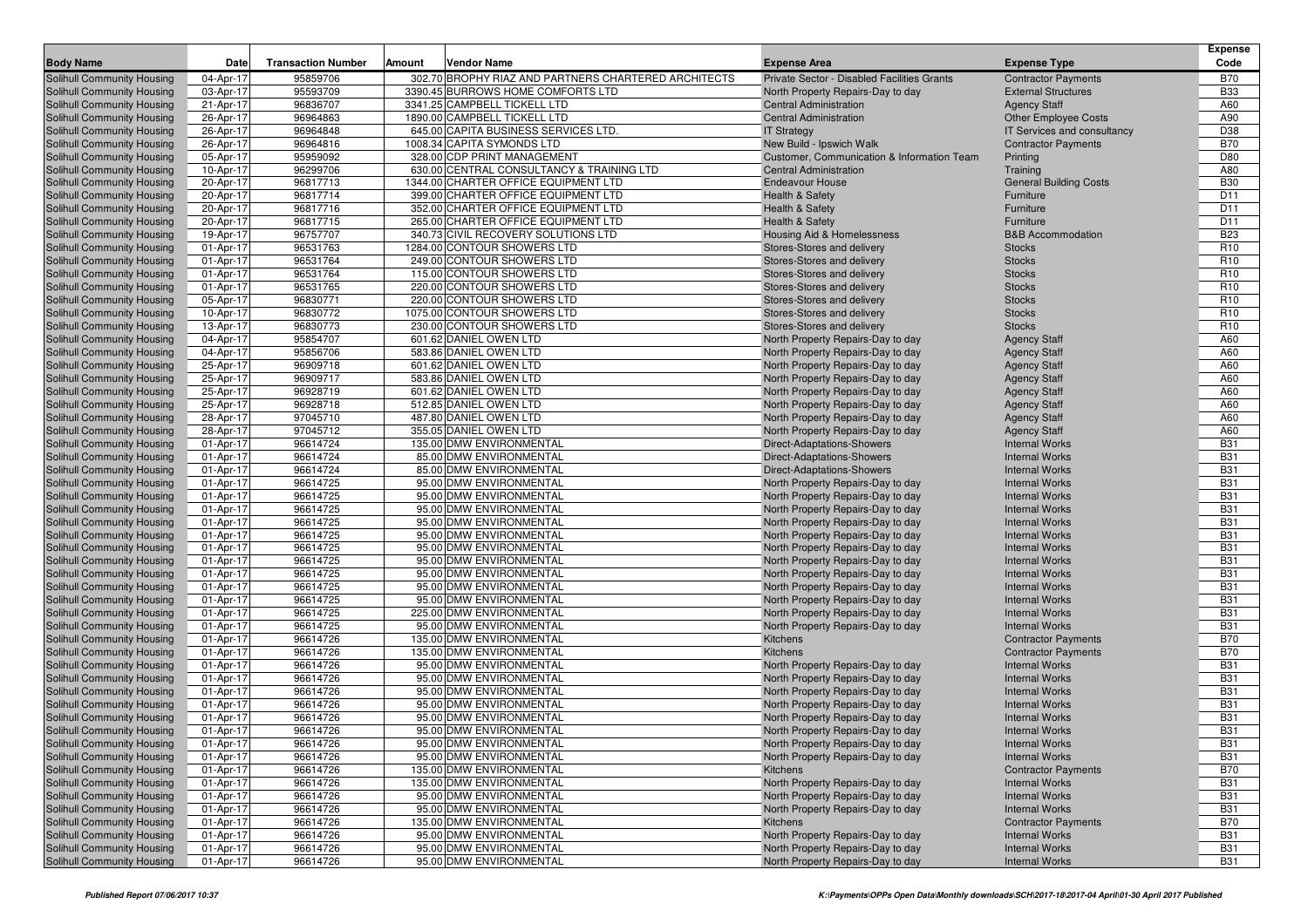| <b>Body Name</b>                                         | Date                   | <b>Transaction Number</b> | Amount | <b>Vendor Name</b>                                           | <b>Expense Area</b>                                            | <b>Expense Type</b>                                | <b>Expense</b><br>Code |
|----------------------------------------------------------|------------------------|---------------------------|--------|--------------------------------------------------------------|----------------------------------------------------------------|----------------------------------------------------|------------------------|
|                                                          |                        |                           |        |                                                              |                                                                |                                                    |                        |
| Solihull Community Housing                               | 04-Apr-17              | 95859706                  |        | 302.70 BROPHY RIAZ AND PARTNERS CHARTERED ARCHITECTS         | Private Sector - Disabled Facilities Grants                    | <b>Contractor Payments</b>                         | <b>B70</b>             |
| Solihull Community Housing                               | 03-Apr-17              | 95593709<br>96836707      |        | 3390.45 BURROWS HOME COMFORTS LTD                            | North Property Repairs-Day to day                              | <b>External Structures</b>                         | <b>B33</b>             |
| Solihull Community Housing<br>Solihull Community Housing | 21-Apr-17<br>26-Apr-17 | 96964863                  |        | 3341.25 CAMPBELL TICKELL LTD<br>1890.00 CAMPBELL TICKELL LTD | <b>Central Administration</b><br><b>Central Administration</b> | <b>Agency Staff</b><br><b>Other Employee Costs</b> | A60<br>A90             |
| Solihull Community Housing                               | 26-Apr-17              | 96964848                  |        | 645.00 CAPITA BUSINESS SERVICES LTD.                         | <b>IT Strategy</b>                                             | IT Services and consultancy                        | D38                    |
| Solihull Community Housing                               | 26-Apr-17              | 96964816                  |        | 1008.34 CAPITA SYMONDS LTD                                   | New Build - Ipswich Walk                                       | <b>Contractor Payments</b>                         | <b>B70</b>             |
| <b>Solihull Community Housing</b>                        | 05-Apr-17              | 95959092                  |        | 328.00 CDP PRINT MANAGEMENT                                  | Customer, Communication & Information Team                     | Printing                                           | D80                    |
| Solihull Community Housing                               | 10-Apr-17              | 96299706                  |        | 630.00 CENTRAL CONSULTANCY & TRAINING LTD                    | <b>Central Administration</b>                                  | Training                                           | A80                    |
| <b>Solihull Community Housing</b>                        | 20-Apr-17              | 96817713                  |        | 1344.00 CHARTER OFFICE EQUIPMENT LTD                         | <b>Endeavour House</b>                                         | <b>General Building Costs</b>                      | <b>B30</b>             |
| <b>Solihull Community Housing</b>                        | 20-Apr-17              | 96817714                  |        | 399.00 CHARTER OFFICE EQUIPMENT LTD                          | Health & Safety                                                | Furniture                                          | D11                    |
| <b>Solihull Community Housing</b>                        | 20-Apr-17              | 96817716                  |        | 352.00 CHARTER OFFICE EQUIPMENT LTD                          | <b>Health &amp; Safety</b>                                     | Furniture                                          | D <sub>11</sub>        |
| Solihull Community Housing                               | 20-Apr-17              | 96817715                  |        | 265.00 CHARTER OFFICE EQUIPMENT LTD                          | Health & Safety                                                | Furniture                                          | D11                    |
| Solihull Community Housing                               | 19-Apr-17              | 96757707                  |        | 340.73 CIVIL RECOVERY SOLUTIONS LTD                          | <b>Housing Aid &amp; Homelessness</b>                          | <b>B&amp;B Accommodation</b>                       | <b>B23</b>             |
| Solihull Community Housing                               | 01-Apr-17              | 96531763                  |        | 1284.00 CONTOUR SHOWERS LTD                                  | Stores-Stores and delivery                                     | <b>Stocks</b>                                      | R <sub>10</sub>        |
| Solihull Community Housing                               | 01-Apr-17              | 96531764                  |        | 249.00 CONTOUR SHOWERS LTD                                   | Stores-Stores and delivery                                     | <b>Stocks</b>                                      | R <sub>10</sub>        |
| <b>Solihull Community Housing</b>                        | 01-Apr-17              | 96531764                  |        | 115.00 CONTOUR SHOWERS LTD                                   | Stores-Stores and delivery                                     | <b>Stocks</b>                                      | R <sub>10</sub>        |
| Solihull Community Housing                               | 01-Apr-17              | 96531765                  |        | 220.00 CONTOUR SHOWERS LTD                                   | Stores-Stores and delivery                                     | <b>Stocks</b>                                      | R <sub>10</sub>        |
| Solihull Community Housing                               | 05-Apr-17              | 96830771                  |        | 220.00 CONTOUR SHOWERS LTD                                   | Stores-Stores and delivery                                     | <b>Stocks</b>                                      | R <sub>10</sub>        |
| Solihull Community Housing                               | 10-Apr-17              | 96830772                  |        | 1075.00 CONTOUR SHOWERS LTD                                  | Stores-Stores and delivery                                     | <b>Stocks</b>                                      | R <sub>10</sub>        |
| Solihull Community Housing                               | 13-Apr-17              | 96830773                  |        | 230.00 CONTOUR SHOWERS LTD                                   | Stores-Stores and delivery                                     | <b>Stocks</b>                                      | R <sub>10</sub>        |
| Solihull Community Housing                               | 04-Apr-17              | 95854707                  |        | 601.62 DANIEL OWEN LTD                                       | North Property Repairs-Day to day                              | <b>Agency Staff</b>                                | A60                    |
| Solihull Community Housing                               | 04-Apr-17              | 95856706                  |        | 583.86 DANIEL OWEN LTD                                       | North Property Repairs-Day to day                              | <b>Agency Staff</b>                                | A60                    |
| Solihull Community Housing                               | 25-Apr-17              | 96909718                  |        | 601.62 DANIEL OWEN LTD                                       | North Property Repairs-Day to day                              | <b>Agency Staff</b>                                | A60                    |
| <b>Solihull Community Housing</b>                        | 25-Apr-17              | 96909717                  |        | 583.86 DANIEL OWEN LTD                                       | North Property Repairs-Day to day                              | <b>Agency Staff</b>                                | A60                    |
| Solihull Community Housing                               | 25-Apr-17              | 96928719                  |        | 601.62 DANIEL OWEN LTD                                       | North Property Repairs-Day to day                              | <b>Agency Staff</b>                                | A60                    |
| Solihull Community Housing                               | 25-Apr-17              | 96928718                  |        | 512.85 DANIEL OWEN LTD                                       | North Property Repairs-Day to day                              | <b>Agency Staff</b>                                | A60                    |
| Solihull Community Housing                               | 28-Apr-17              | 97045710                  |        | 487.80 DANIEL OWEN LTD                                       | North Property Repairs-Day to day                              | <b>Agency Staff</b>                                | A60                    |
| Solihull Community Housing                               | 28-Apr-17              | 97045712                  |        | 355.05 DANIEL OWEN LTD                                       | North Property Repairs-Day to day                              | <b>Agency Staff</b>                                | A60                    |
| Solihull Community Housing                               | 01-Apr-17              | 96614724                  |        | 135.00 DMW ENVIRONMENTAL                                     | Direct-Adaptations-Showers                                     | <b>Internal Works</b>                              | <b>B31</b>             |
| Solihull Community Housing                               | 01-Apr-17              | 96614724                  |        | 85.00 DMW ENVIRONMENTAL                                      | Direct-Adaptations-Showers                                     | <b>Internal Works</b>                              | <b>B31</b>             |
| Solihull Community Housing                               | 01-Apr-17              | 96614724                  |        | 85.00 DMW ENVIRONMENTAL                                      | Direct-Adaptations-Showers                                     | <b>Internal Works</b>                              | <b>B31</b>             |
| Solihull Community Housing                               | 01-Apr-17              | 96614725                  |        | 95.00 DMW ENVIRONMENTAL                                      | North Property Repairs-Day to day                              | <b>Internal Works</b>                              | <b>B31</b>             |
| Solihull Community Housing                               | 01-Apr-17              | 96614725                  |        | 95.00 DMW ENVIRONMENTAL                                      | North Property Repairs-Day to day                              | <b>Internal Works</b>                              | <b>B31</b>             |
| Solihull Community Housing                               | 01-Apr-17              | 96614725                  |        | 95.00 DMW ENVIRONMENTAL                                      | North Property Repairs-Day to day                              | <b>Internal Works</b>                              | <b>B31</b>             |
| Solihull Community Housing                               | 01-Apr-17              | 96614725                  |        | 95.00 DMW ENVIRONMENTAL                                      | North Property Repairs-Day to day                              | <b>Internal Works</b>                              | <b>B31</b>             |
| Solihull Community Housing                               | 01-Apr-17              | 96614725                  |        | 95.00 DMW ENVIRONMENTAL                                      | North Property Repairs-Day to day                              | <b>Internal Works</b>                              | <b>B31</b>             |
| Solihull Community Housing                               | 01-Apr-17              | 96614725                  |        | 95.00 DMW ENVIRONMENTAL                                      | North Property Repairs-Day to day                              | <b>Internal Works</b>                              | <b>B31</b>             |
| Solihull Community Housing                               | 01-Apr-17              | 96614725                  |        | 95.00 DMW ENVIRONMENTAL                                      | North Property Repairs-Day to day                              | <b>Internal Works</b>                              | <b>B31</b>             |
| Solihull Community Housing                               | 01-Apr-17              | 96614725                  |        | 95.00 DMW ENVIRONMENTAL                                      | North Property Repairs-Day to day                              | <b>Internal Works</b>                              | <b>B31</b>             |
| <b>Solihull Community Housing</b>                        | 01-Apr-17              | 96614725                  |        | 95.00 DMW ENVIRONMENTAL                                      | North Property Repairs-Day to day                              | <b>Internal Works</b>                              | <b>B31</b>             |
| Solihull Community Housing                               | 01-Apr-17              | 96614725                  |        | 95.00 DMW ENVIRONMENTAL                                      | North Property Repairs-Day to day                              | <b>Internal Works</b>                              | <b>B31</b>             |
| Solihull Community Housing                               | 01-Apr-17              | 96614725                  |        | 225.00 DMW ENVIRONMENTAL                                     | North Property Repairs-Day to day                              | <b>Internal Works</b>                              | <b>B31</b>             |
| Solihull Community Housing                               | 01-Apr-17              | 96614725                  |        | 95.00 DMW ENVIRONMENTAL                                      | North Property Repairs-Day to day                              | <b>Internal Works</b>                              | <b>B31</b>             |
| Solihull Community Housing                               | 01-Apr-17              | 96614726                  |        | 135.00 DMW ENVIRONMENTAL                                     | Kitchens                                                       | <b>Contractor Payments</b>                         | <b>B70</b>             |
| Solihull Community Housing                               | 01-Apr-17              | 96614726                  |        | 135.00 DMW ENVIRONMENTAL                                     | Kitchens                                                       | <b>Contractor Payments</b>                         | <b>B70</b>             |
| Solihull Community Housing                               | 01-Apr-17              | 96614726                  |        | 95.00 DMW ENVIRONMENTAL                                      | North Property Repairs-Day to day                              | <b>Internal Works</b>                              | <b>B31</b>             |
| Solihull Community Housing                               | 01-Apr-17              | 96614726                  |        | 95.00 DMW ENVIRONMENTAL                                      | North Property Repairs-Day to day                              | <b>Internal Works</b>                              | <b>B31</b>             |
| Solihull Community Housing                               | 01-Apr-17              | 96614726                  |        | 95.00 DMW ENVIRONMENTAL                                      | North Property Repairs-Day to day                              | <b>Internal Works</b>                              | <b>B31</b>             |
| Solihull Community Housing                               | 01-Apr-17              | 96614726                  |        | 95.00 DMW ENVIRONMENTAL                                      | North Property Repairs-Day to day                              | <b>Internal Works</b>                              | <b>B31</b>             |
| Solihull Community Housing                               | 01-Apr-17              | 96614726                  |        | 95.00 DMW ENVIRONMENTAL                                      | North Property Repairs-Day to day                              | <b>Internal Works</b>                              | <b>B31</b>             |
| <b>Solihull Community Housing</b>                        | 01-Apr-17              | 96614726                  |        | 95.00 DMW ENVIRONMENTAL                                      | North Property Repairs-Day to day                              | <b>Internal Works</b>                              | <b>B31</b>             |
| Solihull Community Housing                               | 01-Apr-17              | 96614726                  |        | 95.00 DMW ENVIRONMENTAL                                      | North Property Repairs-Day to day                              | <b>Internal Works</b>                              | <b>B31</b>             |
| Solihull Community Housing                               | 01-Apr-17              | 96614726                  |        | 95.00 DMW ENVIRONMENTAL                                      | North Property Repairs-Day to day                              | <b>Internal Works</b>                              | <b>B31</b>             |
| Solihull Community Housing                               | 01-Apr-17              | 96614726                  |        | 135.00 DMW ENVIRONMENTAL                                     | Kitchens                                                       | <b>Contractor Payments</b>                         | <b>B70</b>             |
| Solihull Community Housing                               | 01-Apr-17              | 96614726                  |        | 135.00 DMW ENVIRONMENTAL                                     | North Property Repairs-Day to day                              | <b>Internal Works</b>                              | <b>B31</b>             |
| Solihull Community Housing                               | 01-Apr-17              | 96614726                  |        | 95.00 DMW ENVIRONMENTAL                                      | North Property Repairs-Day to day                              | <b>Internal Works</b>                              | <b>B31</b>             |
| Solihull Community Housing                               | 01-Apr-17              | 96614726                  |        | 95.00 DMW ENVIRONMENTAL                                      | North Property Repairs-Day to day                              | <b>Internal Works</b>                              | <b>B31</b>             |
| Solihull Community Housing                               | 01-Apr-17              | 96614726                  |        | 135.00 DMW ENVIRONMENTAL                                     | Kitchens                                                       | <b>Contractor Payments</b>                         | <b>B70</b>             |
| Solihull Community Housing                               | 01-Apr-17              | 96614726                  |        | 95.00 DMW ENVIRONMENTAL                                      | North Property Repairs-Day to day                              | <b>Internal Works</b>                              | <b>B31</b>             |
| Solihull Community Housing                               | 01-Apr-17              | 96614726                  |        | 95.00 DMW ENVIRONMENTAL                                      | North Property Repairs-Day to day                              | <b>Internal Works</b>                              | <b>B31</b>             |
| Solihull Community Housing                               | 01-Apr-17              | 96614726                  |        | 95.00 DMW ENVIRONMENTAL                                      | North Property Repairs-Day to day                              | <b>Internal Works</b>                              | <b>B31</b>             |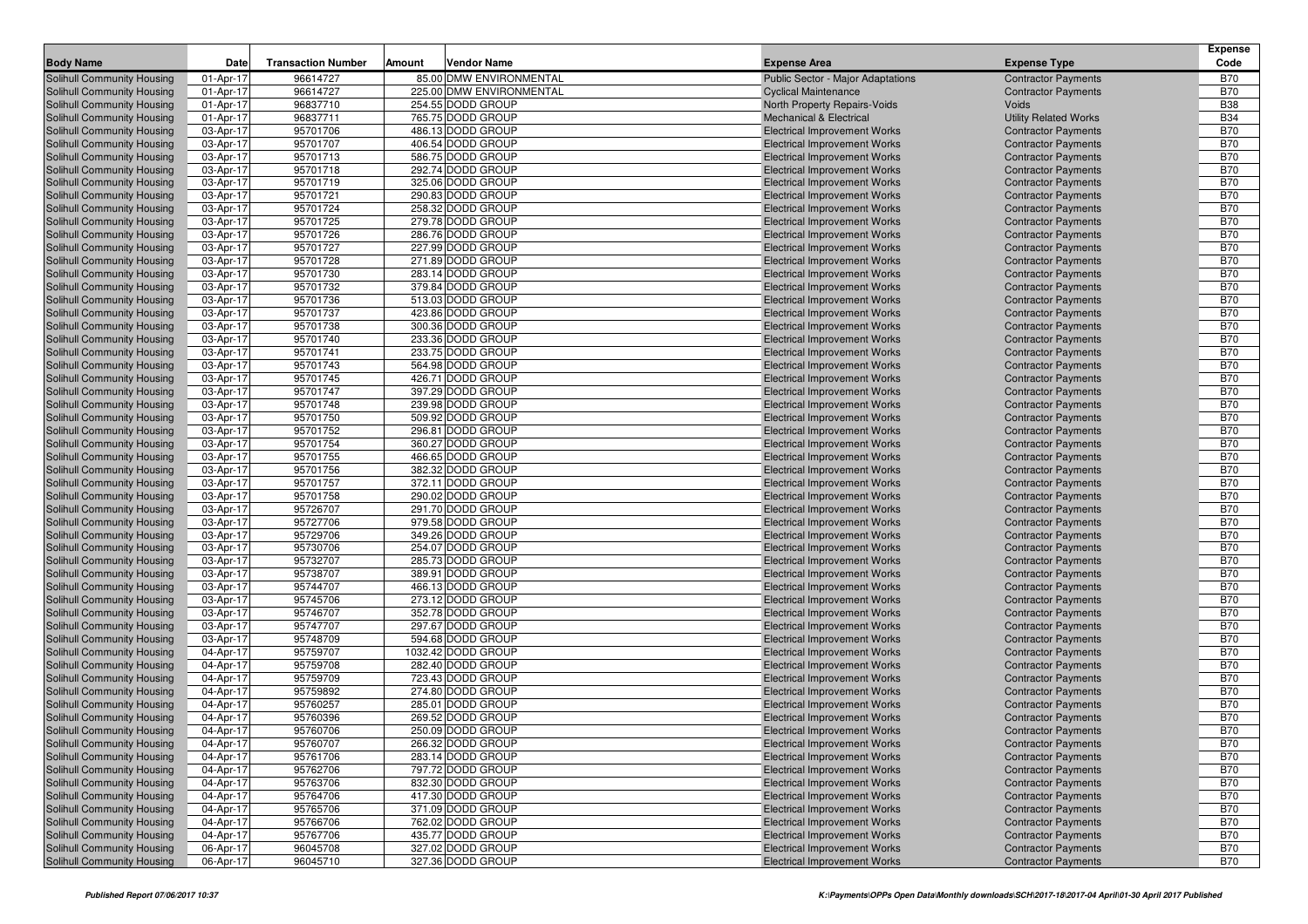| <b>Body Name</b>                                         | Date                   | <b>Transaction Number</b> | Amount | <b>Vendor Name</b>                     | <b>Expense Area</b>                                                        | <b>Expense Type</b>                                      | <b>Expense</b><br>Code   |
|----------------------------------------------------------|------------------------|---------------------------|--------|----------------------------------------|----------------------------------------------------------------------------|----------------------------------------------------------|--------------------------|
| Solihull Community Housing                               | 01-Apr-17              | 96614727                  |        | 85.00 DMW ENVIRONMENTAL                | Public Sector - Major Adaptations                                          | <b>Contractor Payments</b>                               | <b>B70</b>               |
| Solihull Community Housing                               | 01-Apr-17              | 96614727                  |        | 225.00 DMW ENVIRONMENTAL               | <b>Cyclical Maintenance</b>                                                | <b>Contractor Payments</b>                               | <b>B70</b>               |
| Solihull Community Housing                               | 01-Apr-17              | 96837710                  |        | 254.55 DODD GROUP                      | <b>North Property Repairs-Voids</b>                                        | <b>Voids</b>                                             | <b>B38</b>               |
| Solihull Community Housing                               | 01-Apr-17              | 96837711                  |        | 765.75 DODD GROUP                      | <b>Mechanical &amp; Electrical</b>                                         | <b>Utility Related Works</b>                             | <b>B34</b>               |
| Solihull Community Housing                               | 03-Apr-17              | 95701706                  |        | 486.13 DODD GROUP                      | <b>Electrical Improvement Works</b>                                        | <b>Contractor Payments</b>                               | <b>B70</b>               |
| Solihull Community Housing                               | 03-Apr-17              | 95701707                  |        | 406.54 DODD GROUP                      | <b>Electrical Improvement Works</b>                                        | <b>Contractor Payments</b>                               | <b>B70</b>               |
| Solihull Community Housing                               | 03-Apr-17              | 95701713                  |        | 586.75 DODD GROUP                      | <b>Electrical Improvement Works</b>                                        | <b>Contractor Payments</b>                               | <b>B70</b>               |
| Solihull Community Housing                               | 03-Apr-17              | 95701718                  |        | 292.74 DODD GROUP                      | <b>Electrical Improvement Works</b>                                        | <b>Contractor Payments</b>                               | <b>B70</b>               |
| Solihull Community Housing                               | 03-Apr-17              | 95701719                  |        | 325.06 DODD GROUP                      | <b>Electrical Improvement Works</b>                                        | <b>Contractor Payments</b>                               | <b>B70</b>               |
| Solihull Community Housing                               | 03-Apr-17              | 95701721                  |        | 290.83 DODD GROUP                      | <b>Electrical Improvement Works</b>                                        | <b>Contractor Payments</b>                               | <b>B70</b>               |
| Solihull Community Housing                               | 03-Apr-17              | 95701724                  |        | 258.32 DODD GROUP                      | <b>Electrical Improvement Works</b>                                        | <b>Contractor Payments</b>                               | <b>B70</b>               |
| Solihull Community Housing                               | 03-Apr-17              | 95701725                  |        | 279.78 DODD GROUP                      | <b>Electrical Improvement Works</b>                                        | <b>Contractor Payments</b>                               | <b>B70</b>               |
| Solihull Community Housing                               | 03-Apr-17              | 95701726                  |        | 286.76 DODD GROUP                      | <b>Electrical Improvement Works</b>                                        | <b>Contractor Payments</b>                               | <b>B70</b>               |
| Solihull Community Housing                               | 03-Apr-17              | 95701727                  |        | 227.99 DODD GROUP                      | <b>Electrical Improvement Works</b>                                        | <b>Contractor Payments</b>                               | <b>B70</b>               |
| Solihull Community Housing                               | 03-Apr-17              | 95701728                  |        | 271.89 DODD GROUP                      | <b>Electrical Improvement Works</b>                                        | <b>Contractor Payments</b>                               | <b>B70</b>               |
| Solihull Community Housing                               | 03-Apr-17              | 95701730                  |        | 283.14 DODD GROUP                      | <b>Electrical Improvement Works</b>                                        | <b>Contractor Payments</b>                               | <b>B70</b>               |
| <b>Solihull Community Housing</b>                        | 03-Apr-17              | 95701732                  |        | 379.84 DODD GROUP                      | <b>Electrical Improvement Works</b>                                        | <b>Contractor Payments</b>                               | <b>B70</b>               |
| Solihull Community Housing                               | 03-Apr-17              | 95701736                  |        | 513.03 DODD GROUP                      | <b>Electrical Improvement Works</b>                                        | <b>Contractor Payments</b>                               | <b>B70</b>               |
| Solihull Community Housing                               | 03-Apr-17              | 95701737                  |        | 423.86 DODD GROUP                      | <b>Electrical Improvement Works</b>                                        | <b>Contractor Payments</b>                               | <b>B70</b>               |
| Solihull Community Housing                               | 03-Apr-17              | 95701738                  |        | 300.36 DODD GROUP                      | <b>Electrical Improvement Works</b>                                        | <b>Contractor Payments</b>                               | <b>B70</b>               |
| Solihull Community Housing                               | 03-Apr-17              | 95701740                  |        | 233.36 DODD GROUP                      | <b>Electrical Improvement Works</b>                                        | <b>Contractor Payments</b>                               | <b>B70</b>               |
| Solihull Community Housing                               | 03-Apr-17              | 95701741                  |        | 233.75 DODD GROUP                      | <b>Electrical Improvement Works</b>                                        | <b>Contractor Payments</b>                               | <b>B70</b>               |
| Solihull Community Housing                               | 03-Apr-17              | 95701743                  |        | 564.98 DODD GROUP                      | <b>Electrical Improvement Works</b>                                        | <b>Contractor Payments</b>                               | <b>B70</b>               |
| Solihull Community Housing                               | 03-Apr-17              | 95701745                  |        | 426.71 DODD GROUP                      | <b>Electrical Improvement Works</b>                                        | <b>Contractor Payments</b>                               | <b>B70</b>               |
| Solihull Community Housing                               | 03-Apr-17              | 95701747                  |        | 397.29 DODD GROUP                      | <b>Electrical Improvement Works</b>                                        | <b>Contractor Payments</b>                               | <b>B70</b>               |
| Solihull Community Housing                               | 03-Apr-17              | 95701748                  |        | 239.98 DODD GROUP                      | <b>Electrical Improvement Works</b>                                        | <b>Contractor Payments</b>                               | <b>B70</b>               |
| <b>Solihull Community Housing</b>                        | 03-Apr-17              | 95701750                  |        | 509.92 DODD GROUP                      | <b>Electrical Improvement Works</b>                                        | <b>Contractor Payments</b>                               | <b>B70</b>               |
| Solihull Community Housing                               | 03-Apr-17              | 95701752                  |        | 296.81 DODD GROUP                      | <b>Electrical Improvement Works</b>                                        | <b>Contractor Payments</b>                               | <b>B70</b>               |
| Solihull Community Housing                               | 03-Apr-17              | 95701754                  |        | 360.27 DODD GROUP                      | <b>Electrical Improvement Works</b>                                        | <b>Contractor Payments</b>                               | <b>B70</b>               |
| Solihull Community Housing                               | 03-Apr-17              | 95701755<br>95701756      |        | 466.65 DODD GROUP<br>382.32 DODD GROUP | <b>Electrical Improvement Works</b>                                        | <b>Contractor Payments</b>                               | <b>B70</b><br><b>B70</b> |
| Solihull Community Housing<br>Solihull Community Housing | 03-Apr-17<br>03-Apr-17 | 95701757                  |        | 372.11 DODD GROUP                      | <b>Electrical Improvement Works</b><br><b>Electrical Improvement Works</b> | <b>Contractor Payments</b><br><b>Contractor Payments</b> | <b>B70</b>               |
| Solihull Community Housing                               | 03-Apr-17              | 95701758                  |        | 290.02 DODD GROUP                      | <b>Electrical Improvement Works</b>                                        | <b>Contractor Payments</b>                               | <b>B70</b>               |
| Solihull Community Housing                               | 03-Apr-17              | 95726707                  |        | 291.70 DODD GROUP                      | <b>Electrical Improvement Works</b>                                        | <b>Contractor Payments</b>                               | <b>B70</b>               |
| Solihull Community Housing                               | 03-Apr-17              | 95727706                  |        | 979.58 DODD GROUP                      | <b>Electrical Improvement Works</b>                                        | <b>Contractor Payments</b>                               | <b>B70</b>               |
| Solihull Community Housing                               | 03-Apr-17              | 95729706                  |        | 349.26 DODD GROUP                      | <b>Electrical Improvement Works</b>                                        | <b>Contractor Payments</b>                               | <b>B70</b>               |
| Solihull Community Housing                               | 03-Apr-17              | 95730706                  |        | 254.07 DODD GROUP                      | <b>Electrical Improvement Works</b>                                        | <b>Contractor Payments</b>                               | <b>B70</b>               |
| Solihull Community Housing                               | 03-Apr-17              | 95732707                  |        | 285.73 DODD GROUP                      | <b>Electrical Improvement Works</b>                                        | <b>Contractor Payments</b>                               | <b>B70</b>               |
| Solihull Community Housing                               | 03-Apr-17              | 95738707                  |        | 389.91 DODD GROUP                      | <b>Electrical Improvement Works</b>                                        | <b>Contractor Payments</b>                               | <b>B70</b>               |
| Solihull Community Housing                               | 03-Apr-17              | 95744707                  |        | 466.13 DODD GROUP                      | <b>Electrical Improvement Works</b>                                        | <b>Contractor Payments</b>                               | <b>B70</b>               |
| Solihull Community Housing                               | 03-Apr-17              | 95745706                  |        | 273.12 DODD GROUP                      | <b>Electrical Improvement Works</b>                                        | <b>Contractor Payments</b>                               | <b>B70</b>               |
| Solihull Community Housing                               | 03-Apr-17              | 95746707                  |        | 352.78 DODD GROUP                      | <b>Electrical Improvement Works</b>                                        | <b>Contractor Payments</b>                               | <b>B70</b>               |
| Solihull Community Housing                               | 03-Apr-17              | 95747707                  |        | 297.67 DODD GROUP                      | <b>Electrical Improvement Works</b>                                        | <b>Contractor Payments</b>                               | <b>B70</b>               |
| Solihull Community Housing                               | 03-Apr-17              | 95748709                  |        | 594.68 DODD GROUP                      | <b>Electrical Improvement Works</b>                                        | <b>Contractor Payments</b>                               | <b>B70</b>               |
| Solihull Community Housing                               | 04-Apr-17              | 95759707                  |        | 1032.42 DODD GROUP                     | <b>Electrical Improvement Works</b>                                        | <b>Contractor Payments</b>                               | <b>B70</b>               |
| Solihull Community Housing                               | 04-Apr-17              | 95759708                  |        | 282.40 DODD GROUP                      | <b>Electrical Improvement Works</b>                                        | <b>Contractor Payments</b>                               | <b>B70</b>               |
| Solihull Community Housing                               | 04-Apr-17              | 95759709                  |        | 723.43 DODD GROUP                      | <b>Electrical Improvement Works</b>                                        | <b>Contractor Payments</b>                               | <b>B70</b>               |
| Solihull Community Housing                               | 04-Apr-17              | 95759892                  |        | 274.80 DODD GROUP                      | <b>Electrical Improvement Works</b>                                        | <b>Contractor Payments</b>                               | <b>B70</b>               |
| Solihull Community Housing                               | 04-Apr-17              | 95760257                  |        | 285.01 DODD GROUP                      | <b>Electrical Improvement Works</b>                                        | <b>Contractor Payments</b>                               | <b>B70</b>               |
| Solihull Community Housing                               | 04-Apr-17              | 95760396                  |        | 269.52 DODD GROUP                      | <b>Electrical Improvement Works</b>                                        | <b>Contractor Payments</b>                               | <b>B70</b>               |
| Solihull Community Housing                               | 04-Apr-17              | 95760706                  |        | 250.09 DODD GROUP                      | <b>Electrical Improvement Works</b>                                        | <b>Contractor Payments</b>                               | <b>B70</b>               |
| Solihull Community Housing                               | 04-Apr-17              | 95760707                  |        | 266.32 DODD GROUP                      | <b>Electrical Improvement Works</b>                                        | <b>Contractor Payments</b>                               | <b>B70</b>               |
| Solihull Community Housing                               | 04-Apr-17              | 95761706                  |        | 283.14 DODD GROUP                      | <b>Electrical Improvement Works</b>                                        | <b>Contractor Payments</b>                               | <b>B70</b>               |
| Solihull Community Housing                               | 04-Apr-17              | 95762706                  |        | 797.72 DODD GROUP                      | <b>Electrical Improvement Works</b>                                        | <b>Contractor Payments</b>                               | <b>B70</b>               |
| Solihull Community Housing                               | 04-Apr-17              | 95763706                  |        | 832.30 DODD GROUP                      | <b>Electrical Improvement Works</b>                                        | <b>Contractor Payments</b>                               | <b>B70</b>               |
| Solihull Community Housing                               | 04-Apr-17              | 95764706                  |        | 417.30 DODD GROUP                      | <b>Electrical Improvement Works</b>                                        | <b>Contractor Payments</b>                               | <b>B70</b>               |
| Solihull Community Housing                               | 04-Apr-17              | 95765706                  |        | 371.09 DODD GROUP                      | <b>Electrical Improvement Works</b>                                        | <b>Contractor Payments</b>                               | <b>B70</b>               |
| Solihull Community Housing                               | 04-Apr-17              | 95766706                  |        | 762.02 DODD GROUP                      | <b>Electrical Improvement Works</b>                                        | <b>Contractor Payments</b>                               | <b>B70</b>               |
| Solihull Community Housing                               | 04-Apr-17              | 95767706                  |        | 435.77 DODD GROUP                      | <b>Electrical Improvement Works</b>                                        | <b>Contractor Payments</b>                               | <b>B70</b>               |
| Solihull Community Housing                               | 06-Apr-17              | 96045708                  |        | 327.02 DODD GROUP                      | <b>Electrical Improvement Works</b>                                        | <b>Contractor Payments</b>                               | <b>B70</b>               |
| Solihull Community Housing                               | 06-Apr-17              | 96045710                  |        | 327.36 DODD GROUP                      | <b>Electrical Improvement Works</b>                                        | <b>Contractor Payments</b>                               | <b>B70</b>               |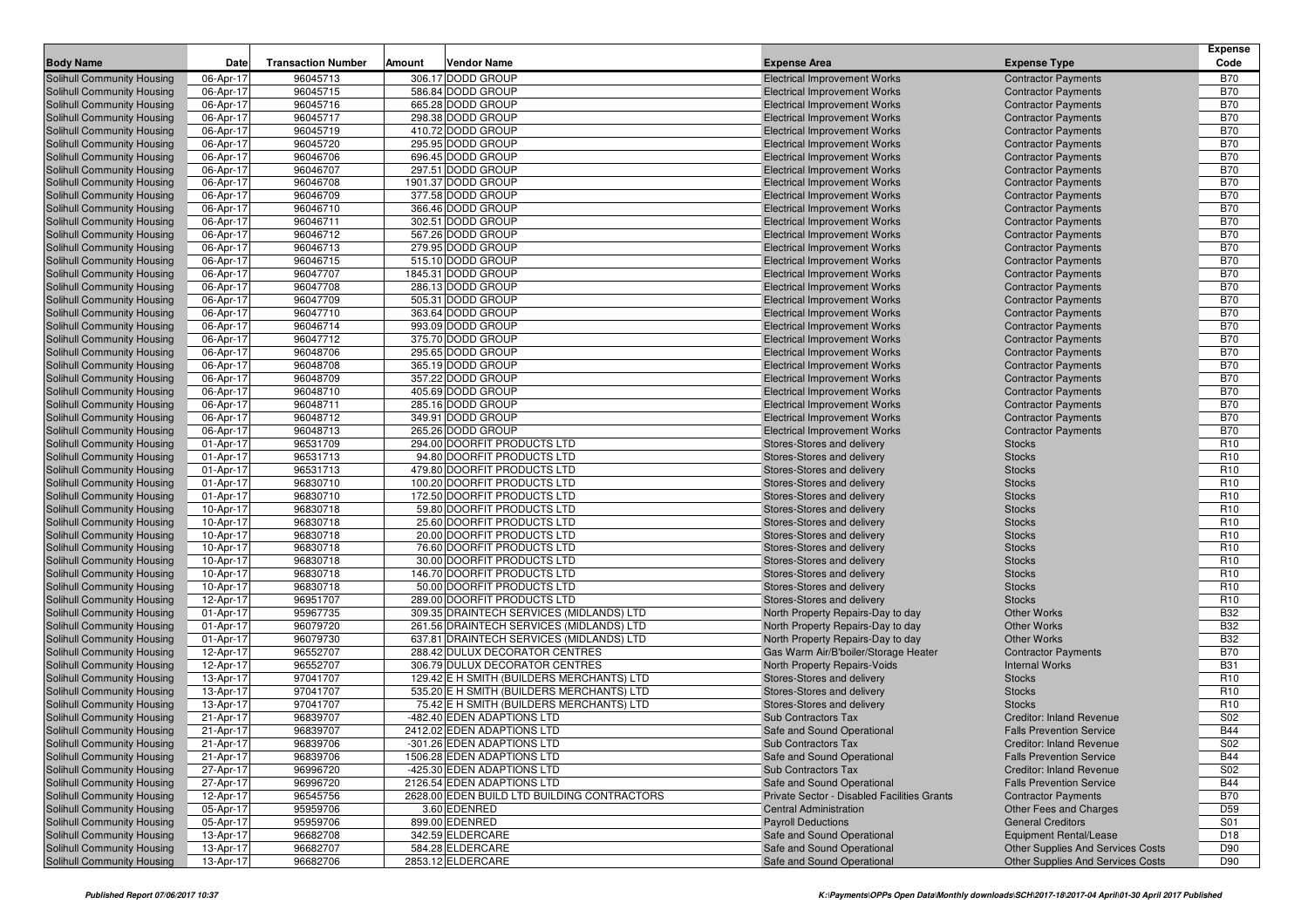| 96045713<br>306.17 DODD GROUP<br><b>Electrical Improvement Works</b><br><b>B70</b><br>Solihull Community Housing<br>06-Apr-17<br><b>Contractor Payments</b><br>96045715<br>586.84 DODD GROUP<br><b>B70</b><br><b>Solihull Community Housing</b><br>06-Apr-17<br><b>Electrical Improvement Works</b><br><b>Contractor Payments</b><br><b>B70</b><br>06-Apr-17<br>96045716<br>665.28 DODD GROUP<br><b>Electrical Improvement Works</b><br>Solihull Community Housing<br><b>Contractor Payments</b><br><b>B70</b><br>96045717<br>298.38 DODD GROUP<br><b>Electrical Improvement Works</b><br>Solihull Community Housing<br>06-Apr-17<br><b>Contractor Payments</b><br><b>B70</b><br>410.72 DODD GROUP<br>Solihull Community Housing<br>06-Apr-17<br>96045719<br><b>Electrical Improvement Works</b><br><b>Contractor Payments</b><br><b>B70</b><br>96045720<br>295.95 DODD GROUP<br>Solihull Community Housing<br>06-Apr-17<br><b>Electrical Improvement Works</b><br><b>Contractor Payments</b><br>696.45 DODD GROUP<br><b>B70</b><br><b>Solihull Community Housing</b><br>06-Apr-17<br>96046706<br><b>Electrical Improvement Works</b><br><b>Contractor Payments</b><br><b>B70</b><br>06-Apr-17<br>96046707<br>297.51 DODD GROUP<br><b>Solihull Community Housing</b><br><b>Electrical Improvement Works</b><br><b>Contractor Payments</b><br><b>B70</b><br>96046708<br>1901.37 DODD GROUP<br><b>Electrical Improvement Works</b><br><b>Solihull Community Housing</b><br>06-Apr-17<br><b>Contractor Payments</b><br>377.58 DODD GROUP<br><b>B70</b><br><b>Solihull Community Housing</b><br>06-Apr-17<br>96046709<br><b>Electrical Improvement Works</b><br><b>Contractor Payments</b><br><b>B70</b><br>96046710<br>366.46 DODD GROUP<br><b>Solihull Community Housing</b><br>06-Apr-17<br><b>Electrical Improvement Works</b><br><b>Contractor Payments</b><br>302.51 DODD GROUP<br><b>B70</b><br><b>Solihull Community Housing</b><br>06-Apr-17<br>96046711<br><b>Electrical Improvement Works</b><br><b>Contractor Payments</b><br><b>B70</b><br>06-Apr-17<br>96046712<br>567.26 DODD GROUP<br>Solihull Community Housing<br><b>Electrical Improvement Works</b><br><b>Contractor Payments</b><br><b>B70</b><br>96046713<br>279.95 DODD GROUP<br><b>Solihull Community Housing</b><br>06-Apr-17<br><b>Electrical Improvement Works</b><br><b>Contractor Payments</b><br><b>B70</b><br><b>Solihull Community Housing</b><br>06-Apr-17<br>96046715<br>515.10 DODD GROUP<br><b>Electrical Improvement Works</b><br><b>Contractor Payments</b><br>96047707<br>1845.31 DODD GROUP<br><b>B70</b><br>06-Apr-17<br><b>Solihull Community Housing</b><br><b>Electrical Improvement Works</b><br><b>Contractor Payments</b><br>286.13 DODD GROUP<br><b>B70</b><br>Solihull Community Housing<br>06-Apr-17<br>96047708<br><b>Electrical Improvement Works</b><br><b>Contractor Payments</b><br><b>B70</b><br>06-Apr-17<br>96047709<br>505.31 DODD GROUP<br><b>Solihull Community Housing</b><br><b>Electrical Improvement Works</b><br><b>Contractor Payments</b><br><b>B70</b><br>96047710<br>363.64 DODD GROUP<br><b>Electrical Improvement Works</b><br><b>Solihull Community Housing</b><br>06-Apr-17<br><b>Contractor Payments</b><br><b>B70</b><br>Solihull Community Housing<br>06-Apr-17<br>96046714<br>993.09 DODD GROUP<br><b>Electrical Improvement Works</b><br><b>Contractor Payments</b><br>96047712<br>375.70 DODD GROUP<br><b>B70</b><br>06-Apr-17<br><b>Solihull Community Housing</b><br><b>Electrical Improvement Works</b><br><b>Contractor Payments</b><br>295.65 DODD GROUP<br><b>B70</b><br>Solihull Community Housing<br>06-Apr-17<br>96048706<br><b>Electrical Improvement Works</b><br><b>Contractor Payments</b><br><b>B70</b><br>06-Apr-17<br>96048708<br>365.19 DODD GROUP<br>Solihull Community Housing<br><b>Electrical Improvement Works</b><br><b>Contractor Payments</b><br><b>B70</b><br>06-Apr-17<br>96048709<br>357.22 DODD GROUP<br><b>Solihull Community Housing</b><br><b>Electrical Improvement Works</b><br><b>Contractor Payments</b><br><b>B70</b><br><b>Solihull Community Housing</b><br>06-Apr-17<br>96048710<br>405.69 DODD GROUP<br><b>Electrical Improvement Works</b><br><b>Contractor Payments</b><br>96048711<br>285.16 DODD GROUP<br><b>B70</b><br>06-Apr-17<br>Solihull Community Housing<br><b>Electrical Improvement Works</b><br><b>Contractor Payments</b><br>349.91 DODD GROUP<br><b>B70</b><br><b>Solihull Community Housing</b><br>06-Apr-17<br>96048712<br><b>Electrical Improvement Works</b><br><b>Contractor Payments</b><br><b>B70</b><br>06-Apr-17<br>96048713<br>265.26 DODD GROUP<br>Solihull Community Housing<br><b>Electrical Improvement Works</b><br><b>Contractor Payments</b><br>R <sub>10</sub><br>01-Apr-17<br>96531709<br>294.00 DOORFIT PRODUCTS LTD<br>Stores-Stores and delivery<br><b>Solihull Community Housing</b><br><b>Stocks</b><br>Solihull Community Housing<br>01-Apr-17<br>96531713<br>94.80 DOORFIT PRODUCTS LTD<br>Stores-Stores and delivery<br><b>Stocks</b><br>R <sub>10</sub><br>96531713<br>R <sub>10</sub><br>01-Apr-17<br>479.80 DOORFIT PRODUCTS LTD<br><b>Stocks</b><br><b>Solihull Community Housing</b><br>Stores-Stores and delivery<br>100.20 DOORFIT PRODUCTS LTD<br>R <sub>10</sub><br><b>Solihull Community Housing</b><br>01-Apr-17<br>96830710<br>Stores-Stores and delivery<br><b>Stocks</b><br>R <sub>10</sub><br>01-Apr-17<br>96830710<br>172.50 DOORFIT PRODUCTS LTD<br><b>Solihull Community Housing</b><br>Stores-Stores and delivery<br><b>Stocks</b><br>96830718<br>R <sub>10</sub><br><b>Solihull Community Housing</b><br>10-Apr-17<br>59.80 DOORFIT PRODUCTS LTD<br><b>Stocks</b><br>Stores-Stores and delivery<br>Solihull Community Housing<br>96830718<br>25.60 DOORFIT PRODUCTS LTD<br>R <sub>10</sub><br>10-Apr-17<br>Stores-Stores and delivery<br><b>Stocks</b><br>96830718<br>R <sub>10</sub><br>10-Apr-17<br>20.00 DOORFIT PRODUCTS LTD<br><b>Solihull Community Housing</b><br>Stores-Stores and delivery<br><b>Stocks</b><br>76.60 DOORFIT PRODUCTS LTD<br>R <sub>10</sub><br><b>Solihull Community Housing</b><br>10-Apr-17<br>96830718<br>Stores-Stores and delivery<br><b>Stocks</b><br>R <sub>10</sub><br>10-Apr-17<br>96830718<br>30.00 DOORFIT PRODUCTS LTD<br><b>Solihull Community Housing</b><br>Stores-Stores and delivery<br><b>Stocks</b><br>96830718<br>R <sub>10</sub><br><b>Solihull Community Housing</b><br>10-Apr-17<br>146.70 DOORFIT PRODUCTS LTD<br>Stores-Stores and delivery<br><b>Stocks</b><br>Solihull Community Housing<br>96830718<br>50.00 DOORFIT PRODUCTS LTD<br>Stores-Stores and delivery<br>R <sub>10</sub><br>10-Apr-17<br><b>Stocks</b><br>96951707<br>R <sub>10</sub><br>12-Apr-17<br>289.00 DOORFIT PRODUCTS LTD<br><b>Stocks</b><br><b>Solihull Community Housing</b><br>Stores-Stores and delivery<br>95967735<br>309.35 DRAINTECH SERVICES (MIDLANDS) LTD<br><b>B32</b><br><b>Solihull Community Housing</b><br>01-Apr-17<br>North Property Repairs-Day to day<br><b>Other Works</b><br><b>B32</b><br>01-Apr-17<br>96079720<br>261.56 DRAINTECH SERVICES (MIDLANDS) LTD<br><b>Other Works</b><br><b>Solihull Community Housing</b><br>North Property Repairs-Day to day<br>96079730<br>637.81 DRAINTECH SERVICES (MIDLANDS) LTD<br><b>B32</b><br><b>Solihull Community Housing</b><br>01-Apr-17<br>North Property Repairs-Day to day<br><b>Other Works</b><br><b>B70</b><br>Solihull Community Housing<br>12-Apr-17<br>96552707<br>288.42 DULUX DECORATOR CENTRES<br>Gas Warm Air/B'boiler/Storage Heater<br><b>Contractor Payments</b><br>96552707<br><b>B31</b><br>12-Apr-17<br>306.79 DULUX DECORATOR CENTRES<br>North Property Repairs-Voids<br>Solihull Community Housing<br><b>Internal Works</b><br>129.42 E H SMITH (BUILDERS MERCHANTS) LTD<br>R <sub>10</sub><br><b>Solihull Community Housing</b><br>13-Apr-17<br>97041707<br>Stores-Stores and delivery<br><b>Stocks</b><br>97041707<br>R <sub>10</sub><br>13-Apr-17<br>535.20 E H SMITH (BUILDERS MERCHANTS) LTD<br><b>Stocks</b><br><b>Solihull Community Housing</b><br>Stores-Stores and delivery<br>97041707<br>R <sub>10</sub><br><b>Solihull Community Housing</b><br>13-Apr-17<br>75.42 E H SMITH (BUILDERS MERCHANTS) LTD<br>Stores-Stores and delivery<br><b>Stocks</b><br>S <sub>02</sub><br>Solihull Community Housing<br>96839707<br>-482.40 EDEN ADAPTIONS LTD<br>Sub Contractors Tax<br><b>Creditor: Inland Revenue</b><br>21-Apr-17<br><b>B44</b><br>21-Apr-17<br>96839707<br>2412.02 EDEN ADAPTIONS LTD<br>Solihull Community Housing<br>Safe and Sound Operational<br><b>Falls Prevention Service</b><br>Solihull Community Housing<br>21-Apr-17<br>96839706<br>-301.26 EDEN ADAPTIONS LTD<br>Sub Contractors Tax<br><b>Creditor: Inland Revenue</b><br>S02<br><b>B44</b><br>Solihull Community Housing<br>21-Apr-17<br>96839706<br>1506.28 EDEN ADAPTIONS LTD<br>Safe and Sound Operational<br><b>Falls Prevention Service</b><br>27-Apr-17<br>96996720<br>-425.30 EDEN ADAPTIONS LTD<br>S02<br>Solihull Community Housing<br>Sub Contractors Tax<br><b>Creditor: Inland Revenue</b><br>2126.54 EDEN ADAPTIONS LTD<br><b>B44</b><br>Solihull Community Housing<br>27-Apr-17<br>96996720<br>Safe and Sound Operational<br><b>Falls Prevention Service</b><br>96545756<br>2628.00 EDEN BUILD LTD BUILDING CONTRACTORS<br>Private Sector - Disabled Facilities Grants<br><b>B70</b><br>Solihull Community Housing<br>12-Apr-17<br><b>Contractor Payments</b><br>05-Apr-17<br>95959706<br><b>Central Administration</b><br>D59<br><b>Solihull Community Housing</b><br>3.60 EDENRED<br>Other Fees and Charges<br>899.00 EDENRED<br>S01<br>Solihull Community Housing<br>05-Apr-17<br>95959706<br><b>Payroll Deductions</b><br><b>General Creditors</b><br>96682708<br>342.59 ELDERCARE<br>Solihull Community Housing<br>13-Apr-17<br>Safe and Sound Operational<br>Equipment Rental/Lease<br>D <sub>18</sub><br>584.28 ELDERCARE<br>Safe and Sound Operational<br>D90<br>Solihull Community Housing<br>13-Apr-17<br>96682707<br><b>Other Supplies And Services Costs</b><br>96682706<br>2853.12 ELDERCARE<br>Solihull Community Housing<br>13-Apr-17<br>Safe and Sound Operational<br>Other Supplies And Services Costs<br>D90 | <b>Body Name</b> | Date | <b>Transaction Number</b> | Amount<br><b>Vendor Name</b> | <b>Expense Area</b> | <b>Expense Type</b> | <b>Expense</b><br>Code |
|-----------------------------------------------------------------------------------------------------------------------------------------------------------------------------------------------------------------------------------------------------------------------------------------------------------------------------------------------------------------------------------------------------------------------------------------------------------------------------------------------------------------------------------------------------------------------------------------------------------------------------------------------------------------------------------------------------------------------------------------------------------------------------------------------------------------------------------------------------------------------------------------------------------------------------------------------------------------------------------------------------------------------------------------------------------------------------------------------------------------------------------------------------------------------------------------------------------------------------------------------------------------------------------------------------------------------------------------------------------------------------------------------------------------------------------------------------------------------------------------------------------------------------------------------------------------------------------------------------------------------------------------------------------------------------------------------------------------------------------------------------------------------------------------------------------------------------------------------------------------------------------------------------------------------------------------------------------------------------------------------------------------------------------------------------------------------------------------------------------------------------------------------------------------------------------------------------------------------------------------------------------------------------------------------------------------------------------------------------------------------------------------------------------------------------------------------------------------------------------------------------------------------------------------------------------------------------------------------------------------------------------------------------------------------------------------------------------------------------------------------------------------------------------------------------------------------------------------------------------------------------------------------------------------------------------------------------------------------------------------------------------------------------------------------------------------------------------------------------------------------------------------------------------------------------------------------------------------------------------------------------------------------------------------------------------------------------------------------------------------------------------------------------------------------------------------------------------------------------------------------------------------------------------------------------------------------------------------------------------------------------------------------------------------------------------------------------------------------------------------------------------------------------------------------------------------------------------------------------------------------------------------------------------------------------------------------------------------------------------------------------------------------------------------------------------------------------------------------------------------------------------------------------------------------------------------------------------------------------------------------------------------------------------------------------------------------------------------------------------------------------------------------------------------------------------------------------------------------------------------------------------------------------------------------------------------------------------------------------------------------------------------------------------------------------------------------------------------------------------------------------------------------------------------------------------------------------------------------------------------------------------------------------------------------------------------------------------------------------------------------------------------------------------------------------------------------------------------------------------------------------------------------------------------------------------------------------------------------------------------------------------------------------------------------------------------------------------------------------------------------------------------------------------------------------------------------------------------------------------------------------------------------------------------------------------------------------------------------------------------------------------------------------------------------------------------------------------------------------------------------------------------------------------------------------------------------------------------------------------------------------------------------------------------------------------------------------------------------------------------------------------------------------------------------------------------------------------------------------------------------------------------------------------------------------------------------------------------------------------------------------------------------------------------------------------------------------------------------------------------------------------------------------------------------------------------------------------------------------------------------------------------------------------------------------------------------------------------------------------------------------------------------------------------------------------------------------------------------------------------------------------------------------------------------------------------------------------------------------------------------------------------------------------------------------------------------------------------------------------------------------------------------------------------------------------------------------------------------------------------------------------------------------------------------------------------------------------------------------------------------------------------------------------------------------------------------------------------------------------------------------------------------------------------------------------------------------------------------------------------------------------------------------------------------------------------------------------------------------------------------------------------------------------------------------------------------------------------------------------------------------------------------------------------------------------------------------------------------------------------------------------------------------------------------------------------------------------------------------------------------------------------------------------------------------------------------------------------------------------------------------------------------------------------------------------------------------------------------------------------------------------------------------------------------------------------------------------------------------------------------------------------------------------------------------------------------------------------------------------------------------------------------------------------------------------------------------------------------------------------------------------------------------------------------------------------------------------------------------------------------------------------------------------------------------------------------------------------------------------------------------------------------------------------------------------------------------------------------------------------------------------------------------------------------------------------------------------------------------------------------------------------------------------------------------------------------------------------------------------------------------------------------------------------------------------------------------------------------------------------------------------------------------------------------------------------------------------------------------------------------------------------------------------------------------------------------------------------------------------------------------------------------------------------------------------------------------------------------------------------------------------------------------------------------------------------------------------------------------------------------------------------------------------------------------------------------------------------------------------------------------------------------------------------------------------------------------------------------------------------------------------------------------------------------------------------------------------------------------------------------------------------------------------|------------------|------|---------------------------|------------------------------|---------------------|---------------------|------------------------|
|                                                                                                                                                                                                                                                                                                                                                                                                                                                                                                                                                                                                                                                                                                                                                                                                                                                                                                                                                                                                                                                                                                                                                                                                                                                                                                                                                                                                                                                                                                                                                                                                                                                                                                                                                                                                                                                                                                                                                                                                                                                                                                                                                                                                                                                                                                                                                                                                                                                                                                                                                                                                                                                                                                                                                                                                                                                                                                                                                                                                                                                                                                                                                                                                                                                                                                                                                                                                                                                                                                                                                                                                                                                                                                                                                                                                                                                                                                                                                                                                                                                                                                                                                                                                                                                                                                                                                                                                                                                                                                                                                                                                                                                                                                                                                                                                                                                                                                                                                                                                                                                                                                                                                                                                                                                                                                                                                                                                                                                                                                                                                                                                                                                                                                                                                                                                                                                                                                                                                                                                                                                                                                                                                                                                                                                                                                                                                                                                                                                                                                                                                                                                                                                                                                                                                                                                                                                                                                                                                                                                                                                                                                                                                                                                                                                                                                                                                                                                                                                                                                                                                                                                                                                                                                                                                                                                                                                                                                                                                                                                                                                                                                                                                                                                                                                                                                                                                                                                                                                                                                                                                                                                                                                                                                                                                                                                                                                                                                                                                                                                                                                                                                                                                                                                                                                                                                                                                                                                                                                                                                                                                                                                                                                                                                                                                                                                                                                                                                                                                                                                                                                                                                                                                                                                                                                                                   |                  |      |                           |                              |                     |                     |                        |
|                                                                                                                                                                                                                                                                                                                                                                                                                                                                                                                                                                                                                                                                                                                                                                                                                                                                                                                                                                                                                                                                                                                                                                                                                                                                                                                                                                                                                                                                                                                                                                                                                                                                                                                                                                                                                                                                                                                                                                                                                                                                                                                                                                                                                                                                                                                                                                                                                                                                                                                                                                                                                                                                                                                                                                                                                                                                                                                                                                                                                                                                                                                                                                                                                                                                                                                                                                                                                                                                                                                                                                                                                                                                                                                                                                                                                                                                                                                                                                                                                                                                                                                                                                                                                                                                                                                                                                                                                                                                                                                                                                                                                                                                                                                                                                                                                                                                                                                                                                                                                                                                                                                                                                                                                                                                                                                                                                                                                                                                                                                                                                                                                                                                                                                                                                                                                                                                                                                                                                                                                                                                                                                                                                                                                                                                                                                                                                                                                                                                                                                                                                                                                                                                                                                                                                                                                                                                                                                                                                                                                                                                                                                                                                                                                                                                                                                                                                                                                                                                                                                                                                                                                                                                                                                                                                                                                                                                                                                                                                                                                                                                                                                                                                                                                                                                                                                                                                                                                                                                                                                                                                                                                                                                                                                                                                                                                                                                                                                                                                                                                                                                                                                                                                                                                                                                                                                                                                                                                                                                                                                                                                                                                                                                                                                                                                                                                                                                                                                                                                                                                                                                                                                                                                                                                                                                                   |                  |      |                           |                              |                     |                     |                        |
|                                                                                                                                                                                                                                                                                                                                                                                                                                                                                                                                                                                                                                                                                                                                                                                                                                                                                                                                                                                                                                                                                                                                                                                                                                                                                                                                                                                                                                                                                                                                                                                                                                                                                                                                                                                                                                                                                                                                                                                                                                                                                                                                                                                                                                                                                                                                                                                                                                                                                                                                                                                                                                                                                                                                                                                                                                                                                                                                                                                                                                                                                                                                                                                                                                                                                                                                                                                                                                                                                                                                                                                                                                                                                                                                                                                                                                                                                                                                                                                                                                                                                                                                                                                                                                                                                                                                                                                                                                                                                                                                                                                                                                                                                                                                                                                                                                                                                                                                                                                                                                                                                                                                                                                                                                                                                                                                                                                                                                                                                                                                                                                                                                                                                                                                                                                                                                                                                                                                                                                                                                                                                                                                                                                                                                                                                                                                                                                                                                                                                                                                                                                                                                                                                                                                                                                                                                                                                                                                                                                                                                                                                                                                                                                                                                                                                                                                                                                                                                                                                                                                                                                                                                                                                                                                                                                                                                                                                                                                                                                                                                                                                                                                                                                                                                                                                                                                                                                                                                                                                                                                                                                                                                                                                                                                                                                                                                                                                                                                                                                                                                                                                                                                                                                                                                                                                                                                                                                                                                                                                                                                                                                                                                                                                                                                                                                                                                                                                                                                                                                                                                                                                                                                                                                                                                                                                   |                  |      |                           |                              |                     |                     |                        |
|                                                                                                                                                                                                                                                                                                                                                                                                                                                                                                                                                                                                                                                                                                                                                                                                                                                                                                                                                                                                                                                                                                                                                                                                                                                                                                                                                                                                                                                                                                                                                                                                                                                                                                                                                                                                                                                                                                                                                                                                                                                                                                                                                                                                                                                                                                                                                                                                                                                                                                                                                                                                                                                                                                                                                                                                                                                                                                                                                                                                                                                                                                                                                                                                                                                                                                                                                                                                                                                                                                                                                                                                                                                                                                                                                                                                                                                                                                                                                                                                                                                                                                                                                                                                                                                                                                                                                                                                                                                                                                                                                                                                                                                                                                                                                                                                                                                                                                                                                                                                                                                                                                                                                                                                                                                                                                                                                                                                                                                                                                                                                                                                                                                                                                                                                                                                                                                                                                                                                                                                                                                                                                                                                                                                                                                                                                                                                                                                                                                                                                                                                                                                                                                                                                                                                                                                                                                                                                                                                                                                                                                                                                                                                                                                                                                                                                                                                                                                                                                                                                                                                                                                                                                                                                                                                                                                                                                                                                                                                                                                                                                                                                                                                                                                                                                                                                                                                                                                                                                                                                                                                                                                                                                                                                                                                                                                                                                                                                                                                                                                                                                                                                                                                                                                                                                                                                                                                                                                                                                                                                                                                                                                                                                                                                                                                                                                                                                                                                                                                                                                                                                                                                                                                                                                                                                                                   |                  |      |                           |                              |                     |                     |                        |
|                                                                                                                                                                                                                                                                                                                                                                                                                                                                                                                                                                                                                                                                                                                                                                                                                                                                                                                                                                                                                                                                                                                                                                                                                                                                                                                                                                                                                                                                                                                                                                                                                                                                                                                                                                                                                                                                                                                                                                                                                                                                                                                                                                                                                                                                                                                                                                                                                                                                                                                                                                                                                                                                                                                                                                                                                                                                                                                                                                                                                                                                                                                                                                                                                                                                                                                                                                                                                                                                                                                                                                                                                                                                                                                                                                                                                                                                                                                                                                                                                                                                                                                                                                                                                                                                                                                                                                                                                                                                                                                                                                                                                                                                                                                                                                                                                                                                                                                                                                                                                                                                                                                                                                                                                                                                                                                                                                                                                                                                                                                                                                                                                                                                                                                                                                                                                                                                                                                                                                                                                                                                                                                                                                                                                                                                                                                                                                                                                                                                                                                                                                                                                                                                                                                                                                                                                                                                                                                                                                                                                                                                                                                                                                                                                                                                                                                                                                                                                                                                                                                                                                                                                                                                                                                                                                                                                                                                                                                                                                                                                                                                                                                                                                                                                                                                                                                                                                                                                                                                                                                                                                                                                                                                                                                                                                                                                                                                                                                                                                                                                                                                                                                                                                                                                                                                                                                                                                                                                                                                                                                                                                                                                                                                                                                                                                                                                                                                                                                                                                                                                                                                                                                                                                                                                                                                                   |                  |      |                           |                              |                     |                     |                        |
|                                                                                                                                                                                                                                                                                                                                                                                                                                                                                                                                                                                                                                                                                                                                                                                                                                                                                                                                                                                                                                                                                                                                                                                                                                                                                                                                                                                                                                                                                                                                                                                                                                                                                                                                                                                                                                                                                                                                                                                                                                                                                                                                                                                                                                                                                                                                                                                                                                                                                                                                                                                                                                                                                                                                                                                                                                                                                                                                                                                                                                                                                                                                                                                                                                                                                                                                                                                                                                                                                                                                                                                                                                                                                                                                                                                                                                                                                                                                                                                                                                                                                                                                                                                                                                                                                                                                                                                                                                                                                                                                                                                                                                                                                                                                                                                                                                                                                                                                                                                                                                                                                                                                                                                                                                                                                                                                                                                                                                                                                                                                                                                                                                                                                                                                                                                                                                                                                                                                                                                                                                                                                                                                                                                                                                                                                                                                                                                                                                                                                                                                                                                                                                                                                                                                                                                                                                                                                                                                                                                                                                                                                                                                                                                                                                                                                                                                                                                                                                                                                                                                                                                                                                                                                                                                                                                                                                                                                                                                                                                                                                                                                                                                                                                                                                                                                                                                                                                                                                                                                                                                                                                                                                                                                                                                                                                                                                                                                                                                                                                                                                                                                                                                                                                                                                                                                                                                                                                                                                                                                                                                                                                                                                                                                                                                                                                                                                                                                                                                                                                                                                                                                                                                                                                                                                                                                   |                  |      |                           |                              |                     |                     |                        |
|                                                                                                                                                                                                                                                                                                                                                                                                                                                                                                                                                                                                                                                                                                                                                                                                                                                                                                                                                                                                                                                                                                                                                                                                                                                                                                                                                                                                                                                                                                                                                                                                                                                                                                                                                                                                                                                                                                                                                                                                                                                                                                                                                                                                                                                                                                                                                                                                                                                                                                                                                                                                                                                                                                                                                                                                                                                                                                                                                                                                                                                                                                                                                                                                                                                                                                                                                                                                                                                                                                                                                                                                                                                                                                                                                                                                                                                                                                                                                                                                                                                                                                                                                                                                                                                                                                                                                                                                                                                                                                                                                                                                                                                                                                                                                                                                                                                                                                                                                                                                                                                                                                                                                                                                                                                                                                                                                                                                                                                                                                                                                                                                                                                                                                                                                                                                                                                                                                                                                                                                                                                                                                                                                                                                                                                                                                                                                                                                                                                                                                                                                                                                                                                                                                                                                                                                                                                                                                                                                                                                                                                                                                                                                                                                                                                                                                                                                                                                                                                                                                                                                                                                                                                                                                                                                                                                                                                                                                                                                                                                                                                                                                                                                                                                                                                                                                                                                                                                                                                                                                                                                                                                                                                                                                                                                                                                                                                                                                                                                                                                                                                                                                                                                                                                                                                                                                                                                                                                                                                                                                                                                                                                                                                                                                                                                                                                                                                                                                                                                                                                                                                                                                                                                                                                                                                                                   |                  |      |                           |                              |                     |                     |                        |
|                                                                                                                                                                                                                                                                                                                                                                                                                                                                                                                                                                                                                                                                                                                                                                                                                                                                                                                                                                                                                                                                                                                                                                                                                                                                                                                                                                                                                                                                                                                                                                                                                                                                                                                                                                                                                                                                                                                                                                                                                                                                                                                                                                                                                                                                                                                                                                                                                                                                                                                                                                                                                                                                                                                                                                                                                                                                                                                                                                                                                                                                                                                                                                                                                                                                                                                                                                                                                                                                                                                                                                                                                                                                                                                                                                                                                                                                                                                                                                                                                                                                                                                                                                                                                                                                                                                                                                                                                                                                                                                                                                                                                                                                                                                                                                                                                                                                                                                                                                                                                                                                                                                                                                                                                                                                                                                                                                                                                                                                                                                                                                                                                                                                                                                                                                                                                                                                                                                                                                                                                                                                                                                                                                                                                                                                                                                                                                                                                                                                                                                                                                                                                                                                                                                                                                                                                                                                                                                                                                                                                                                                                                                                                                                                                                                                                                                                                                                                                                                                                                                                                                                                                                                                                                                                                                                                                                                                                                                                                                                                                                                                                                                                                                                                                                                                                                                                                                                                                                                                                                                                                                                                                                                                                                                                                                                                                                                                                                                                                                                                                                                                                                                                                                                                                                                                                                                                                                                                                                                                                                                                                                                                                                                                                                                                                                                                                                                                                                                                                                                                                                                                                                                                                                                                                                                                                   |                  |      |                           |                              |                     |                     |                        |
|                                                                                                                                                                                                                                                                                                                                                                                                                                                                                                                                                                                                                                                                                                                                                                                                                                                                                                                                                                                                                                                                                                                                                                                                                                                                                                                                                                                                                                                                                                                                                                                                                                                                                                                                                                                                                                                                                                                                                                                                                                                                                                                                                                                                                                                                                                                                                                                                                                                                                                                                                                                                                                                                                                                                                                                                                                                                                                                                                                                                                                                                                                                                                                                                                                                                                                                                                                                                                                                                                                                                                                                                                                                                                                                                                                                                                                                                                                                                                                                                                                                                                                                                                                                                                                                                                                                                                                                                                                                                                                                                                                                                                                                                                                                                                                                                                                                                                                                                                                                                                                                                                                                                                                                                                                                                                                                                                                                                                                                                                                                                                                                                                                                                                                                                                                                                                                                                                                                                                                                                                                                                                                                                                                                                                                                                                                                                                                                                                                                                                                                                                                                                                                                                                                                                                                                                                                                                                                                                                                                                                                                                                                                                                                                                                                                                                                                                                                                                                                                                                                                                                                                                                                                                                                                                                                                                                                                                                                                                                                                                                                                                                                                                                                                                                                                                                                                                                                                                                                                                                                                                                                                                                                                                                                                                                                                                                                                                                                                                                                                                                                                                                                                                                                                                                                                                                                                                                                                                                                                                                                                                                                                                                                                                                                                                                                                                                                                                                                                                                                                                                                                                                                                                                                                                                                                                                   |                  |      |                           |                              |                     |                     |                        |
|                                                                                                                                                                                                                                                                                                                                                                                                                                                                                                                                                                                                                                                                                                                                                                                                                                                                                                                                                                                                                                                                                                                                                                                                                                                                                                                                                                                                                                                                                                                                                                                                                                                                                                                                                                                                                                                                                                                                                                                                                                                                                                                                                                                                                                                                                                                                                                                                                                                                                                                                                                                                                                                                                                                                                                                                                                                                                                                                                                                                                                                                                                                                                                                                                                                                                                                                                                                                                                                                                                                                                                                                                                                                                                                                                                                                                                                                                                                                                                                                                                                                                                                                                                                                                                                                                                                                                                                                                                                                                                                                                                                                                                                                                                                                                                                                                                                                                                                                                                                                                                                                                                                                                                                                                                                                                                                                                                                                                                                                                                                                                                                                                                                                                                                                                                                                                                                                                                                                                                                                                                                                                                                                                                                                                                                                                                                                                                                                                                                                                                                                                                                                                                                                                                                                                                                                                                                                                                                                                                                                                                                                                                                                                                                                                                                                                                                                                                                                                                                                                                                                                                                                                                                                                                                                                                                                                                                                                                                                                                                                                                                                                                                                                                                                                                                                                                                                                                                                                                                                                                                                                                                                                                                                                                                                                                                                                                                                                                                                                                                                                                                                                                                                                                                                                                                                                                                                                                                                                                                                                                                                                                                                                                                                                                                                                                                                                                                                                                                                                                                                                                                                                                                                                                                                                                                                                   |                  |      |                           |                              |                     |                     |                        |
|                                                                                                                                                                                                                                                                                                                                                                                                                                                                                                                                                                                                                                                                                                                                                                                                                                                                                                                                                                                                                                                                                                                                                                                                                                                                                                                                                                                                                                                                                                                                                                                                                                                                                                                                                                                                                                                                                                                                                                                                                                                                                                                                                                                                                                                                                                                                                                                                                                                                                                                                                                                                                                                                                                                                                                                                                                                                                                                                                                                                                                                                                                                                                                                                                                                                                                                                                                                                                                                                                                                                                                                                                                                                                                                                                                                                                                                                                                                                                                                                                                                                                                                                                                                                                                                                                                                                                                                                                                                                                                                                                                                                                                                                                                                                                                                                                                                                                                                                                                                                                                                                                                                                                                                                                                                                                                                                                                                                                                                                                                                                                                                                                                                                                                                                                                                                                                                                                                                                                                                                                                                                                                                                                                                                                                                                                                                                                                                                                                                                                                                                                                                                                                                                                                                                                                                                                                                                                                                                                                                                                                                                                                                                                                                                                                                                                                                                                                                                                                                                                                                                                                                                                                                                                                                                                                                                                                                                                                                                                                                                                                                                                                                                                                                                                                                                                                                                                                                                                                                                                                                                                                                                                                                                                                                                                                                                                                                                                                                                                                                                                                                                                                                                                                                                                                                                                                                                                                                                                                                                                                                                                                                                                                                                                                                                                                                                                                                                                                                                                                                                                                                                                                                                                                                                                                                                                   |                  |      |                           |                              |                     |                     |                        |
|                                                                                                                                                                                                                                                                                                                                                                                                                                                                                                                                                                                                                                                                                                                                                                                                                                                                                                                                                                                                                                                                                                                                                                                                                                                                                                                                                                                                                                                                                                                                                                                                                                                                                                                                                                                                                                                                                                                                                                                                                                                                                                                                                                                                                                                                                                                                                                                                                                                                                                                                                                                                                                                                                                                                                                                                                                                                                                                                                                                                                                                                                                                                                                                                                                                                                                                                                                                                                                                                                                                                                                                                                                                                                                                                                                                                                                                                                                                                                                                                                                                                                                                                                                                                                                                                                                                                                                                                                                                                                                                                                                                                                                                                                                                                                                                                                                                                                                                                                                                                                                                                                                                                                                                                                                                                                                                                                                                                                                                                                                                                                                                                                                                                                                                                                                                                                                                                                                                                                                                                                                                                                                                                                                                                                                                                                                                                                                                                                                                                                                                                                                                                                                                                                                                                                                                                                                                                                                                                                                                                                                                                                                                                                                                                                                                                                                                                                                                                                                                                                                                                                                                                                                                                                                                                                                                                                                                                                                                                                                                                                                                                                                                                                                                                                                                                                                                                                                                                                                                                                                                                                                                                                                                                                                                                                                                                                                                                                                                                                                                                                                                                                                                                                                                                                                                                                                                                                                                                                                                                                                                                                                                                                                                                                                                                                                                                                                                                                                                                                                                                                                                                                                                                                                                                                                                                                   |                  |      |                           |                              |                     |                     |                        |
|                                                                                                                                                                                                                                                                                                                                                                                                                                                                                                                                                                                                                                                                                                                                                                                                                                                                                                                                                                                                                                                                                                                                                                                                                                                                                                                                                                                                                                                                                                                                                                                                                                                                                                                                                                                                                                                                                                                                                                                                                                                                                                                                                                                                                                                                                                                                                                                                                                                                                                                                                                                                                                                                                                                                                                                                                                                                                                                                                                                                                                                                                                                                                                                                                                                                                                                                                                                                                                                                                                                                                                                                                                                                                                                                                                                                                                                                                                                                                                                                                                                                                                                                                                                                                                                                                                                                                                                                                                                                                                                                                                                                                                                                                                                                                                                                                                                                                                                                                                                                                                                                                                                                                                                                                                                                                                                                                                                                                                                                                                                                                                                                                                                                                                                                                                                                                                                                                                                                                                                                                                                                                                                                                                                                                                                                                                                                                                                                                                                                                                                                                                                                                                                                                                                                                                                                                                                                                                                                                                                                                                                                                                                                                                                                                                                                                                                                                                                                                                                                                                                                                                                                                                                                                                                                                                                                                                                                                                                                                                                                                                                                                                                                                                                                                                                                                                                                                                                                                                                                                                                                                                                                                                                                                                                                                                                                                                                                                                                                                                                                                                                                                                                                                                                                                                                                                                                                                                                                                                                                                                                                                                                                                                                                                                                                                                                                                                                                                                                                                                                                                                                                                                                                                                                                                                                                                   |                  |      |                           |                              |                     |                     |                        |
|                                                                                                                                                                                                                                                                                                                                                                                                                                                                                                                                                                                                                                                                                                                                                                                                                                                                                                                                                                                                                                                                                                                                                                                                                                                                                                                                                                                                                                                                                                                                                                                                                                                                                                                                                                                                                                                                                                                                                                                                                                                                                                                                                                                                                                                                                                                                                                                                                                                                                                                                                                                                                                                                                                                                                                                                                                                                                                                                                                                                                                                                                                                                                                                                                                                                                                                                                                                                                                                                                                                                                                                                                                                                                                                                                                                                                                                                                                                                                                                                                                                                                                                                                                                                                                                                                                                                                                                                                                                                                                                                                                                                                                                                                                                                                                                                                                                                                                                                                                                                                                                                                                                                                                                                                                                                                                                                                                                                                                                                                                                                                                                                                                                                                                                                                                                                                                                                                                                                                                                                                                                                                                                                                                                                                                                                                                                                                                                                                                                                                                                                                                                                                                                                                                                                                                                                                                                                                                                                                                                                                                                                                                                                                                                                                                                                                                                                                                                                                                                                                                                                                                                                                                                                                                                                                                                                                                                                                                                                                                                                                                                                                                                                                                                                                                                                                                                                                                                                                                                                                                                                                                                                                                                                                                                                                                                                                                                                                                                                                                                                                                                                                                                                                                                                                                                                                                                                                                                                                                                                                                                                                                                                                                                                                                                                                                                                                                                                                                                                                                                                                                                                                                                                                                                                                                                                                   |                  |      |                           |                              |                     |                     |                        |
|                                                                                                                                                                                                                                                                                                                                                                                                                                                                                                                                                                                                                                                                                                                                                                                                                                                                                                                                                                                                                                                                                                                                                                                                                                                                                                                                                                                                                                                                                                                                                                                                                                                                                                                                                                                                                                                                                                                                                                                                                                                                                                                                                                                                                                                                                                                                                                                                                                                                                                                                                                                                                                                                                                                                                                                                                                                                                                                                                                                                                                                                                                                                                                                                                                                                                                                                                                                                                                                                                                                                                                                                                                                                                                                                                                                                                                                                                                                                                                                                                                                                                                                                                                                                                                                                                                                                                                                                                                                                                                                                                                                                                                                                                                                                                                                                                                                                                                                                                                                                                                                                                                                                                                                                                                                                                                                                                                                                                                                                                                                                                                                                                                                                                                                                                                                                                                                                                                                                                                                                                                                                                                                                                                                                                                                                                                                                                                                                                                                                                                                                                                                                                                                                                                                                                                                                                                                                                                                                                                                                                                                                                                                                                                                                                                                                                                                                                                                                                                                                                                                                                                                                                                                                                                                                                                                                                                                                                                                                                                                                                                                                                                                                                                                                                                                                                                                                                                                                                                                                                                                                                                                                                                                                                                                                                                                                                                                                                                                                                                                                                                                                                                                                                                                                                                                                                                                                                                                                                                                                                                                                                                                                                                                                                                                                                                                                                                                                                                                                                                                                                                                                                                                                                                                                                                                                                   |                  |      |                           |                              |                     |                     |                        |
|                                                                                                                                                                                                                                                                                                                                                                                                                                                                                                                                                                                                                                                                                                                                                                                                                                                                                                                                                                                                                                                                                                                                                                                                                                                                                                                                                                                                                                                                                                                                                                                                                                                                                                                                                                                                                                                                                                                                                                                                                                                                                                                                                                                                                                                                                                                                                                                                                                                                                                                                                                                                                                                                                                                                                                                                                                                                                                                                                                                                                                                                                                                                                                                                                                                                                                                                                                                                                                                                                                                                                                                                                                                                                                                                                                                                                                                                                                                                                                                                                                                                                                                                                                                                                                                                                                                                                                                                                                                                                                                                                                                                                                                                                                                                                                                                                                                                                                                                                                                                                                                                                                                                                                                                                                                                                                                                                                                                                                                                                                                                                                                                                                                                                                                                                                                                                                                                                                                                                                                                                                                                                                                                                                                                                                                                                                                                                                                                                                                                                                                                                                                                                                                                                                                                                                                                                                                                                                                                                                                                                                                                                                                                                                                                                                                                                                                                                                                                                                                                                                                                                                                                                                                                                                                                                                                                                                                                                                                                                                                                                                                                                                                                                                                                                                                                                                                                                                                                                                                                                                                                                                                                                                                                                                                                                                                                                                                                                                                                                                                                                                                                                                                                                                                                                                                                                                                                                                                                                                                                                                                                                                                                                                                                                                                                                                                                                                                                                                                                                                                                                                                                                                                                                                                                                                                                                   |                  |      |                           |                              |                     |                     |                        |
|                                                                                                                                                                                                                                                                                                                                                                                                                                                                                                                                                                                                                                                                                                                                                                                                                                                                                                                                                                                                                                                                                                                                                                                                                                                                                                                                                                                                                                                                                                                                                                                                                                                                                                                                                                                                                                                                                                                                                                                                                                                                                                                                                                                                                                                                                                                                                                                                                                                                                                                                                                                                                                                                                                                                                                                                                                                                                                                                                                                                                                                                                                                                                                                                                                                                                                                                                                                                                                                                                                                                                                                                                                                                                                                                                                                                                                                                                                                                                                                                                                                                                                                                                                                                                                                                                                                                                                                                                                                                                                                                                                                                                                                                                                                                                                                                                                                                                                                                                                                                                                                                                                                                                                                                                                                                                                                                                                                                                                                                                                                                                                                                                                                                                                                                                                                                                                                                                                                                                                                                                                                                                                                                                                                                                                                                                                                                                                                                                                                                                                                                                                                                                                                                                                                                                                                                                                                                                                                                                                                                                                                                                                                                                                                                                                                                                                                                                                                                                                                                                                                                                                                                                                                                                                                                                                                                                                                                                                                                                                                                                                                                                                                                                                                                                                                                                                                                                                                                                                                                                                                                                                                                                                                                                                                                                                                                                                                                                                                                                                                                                                                                                                                                                                                                                                                                                                                                                                                                                                                                                                                                                                                                                                                                                                                                                                                                                                                                                                                                                                                                                                                                                                                                                                                                                                                                                   |                  |      |                           |                              |                     |                     |                        |
|                                                                                                                                                                                                                                                                                                                                                                                                                                                                                                                                                                                                                                                                                                                                                                                                                                                                                                                                                                                                                                                                                                                                                                                                                                                                                                                                                                                                                                                                                                                                                                                                                                                                                                                                                                                                                                                                                                                                                                                                                                                                                                                                                                                                                                                                                                                                                                                                                                                                                                                                                                                                                                                                                                                                                                                                                                                                                                                                                                                                                                                                                                                                                                                                                                                                                                                                                                                                                                                                                                                                                                                                                                                                                                                                                                                                                                                                                                                                                                                                                                                                                                                                                                                                                                                                                                                                                                                                                                                                                                                                                                                                                                                                                                                                                                                                                                                                                                                                                                                                                                                                                                                                                                                                                                                                                                                                                                                                                                                                                                                                                                                                                                                                                                                                                                                                                                                                                                                                                                                                                                                                                                                                                                                                                                                                                                                                                                                                                                                                                                                                                                                                                                                                                                                                                                                                                                                                                                                                                                                                                                                                                                                                                                                                                                                                                                                                                                                                                                                                                                                                                                                                                                                                                                                                                                                                                                                                                                                                                                                                                                                                                                                                                                                                                                                                                                                                                                                                                                                                                                                                                                                                                                                                                                                                                                                                                                                                                                                                                                                                                                                                                                                                                                                                                                                                                                                                                                                                                                                                                                                                                                                                                                                                                                                                                                                                                                                                                                                                                                                                                                                                                                                                                                                                                                                                                   |                  |      |                           |                              |                     |                     |                        |
|                                                                                                                                                                                                                                                                                                                                                                                                                                                                                                                                                                                                                                                                                                                                                                                                                                                                                                                                                                                                                                                                                                                                                                                                                                                                                                                                                                                                                                                                                                                                                                                                                                                                                                                                                                                                                                                                                                                                                                                                                                                                                                                                                                                                                                                                                                                                                                                                                                                                                                                                                                                                                                                                                                                                                                                                                                                                                                                                                                                                                                                                                                                                                                                                                                                                                                                                                                                                                                                                                                                                                                                                                                                                                                                                                                                                                                                                                                                                                                                                                                                                                                                                                                                                                                                                                                                                                                                                                                                                                                                                                                                                                                                                                                                                                                                                                                                                                                                                                                                                                                                                                                                                                                                                                                                                                                                                                                                                                                                                                                                                                                                                                                                                                                                                                                                                                                                                                                                                                                                                                                                                                                                                                                                                                                                                                                                                                                                                                                                                                                                                                                                                                                                                                                                                                                                                                                                                                                                                                                                                                                                                                                                                                                                                                                                                                                                                                                                                                                                                                                                                                                                                                                                                                                                                                                                                                                                                                                                                                                                                                                                                                                                                                                                                                                                                                                                                                                                                                                                                                                                                                                                                                                                                                                                                                                                                                                                                                                                                                                                                                                                                                                                                                                                                                                                                                                                                                                                                                                                                                                                                                                                                                                                                                                                                                                                                                                                                                                                                                                                                                                                                                                                                                                                                                                                                                   |                  |      |                           |                              |                     |                     |                        |
|                                                                                                                                                                                                                                                                                                                                                                                                                                                                                                                                                                                                                                                                                                                                                                                                                                                                                                                                                                                                                                                                                                                                                                                                                                                                                                                                                                                                                                                                                                                                                                                                                                                                                                                                                                                                                                                                                                                                                                                                                                                                                                                                                                                                                                                                                                                                                                                                                                                                                                                                                                                                                                                                                                                                                                                                                                                                                                                                                                                                                                                                                                                                                                                                                                                                                                                                                                                                                                                                                                                                                                                                                                                                                                                                                                                                                                                                                                                                                                                                                                                                                                                                                                                                                                                                                                                                                                                                                                                                                                                                                                                                                                                                                                                                                                                                                                                                                                                                                                                                                                                                                                                                                                                                                                                                                                                                                                                                                                                                                                                                                                                                                                                                                                                                                                                                                                                                                                                                                                                                                                                                                                                                                                                                                                                                                                                                                                                                                                                                                                                                                                                                                                                                                                                                                                                                                                                                                                                                                                                                                                                                                                                                                                                                                                                                                                                                                                                                                                                                                                                                                                                                                                                                                                                                                                                                                                                                                                                                                                                                                                                                                                                                                                                                                                                                                                                                                                                                                                                                                                                                                                                                                                                                                                                                                                                                                                                                                                                                                                                                                                                                                                                                                                                                                                                                                                                                                                                                                                                                                                                                                                                                                                                                                                                                                                                                                                                                                                                                                                                                                                                                                                                                                                                                                                                                                   |                  |      |                           |                              |                     |                     |                        |
|                                                                                                                                                                                                                                                                                                                                                                                                                                                                                                                                                                                                                                                                                                                                                                                                                                                                                                                                                                                                                                                                                                                                                                                                                                                                                                                                                                                                                                                                                                                                                                                                                                                                                                                                                                                                                                                                                                                                                                                                                                                                                                                                                                                                                                                                                                                                                                                                                                                                                                                                                                                                                                                                                                                                                                                                                                                                                                                                                                                                                                                                                                                                                                                                                                                                                                                                                                                                                                                                                                                                                                                                                                                                                                                                                                                                                                                                                                                                                                                                                                                                                                                                                                                                                                                                                                                                                                                                                                                                                                                                                                                                                                                                                                                                                                                                                                                                                                                                                                                                                                                                                                                                                                                                                                                                                                                                                                                                                                                                                                                                                                                                                                                                                                                                                                                                                                                                                                                                                                                                                                                                                                                                                                                                                                                                                                                                                                                                                                                                                                                                                                                                                                                                                                                                                                                                                                                                                                                                                                                                                                                                                                                                                                                                                                                                                                                                                                                                                                                                                                                                                                                                                                                                                                                                                                                                                                                                                                                                                                                                                                                                                                                                                                                                                                                                                                                                                                                                                                                                                                                                                                                                                                                                                                                                                                                                                                                                                                                                                                                                                                                                                                                                                                                                                                                                                                                                                                                                                                                                                                                                                                                                                                                                                                                                                                                                                                                                                                                                                                                                                                                                                                                                                                                                                                                                                   |                  |      |                           |                              |                     |                     |                        |
|                                                                                                                                                                                                                                                                                                                                                                                                                                                                                                                                                                                                                                                                                                                                                                                                                                                                                                                                                                                                                                                                                                                                                                                                                                                                                                                                                                                                                                                                                                                                                                                                                                                                                                                                                                                                                                                                                                                                                                                                                                                                                                                                                                                                                                                                                                                                                                                                                                                                                                                                                                                                                                                                                                                                                                                                                                                                                                                                                                                                                                                                                                                                                                                                                                                                                                                                                                                                                                                                                                                                                                                                                                                                                                                                                                                                                                                                                                                                                                                                                                                                                                                                                                                                                                                                                                                                                                                                                                                                                                                                                                                                                                                                                                                                                                                                                                                                                                                                                                                                                                                                                                                                                                                                                                                                                                                                                                                                                                                                                                                                                                                                                                                                                                                                                                                                                                                                                                                                                                                                                                                                                                                                                                                                                                                                                                                                                                                                                                                                                                                                                                                                                                                                                                                                                                                                                                                                                                                                                                                                                                                                                                                                                                                                                                                                                                                                                                                                                                                                                                                                                                                                                                                                                                                                                                                                                                                                                                                                                                                                                                                                                                                                                                                                                                                                                                                                                                                                                                                                                                                                                                                                                                                                                                                                                                                                                                                                                                                                                                                                                                                                                                                                                                                                                                                                                                                                                                                                                                                                                                                                                                                                                                                                                                                                                                                                                                                                                                                                                                                                                                                                                                                                                                                                                                                                                   |                  |      |                           |                              |                     |                     |                        |
|                                                                                                                                                                                                                                                                                                                                                                                                                                                                                                                                                                                                                                                                                                                                                                                                                                                                                                                                                                                                                                                                                                                                                                                                                                                                                                                                                                                                                                                                                                                                                                                                                                                                                                                                                                                                                                                                                                                                                                                                                                                                                                                                                                                                                                                                                                                                                                                                                                                                                                                                                                                                                                                                                                                                                                                                                                                                                                                                                                                                                                                                                                                                                                                                                                                                                                                                                                                                                                                                                                                                                                                                                                                                                                                                                                                                                                                                                                                                                                                                                                                                                                                                                                                                                                                                                                                                                                                                                                                                                                                                                                                                                                                                                                                                                                                                                                                                                                                                                                                                                                                                                                                                                                                                                                                                                                                                                                                                                                                                                                                                                                                                                                                                                                                                                                                                                                                                                                                                                                                                                                                                                                                                                                                                                                                                                                                                                                                                                                                                                                                                                                                                                                                                                                                                                                                                                                                                                                                                                                                                                                                                                                                                                                                                                                                                                                                                                                                                                                                                                                                                                                                                                                                                                                                                                                                                                                                                                                                                                                                                                                                                                                                                                                                                                                                                                                                                                                                                                                                                                                                                                                                                                                                                                                                                                                                                                                                                                                                                                                                                                                                                                                                                                                                                                                                                                                                                                                                                                                                                                                                                                                                                                                                                                                                                                                                                                                                                                                                                                                                                                                                                                                                                                                                                                                                                                   |                  |      |                           |                              |                     |                     |                        |
|                                                                                                                                                                                                                                                                                                                                                                                                                                                                                                                                                                                                                                                                                                                                                                                                                                                                                                                                                                                                                                                                                                                                                                                                                                                                                                                                                                                                                                                                                                                                                                                                                                                                                                                                                                                                                                                                                                                                                                                                                                                                                                                                                                                                                                                                                                                                                                                                                                                                                                                                                                                                                                                                                                                                                                                                                                                                                                                                                                                                                                                                                                                                                                                                                                                                                                                                                                                                                                                                                                                                                                                                                                                                                                                                                                                                                                                                                                                                                                                                                                                                                                                                                                                                                                                                                                                                                                                                                                                                                                                                                                                                                                                                                                                                                                                                                                                                                                                                                                                                                                                                                                                                                                                                                                                                                                                                                                                                                                                                                                                                                                                                                                                                                                                                                                                                                                                                                                                                                                                                                                                                                                                                                                                                                                                                                                                                                                                                                                                                                                                                                                                                                                                                                                                                                                                                                                                                                                                                                                                                                                                                                                                                                                                                                                                                                                                                                                                                                                                                                                                                                                                                                                                                                                                                                                                                                                                                                                                                                                                                                                                                                                                                                                                                                                                                                                                                                                                                                                                                                                                                                                                                                                                                                                                                                                                                                                                                                                                                                                                                                                                                                                                                                                                                                                                                                                                                                                                                                                                                                                                                                                                                                                                                                                                                                                                                                                                                                                                                                                                                                                                                                                                                                                                                                                                                                   |                  |      |                           |                              |                     |                     |                        |
|                                                                                                                                                                                                                                                                                                                                                                                                                                                                                                                                                                                                                                                                                                                                                                                                                                                                                                                                                                                                                                                                                                                                                                                                                                                                                                                                                                                                                                                                                                                                                                                                                                                                                                                                                                                                                                                                                                                                                                                                                                                                                                                                                                                                                                                                                                                                                                                                                                                                                                                                                                                                                                                                                                                                                                                                                                                                                                                                                                                                                                                                                                                                                                                                                                                                                                                                                                                                                                                                                                                                                                                                                                                                                                                                                                                                                                                                                                                                                                                                                                                                                                                                                                                                                                                                                                                                                                                                                                                                                                                                                                                                                                                                                                                                                                                                                                                                                                                                                                                                                                                                                                                                                                                                                                                                                                                                                                                                                                                                                                                                                                                                                                                                                                                                                                                                                                                                                                                                                                                                                                                                                                                                                                                                                                                                                                                                                                                                                                                                                                                                                                                                                                                                                                                                                                                                                                                                                                                                                                                                                                                                                                                                                                                                                                                                                                                                                                                                                                                                                                                                                                                                                                                                                                                                                                                                                                                                                                                                                                                                                                                                                                                                                                                                                                                                                                                                                                                                                                                                                                                                                                                                                                                                                                                                                                                                                                                                                                                                                                                                                                                                                                                                                                                                                                                                                                                                                                                                                                                                                                                                                                                                                                                                                                                                                                                                                                                                                                                                                                                                                                                                                                                                                                                                                                                                                   |                  |      |                           |                              |                     |                     |                        |
|                                                                                                                                                                                                                                                                                                                                                                                                                                                                                                                                                                                                                                                                                                                                                                                                                                                                                                                                                                                                                                                                                                                                                                                                                                                                                                                                                                                                                                                                                                                                                                                                                                                                                                                                                                                                                                                                                                                                                                                                                                                                                                                                                                                                                                                                                                                                                                                                                                                                                                                                                                                                                                                                                                                                                                                                                                                                                                                                                                                                                                                                                                                                                                                                                                                                                                                                                                                                                                                                                                                                                                                                                                                                                                                                                                                                                                                                                                                                                                                                                                                                                                                                                                                                                                                                                                                                                                                                                                                                                                                                                                                                                                                                                                                                                                                                                                                                                                                                                                                                                                                                                                                                                                                                                                                                                                                                                                                                                                                                                                                                                                                                                                                                                                                                                                                                                                                                                                                                                                                                                                                                                                                                                                                                                                                                                                                                                                                                                                                                                                                                                                                                                                                                                                                                                                                                                                                                                                                                                                                                                                                                                                                                                                                                                                                                                                                                                                                                                                                                                                                                                                                                                                                                                                                                                                                                                                                                                                                                                                                                                                                                                                                                                                                                                                                                                                                                                                                                                                                                                                                                                                                                                                                                                                                                                                                                                                                                                                                                                                                                                                                                                                                                                                                                                                                                                                                                                                                                                                                                                                                                                                                                                                                                                                                                                                                                                                                                                                                                                                                                                                                                                                                                                                                                                                                                                   |                  |      |                           |                              |                     |                     |                        |
|                                                                                                                                                                                                                                                                                                                                                                                                                                                                                                                                                                                                                                                                                                                                                                                                                                                                                                                                                                                                                                                                                                                                                                                                                                                                                                                                                                                                                                                                                                                                                                                                                                                                                                                                                                                                                                                                                                                                                                                                                                                                                                                                                                                                                                                                                                                                                                                                                                                                                                                                                                                                                                                                                                                                                                                                                                                                                                                                                                                                                                                                                                                                                                                                                                                                                                                                                                                                                                                                                                                                                                                                                                                                                                                                                                                                                                                                                                                                                                                                                                                                                                                                                                                                                                                                                                                                                                                                                                                                                                                                                                                                                                                                                                                                                                                                                                                                                                                                                                                                                                                                                                                                                                                                                                                                                                                                                                                                                                                                                                                                                                                                                                                                                                                                                                                                                                                                                                                                                                                                                                                                                                                                                                                                                                                                                                                                                                                                                                                                                                                                                                                                                                                                                                                                                                                                                                                                                                                                                                                                                                                                                                                                                                                                                                                                                                                                                                                                                                                                                                                                                                                                                                                                                                                                                                                                                                                                                                                                                                                                                                                                                                                                                                                                                                                                                                                                                                                                                                                                                                                                                                                                                                                                                                                                                                                                                                                                                                                                                                                                                                                                                                                                                                                                                                                                                                                                                                                                                                                                                                                                                                                                                                                                                                                                                                                                                                                                                                                                                                                                                                                                                                                                                                                                                                                                                   |                  |      |                           |                              |                     |                     |                        |
|                                                                                                                                                                                                                                                                                                                                                                                                                                                                                                                                                                                                                                                                                                                                                                                                                                                                                                                                                                                                                                                                                                                                                                                                                                                                                                                                                                                                                                                                                                                                                                                                                                                                                                                                                                                                                                                                                                                                                                                                                                                                                                                                                                                                                                                                                                                                                                                                                                                                                                                                                                                                                                                                                                                                                                                                                                                                                                                                                                                                                                                                                                                                                                                                                                                                                                                                                                                                                                                                                                                                                                                                                                                                                                                                                                                                                                                                                                                                                                                                                                                                                                                                                                                                                                                                                                                                                                                                                                                                                                                                                                                                                                                                                                                                                                                                                                                                                                                                                                                                                                                                                                                                                                                                                                                                                                                                                                                                                                                                                                                                                                                                                                                                                                                                                                                                                                                                                                                                                                                                                                                                                                                                                                                                                                                                                                                                                                                                                                                                                                                                                                                                                                                                                                                                                                                                                                                                                                                                                                                                                                                                                                                                                                                                                                                                                                                                                                                                                                                                                                                                                                                                                                                                                                                                                                                                                                                                                                                                                                                                                                                                                                                                                                                                                                                                                                                                                                                                                                                                                                                                                                                                                                                                                                                                                                                                                                                                                                                                                                                                                                                                                                                                                                                                                                                                                                                                                                                                                                                                                                                                                                                                                                                                                                                                                                                                                                                                                                                                                                                                                                                                                                                                                                                                                                                                                   |                  |      |                           |                              |                     |                     |                        |
|                                                                                                                                                                                                                                                                                                                                                                                                                                                                                                                                                                                                                                                                                                                                                                                                                                                                                                                                                                                                                                                                                                                                                                                                                                                                                                                                                                                                                                                                                                                                                                                                                                                                                                                                                                                                                                                                                                                                                                                                                                                                                                                                                                                                                                                                                                                                                                                                                                                                                                                                                                                                                                                                                                                                                                                                                                                                                                                                                                                                                                                                                                                                                                                                                                                                                                                                                                                                                                                                                                                                                                                                                                                                                                                                                                                                                                                                                                                                                                                                                                                                                                                                                                                                                                                                                                                                                                                                                                                                                                                                                                                                                                                                                                                                                                                                                                                                                                                                                                                                                                                                                                                                                                                                                                                                                                                                                                                                                                                                                                                                                                                                                                                                                                                                                                                                                                                                                                                                                                                                                                                                                                                                                                                                                                                                                                                                                                                                                                                                                                                                                                                                                                                                                                                                                                                                                                                                                                                                                                                                                                                                                                                                                                                                                                                                                                                                                                                                                                                                                                                                                                                                                                                                                                                                                                                                                                                                                                                                                                                                                                                                                                                                                                                                                                                                                                                                                                                                                                                                                                                                                                                                                                                                                                                                                                                                                                                                                                                                                                                                                                                                                                                                                                                                                                                                                                                                                                                                                                                                                                                                                                                                                                                                                                                                                                                                                                                                                                                                                                                                                                                                                                                                                                                                                                                                                   |                  |      |                           |                              |                     |                     |                        |
|                                                                                                                                                                                                                                                                                                                                                                                                                                                                                                                                                                                                                                                                                                                                                                                                                                                                                                                                                                                                                                                                                                                                                                                                                                                                                                                                                                                                                                                                                                                                                                                                                                                                                                                                                                                                                                                                                                                                                                                                                                                                                                                                                                                                                                                                                                                                                                                                                                                                                                                                                                                                                                                                                                                                                                                                                                                                                                                                                                                                                                                                                                                                                                                                                                                                                                                                                                                                                                                                                                                                                                                                                                                                                                                                                                                                                                                                                                                                                                                                                                                                                                                                                                                                                                                                                                                                                                                                                                                                                                                                                                                                                                                                                                                                                                                                                                                                                                                                                                                                                                                                                                                                                                                                                                                                                                                                                                                                                                                                                                                                                                                                                                                                                                                                                                                                                                                                                                                                                                                                                                                                                                                                                                                                                                                                                                                                                                                                                                                                                                                                                                                                                                                                                                                                                                                                                                                                                                                                                                                                                                                                                                                                                                                                                                                                                                                                                                                                                                                                                                                                                                                                                                                                                                                                                                                                                                                                                                                                                                                                                                                                                                                                                                                                                                                                                                                                                                                                                                                                                                                                                                                                                                                                                                                                                                                                                                                                                                                                                                                                                                                                                                                                                                                                                                                                                                                                                                                                                                                                                                                                                                                                                                                                                                                                                                                                                                                                                                                                                                                                                                                                                                                                                                                                                                                                                   |                  |      |                           |                              |                     |                     |                        |
|                                                                                                                                                                                                                                                                                                                                                                                                                                                                                                                                                                                                                                                                                                                                                                                                                                                                                                                                                                                                                                                                                                                                                                                                                                                                                                                                                                                                                                                                                                                                                                                                                                                                                                                                                                                                                                                                                                                                                                                                                                                                                                                                                                                                                                                                                                                                                                                                                                                                                                                                                                                                                                                                                                                                                                                                                                                                                                                                                                                                                                                                                                                                                                                                                                                                                                                                                                                                                                                                                                                                                                                                                                                                                                                                                                                                                                                                                                                                                                                                                                                                                                                                                                                                                                                                                                                                                                                                                                                                                                                                                                                                                                                                                                                                                                                                                                                                                                                                                                                                                                                                                                                                                                                                                                                                                                                                                                                                                                                                                                                                                                                                                                                                                                                                                                                                                                                                                                                                                                                                                                                                                                                                                                                                                                                                                                                                                                                                                                                                                                                                                                                                                                                                                                                                                                                                                                                                                                                                                                                                                                                                                                                                                                                                                                                                                                                                                                                                                                                                                                                                                                                                                                                                                                                                                                                                                                                                                                                                                                                                                                                                                                                                                                                                                                                                                                                                                                                                                                                                                                                                                                                                                                                                                                                                                                                                                                                                                                                                                                                                                                                                                                                                                                                                                                                                                                                                                                                                                                                                                                                                                                                                                                                                                                                                                                                                                                                                                                                                                                                                                                                                                                                                                                                                                                                                                   |                  |      |                           |                              |                     |                     |                        |
|                                                                                                                                                                                                                                                                                                                                                                                                                                                                                                                                                                                                                                                                                                                                                                                                                                                                                                                                                                                                                                                                                                                                                                                                                                                                                                                                                                                                                                                                                                                                                                                                                                                                                                                                                                                                                                                                                                                                                                                                                                                                                                                                                                                                                                                                                                                                                                                                                                                                                                                                                                                                                                                                                                                                                                                                                                                                                                                                                                                                                                                                                                                                                                                                                                                                                                                                                                                                                                                                                                                                                                                                                                                                                                                                                                                                                                                                                                                                                                                                                                                                                                                                                                                                                                                                                                                                                                                                                                                                                                                                                                                                                                                                                                                                                                                                                                                                                                                                                                                                                                                                                                                                                                                                                                                                                                                                                                                                                                                                                                                                                                                                                                                                                                                                                                                                                                                                                                                                                                                                                                                                                                                                                                                                                                                                                                                                                                                                                                                                                                                                                                                                                                                                                                                                                                                                                                                                                                                                                                                                                                                                                                                                                                                                                                                                                                                                                                                                                                                                                                                                                                                                                                                                                                                                                                                                                                                                                                                                                                                                                                                                                                                                                                                                                                                                                                                                                                                                                                                                                                                                                                                                                                                                                                                                                                                                                                                                                                                                                                                                                                                                                                                                                                                                                                                                                                                                                                                                                                                                                                                                                                                                                                                                                                                                                                                                                                                                                                                                                                                                                                                                                                                                                                                                                                                                                   |                  |      |                           |                              |                     |                     |                        |
|                                                                                                                                                                                                                                                                                                                                                                                                                                                                                                                                                                                                                                                                                                                                                                                                                                                                                                                                                                                                                                                                                                                                                                                                                                                                                                                                                                                                                                                                                                                                                                                                                                                                                                                                                                                                                                                                                                                                                                                                                                                                                                                                                                                                                                                                                                                                                                                                                                                                                                                                                                                                                                                                                                                                                                                                                                                                                                                                                                                                                                                                                                                                                                                                                                                                                                                                                                                                                                                                                                                                                                                                                                                                                                                                                                                                                                                                                                                                                                                                                                                                                                                                                                                                                                                                                                                                                                                                                                                                                                                                                                                                                                                                                                                                                                                                                                                                                                                                                                                                                                                                                                                                                                                                                                                                                                                                                                                                                                                                                                                                                                                                                                                                                                                                                                                                                                                                                                                                                                                                                                                                                                                                                                                                                                                                                                                                                                                                                                                                                                                                                                                                                                                                                                                                                                                                                                                                                                                                                                                                                                                                                                                                                                                                                                                                                                                                                                                                                                                                                                                                                                                                                                                                                                                                                                                                                                                                                                                                                                                                                                                                                                                                                                                                                                                                                                                                                                                                                                                                                                                                                                                                                                                                                                                                                                                                                                                                                                                                                                                                                                                                                                                                                                                                                                                                                                                                                                                                                                                                                                                                                                                                                                                                                                                                                                                                                                                                                                                                                                                                                                                                                                                                                                                                                                                                                   |                  |      |                           |                              |                     |                     |                        |
|                                                                                                                                                                                                                                                                                                                                                                                                                                                                                                                                                                                                                                                                                                                                                                                                                                                                                                                                                                                                                                                                                                                                                                                                                                                                                                                                                                                                                                                                                                                                                                                                                                                                                                                                                                                                                                                                                                                                                                                                                                                                                                                                                                                                                                                                                                                                                                                                                                                                                                                                                                                                                                                                                                                                                                                                                                                                                                                                                                                                                                                                                                                                                                                                                                                                                                                                                                                                                                                                                                                                                                                                                                                                                                                                                                                                                                                                                                                                                                                                                                                                                                                                                                                                                                                                                                                                                                                                                                                                                                                                                                                                                                                                                                                                                                                                                                                                                                                                                                                                                                                                                                                                                                                                                                                                                                                                                                                                                                                                                                                                                                                                                                                                                                                                                                                                                                                                                                                                                                                                                                                                                                                                                                                                                                                                                                                                                                                                                                                                                                                                                                                                                                                                                                                                                                                                                                                                                                                                                                                                                                                                                                                                                                                                                                                                                                                                                                                                                                                                                                                                                                                                                                                                                                                                                                                                                                                                                                                                                                                                                                                                                                                                                                                                                                                                                                                                                                                                                                                                                                                                                                                                                                                                                                                                                                                                                                                                                                                                                                                                                                                                                                                                                                                                                                                                                                                                                                                                                                                                                                                                                                                                                                                                                                                                                                                                                                                                                                                                                                                                                                                                                                                                                                                                                                                                                   |                  |      |                           |                              |                     |                     |                        |
|                                                                                                                                                                                                                                                                                                                                                                                                                                                                                                                                                                                                                                                                                                                                                                                                                                                                                                                                                                                                                                                                                                                                                                                                                                                                                                                                                                                                                                                                                                                                                                                                                                                                                                                                                                                                                                                                                                                                                                                                                                                                                                                                                                                                                                                                                                                                                                                                                                                                                                                                                                                                                                                                                                                                                                                                                                                                                                                                                                                                                                                                                                                                                                                                                                                                                                                                                                                                                                                                                                                                                                                                                                                                                                                                                                                                                                                                                                                                                                                                                                                                                                                                                                                                                                                                                                                                                                                                                                                                                                                                                                                                                                                                                                                                                                                                                                                                                                                                                                                                                                                                                                                                                                                                                                                                                                                                                                                                                                                                                                                                                                                                                                                                                                                                                                                                                                                                                                                                                                                                                                                                                                                                                                                                                                                                                                                                                                                                                                                                                                                                                                                                                                                                                                                                                                                                                                                                                                                                                                                                                                                                                                                                                                                                                                                                                                                                                                                                                                                                                                                                                                                                                                                                                                                                                                                                                                                                                                                                                                                                                                                                                                                                                                                                                                                                                                                                                                                                                                                                                                                                                                                                                                                                                                                                                                                                                                                                                                                                                                                                                                                                                                                                                                                                                                                                                                                                                                                                                                                                                                                                                                                                                                                                                                                                                                                                                                                                                                                                                                                                                                                                                                                                                                                                                                                                                   |                  |      |                           |                              |                     |                     |                        |
|                                                                                                                                                                                                                                                                                                                                                                                                                                                                                                                                                                                                                                                                                                                                                                                                                                                                                                                                                                                                                                                                                                                                                                                                                                                                                                                                                                                                                                                                                                                                                                                                                                                                                                                                                                                                                                                                                                                                                                                                                                                                                                                                                                                                                                                                                                                                                                                                                                                                                                                                                                                                                                                                                                                                                                                                                                                                                                                                                                                                                                                                                                                                                                                                                                                                                                                                                                                                                                                                                                                                                                                                                                                                                                                                                                                                                                                                                                                                                                                                                                                                                                                                                                                                                                                                                                                                                                                                                                                                                                                                                                                                                                                                                                                                                                                                                                                                                                                                                                                                                                                                                                                                                                                                                                                                                                                                                                                                                                                                                                                                                                                                                                                                                                                                                                                                                                                                                                                                                                                                                                                                                                                                                                                                                                                                                                                                                                                                                                                                                                                                                                                                                                                                                                                                                                                                                                                                                                                                                                                                                                                                                                                                                                                                                                                                                                                                                                                                                                                                                                                                                                                                                                                                                                                                                                                                                                                                                                                                                                                                                                                                                                                                                                                                                                                                                                                                                                                                                                                                                                                                                                                                                                                                                                                                                                                                                                                                                                                                                                                                                                                                                                                                                                                                                                                                                                                                                                                                                                                                                                                                                                                                                                                                                                                                                                                                                                                                                                                                                                                                                                                                                                                                                                                                                                                                                   |                  |      |                           |                              |                     |                     |                        |
|                                                                                                                                                                                                                                                                                                                                                                                                                                                                                                                                                                                                                                                                                                                                                                                                                                                                                                                                                                                                                                                                                                                                                                                                                                                                                                                                                                                                                                                                                                                                                                                                                                                                                                                                                                                                                                                                                                                                                                                                                                                                                                                                                                                                                                                                                                                                                                                                                                                                                                                                                                                                                                                                                                                                                                                                                                                                                                                                                                                                                                                                                                                                                                                                                                                                                                                                                                                                                                                                                                                                                                                                                                                                                                                                                                                                                                                                                                                                                                                                                                                                                                                                                                                                                                                                                                                                                                                                                                                                                                                                                                                                                                                                                                                                                                                                                                                                                                                                                                                                                                                                                                                                                                                                                                                                                                                                                                                                                                                                                                                                                                                                                                                                                                                                                                                                                                                                                                                                                                                                                                                                                                                                                                                                                                                                                                                                                                                                                                                                                                                                                                                                                                                                                                                                                                                                                                                                                                                                                                                                                                                                                                                                                                                                                                                                                                                                                                                                                                                                                                                                                                                                                                                                                                                                                                                                                                                                                                                                                                                                                                                                                                                                                                                                                                                                                                                                                                                                                                                                                                                                                                                                                                                                                                                                                                                                                                                                                                                                                                                                                                                                                                                                                                                                                                                                                                                                                                                                                                                                                                                                                                                                                                                                                                                                                                                                                                                                                                                                                                                                                                                                                                                                                                                                                                                                                   |                  |      |                           |                              |                     |                     |                        |
|                                                                                                                                                                                                                                                                                                                                                                                                                                                                                                                                                                                                                                                                                                                                                                                                                                                                                                                                                                                                                                                                                                                                                                                                                                                                                                                                                                                                                                                                                                                                                                                                                                                                                                                                                                                                                                                                                                                                                                                                                                                                                                                                                                                                                                                                                                                                                                                                                                                                                                                                                                                                                                                                                                                                                                                                                                                                                                                                                                                                                                                                                                                                                                                                                                                                                                                                                                                                                                                                                                                                                                                                                                                                                                                                                                                                                                                                                                                                                                                                                                                                                                                                                                                                                                                                                                                                                                                                                                                                                                                                                                                                                                                                                                                                                                                                                                                                                                                                                                                                                                                                                                                                                                                                                                                                                                                                                                                                                                                                                                                                                                                                                                                                                                                                                                                                                                                                                                                                                                                                                                                                                                                                                                                                                                                                                                                                                                                                                                                                                                                                                                                                                                                                                                                                                                                                                                                                                                                                                                                                                                                                                                                                                                                                                                                                                                                                                                                                                                                                                                                                                                                                                                                                                                                                                                                                                                                                                                                                                                                                                                                                                                                                                                                                                                                                                                                                                                                                                                                                                                                                                                                                                                                                                                                                                                                                                                                                                                                                                                                                                                                                                                                                                                                                                                                                                                                                                                                                                                                                                                                                                                                                                                                                                                                                                                                                                                                                                                                                                                                                                                                                                                                                                                                                                                                                                   |                  |      |                           |                              |                     |                     |                        |
|                                                                                                                                                                                                                                                                                                                                                                                                                                                                                                                                                                                                                                                                                                                                                                                                                                                                                                                                                                                                                                                                                                                                                                                                                                                                                                                                                                                                                                                                                                                                                                                                                                                                                                                                                                                                                                                                                                                                                                                                                                                                                                                                                                                                                                                                                                                                                                                                                                                                                                                                                                                                                                                                                                                                                                                                                                                                                                                                                                                                                                                                                                                                                                                                                                                                                                                                                                                                                                                                                                                                                                                                                                                                                                                                                                                                                                                                                                                                                                                                                                                                                                                                                                                                                                                                                                                                                                                                                                                                                                                                                                                                                                                                                                                                                                                                                                                                                                                                                                                                                                                                                                                                                                                                                                                                                                                                                                                                                                                                                                                                                                                                                                                                                                                                                                                                                                                                                                                                                                                                                                                                                                                                                                                                                                                                                                                                                                                                                                                                                                                                                                                                                                                                                                                                                                                                                                                                                                                                                                                                                                                                                                                                                                                                                                                                                                                                                                                                                                                                                                                                                                                                                                                                                                                                                                                                                                                                                                                                                                                                                                                                                                                                                                                                                                                                                                                                                                                                                                                                                                                                                                                                                                                                                                                                                                                                                                                                                                                                                                                                                                                                                                                                                                                                                                                                                                                                                                                                                                                                                                                                                                                                                                                                                                                                                                                                                                                                                                                                                                                                                                                                                                                                                                                                                                                                                   |                  |      |                           |                              |                     |                     |                        |
|                                                                                                                                                                                                                                                                                                                                                                                                                                                                                                                                                                                                                                                                                                                                                                                                                                                                                                                                                                                                                                                                                                                                                                                                                                                                                                                                                                                                                                                                                                                                                                                                                                                                                                                                                                                                                                                                                                                                                                                                                                                                                                                                                                                                                                                                                                                                                                                                                                                                                                                                                                                                                                                                                                                                                                                                                                                                                                                                                                                                                                                                                                                                                                                                                                                                                                                                                                                                                                                                                                                                                                                                                                                                                                                                                                                                                                                                                                                                                                                                                                                                                                                                                                                                                                                                                                                                                                                                                                                                                                                                                                                                                                                                                                                                                                                                                                                                                                                                                                                                                                                                                                                                                                                                                                                                                                                                                                                                                                                                                                                                                                                                                                                                                                                                                                                                                                                                                                                                                                                                                                                                                                                                                                                                                                                                                                                                                                                                                                                                                                                                                                                                                                                                                                                                                                                                                                                                                                                                                                                                                                                                                                                                                                                                                                                                                                                                                                                                                                                                                                                                                                                                                                                                                                                                                                                                                                                                                                                                                                                                                                                                                                                                                                                                                                                                                                                                                                                                                                                                                                                                                                                                                                                                                                                                                                                                                                                                                                                                                                                                                                                                                                                                                                                                                                                                                                                                                                                                                                                                                                                                                                                                                                                                                                                                                                                                                                                                                                                                                                                                                                                                                                                                                                                                                                                                                   |                  |      |                           |                              |                     |                     |                        |
|                                                                                                                                                                                                                                                                                                                                                                                                                                                                                                                                                                                                                                                                                                                                                                                                                                                                                                                                                                                                                                                                                                                                                                                                                                                                                                                                                                                                                                                                                                                                                                                                                                                                                                                                                                                                                                                                                                                                                                                                                                                                                                                                                                                                                                                                                                                                                                                                                                                                                                                                                                                                                                                                                                                                                                                                                                                                                                                                                                                                                                                                                                                                                                                                                                                                                                                                                                                                                                                                                                                                                                                                                                                                                                                                                                                                                                                                                                                                                                                                                                                                                                                                                                                                                                                                                                                                                                                                                                                                                                                                                                                                                                                                                                                                                                                                                                                                                                                                                                                                                                                                                                                                                                                                                                                                                                                                                                                                                                                                                                                                                                                                                                                                                                                                                                                                                                                                                                                                                                                                                                                                                                                                                                                                                                                                                                                                                                                                                                                                                                                                                                                                                                                                                                                                                                                                                                                                                                                                                                                                                                                                                                                                                                                                                                                                                                                                                                                                                                                                                                                                                                                                                                                                                                                                                                                                                                                                                                                                                                                                                                                                                                                                                                                                                                                                                                                                                                                                                                                                                                                                                                                                                                                                                                                                                                                                                                                                                                                                                                                                                                                                                                                                                                                                                                                                                                                                                                                                                                                                                                                                                                                                                                                                                                                                                                                                                                                                                                                                                                                                                                                                                                                                                                                                                                                                                   |                  |      |                           |                              |                     |                     |                        |
|                                                                                                                                                                                                                                                                                                                                                                                                                                                                                                                                                                                                                                                                                                                                                                                                                                                                                                                                                                                                                                                                                                                                                                                                                                                                                                                                                                                                                                                                                                                                                                                                                                                                                                                                                                                                                                                                                                                                                                                                                                                                                                                                                                                                                                                                                                                                                                                                                                                                                                                                                                                                                                                                                                                                                                                                                                                                                                                                                                                                                                                                                                                                                                                                                                                                                                                                                                                                                                                                                                                                                                                                                                                                                                                                                                                                                                                                                                                                                                                                                                                                                                                                                                                                                                                                                                                                                                                                                                                                                                                                                                                                                                                                                                                                                                                                                                                                                                                                                                                                                                                                                                                                                                                                                                                                                                                                                                                                                                                                                                                                                                                                                                                                                                                                                                                                                                                                                                                                                                                                                                                                                                                                                                                                                                                                                                                                                                                                                                                                                                                                                                                                                                                                                                                                                                                                                                                                                                                                                                                                                                                                                                                                                                                                                                                                                                                                                                                                                                                                                                                                                                                                                                                                                                                                                                                                                                                                                                                                                                                                                                                                                                                                                                                                                                                                                                                                                                                                                                                                                                                                                                                                                                                                                                                                                                                                                                                                                                                                                                                                                                                                                                                                                                                                                                                                                                                                                                                                                                                                                                                                                                                                                                                                                                                                                                                                                                                                                                                                                                                                                                                                                                                                                                                                                                                                                   |                  |      |                           |                              |                     |                     |                        |
|                                                                                                                                                                                                                                                                                                                                                                                                                                                                                                                                                                                                                                                                                                                                                                                                                                                                                                                                                                                                                                                                                                                                                                                                                                                                                                                                                                                                                                                                                                                                                                                                                                                                                                                                                                                                                                                                                                                                                                                                                                                                                                                                                                                                                                                                                                                                                                                                                                                                                                                                                                                                                                                                                                                                                                                                                                                                                                                                                                                                                                                                                                                                                                                                                                                                                                                                                                                                                                                                                                                                                                                                                                                                                                                                                                                                                                                                                                                                                                                                                                                                                                                                                                                                                                                                                                                                                                                                                                                                                                                                                                                                                                                                                                                                                                                                                                                                                                                                                                                                                                                                                                                                                                                                                                                                                                                                                                                                                                                                                                                                                                                                                                                                                                                                                                                                                                                                                                                                                                                                                                                                                                                                                                                                                                                                                                                                                                                                                                                                                                                                                                                                                                                                                                                                                                                                                                                                                                                                                                                                                                                                                                                                                                                                                                                                                                                                                                                                                                                                                                                                                                                                                                                                                                                                                                                                                                                                                                                                                                                                                                                                                                                                                                                                                                                                                                                                                                                                                                                                                                                                                                                                                                                                                                                                                                                                                                                                                                                                                                                                                                                                                                                                                                                                                                                                                                                                                                                                                                                                                                                                                                                                                                                                                                                                                                                                                                                                                                                                                                                                                                                                                                                                                                                                                                                                                   |                  |      |                           |                              |                     |                     |                        |
|                                                                                                                                                                                                                                                                                                                                                                                                                                                                                                                                                                                                                                                                                                                                                                                                                                                                                                                                                                                                                                                                                                                                                                                                                                                                                                                                                                                                                                                                                                                                                                                                                                                                                                                                                                                                                                                                                                                                                                                                                                                                                                                                                                                                                                                                                                                                                                                                                                                                                                                                                                                                                                                                                                                                                                                                                                                                                                                                                                                                                                                                                                                                                                                                                                                                                                                                                                                                                                                                                                                                                                                                                                                                                                                                                                                                                                                                                                                                                                                                                                                                                                                                                                                                                                                                                                                                                                                                                                                                                                                                                                                                                                                                                                                                                                                                                                                                                                                                                                                                                                                                                                                                                                                                                                                                                                                                                                                                                                                                                                                                                                                                                                                                                                                                                                                                                                                                                                                                                                                                                                                                                                                                                                                                                                                                                                                                                                                                                                                                                                                                                                                                                                                                                                                                                                                                                                                                                                                                                                                                                                                                                                                                                                                                                                                                                                                                                                                                                                                                                                                                                                                                                                                                                                                                                                                                                                                                                                                                                                                                                                                                                                                                                                                                                                                                                                                                                                                                                                                                                                                                                                                                                                                                                                                                                                                                                                                                                                                                                                                                                                                                                                                                                                                                                                                                                                                                                                                                                                                                                                                                                                                                                                                                                                                                                                                                                                                                                                                                                                                                                                                                                                                                                                                                                                                                                   |                  |      |                           |                              |                     |                     |                        |
|                                                                                                                                                                                                                                                                                                                                                                                                                                                                                                                                                                                                                                                                                                                                                                                                                                                                                                                                                                                                                                                                                                                                                                                                                                                                                                                                                                                                                                                                                                                                                                                                                                                                                                                                                                                                                                                                                                                                                                                                                                                                                                                                                                                                                                                                                                                                                                                                                                                                                                                                                                                                                                                                                                                                                                                                                                                                                                                                                                                                                                                                                                                                                                                                                                                                                                                                                                                                                                                                                                                                                                                                                                                                                                                                                                                                                                                                                                                                                                                                                                                                                                                                                                                                                                                                                                                                                                                                                                                                                                                                                                                                                                                                                                                                                                                                                                                                                                                                                                                                                                                                                                                                                                                                                                                                                                                                                                                                                                                                                                                                                                                                                                                                                                                                                                                                                                                                                                                                                                                                                                                                                                                                                                                                                                                                                                                                                                                                                                                                                                                                                                                                                                                                                                                                                                                                                                                                                                                                                                                                                                                                                                                                                                                                                                                                                                                                                                                                                                                                                                                                                                                                                                                                                                                                                                                                                                                                                                                                                                                                                                                                                                                                                                                                                                                                                                                                                                                                                                                                                                                                                                                                                                                                                                                                                                                                                                                                                                                                                                                                                                                                                                                                                                                                                                                                                                                                                                                                                                                                                                                                                                                                                                                                                                                                                                                                                                                                                                                                                                                                                                                                                                                                                                                                                                                                                   |                  |      |                           |                              |                     |                     |                        |
|                                                                                                                                                                                                                                                                                                                                                                                                                                                                                                                                                                                                                                                                                                                                                                                                                                                                                                                                                                                                                                                                                                                                                                                                                                                                                                                                                                                                                                                                                                                                                                                                                                                                                                                                                                                                                                                                                                                                                                                                                                                                                                                                                                                                                                                                                                                                                                                                                                                                                                                                                                                                                                                                                                                                                                                                                                                                                                                                                                                                                                                                                                                                                                                                                                                                                                                                                                                                                                                                                                                                                                                                                                                                                                                                                                                                                                                                                                                                                                                                                                                                                                                                                                                                                                                                                                                                                                                                                                                                                                                                                                                                                                                                                                                                                                                                                                                                                                                                                                                                                                                                                                                                                                                                                                                                                                                                                                                                                                                                                                                                                                                                                                                                                                                                                                                                                                                                                                                                                                                                                                                                                                                                                                                                                                                                                                                                                                                                                                                                                                                                                                                                                                                                                                                                                                                                                                                                                                                                                                                                                                                                                                                                                                                                                                                                                                                                                                                                                                                                                                                                                                                                                                                                                                                                                                                                                                                                                                                                                                                                                                                                                                                                                                                                                                                                                                                                                                                                                                                                                                                                                                                                                                                                                                                                                                                                                                                                                                                                                                                                                                                                                                                                                                                                                                                                                                                                                                                                                                                                                                                                                                                                                                                                                                                                                                                                                                                                                                                                                                                                                                                                                                                                                                                                                                                                                   |                  |      |                           |                              |                     |                     |                        |
|                                                                                                                                                                                                                                                                                                                                                                                                                                                                                                                                                                                                                                                                                                                                                                                                                                                                                                                                                                                                                                                                                                                                                                                                                                                                                                                                                                                                                                                                                                                                                                                                                                                                                                                                                                                                                                                                                                                                                                                                                                                                                                                                                                                                                                                                                                                                                                                                                                                                                                                                                                                                                                                                                                                                                                                                                                                                                                                                                                                                                                                                                                                                                                                                                                                                                                                                                                                                                                                                                                                                                                                                                                                                                                                                                                                                                                                                                                                                                                                                                                                                                                                                                                                                                                                                                                                                                                                                                                                                                                                                                                                                                                                                                                                                                                                                                                                                                                                                                                                                                                                                                                                                                                                                                                                                                                                                                                                                                                                                                                                                                                                                                                                                                                                                                                                                                                                                                                                                                                                                                                                                                                                                                                                                                                                                                                                                                                                                                                                                                                                                                                                                                                                                                                                                                                                                                                                                                                                                                                                                                                                                                                                                                                                                                                                                                                                                                                                                                                                                                                                                                                                                                                                                                                                                                                                                                                                                                                                                                                                                                                                                                                                                                                                                                                                                                                                                                                                                                                                                                                                                                                                                                                                                                                                                                                                                                                                                                                                                                                                                                                                                                                                                                                                                                                                                                                                                                                                                                                                                                                                                                                                                                                                                                                                                                                                                                                                                                                                                                                                                                                                                                                                                                                                                                                                                                   |                  |      |                           |                              |                     |                     |                        |
|                                                                                                                                                                                                                                                                                                                                                                                                                                                                                                                                                                                                                                                                                                                                                                                                                                                                                                                                                                                                                                                                                                                                                                                                                                                                                                                                                                                                                                                                                                                                                                                                                                                                                                                                                                                                                                                                                                                                                                                                                                                                                                                                                                                                                                                                                                                                                                                                                                                                                                                                                                                                                                                                                                                                                                                                                                                                                                                                                                                                                                                                                                                                                                                                                                                                                                                                                                                                                                                                                                                                                                                                                                                                                                                                                                                                                                                                                                                                                                                                                                                                                                                                                                                                                                                                                                                                                                                                                                                                                                                                                                                                                                                                                                                                                                                                                                                                                                                                                                                                                                                                                                                                                                                                                                                                                                                                                                                                                                                                                                                                                                                                                                                                                                                                                                                                                                                                                                                                                                                                                                                                                                                                                                                                                                                                                                                                                                                                                                                                                                                                                                                                                                                                                                                                                                                                                                                                                                                                                                                                                                                                                                                                                                                                                                                                                                                                                                                                                                                                                                                                                                                                                                                                                                                                                                                                                                                                                                                                                                                                                                                                                                                                                                                                                                                                                                                                                                                                                                                                                                                                                                                                                                                                                                                                                                                                                                                                                                                                                                                                                                                                                                                                                                                                                                                                                                                                                                                                                                                                                                                                                                                                                                                                                                                                                                                                                                                                                                                                                                                                                                                                                                                                                                                                                                                                                   |                  |      |                           |                              |                     |                     |                        |
|                                                                                                                                                                                                                                                                                                                                                                                                                                                                                                                                                                                                                                                                                                                                                                                                                                                                                                                                                                                                                                                                                                                                                                                                                                                                                                                                                                                                                                                                                                                                                                                                                                                                                                                                                                                                                                                                                                                                                                                                                                                                                                                                                                                                                                                                                                                                                                                                                                                                                                                                                                                                                                                                                                                                                                                                                                                                                                                                                                                                                                                                                                                                                                                                                                                                                                                                                                                                                                                                                                                                                                                                                                                                                                                                                                                                                                                                                                                                                                                                                                                                                                                                                                                                                                                                                                                                                                                                                                                                                                                                                                                                                                                                                                                                                                                                                                                                                                                                                                                                                                                                                                                                                                                                                                                                                                                                                                                                                                                                                                                                                                                                                                                                                                                                                                                                                                                                                                                                                                                                                                                                                                                                                                                                                                                                                                                                                                                                                                                                                                                                                                                                                                                                                                                                                                                                                                                                                                                                                                                                                                                                                                                                                                                                                                                                                                                                                                                                                                                                                                                                                                                                                                                                                                                                                                                                                                                                                                                                                                                                                                                                                                                                                                                                                                                                                                                                                                                                                                                                                                                                                                                                                                                                                                                                                                                                                                                                                                                                                                                                                                                                                                                                                                                                                                                                                                                                                                                                                                                                                                                                                                                                                                                                                                                                                                                                                                                                                                                                                                                                                                                                                                                                                                                                                                                                                   |                  |      |                           |                              |                     |                     |                        |
|                                                                                                                                                                                                                                                                                                                                                                                                                                                                                                                                                                                                                                                                                                                                                                                                                                                                                                                                                                                                                                                                                                                                                                                                                                                                                                                                                                                                                                                                                                                                                                                                                                                                                                                                                                                                                                                                                                                                                                                                                                                                                                                                                                                                                                                                                                                                                                                                                                                                                                                                                                                                                                                                                                                                                                                                                                                                                                                                                                                                                                                                                                                                                                                                                                                                                                                                                                                                                                                                                                                                                                                                                                                                                                                                                                                                                                                                                                                                                                                                                                                                                                                                                                                                                                                                                                                                                                                                                                                                                                                                                                                                                                                                                                                                                                                                                                                                                                                                                                                                                                                                                                                                                                                                                                                                                                                                                                                                                                                                                                                                                                                                                                                                                                                                                                                                                                                                                                                                                                                                                                                                                                                                                                                                                                                                                                                                                                                                                                                                                                                                                                                                                                                                                                                                                                                                                                                                                                                                                                                                                                                                                                                                                                                                                                                                                                                                                                                                                                                                                                                                                                                                                                                                                                                                                                                                                                                                                                                                                                                                                                                                                                                                                                                                                                                                                                                                                                                                                                                                                                                                                                                                                                                                                                                                                                                                                                                                                                                                                                                                                                                                                                                                                                                                                                                                                                                                                                                                                                                                                                                                                                                                                                                                                                                                                                                                                                                                                                                                                                                                                                                                                                                                                                                                                                                                                   |                  |      |                           |                              |                     |                     |                        |
|                                                                                                                                                                                                                                                                                                                                                                                                                                                                                                                                                                                                                                                                                                                                                                                                                                                                                                                                                                                                                                                                                                                                                                                                                                                                                                                                                                                                                                                                                                                                                                                                                                                                                                                                                                                                                                                                                                                                                                                                                                                                                                                                                                                                                                                                                                                                                                                                                                                                                                                                                                                                                                                                                                                                                                                                                                                                                                                                                                                                                                                                                                                                                                                                                                                                                                                                                                                                                                                                                                                                                                                                                                                                                                                                                                                                                                                                                                                                                                                                                                                                                                                                                                                                                                                                                                                                                                                                                                                                                                                                                                                                                                                                                                                                                                                                                                                                                                                                                                                                                                                                                                                                                                                                                                                                                                                                                                                                                                                                                                                                                                                                                                                                                                                                                                                                                                                                                                                                                                                                                                                                                                                                                                                                                                                                                                                                                                                                                                                                                                                                                                                                                                                                                                                                                                                                                                                                                                                                                                                                                                                                                                                                                                                                                                                                                                                                                                                                                                                                                                                                                                                                                                                                                                                                                                                                                                                                                                                                                                                                                                                                                                                                                                                                                                                                                                                                                                                                                                                                                                                                                                                                                                                                                                                                                                                                                                                                                                                                                                                                                                                                                                                                                                                                                                                                                                                                                                                                                                                                                                                                                                                                                                                                                                                                                                                                                                                                                                                                                                                                                                                                                                                                                                                                                                                                                   |                  |      |                           |                              |                     |                     |                        |
|                                                                                                                                                                                                                                                                                                                                                                                                                                                                                                                                                                                                                                                                                                                                                                                                                                                                                                                                                                                                                                                                                                                                                                                                                                                                                                                                                                                                                                                                                                                                                                                                                                                                                                                                                                                                                                                                                                                                                                                                                                                                                                                                                                                                                                                                                                                                                                                                                                                                                                                                                                                                                                                                                                                                                                                                                                                                                                                                                                                                                                                                                                                                                                                                                                                                                                                                                                                                                                                                                                                                                                                                                                                                                                                                                                                                                                                                                                                                                                                                                                                                                                                                                                                                                                                                                                                                                                                                                                                                                                                                                                                                                                                                                                                                                                                                                                                                                                                                                                                                                                                                                                                                                                                                                                                                                                                                                                                                                                                                                                                                                                                                                                                                                                                                                                                                                                                                                                                                                                                                                                                                                                                                                                                                                                                                                                                                                                                                                                                                                                                                                                                                                                                                                                                                                                                                                                                                                                                                                                                                                                                                                                                                                                                                                                                                                                                                                                                                                                                                                                                                                                                                                                                                                                                                                                                                                                                                                                                                                                                                                                                                                                                                                                                                                                                                                                                                                                                                                                                                                                                                                                                                                                                                                                                                                                                                                                                                                                                                                                                                                                                                                                                                                                                                                                                                                                                                                                                                                                                                                                                                                                                                                                                                                                                                                                                                                                                                                                                                                                                                                                                                                                                                                                                                                                                                                   |                  |      |                           |                              |                     |                     |                        |
|                                                                                                                                                                                                                                                                                                                                                                                                                                                                                                                                                                                                                                                                                                                                                                                                                                                                                                                                                                                                                                                                                                                                                                                                                                                                                                                                                                                                                                                                                                                                                                                                                                                                                                                                                                                                                                                                                                                                                                                                                                                                                                                                                                                                                                                                                                                                                                                                                                                                                                                                                                                                                                                                                                                                                                                                                                                                                                                                                                                                                                                                                                                                                                                                                                                                                                                                                                                                                                                                                                                                                                                                                                                                                                                                                                                                                                                                                                                                                                                                                                                                                                                                                                                                                                                                                                                                                                                                                                                                                                                                                                                                                                                                                                                                                                                                                                                                                                                                                                                                                                                                                                                                                                                                                                                                                                                                                                                                                                                                                                                                                                                                                                                                                                                                                                                                                                                                                                                                                                                                                                                                                                                                                                                                                                                                                                                                                                                                                                                                                                                                                                                                                                                                                                                                                                                                                                                                                                                                                                                                                                                                                                                                                                                                                                                                                                                                                                                                                                                                                                                                                                                                                                                                                                                                                                                                                                                                                                                                                                                                                                                                                                                                                                                                                                                                                                                                                                                                                                                                                                                                                                                                                                                                                                                                                                                                                                                                                                                                                                                                                                                                                                                                                                                                                                                                                                                                                                                                                                                                                                                                                                                                                                                                                                                                                                                                                                                                                                                                                                                                                                                                                                                                                                                                                                                                                   |                  |      |                           |                              |                     |                     |                        |
|                                                                                                                                                                                                                                                                                                                                                                                                                                                                                                                                                                                                                                                                                                                                                                                                                                                                                                                                                                                                                                                                                                                                                                                                                                                                                                                                                                                                                                                                                                                                                                                                                                                                                                                                                                                                                                                                                                                                                                                                                                                                                                                                                                                                                                                                                                                                                                                                                                                                                                                                                                                                                                                                                                                                                                                                                                                                                                                                                                                                                                                                                                                                                                                                                                                                                                                                                                                                                                                                                                                                                                                                                                                                                                                                                                                                                                                                                                                                                                                                                                                                                                                                                                                                                                                                                                                                                                                                                                                                                                                                                                                                                                                                                                                                                                                                                                                                                                                                                                                                                                                                                                                                                                                                                                                                                                                                                                                                                                                                                                                                                                                                                                                                                                                                                                                                                                                                                                                                                                                                                                                                                                                                                                                                                                                                                                                                                                                                                                                                                                                                                                                                                                                                                                                                                                                                                                                                                                                                                                                                                                                                                                                                                                                                                                                                                                                                                                                                                                                                                                                                                                                                                                                                                                                                                                                                                                                                                                                                                                                                                                                                                                                                                                                                                                                                                                                                                                                                                                                                                                                                                                                                                                                                                                                                                                                                                                                                                                                                                                                                                                                                                                                                                                                                                                                                                                                                                                                                                                                                                                                                                                                                                                                                                                                                                                                                                                                                                                                                                                                                                                                                                                                                                                                                                                                                                   |                  |      |                           |                              |                     |                     |                        |
|                                                                                                                                                                                                                                                                                                                                                                                                                                                                                                                                                                                                                                                                                                                                                                                                                                                                                                                                                                                                                                                                                                                                                                                                                                                                                                                                                                                                                                                                                                                                                                                                                                                                                                                                                                                                                                                                                                                                                                                                                                                                                                                                                                                                                                                                                                                                                                                                                                                                                                                                                                                                                                                                                                                                                                                                                                                                                                                                                                                                                                                                                                                                                                                                                                                                                                                                                                                                                                                                                                                                                                                                                                                                                                                                                                                                                                                                                                                                                                                                                                                                                                                                                                                                                                                                                                                                                                                                                                                                                                                                                                                                                                                                                                                                                                                                                                                                                                                                                                                                                                                                                                                                                                                                                                                                                                                                                                                                                                                                                                                                                                                                                                                                                                                                                                                                                                                                                                                                                                                                                                                                                                                                                                                                                                                                                                                                                                                                                                                                                                                                                                                                                                                                                                                                                                                                                                                                                                                                                                                                                                                                                                                                                                                                                                                                                                                                                                                                                                                                                                                                                                                                                                                                                                                                                                                                                                                                                                                                                                                                                                                                                                                                                                                                                                                                                                                                                                                                                                                                                                                                                                                                                                                                                                                                                                                                                                                                                                                                                                                                                                                                                                                                                                                                                                                                                                                                                                                                                                                                                                                                                                                                                                                                                                                                                                                                                                                                                                                                                                                                                                                                                                                                                                                                                                                                                   |                  |      |                           |                              |                     |                     |                        |
|                                                                                                                                                                                                                                                                                                                                                                                                                                                                                                                                                                                                                                                                                                                                                                                                                                                                                                                                                                                                                                                                                                                                                                                                                                                                                                                                                                                                                                                                                                                                                                                                                                                                                                                                                                                                                                                                                                                                                                                                                                                                                                                                                                                                                                                                                                                                                                                                                                                                                                                                                                                                                                                                                                                                                                                                                                                                                                                                                                                                                                                                                                                                                                                                                                                                                                                                                                                                                                                                                                                                                                                                                                                                                                                                                                                                                                                                                                                                                                                                                                                                                                                                                                                                                                                                                                                                                                                                                                                                                                                                                                                                                                                                                                                                                                                                                                                                                                                                                                                                                                                                                                                                                                                                                                                                                                                                                                                                                                                                                                                                                                                                                                                                                                                                                                                                                                                                                                                                                                                                                                                                                                                                                                                                                                                                                                                                                                                                                                                                                                                                                                                                                                                                                                                                                                                                                                                                                                                                                                                                                                                                                                                                                                                                                                                                                                                                                                                                                                                                                                                                                                                                                                                                                                                                                                                                                                                                                                                                                                                                                                                                                                                                                                                                                                                                                                                                                                                                                                                                                                                                                                                                                                                                                                                                                                                                                                                                                                                                                                                                                                                                                                                                                                                                                                                                                                                                                                                                                                                                                                                                                                                                                                                                                                                                                                                                                                                                                                                                                                                                                                                                                                                                                                                                                                                                                   |                  |      |                           |                              |                     |                     |                        |
|                                                                                                                                                                                                                                                                                                                                                                                                                                                                                                                                                                                                                                                                                                                                                                                                                                                                                                                                                                                                                                                                                                                                                                                                                                                                                                                                                                                                                                                                                                                                                                                                                                                                                                                                                                                                                                                                                                                                                                                                                                                                                                                                                                                                                                                                                                                                                                                                                                                                                                                                                                                                                                                                                                                                                                                                                                                                                                                                                                                                                                                                                                                                                                                                                                                                                                                                                                                                                                                                                                                                                                                                                                                                                                                                                                                                                                                                                                                                                                                                                                                                                                                                                                                                                                                                                                                                                                                                                                                                                                                                                                                                                                                                                                                                                                                                                                                                                                                                                                                                                                                                                                                                                                                                                                                                                                                                                                                                                                                                                                                                                                                                                                                                                                                                                                                                                                                                                                                                                                                                                                                                                                                                                                                                                                                                                                                                                                                                                                                                                                                                                                                                                                                                                                                                                                                                                                                                                                                                                                                                                                                                                                                                                                                                                                                                                                                                                                                                                                                                                                                                                                                                                                                                                                                                                                                                                                                                                                                                                                                                                                                                                                                                                                                                                                                                                                                                                                                                                                                                                                                                                                                                                                                                                                                                                                                                                                                                                                                                                                                                                                                                                                                                                                                                                                                                                                                                                                                                                                                                                                                                                                                                                                                                                                                                                                                                                                                                                                                                                                                                                                                                                                                                                                                                                                                                                   |                  |      |                           |                              |                     |                     |                        |
|                                                                                                                                                                                                                                                                                                                                                                                                                                                                                                                                                                                                                                                                                                                                                                                                                                                                                                                                                                                                                                                                                                                                                                                                                                                                                                                                                                                                                                                                                                                                                                                                                                                                                                                                                                                                                                                                                                                                                                                                                                                                                                                                                                                                                                                                                                                                                                                                                                                                                                                                                                                                                                                                                                                                                                                                                                                                                                                                                                                                                                                                                                                                                                                                                                                                                                                                                                                                                                                                                                                                                                                                                                                                                                                                                                                                                                                                                                                                                                                                                                                                                                                                                                                                                                                                                                                                                                                                                                                                                                                                                                                                                                                                                                                                                                                                                                                                                                                                                                                                                                                                                                                                                                                                                                                                                                                                                                                                                                                                                                                                                                                                                                                                                                                                                                                                                                                                                                                                                                                                                                                                                                                                                                                                                                                                                                                                                                                                                                                                                                                                                                                                                                                                                                                                                                                                                                                                                                                                                                                                                                                                                                                                                                                                                                                                                                                                                                                                                                                                                                                                                                                                                                                                                                                                                                                                                                                                                                                                                                                                                                                                                                                                                                                                                                                                                                                                                                                                                                                                                                                                                                                                                                                                                                                                                                                                                                                                                                                                                                                                                                                                                                                                                                                                                                                                                                                                                                                                                                                                                                                                                                                                                                                                                                                                                                                                                                                                                                                                                                                                                                                                                                                                                                                                                                                                                   |                  |      |                           |                              |                     |                     |                        |
|                                                                                                                                                                                                                                                                                                                                                                                                                                                                                                                                                                                                                                                                                                                                                                                                                                                                                                                                                                                                                                                                                                                                                                                                                                                                                                                                                                                                                                                                                                                                                                                                                                                                                                                                                                                                                                                                                                                                                                                                                                                                                                                                                                                                                                                                                                                                                                                                                                                                                                                                                                                                                                                                                                                                                                                                                                                                                                                                                                                                                                                                                                                                                                                                                                                                                                                                                                                                                                                                                                                                                                                                                                                                                                                                                                                                                                                                                                                                                                                                                                                                                                                                                                                                                                                                                                                                                                                                                                                                                                                                                                                                                                                                                                                                                                                                                                                                                                                                                                                                                                                                                                                                                                                                                                                                                                                                                                                                                                                                                                                                                                                                                                                                                                                                                                                                                                                                                                                                                                                                                                                                                                                                                                                                                                                                                                                                                                                                                                                                                                                                                                                                                                                                                                                                                                                                                                                                                                                                                                                                                                                                                                                                                                                                                                                                                                                                                                                                                                                                                                                                                                                                                                                                                                                                                                                                                                                                                                                                                                                                                                                                                                                                                                                                                                                                                                                                                                                                                                                                                                                                                                                                                                                                                                                                                                                                                                                                                                                                                                                                                                                                                                                                                                                                                                                                                                                                                                                                                                                                                                                                                                                                                                                                                                                                                                                                                                                                                                                                                                                                                                                                                                                                                                                                                                                                                   |                  |      |                           |                              |                     |                     |                        |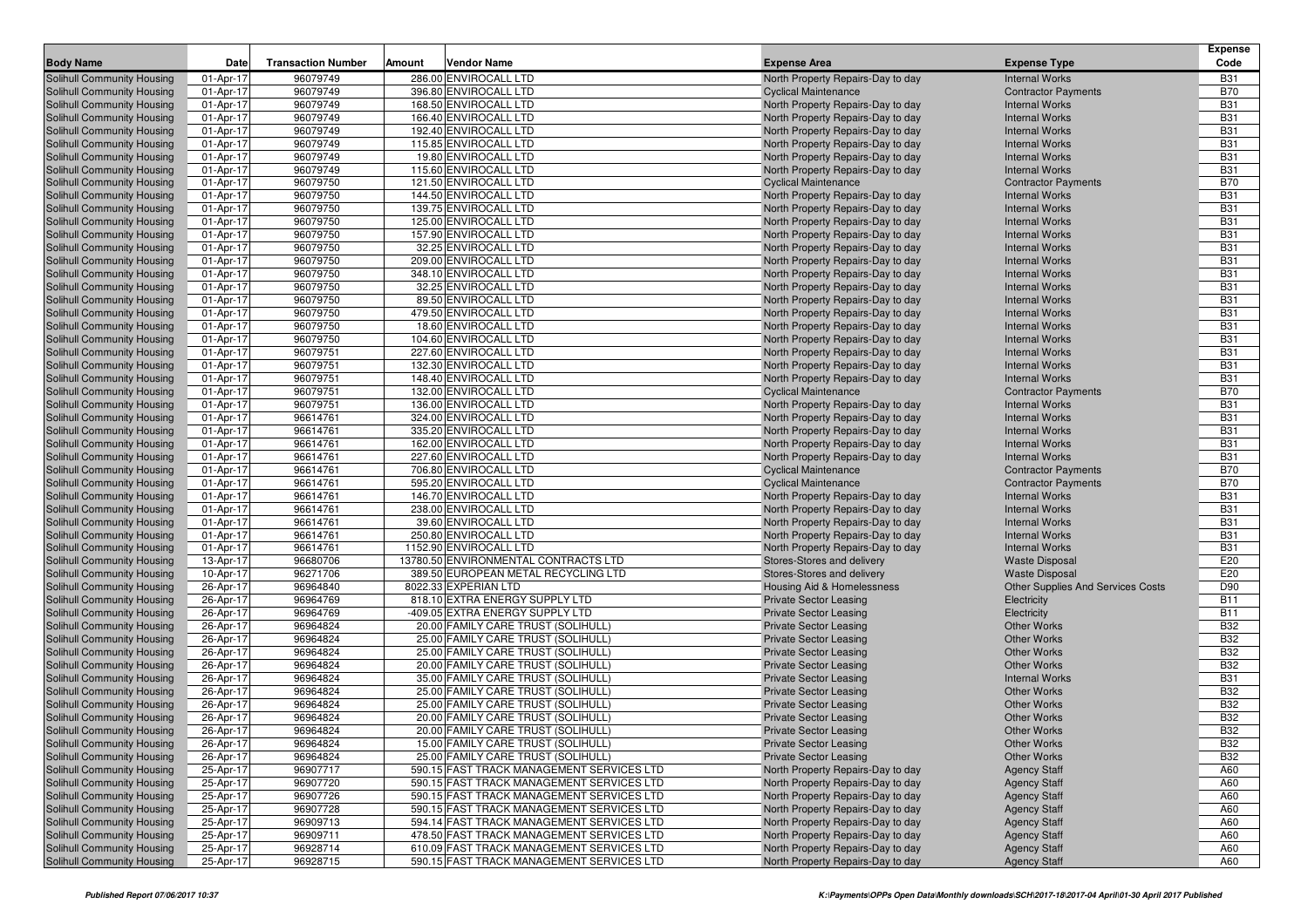|                                                          | Date                   |                           |        |                                                |                                                                  |                                                     | <b>Expense</b><br>Code   |
|----------------------------------------------------------|------------------------|---------------------------|--------|------------------------------------------------|------------------------------------------------------------------|-----------------------------------------------------|--------------------------|
| <b>Body Name</b>                                         |                        | <b>Transaction Number</b> | Amount | <b>Vendor Name</b>                             | <b>Expense Area</b>                                              | <b>Expense Type</b>                                 |                          |
| Solihull Community Housing<br>Solihull Community Housing | 01-Apr-17              | 96079749<br>96079749      |        | 286.00 ENVIROCALL LTD<br>396.80 ENVIROCALL LTD | North Property Repairs-Day to day<br><b>Cyclical Maintenance</b> | <b>Internal Works</b>                               | <b>B31</b><br><b>B70</b> |
| Solihull Community Housing                               | 01-Apr-17<br>01-Apr-17 | 96079749                  |        | 168.50 ENVIROCALL LTD                          | North Property Repairs-Day to day                                | <b>Contractor Payments</b><br><b>Internal Works</b> | <b>B31</b>               |
| Solihull Community Housing                               | 01-Apr-17              | 96079749                  |        | 166.40 ENVIROCALL LTD                          | North Property Repairs-Day to day                                | <b>Internal Works</b>                               | <b>B31</b>               |
| Solihull Community Housing                               | 01-Apr-17              | 96079749                  |        | 192.40 ENVIROCALL LTD                          | North Property Repairs-Day to day                                | <b>Internal Works</b>                               | <b>B31</b>               |
| <b>Solihull Community Housing</b>                        | 01-Apr-17              | 96079749                  |        | 115.85 ENVIROCALL LTD                          | North Property Repairs-Day to day                                | <b>Internal Works</b>                               | <b>B31</b>               |
| <b>Solihull Community Housing</b>                        | 01-Apr-17              | 96079749                  |        | 19.80 ENVIROCALL LTD                           | North Property Repairs-Day to day                                | <b>Internal Works</b>                               | <b>B31</b>               |
| Solihull Community Housing                               | 01-Apr-17              | 96079749                  |        | 115.60 ENVIROCALL LTD                          | North Property Repairs-Day to day                                | <b>Internal Works</b>                               | <b>B31</b>               |
| Solihull Community Housing                               | 01-Apr-17              | 96079750                  |        | 121.50 ENVIROCALL LTD                          | <b>Cyclical Maintenance</b>                                      | <b>Contractor Payments</b>                          | <b>B70</b>               |
| Solihull Community Housing                               | 01-Apr-17              | 96079750                  |        | 144.50 ENVIROCALL LTD                          | North Property Repairs-Day to day                                | <b>Internal Works</b>                               | <b>B31</b>               |
| Solihull Community Housing                               | 01-Apr-17              | 96079750                  |        | 139.75 ENVIROCALL LTD                          | North Property Repairs-Day to day                                | <b>Internal Works</b>                               | <b>B31</b>               |
| Solihull Community Housing                               | 01-Apr-17              | 96079750                  |        | 125.00 ENVIROCALL LTD                          | North Property Repairs-Day to day                                | <b>Internal Works</b>                               | <b>B31</b>               |
| <b>Solihull Community Housing</b>                        | 01-Apr-17              | 96079750                  |        | 157.90 ENVIROCALL LTD                          | North Property Repairs-Day to day                                | <b>Internal Works</b>                               | <b>B31</b>               |
| Solihull Community Housing                               | 01-Apr-17              | 96079750                  |        | 32.25 ENVIROCALL LTD                           | North Property Repairs-Day to day                                | <b>Internal Works</b>                               | <b>B31</b>               |
| Solihull Community Housing                               | 01-Apr-17              | 96079750                  |        | 209.00 ENVIROCALL LTD                          | North Property Repairs-Day to day                                | <b>Internal Works</b>                               | <b>B31</b>               |
| <b>Solihull Community Housing</b>                        | 01-Apr-17              | 96079750                  |        | 348.10 ENVIROCALL LTD                          | North Property Repairs-Day to day                                | <b>Internal Works</b>                               | <b>B31</b>               |
| Solihull Community Housing                               | 01-Apr-17              | 96079750                  |        | 32.25 ENVIROCALL LTD                           | North Property Repairs-Day to day                                | <b>Internal Works</b>                               | <b>B31</b>               |
| Solihull Community Housing                               | 01-Apr-17              | 96079750                  |        | 89.50 ENVIROCALL LTD                           | North Property Repairs-Day to day                                | <b>Internal Works</b>                               | <b>B31</b>               |
| Solihull Community Housing                               | 01-Apr-17              | 96079750                  |        | 479.50 ENVIROCALL LTD                          | North Property Repairs-Day to day                                | <b>Internal Works</b>                               | <b>B31</b>               |
| Solihull Community Housing                               | 01-Apr-17              | 96079750                  |        | 18.60 ENVIROCALL LTD                           | North Property Repairs-Day to day                                | <b>Internal Works</b>                               | <b>B31</b>               |
| Solihull Community Housing                               | 01-Apr-17              | 96079750                  |        | 104.60 ENVIROCALL LTD                          | North Property Repairs-Day to day                                | <b>Internal Works</b>                               | <b>B31</b>               |
| Solihull Community Housing                               | 01-Apr-17              | 96079751                  |        | 227.60 ENVIROCALL LTD                          | North Property Repairs-Day to day                                | <b>Internal Works</b>                               | <b>B31</b>               |
| Solihull Community Housing                               | 01-Apr-17              | 96079751                  |        | 132.30 ENVIROCALL LTD                          | North Property Repairs-Day to day                                | <b>Internal Works</b>                               | <b>B31</b>               |
| Solihull Community Housing                               | 01-Apr-17              | 96079751                  |        | 148.40 ENVIROCALL LTD                          | North Property Repairs-Day to day                                | <b>Internal Works</b>                               | <b>B31</b>               |
| Solihull Community Housing                               | 01-Apr-17              | 96079751                  |        | 132.00 ENVIROCALL LTD                          | <b>Cyclical Maintenance</b>                                      | <b>Contractor Payments</b>                          | <b>B70</b>               |
| Solihull Community Housing                               | 01-Apr-17              | 96079751                  |        | 136.00 ENVIROCALL LTD                          | North Property Repairs-Day to day                                | <b>Internal Works</b>                               | <b>B31</b>               |
| Solihull Community Housing                               | 01-Apr-17              | 96614761                  |        | 324.00 ENVIROCALL LTD                          | North Property Repairs-Day to day                                | <b>Internal Works</b>                               | <b>B31</b>               |
| Solihull Community Housing                               | 01-Apr-17              | 96614761                  |        | 335.20 ENVIROCALL LTD                          | North Property Repairs-Day to day                                | <b>Internal Works</b>                               | <b>B31</b>               |
| Solihull Community Housing                               | 01-Apr-17              | 96614761                  |        | 162.00 ENVIROCALL LTD                          | North Property Repairs-Day to day                                | <b>Internal Works</b>                               | <b>B31</b>               |
| Solihull Community Housing                               | 01-Apr-17              | 96614761                  |        | 227.60 ENVIROCALL LTD                          | North Property Repairs-Day to day                                | <b>Internal Works</b>                               | <b>B31</b>               |
| Solihull Community Housing                               | 01-Apr-17              | 96614761                  |        | 706.80 ENVIROCALL LTD                          | <b>Cyclical Maintenance</b>                                      | <b>Contractor Payments</b>                          | <b>B70</b>               |
| Solihull Community Housing                               | 01-Apr-17              | 96614761                  |        | 595.20 ENVIROCALL LTD                          | <b>Cyclical Maintenance</b>                                      | <b>Contractor Payments</b>                          | <b>B70</b>               |
| Solihull Community Housing                               | 01-Apr-17              | 96614761                  |        | 146.70 ENVIROCALL LTD                          | North Property Repairs-Day to day                                | <b>Internal Works</b>                               | <b>B31</b>               |
| Solihull Community Housing                               | 01-Apr-17              | 96614761                  |        | 238.00 ENVIROCALL LTD                          | North Property Repairs-Day to day                                | <b>Internal Works</b>                               | <b>B31</b>               |
| Solihull Community Housing                               | 01-Apr-17<br>01-Apr-17 | 96614761<br>96614761      |        | 39.60 ENVIROCALL LTD<br>250.80 ENVIROCALL LTD  | North Property Repairs-Day to day                                | <b>Internal Works</b><br><b>Internal Works</b>      | <b>B31</b><br><b>B31</b> |
| Solihull Community Housing<br>Solihull Community Housing | 01-Apr-17              | 96614761                  |        | 1152.90 ENVIROCALL LTD                         | North Property Repairs-Day to day                                | <b>Internal Works</b>                               | <b>B31</b>               |
| Solihull Community Housing                               | 13-Apr-17              | 96680706                  |        | 13780.50 ENVIRONMENTAL CONTRACTS LTD           | North Property Repairs-Day to day<br>Stores-Stores and delivery  | <b>Waste Disposal</b>                               | E20                      |
| Solihull Community Housing                               | 10-Apr-17              | 96271706                  |        | 389.50 EUROPEAN METAL RECYCLING LTD            | Stores-Stores and delivery                                       | <b>Waste Disposal</b>                               | E20                      |
| Solihull Community Housing                               | 26-Apr-17              | 96964840                  |        | 8022.33 EXPERIAN LTD                           | Housing Aid & Homelessness                                       | <b>Other Supplies And Services Costs</b>            | D90                      |
| Solihull Community Housing                               | 26-Apr-17              | 96964769                  |        | 818.10 EXTRA ENERGY SUPPLY LTD                 | <b>Private Sector Leasing</b>                                    | Electricity                                         | <b>B11</b>               |
| Solihull Community Housing                               | 26-Apr-17              | 96964769                  |        | -409.05 EXTRA ENERGY SUPPLY LTD                | <b>Private Sector Leasing</b>                                    | Electricity                                         | <b>B11</b>               |
| Solihull Community Housing                               | 26-Apr-17              | 96964824                  |        | 20.00 FAMILY CARE TRUST (SOLIHULL)             | <b>Private Sector Leasing</b>                                    | <b>Other Works</b>                                  | <b>B32</b>               |
| Solihull Community Housing                               | 26-Apr-17              | 96964824                  |        | 25.00 FAMILY CARE TRUST (SOLIHULL)             | <b>Private Sector Leasing</b>                                    | <b>Other Works</b>                                  | <b>B32</b>               |
| Solihull Community Housing                               | 26-Apr-17              | 96964824                  |        | 25.00 FAMILY CARE TRUST (SOLIHULL)             | <b>Private Sector Leasing</b>                                    | <b>Other Works</b>                                  | <b>B32</b>               |
| Solihull Community Housing                               | 26-Apr-17              | 96964824                  |        | 20.00 FAMILY CARE TRUST (SOLIHULL)             | <b>Private Sector Leasing</b>                                    | <b>Other Works</b>                                  | <b>B32</b>               |
| Solihull Community Housing                               | 26-Apr-17              | 96964824                  |        | 35.00 FAMILY CARE TRUST (SOLIHULL)             | <b>Private Sector Leasing</b>                                    | <b>Internal Works</b>                               | <b>B31</b>               |
| Solihull Community Housing                               | 26-Apr-17              | 96964824                  |        | 25.00 FAMILY CARE TRUST (SOLIHULL)             | <b>Private Sector Leasing</b>                                    | <b>Other Works</b>                                  | <b>B32</b>               |
| Solihull Community Housing                               | 26-Apr-17              | 96964824                  |        | 25.00 FAMILY CARE TRUST (SOLIHULL)             | <b>Private Sector Leasing</b>                                    | <b>Other Works</b>                                  | <b>B32</b>               |
| Solihull Community Housing                               | 26-Apr-17              | 96964824                  |        | 20.00 FAMILY CARE TRUST (SOLIHULL)             | <b>Private Sector Leasing</b>                                    | <b>Other Works</b>                                  | <b>B32</b>               |
| <b>Solihull Community Housing</b>                        | 26-Apr-17              | 96964824                  |        | 20.00 FAMILY CARE TRUST (SOLIHULL)             | <b>Private Sector Leasing</b>                                    | <b>Other Works</b>                                  | <b>B32</b>               |
| Solihull Community Housing                               | 26-Apr-17              | 96964824                  |        | 15.00 FAMILY CARE TRUST (SOLIHULL)             | <b>Private Sector Leasing</b>                                    | Other Works                                         | <b>B32</b>               |
| Solihull Community Housing                               | 26-Apr-17              | 96964824                  |        | 25.00 FAMILY CARE TRUST (SOLIHULL)             | <b>Private Sector Leasing</b>                                    | <b>Other Works</b>                                  | <b>B32</b>               |
| Solihull Community Housing                               | 25-Apr-17              | 96907717                  |        | 590.15 FAST TRACK MANAGEMENT SERVICES LTD      | North Property Repairs-Day to day                                | <b>Agency Staff</b>                                 | A60                      |
| Solihull Community Housing                               | 25-Apr-17              | 96907720                  |        | 590.15 FAST TRACK MANAGEMENT SERVICES LTD      | North Property Repairs-Day to day                                | <b>Agency Staff</b>                                 | A60                      |
| Solihull Community Housing                               | 25-Apr-17              | 96907726                  |        | 590.15 FAST TRACK MANAGEMENT SERVICES LTD      | North Property Repairs-Day to day                                | <b>Agency Staff</b>                                 | A60                      |
| Solihull Community Housing                               | 25-Apr-17              | 96907728                  |        | 590.15 FAST TRACK MANAGEMENT SERVICES LTD      | North Property Repairs-Day to day                                | <b>Agency Staff</b>                                 | A60                      |
| Solihull Community Housing                               | 25-Apr-17              | 96909713                  |        | 594.14 FAST TRACK MANAGEMENT SERVICES LTD      | North Property Repairs-Day to day                                | <b>Agency Staff</b>                                 | A60                      |
| Solihull Community Housing                               | 25-Apr-17              | 96909711                  |        | 478.50 FAST TRACK MANAGEMENT SERVICES LTD      | North Property Repairs-Day to day                                | <b>Agency Staff</b>                                 | A60                      |
| Solihull Community Housing                               | 25-Apr-17              | 96928714                  |        | 610.09 FAST TRACK MANAGEMENT SERVICES LTD      | North Property Repairs-Day to day                                | <b>Agency Staff</b>                                 | A60                      |
| Solihull Community Housing                               | 25-Apr-17              | 96928715                  |        | 590.15 FAST TRACK MANAGEMENT SERVICES LTD      | North Property Repairs-Day to day                                | <b>Agency Staff</b>                                 | A60                      |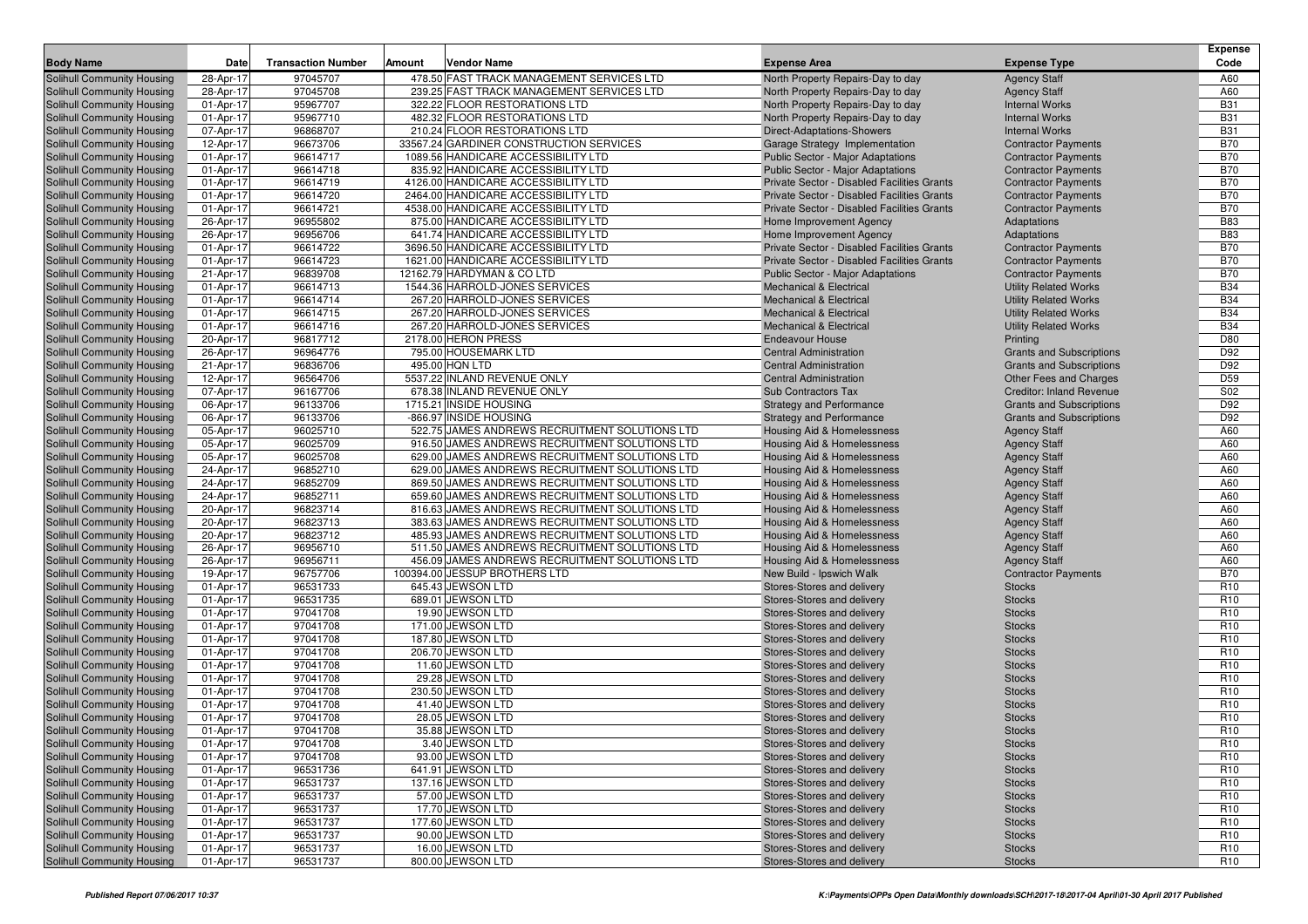| <b>Body Name</b>                                                | Date                   | <b>Transaction Number</b> | Amount | <b>Vendor Name</b>                                                                               | <b>Expense Area</b>                                                            | <b>Expense Type</b>                        | <b>Expense</b><br>Code |
|-----------------------------------------------------------------|------------------------|---------------------------|--------|--------------------------------------------------------------------------------------------------|--------------------------------------------------------------------------------|--------------------------------------------|------------------------|
| Solihull Community Housing                                      | 28-Apr-17              | 97045707                  |        | 478.50 FAST TRACK MANAGEMENT SERVICES LTD                                                        | North Property Repairs-Day to day                                              | <b>Agency Staff</b>                        | A60                    |
| Solihull Community Housing                                      | 28-Apr-17              | 97045708                  |        | 239.25 FAST TRACK MANAGEMENT SERVICES LTD                                                        | North Property Repairs-Day to day                                              | <b>Agency Staff</b>                        | A60                    |
| Solihull Community Housing                                      | 01-Apr-17              | 95967707                  |        | 322.22 FLOOR RESTORATIONS LTD                                                                    | North Property Repairs-Day to day                                              | <b>Internal Works</b>                      | <b>B31</b>             |
| Solihull Community Housing                                      | 01-Apr-17              | 95967710                  |        | 482.32 FLOOR RESTORATIONS LTD                                                                    | North Property Repairs-Day to day                                              | <b>Internal Works</b>                      | <b>B31</b>             |
| Solihull Community Housing                                      | 07-Apr-17              | 96868707                  |        | 210.24 FLOOR RESTORATIONS LTD                                                                    | Direct-Adaptations-Showers                                                     | <b>Internal Works</b>                      | <b>B31</b>             |
| Solihull Community Housing                                      | 12-Apr-17              | 96673706                  |        | 33567.24 GARDINER CONSTRUCTION SERVICES                                                          | Garage Strategy Implementation                                                 | <b>Contractor Payments</b>                 | <b>B70</b>             |
| <b>Solihull Community Housing</b>                               | 01-Apr-17              | 96614717                  |        | 1089.56 HANDICARE ACCESSIBILITY LTD                                                              | Public Sector - Major Adaptations                                              | <b>Contractor Payments</b>                 | <b>B70</b>             |
| Solihull Community Housing                                      | 01-Apr-17              | 96614718                  |        | 835.92 HANDICARE ACCESSIBILITY LTD                                                               | <b>Public Sector - Major Adaptations</b>                                       | <b>Contractor Payments</b>                 | <b>B70</b>             |
| Solihull Community Housing                                      | 01-Apr-17              | 96614719                  |        | 4126.00 HANDICARE ACCESSIBILITY LTD                                                              | Private Sector - Disabled Facilities Grants                                    | <b>Contractor Payments</b>                 | <b>B70</b>             |
| Solihull Community Housing                                      | 01-Apr-17              | 96614720                  |        | 2464.00 HANDICARE ACCESSIBILITY LTD                                                              | Private Sector - Disabled Facilities Grants                                    | <b>Contractor Payments</b>                 | <b>B70</b>             |
| Solihull Community Housing                                      | 01-Apr-17              | 96614721                  |        | 4538.00 HANDICARE ACCESSIBILITY LTD                                                              | Private Sector - Disabled Facilities Grants                                    | <b>Contractor Payments</b>                 | <b>B70</b>             |
| <b>Solihull Community Housing</b>                               | 26-Apr-17              | 96955802                  |        | 875.00 HANDICARE ACCESSIBILITY LTD                                                               | Home Improvement Agency                                                        | Adaptations                                | <b>B83</b>             |
| Solihull Community Housing                                      | 26-Apr-17              | 96956706                  |        | 641.74 HANDICARE ACCESSIBILITY LTD                                                               | Home Improvement Agency                                                        | Adaptations                                | <b>B83</b>             |
| Solihull Community Housing                                      | 01-Apr-17              | 96614722                  |        | 3696.50 HANDICARE ACCESSIBILITY LTD                                                              | Private Sector - Disabled Facilities Grants                                    | <b>Contractor Payments</b>                 | <b>B70</b>             |
| Solihull Community Housing                                      | 01-Apr-17              | 96614723                  |        | 1621.00 HANDICARE ACCESSIBILITY LTD                                                              | Private Sector - Disabled Facilities Grants                                    | <b>Contractor Payments</b>                 | <b>B70</b>             |
| <b>Solihull Community Housing</b>                               | 21-Apr-17              | 96839708                  |        | 12162.79 HARDYMAN & CO LTD                                                                       | Public Sector - Major Adaptations                                              | <b>Contractor Payments</b>                 | <b>B70</b>             |
| <b>Solihull Community Housing</b>                               | 01-Apr-17              | 96614713                  |        | 1544.36 HARROLD-JONES SERVICES                                                                   | <b>Mechanical &amp; Electrical</b>                                             | <b>Utility Related Works</b>               | <b>B34</b>             |
| <b>Solihull Community Housing</b>                               | 01-Apr-17              | 96614714                  |        | 267.20 HARROLD-JONES SERVICES                                                                    | <b>Mechanical &amp; Electrical</b>                                             | <b>Utility Related Works</b>               | <b>B34</b>             |
| <b>Solihull Community Housing</b>                               | 01-Apr-17              | 96614715                  |        | 267.20 HARROLD-JONES SERVICES                                                                    | <b>Mechanical &amp; Electrical</b>                                             | <b>Utility Related Works</b>               | <b>B34</b>             |
| Solihull Community Housing                                      | 01-Apr-17              | 96614716                  |        | 267.20 HARROLD-JONES SERVICES                                                                    | <b>Mechanical &amp; Electrical</b>                                             | <b>Utility Related Works</b>               | <b>B34</b>             |
| Solihull Community Housing                                      | 20-Apr-17              | 96817712                  |        | 2178.00 HERON PRESS                                                                              | <b>Endeavour House</b>                                                         | Printing                                   | D80                    |
| Solihull Community Housing                                      | 26-Apr-17              | 96964776                  |        | 795.00 HOUSEMARK LTD                                                                             | <b>Central Administration</b>                                                  | <b>Grants and Subscriptions</b>            | D92                    |
| Solihull Community Housing                                      | 21-Apr-17              | 96836706                  |        | 495.00 HQN LTD                                                                                   | <b>Central Administration</b>                                                  | <b>Grants and Subscriptions</b>            | D92                    |
| Solihull Community Housing                                      | 12-Apr-17              | 96564706                  |        | 5537.22 INLAND REVENUE ONLY                                                                      | <b>Central Administration</b>                                                  | Other Fees and Charges                     | D <sub>59</sub>        |
| Solihull Community Housing                                      | 07-Apr-17              | 96167706                  |        | 678.38 INLAND REVENUE ONLY                                                                       | <b>Sub Contractors Tax</b>                                                     | <b>Creditor: Inland Revenue</b>            | S02                    |
| <b>Solihull Community Housing</b>                               | 06-Apr-17              | 96133706                  |        | 1715.21 INSIDE HOUSING                                                                           | <b>Strategy and Performance</b>                                                | <b>Grants and Subscriptions</b>            | D92                    |
| Solihull Community Housing                                      | 06-Apr-17              | 96133706                  |        | -866.97 INSIDE HOUSING                                                                           | <b>Strategy and Performance</b>                                                | <b>Grants and Subscriptions</b>            | D92                    |
| Solihull Community Housing                                      | 05-Apr-17              | 96025710                  |        | 522.75 JAMES ANDREWS RECRUITMENT SOLUTIONS LTD                                                   | <b>Housing Aid &amp; Homelessness</b>                                          | <b>Agency Staff</b>                        | A60                    |
| Solihull Community Housing                                      | 05-Apr-17              | 96025709                  |        | 916.50 JAMES ANDREWS RECRUITMENT SOLUTIONS LTD                                                   | <b>Housing Aid &amp; Homelessness</b>                                          | <b>Agency Staff</b>                        | A60                    |
| Solihull Community Housing                                      | 05-Apr-17              | 96025708                  |        | 629.00 JAMES ANDREWS RECRUITMENT SOLUTIONS LTD                                                   | <b>Housing Aid &amp; Homelessness</b>                                          | <b>Agency Staff</b>                        | A60                    |
| Solihull Community Housing<br>Solihull Community Housing        | 24-Apr-17              | 96852710                  |        | 629.00 JAMES ANDREWS RECRUITMENT SOLUTIONS LTD<br>869.50 JAMES ANDREWS RECRUITMENT SOLUTIONS LTD | <b>Housing Aid &amp; Homelessness</b><br><b>Housing Aid &amp; Homelessness</b> | <b>Agency Staff</b>                        | A60<br>A60             |
|                                                                 | 24-Apr-17<br>24-Apr-17 | 96852709<br>96852711      |        | 659.60 JAMES ANDREWS RECRUITMENT SOLUTIONS LTD                                                   | <b>Housing Aid &amp; Homelessness</b>                                          | <b>Agency Staff</b>                        | A60                    |
| Solihull Community Housing<br><b>Solihull Community Housing</b> | 20-Apr-17              | 96823714                  |        | 816.63 JAMES ANDREWS RECRUITMENT SOLUTIONS LTD                                                   | <b>Housing Aid &amp; Homelessness</b>                                          | <b>Agency Staff</b>                        | A60                    |
| Solihull Community Housing                                      | 20-Apr-17              | 96823713                  |        | 383.63 JAMES ANDREWS RECRUITMENT SOLUTIONS LTD                                                   | Housing Aid & Homelessness                                                     | <b>Agency Staff</b><br><b>Agency Staff</b> | A60                    |
| Solihull Community Housing                                      | 20-Apr-17              | 96823712                  |        | 485.93 JAMES ANDREWS RECRUITMENT SOLUTIONS LTD                                                   | Housing Aid & Homelessness                                                     | <b>Agency Staff</b>                        | A60                    |
| Solihull Community Housing                                      | 26-Apr-17              | 96956710                  |        | 511.50 JAMES ANDREWS RECRUITMENT SOLUTIONS LTD                                                   | <b>Housing Aid &amp; Homelessness</b>                                          | <b>Agency Staff</b>                        | A60                    |
| Solihull Community Housing                                      | 26-Apr-17              | 96956711                  |        | 456.09 JAMES ANDREWS RECRUITMENT SOLUTIONS LTD                                                   | <b>Housing Aid &amp; Homelessness</b>                                          | <b>Agency Staff</b>                        | A60                    |
| <b>Solihull Community Housing</b>                               | 19-Apr-17              | 96757706                  |        | 100394.00 JESSUP BROTHERS LTD                                                                    | New Build - Ipswich Walk                                                       | <b>Contractor Payments</b>                 | <b>B70</b>             |
| Solihull Community Housing                                      | 01-Apr-17              | 96531733                  |        | 645.43 JEWSON LTD                                                                                | Stores-Stores and delivery                                                     | <b>Stocks</b>                              | R <sub>10</sub>        |
| Solihull Community Housing                                      | 01-Apr-17              | 96531735                  |        | 689.01 JEWSON LTD                                                                                | Stores-Stores and delivery                                                     | <b>Stocks</b>                              | R <sub>10</sub>        |
| Solihull Community Housing                                      | 01-Apr-17              | 97041708                  |        | 19.90 JEWSON LTD                                                                                 | Stores-Stores and delivery                                                     | <b>Stocks</b>                              | R <sub>10</sub>        |
| Solihull Community Housing                                      | 01-Apr-17              | 97041708                  |        | 171.00 JEWSON LTD                                                                                | Stores-Stores and delivery                                                     | <b>Stocks</b>                              | R <sub>10</sub>        |
| Solihull Community Housing                                      | 01-Apr-17              | 97041708                  |        | 187.80 JEWSON LTD                                                                                | Stores-Stores and delivery                                                     | <b>Stocks</b>                              | R <sub>10</sub>        |
| Solihull Community Housing                                      | 01-Apr-17              | 97041708                  |        | 206.70 JEWSON LTD                                                                                | Stores-Stores and delivery                                                     | <b>Stocks</b>                              | R <sub>10</sub>        |
| Solihull Community Housing                                      | 01-Apr-17              | 97041708                  |        | 11.60 JEWSON LTD                                                                                 | Stores-Stores and delivery                                                     | <b>Stocks</b>                              | R <sub>10</sub>        |
| Solihull Community Housing                                      | 01-Apr-17              | 97041708                  |        | 29.28 JEWSON LTD                                                                                 | Stores-Stores and delivery                                                     | <b>Stocks</b>                              | R <sub>10</sub>        |
| Solihull Community Housing                                      | 01-Apr-17              | 97041708                  |        | 230.50 JEWSON LTD                                                                                | Stores-Stores and delivery                                                     | <b>Stocks</b>                              | R <sub>10</sub>        |
| <b>Solihull Community Housing</b>                               | 01-Apr-17              | 97041708                  |        | 41.40 JEWSON LTD                                                                                 | Stores-Stores and delivery                                                     | <b>Stocks</b>                              | R <sub>10</sub>        |
| Solihull Community Housing                                      | 01-Apr-17              | 97041708                  |        | 28.05 JEWSON LTD                                                                                 | Stores-Stores and delivery                                                     | <b>Stocks</b>                              | R <sub>10</sub>        |
| <b>Solihull Community Housing</b>                               | 01-Apr-17              | 97041708                  |        | 35.88 JEWSON LTD                                                                                 | Stores-Stores and delivery                                                     | <b>Stocks</b>                              | R <sub>10</sub>        |
| Solihull Community Housing                                      | 01-Apr-17              | 97041708                  |        | 3.40 JEWSON LTD                                                                                  | Stores-Stores and delivery                                                     | <b>Stocks</b>                              | R <sub>10</sub>        |
| Solihull Community Housing                                      | 01-Apr-17              | 97041708                  |        | 93.00 JEWSON LTD                                                                                 | Stores-Stores and delivery                                                     | <b>Stocks</b>                              | R <sub>10</sub>        |
| Solihull Community Housing                                      | 01-Apr-17              | 96531736                  |        | 641.91 JEWSON LTD                                                                                | Stores-Stores and delivery                                                     | <b>Stocks</b>                              | R <sub>10</sub>        |
| Solihull Community Housing                                      | 01-Apr-17              | 96531737                  |        | 137.16 JEWSON LTD                                                                                | Stores-Stores and delivery                                                     | <b>Stocks</b>                              | R <sub>10</sub>        |
| Solihull Community Housing                                      | 01-Apr-17              | 96531737                  |        | 57.00 JEWSON LTD                                                                                 | Stores-Stores and delivery                                                     | <b>Stocks</b>                              | R <sub>10</sub>        |
| Solihull Community Housing                                      | 01-Apr-17              | 96531737                  |        | 17.70 JEWSON LTD                                                                                 | Stores-Stores and delivery                                                     | <b>Stocks</b>                              | R <sub>10</sub>        |
| Solihull Community Housing                                      | 01-Apr-17              | 96531737                  |        | 177.60 JEWSON LTD                                                                                | Stores-Stores and delivery                                                     | <b>Stocks</b>                              | R <sub>10</sub>        |
| Solihull Community Housing                                      | 01-Apr-17              | 96531737                  |        | 90.00 JEWSON LTD                                                                                 | Stores-Stores and delivery                                                     | <b>Stocks</b>                              | R <sub>10</sub>        |
| Solihull Community Housing                                      | 01-Apr-17              | 96531737                  |        | 16.00 JEWSON LTD                                                                                 | Stores-Stores and delivery                                                     | <b>Stocks</b>                              | R <sub>10</sub>        |
| Solihull Community Housing                                      | 01-Apr-17              | 96531737                  |        | 800.00 JEWSON LTD                                                                                | Stores-Stores and delivery                                                     | <b>Stocks</b>                              | R <sub>10</sub>        |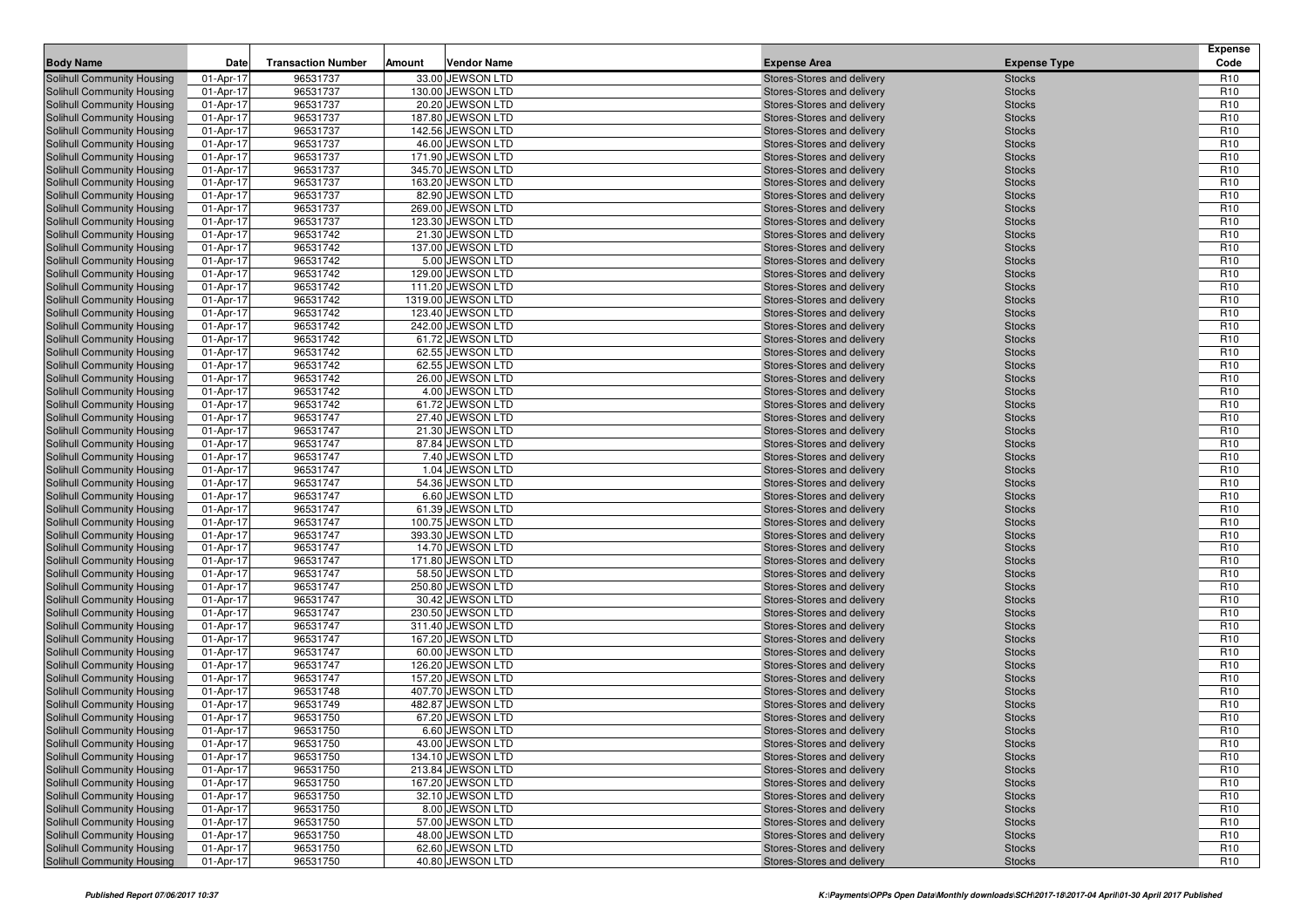| <b>Body Name</b>                                         | Date                   | <b>Transaction Number</b> | Amount | <b>Vendor Name</b>                      | <b>Expense Area</b>                                      | <b>Expense Type</b>            | <b>Expense</b><br>Code             |
|----------------------------------------------------------|------------------------|---------------------------|--------|-----------------------------------------|----------------------------------------------------------|--------------------------------|------------------------------------|
| Solihull Community Housing                               | 01-Apr-17              | 96531737                  |        | 33.00 JEWSON LTD                        | Stores-Stores and delivery                               | <b>Stocks</b>                  | R <sub>10</sub>                    |
| Solihull Community Housing                               | 01-Apr-17              | 96531737                  |        | 130.00 JEWSON LTD                       | Stores-Stores and delivery                               | <b>Stocks</b>                  | R <sub>10</sub>                    |
| Solihull Community Housing                               | 01-Apr-17              | 96531737                  |        | 20.20 JEWSON LTD                        | Stores-Stores and delivery                               | <b>Stocks</b>                  | R <sub>10</sub>                    |
| Solihull Community Housing                               | 01-Apr-17              | 96531737                  |        | 187.80 JEWSON LTD                       | Stores-Stores and delivery                               | <b>Stocks</b>                  | R <sub>10</sub>                    |
| Solihull Community Housing                               | 01-Apr-17              | 96531737                  |        | 142.56 JEWSON LTD                       | Stores-Stores and delivery                               | <b>Stocks</b>                  | R <sub>10</sub>                    |
| Solihull Community Housing                               | 01-Apr-17              | 96531737                  |        | 46.00 JEWSON LTD                        | Stores-Stores and delivery                               | <b>Stocks</b>                  | R <sub>10</sub>                    |
| Solihull Community Housing                               | 01-Apr-17              | 96531737                  |        | 171.90 JEWSON LTD                       | Stores-Stores and delivery                               | <b>Stocks</b>                  | R <sub>10</sub>                    |
| <b>Solihull Community Housing</b>                        | 01-Apr-17              | 96531737                  |        | 345.70 JEWSON LTD                       | Stores-Stores and delivery                               | <b>Stocks</b>                  | R <sub>10</sub>                    |
| Solihull Community Housing                               | 01-Apr-17              | 96531737                  |        | 163.20 JEWSON LTD                       | Stores-Stores and delivery                               | <b>Stocks</b>                  | R <sub>10</sub>                    |
| Solihull Community Housing                               | 01-Apr-17              | 96531737                  |        | 82.90 JEWSON LTD                        | Stores-Stores and delivery                               | <b>Stocks</b>                  | R <sub>10</sub>                    |
| Solihull Community Housing                               | 01-Apr-17              | 96531737                  |        | 269.00 JEWSON LTD                       | Stores-Stores and delivery                               | <b>Stocks</b>                  | R <sub>10</sub>                    |
| Solihull Community Housing                               | 01-Apr-17              | 96531737                  |        | 123.30 JEWSON LTD                       | Stores-Stores and delivery                               | <b>Stocks</b>                  | R <sub>10</sub>                    |
| <b>Solihull Community Housing</b>                        | 01-Apr-17              | 96531742                  |        | 21.30 JEWSON LTD                        | Stores-Stores and delivery                               | <b>Stocks</b>                  | R <sub>10</sub>                    |
| Solihull Community Housing                               | 01-Apr-17              | 96531742                  |        | 137.00 JEWSON LTD                       | Stores-Stores and delivery                               | <b>Stocks</b>                  | R <sub>10</sub>                    |
| Solihull Community Housing                               | 01-Apr-17              | 96531742                  |        | 5.00 JEWSON LTD                         | Stores-Stores and delivery                               | <b>Stocks</b>                  | R <sub>10</sub>                    |
| <b>Solihull Community Housing</b>                        | 01-Apr-17              | 96531742                  |        | 129.00 JEWSON LTD                       | Stores-Stores and delivery                               | <b>Stocks</b>                  | R <sub>10</sub>                    |
| Solihull Community Housing                               | 01-Apr-17              | 96531742                  |        | 111.20 JEWSON LTD                       | Stores-Stores and delivery                               | <b>Stocks</b>                  | R <sub>10</sub>                    |
| <b>Solihull Community Housing</b>                        | 01-Apr-17<br>01-Apr-17 | 96531742<br>96531742      |        | 1319.00 JEWSON LTD<br>123.40 JEWSON LTD | Stores-Stores and delivery<br>Stores-Stores and delivery | <b>Stocks</b><br><b>Stocks</b> | R <sub>10</sub><br>R <sub>10</sub> |
| Solihull Community Housing<br>Solihull Community Housing | 01-Apr-17              | 96531742                  |        | 242.00 JEWSON LTD                       | Stores-Stores and delivery                               | <b>Stocks</b>                  | R <sub>10</sub>                    |
| Solihull Community Housing                               | 01-Apr-17              | 96531742                  |        | 61.72 JEWSON LTD                        | Stores-Stores and delivery                               | <b>Stocks</b>                  | R <sub>10</sub>                    |
| Solihull Community Housing                               | 01-Apr-17              | 96531742                  |        | 62.55 JEWSON LTD                        | Stores-Stores and delivery                               | <b>Stocks</b>                  | R <sub>10</sub>                    |
| Solihull Community Housing                               | 01-Apr-17              | 96531742                  |        | 62.55 JEWSON LTD                        | Stores-Stores and delivery                               | <b>Stocks</b>                  | R <sub>10</sub>                    |
| Solihull Community Housing                               | 01-Apr-17              | 96531742                  |        | 26.00 JEWSON LTD                        | Stores-Stores and delivery                               | <b>Stocks</b>                  | R <sub>10</sub>                    |
| Solihull Community Housing                               | 01-Apr-17              | 96531742                  |        | 4.00 JEWSON LTD                         | Stores-Stores and delivery                               | <b>Stocks</b>                  | R <sub>10</sub>                    |
| Solihull Community Housing                               | 01-Apr-17              | 96531742                  |        | 61.72 JEWSON LTD                        | Stores-Stores and delivery                               | <b>Stocks</b>                  | R <sub>10</sub>                    |
| Solihull Community Housing                               | 01-Apr-17              | 96531747                  |        | 27.40 JEWSON LTD                        | Stores-Stores and delivery                               | <b>Stocks</b>                  | R <sub>10</sub>                    |
| Solihull Community Housing                               | 01-Apr-17              | 96531747                  |        | 21.30 JEWSON LTD                        | Stores-Stores and delivery                               | <b>Stocks</b>                  | R <sub>10</sub>                    |
| Solihull Community Housing                               | 01-Apr-17              | 96531747                  |        | 87.84 JEWSON LTD                        | Stores-Stores and delivery                               | <b>Stocks</b>                  | R <sub>10</sub>                    |
| Solihull Community Housing                               | 01-Apr-17              | 96531747                  |        | 7.40 JEWSON LTD                         | Stores-Stores and delivery                               | <b>Stocks</b>                  | R <sub>10</sub>                    |
| Solihull Community Housing                               | 01-Apr-17              | 96531747                  |        | 1.04 JEWSON LTD                         | Stores-Stores and delivery                               | <b>Stocks</b>                  | R <sub>10</sub>                    |
| Solihull Community Housing                               | 01-Apr-17              | 96531747                  |        | 54.36 JEWSON LTD                        | Stores-Stores and delivery                               | <b>Stocks</b>                  | R <sub>10</sub>                    |
| Solihull Community Housing                               | 01-Apr-17              | 96531747                  |        | 6.60 JEWSON LTD                         | Stores-Stores and delivery                               | <b>Stocks</b>                  | R <sub>10</sub>                    |
| Solihull Community Housing                               | 01-Apr-17              | 96531747                  |        | 61.39 JEWSON LTD                        | Stores-Stores and delivery                               | <b>Stocks</b>                  | R <sub>10</sub>                    |
| Solihull Community Housing                               | 01-Apr-17              | 96531747                  |        | 100.75 JEWSON LTD                       | Stores-Stores and delivery                               | <b>Stocks</b>                  | R <sub>10</sub>                    |
| Solihull Community Housing                               | 01-Apr-17              | 96531747                  |        | 393.30 JEWSON LTD                       | Stores-Stores and delivery                               | <b>Stocks</b>                  | R <sub>10</sub>                    |
| Solihull Community Housing                               | 01-Apr-17<br>01-Apr-17 | 96531747<br>96531747      |        | 14.70 JEWSON LTD<br>171.80 JEWSON LTD   | Stores-Stores and delivery                               | <b>Stocks</b>                  | R <sub>10</sub><br>R <sub>10</sub> |
| Solihull Community Housing<br>Solihull Community Housing | 01-Apr-17              | 96531747                  |        | 58.50 JEWSON LTD                        | Stores-Stores and delivery<br>Stores-Stores and delivery | <b>Stocks</b><br><b>Stocks</b> | R <sub>10</sub>                    |
| Solihull Community Housing                               | 01-Apr-17              | 96531747                  |        | 250.80 JEWSON LTD                       | Stores-Stores and delivery                               | <b>Stocks</b>                  | R <sub>10</sub>                    |
| Solihull Community Housing                               | 01-Apr-17              | 96531747                  |        | 30.42 JEWSON LTD                        | Stores-Stores and delivery                               | <b>Stocks</b>                  | R <sub>10</sub>                    |
| Solihull Community Housing                               | 01-Apr-17              | 96531747                  |        | 230.50 JEWSON LTD                       | Stores-Stores and delivery                               | <b>Stocks</b>                  | R <sub>10</sub>                    |
| Solihull Community Housing                               | 01-Apr-17              | 96531747                  |        | 311.40 JEWSON LTD                       | Stores-Stores and delivery                               | <b>Stocks</b>                  | R <sub>10</sub>                    |
| Solihull Community Housing                               | 01-Apr-17              | 96531747                  |        | 167.20 JEWSON LTD                       | Stores-Stores and delivery                               | <b>Stocks</b>                  | R <sub>10</sub>                    |
| Solihull Community Housing                               | 01-Apr-17              | 96531747                  |        | 60.00 JEWSON LTD                        | Stores-Stores and delivery                               | <b>Stocks</b>                  | R <sub>10</sub>                    |
| Solihull Community Housing                               | 01-Apr-17              | 96531747                  |        | 126.20 JEWSON LTD                       | Stores-Stores and delivery                               | <b>Stocks</b>                  | R <sub>10</sub>                    |
| Solihull Community Housing                               | 01-Apr-17              | 96531747                  |        | 157.20 JEWSON LTD                       | Stores-Stores and delivery                               | <b>Stocks</b>                  | R <sub>10</sub>                    |
| Solihull Community Housing                               | 01-Apr-17              | 96531748                  |        | 407.70 JEWSON LTD                       | Stores-Stores and delivery                               | <b>Stocks</b>                  | R <sub>10</sub>                    |
| Solihull Community Housing                               | 01-Apr-17              | 96531749                  |        | 482.87 JEWSON LTD                       | Stores-Stores and delivery                               | <b>Stocks</b>                  | R <sub>10</sub>                    |
| Solihull Community Housing                               | 01-Apr-17              | 96531750                  |        | 67.20 JEWSON LTD                        | Stores-Stores and delivery                               | <b>Stocks</b>                  | R <sub>10</sub>                    |
| Solihull Community Housing                               | 01-Apr-17              | 96531750                  |        | 6.60 JEWSON LTD                         | Stores-Stores and delivery                               | <b>Stocks</b>                  | R <sub>10</sub>                    |
| Solihull Community Housing                               | 01-Apr-17              | 96531750                  |        | 43.00 JEWSON LTD                        | Stores-Stores and delivery                               | <b>Stocks</b>                  | R <sub>10</sub>                    |
| Solihull Community Housing                               | 01-Apr-17              | 96531750                  |        | 134.10 JEWSON LTD                       | Stores-Stores and delivery                               | <b>Stocks</b>                  | R <sub>10</sub>                    |
| Solihull Community Housing                               | 01-Apr-17              | 96531750                  |        | 213.84 JEWSON LTD                       | Stores-Stores and delivery                               | <b>Stocks</b>                  | R <sub>10</sub>                    |
| Solihull Community Housing                               | 01-Apr-17              | 96531750                  |        | 167.20 JEWSON LTD                       | Stores-Stores and delivery                               | <b>Stocks</b>                  | R <sub>10</sub>                    |
| Solihull Community Housing                               | 01-Apr-17              | 96531750                  |        | 32.10 JEWSON LTD                        | Stores-Stores and delivery                               | <b>Stocks</b>                  | R <sub>10</sub>                    |
| Solihull Community Housing                               | 01-Apr-17              | 96531750                  |        | 8.00 JEWSON LTD                         | Stores-Stores and delivery                               | <b>Stocks</b>                  | R <sub>10</sub>                    |
| Solihull Community Housing                               | 01-Apr-17              | 96531750                  |        | 57.00 JEWSON LTD<br>48.00 JEWSON LTD    | Stores-Stores and delivery<br>Stores-Stores and delivery | <b>Stocks</b>                  | R <sub>10</sub><br>R <sub>10</sub> |
| Solihull Community Housing<br>Solihull Community Housing | 01-Apr-17<br>01-Apr-17 | 96531750<br>96531750      |        | 62.60 JEWSON LTD                        | Stores-Stores and delivery                               | <b>Stocks</b><br><b>Stocks</b> | R <sub>10</sub>                    |
| Solihull Community Housing                               | 01-Apr-17              | 96531750                  |        | 40.80 JEWSON LTD                        | Stores-Stores and delivery                               | <b>Stocks</b>                  | R <sub>10</sub>                    |
|                                                          |                        |                           |        |                                         |                                                          |                                |                                    |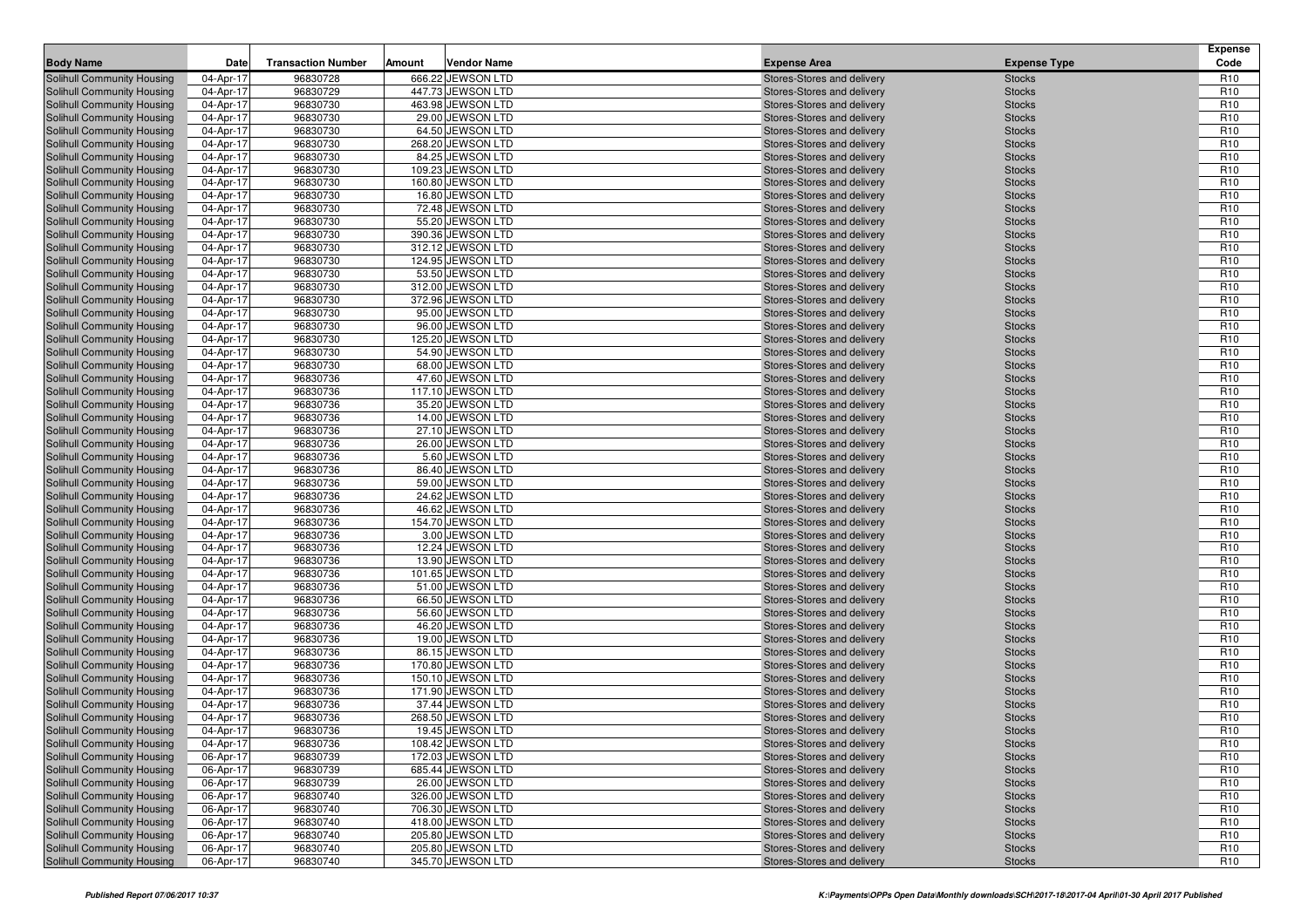| <b>Body Name</b>                                                       | <b>Date</b>             | <b>Transaction Number</b> | Amount | <b>Vendor Name</b>                    | <b>Expense Area</b>                                      | <b>Expense Type</b>            | <b>Expense</b><br>Code             |
|------------------------------------------------------------------------|-------------------------|---------------------------|--------|---------------------------------------|----------------------------------------------------------|--------------------------------|------------------------------------|
| Solihull Community Housing                                             | 04-Apr-17               | 96830728                  |        | 666.22 JEWSON LTD                     | Stores-Stores and delivery                               | <b>Stocks</b>                  | R <sub>10</sub>                    |
| <b>Solihull Community Housing</b>                                      | 04-Apr-17               | 96830729                  |        | 447.73 JEWSON LTD                     | Stores-Stores and delivery                               | <b>Stocks</b>                  | R <sub>10</sub>                    |
| <b>Solihull Community Housing</b>                                      | 04-Apr-17               | 96830730                  |        | 463.98 JEWSON LTD                     | Stores-Stores and delivery                               | <b>Stocks</b>                  | R <sub>10</sub>                    |
| <b>Solihull Community Housing</b>                                      | 04-Apr-17               | 96830730                  |        | 29.00 JEWSON LTD                      | Stores-Stores and delivery                               | <b>Stocks</b>                  | R <sub>10</sub>                    |
| <b>Solihull Community Housing</b>                                      | 04-Apr-17               | 96830730                  |        | 64.50 JEWSON LTD                      | Stores-Stores and delivery                               | <b>Stocks</b>                  | R <sub>10</sub>                    |
| Solihull Community Housing                                             | 04-Apr-17               | 96830730                  |        | 268.20 JEWSON LTD                     | Stores-Stores and delivery                               | <b>Stocks</b>                  | R <sub>10</sub>                    |
| Solihull Community Housing                                             | 04-Apr-17               | 96830730                  |        | 84.25 JEWSON LTD                      | Stores-Stores and delivery                               | <b>Stocks</b>                  | R <sub>10</sub>                    |
| <b>Solihull Community Housing</b>                                      | 04-Apr-17               | 96830730                  |        | 109.23 JEWSON LTD                     | Stores-Stores and delivery                               | <b>Stocks</b>                  | R <sub>10</sub>                    |
| <b>Solihull Community Housing</b>                                      | 04-Apr-17               | 96830730                  |        | 160.80 JEWSON LTD                     | Stores-Stores and delivery                               | <b>Stocks</b>                  | R <sub>10</sub>                    |
| <b>Solihull Community Housing</b>                                      | 04-Apr-17               | 96830730                  |        | 16.80 JEWSON LTD                      | Stores-Stores and delivery                               | <b>Stocks</b>                  | R <sub>10</sub>                    |
| <b>Solihull Community Housing</b>                                      | 04-Apr-17               | 96830730                  |        | 72.48 JEWSON LTD                      | Stores-Stores and delivery                               | <b>Stocks</b>                  | R <sub>10</sub>                    |
| <b>Solihull Community Housing</b>                                      | 04-Apr-17               | 96830730                  |        | 55.20 JEWSON LTD                      | Stores-Stores and delivery                               | <b>Stocks</b>                  | R <sub>10</sub>                    |
| <b>Solihull Community Housing</b>                                      | 04-Apr-17               | 96830730                  |        | 390.36 JEWSON LTD                     | Stores-Stores and delivery                               | <b>Stocks</b>                  | R <sub>10</sub>                    |
| <b>Solihull Community Housing</b>                                      | 04-Apr-17               | 96830730                  |        | 312.12 JEWSON LTD                     | Stores-Stores and delivery                               | <b>Stocks</b>                  | R <sub>10</sub>                    |
| <b>Solihull Community Housing</b>                                      | 04-Apr-17               | 96830730                  |        | 124.95 JEWSON LTD                     | Stores-Stores and delivery                               | <b>Stocks</b>                  | R <sub>10</sub>                    |
| Solihull Community Housing                                             | 04-Apr-17               | 96830730<br>96830730      |        | 53.50 JEWSON LTD<br>312.00 JEWSON LTD | Stores-Stores and delivery                               | <b>Stocks</b>                  | R <sub>10</sub><br>R <sub>10</sub> |
| Solihull Community Housing<br><b>Solihull Community Housing</b>        | 04-Apr-17<br>04-Apr-17  | 96830730                  |        | 372.96 JEWSON LTD                     | Stores-Stores and delivery<br>Stores-Stores and delivery | <b>Stocks</b><br><b>Stocks</b> | R <sub>10</sub>                    |
| <b>Solihull Community Housing</b>                                      | 04-Apr-17               | 96830730                  |        | 95.00 JEWSON LTD                      | Stores-Stores and delivery                               | <b>Stocks</b>                  | R <sub>10</sub>                    |
| <b>Solihull Community Housing</b>                                      | 04-Apr-17               | 96830730                  |        | 96.00 JEWSON LTD                      | Stores-Stores and delivery                               | <b>Stocks</b>                  | R <sub>10</sub>                    |
| <b>Solihull Community Housing</b>                                      | 04-Apr-17               | 96830730                  |        | 125.20 JEWSON LTD                     | Stores-Stores and delivery                               | <b>Stocks</b>                  | R <sub>10</sub>                    |
| <b>Solihull Community Housing</b>                                      | 04-Apr-17               | 96830730                  |        | 54.90 JEWSON LTD                      | Stores-Stores and delivery                               | <b>Stocks</b>                  | R <sub>10</sub>                    |
| <b>Solihull Community Housing</b>                                      | 04-Apr-17               | 96830730                  |        | 68.00 JEWSON LTD                      | Stores-Stores and delivery                               | <b>Stocks</b>                  | R <sub>10</sub>                    |
| <b>Solihull Community Housing</b>                                      | 04-Apr-17               | 96830736                  |        | 47.60 JEWSON LTD                      | Stores-Stores and delivery                               | <b>Stocks</b>                  | R <sub>10</sub>                    |
| <b>Solihull Community Housing</b>                                      | 04-Apr-17               | 96830736                  |        | 117.10 JEWSON LTD                     | Stores-Stores and delivery                               | <b>Stocks</b>                  | R <sub>10</sub>                    |
| Solihull Community Housing                                             | 04-Apr-17               | 96830736                  |        | 35.20 JEWSON LTD                      | Stores-Stores and delivery                               | <b>Stocks</b>                  | R <sub>10</sub>                    |
| <b>Solihull Community Housing</b>                                      | 04-Apr-17               | 96830736                  |        | 14.00 JEWSON LTD                      | Stores-Stores and delivery                               | <b>Stocks</b>                  | R <sub>10</sub>                    |
| <b>Solihull Community Housing</b>                                      | 04-Apr-17               | 96830736                  |        | 27.10 JEWSON LTD                      | Stores-Stores and delivery                               | <b>Stocks</b>                  | R <sub>10</sub>                    |
| <b>Solihull Community Housing</b>                                      | 04-Apr-17               | 96830736                  |        | 26.00 JEWSON LTD                      | Stores-Stores and delivery                               | <b>Stocks</b>                  | R <sub>10</sub>                    |
| <b>Solihull Community Housing</b>                                      | 04-Apr-17               | 96830736                  |        | 5.60 JEWSON LTD                       | Stores-Stores and delivery                               | <b>Stocks</b>                  | R <sub>10</sub>                    |
| Solihull Community Housing                                             | 04-Apr-17               | 96830736                  |        | 86.40 JEWSON LTD                      | Stores-Stores and delivery                               | <b>Stocks</b>                  | R <sub>10</sub>                    |
| <b>Solihull Community Housing</b>                                      | 04-Apr-17               | 96830736                  |        | 59.00 JEWSON LTD                      | Stores-Stores and delivery                               | <b>Stocks</b>                  | R <sub>10</sub>                    |
| <b>Solihull Community Housing</b>                                      | 04-Apr-17               | 96830736                  |        | 24.62 JEWSON LTD                      | Stores-Stores and delivery                               | <b>Stocks</b>                  | R <sub>10</sub>                    |
| <b>Solihull Community Housing</b>                                      | 04-Apr-17               | 96830736                  |        | 46.62 JEWSON LTD                      | Stores-Stores and delivery                               | <b>Stocks</b>                  | R <sub>10</sub>                    |
| <b>Solihull Community Housing</b>                                      | 04-Apr-17               | 96830736<br>96830736      |        | 154.70 JEWSON LTD<br>3.00 JEWSON LTD  | Stores-Stores and delivery                               | <b>Stocks</b>                  | R <sub>10</sub><br>R <sub>10</sub> |
| Solihull Community Housing<br>Solihull Community Housing               | 04-Apr-17<br>04-Apr-17  | 96830736                  |        | 12.24 JEWSON LTD                      | Stores-Stores and delivery<br>Stores-Stores and delivery | <b>Stocks</b><br><b>Stocks</b> | R <sub>10</sub>                    |
| <b>Solihull Community Housing</b>                                      | 04-Apr-17               | 96830736                  |        | 13.90 JEWSON LTD                      | Stores-Stores and delivery                               | <b>Stocks</b>                  | R <sub>10</sub>                    |
| <b>Solihull Community Housing</b>                                      | 04-Apr-17               | 96830736                  |        | 101.65 JEWSON LTD                     | Stores-Stores and delivery                               | <b>Stocks</b>                  | R <sub>10</sub>                    |
| <b>Solihull Community Housing</b>                                      | 04-Apr-17               | 96830736                  |        | 51.00 JEWSON LTD                      | Stores-Stores and delivery                               | <b>Stocks</b>                  | R <sub>10</sub>                    |
| Solihull Community Housing                                             | 04-Apr-17               | 96830736                  |        | 66.50 JEWSON LTD                      | Stores-Stores and delivery                               | <b>Stocks</b>                  | R <sub>10</sub>                    |
| Solihull Community Housing                                             | 04-Apr-17               | 96830736                  |        | 56.60 JEWSON LTD                      | Stores-Stores and delivery                               | <b>Stocks</b>                  | R <sub>10</sub>                    |
| <b>Solihull Community Housing</b>                                      | 04-Apr-17               | 96830736                  |        | 46.20 JEWSON LTD                      | Stores-Stores and delivery                               | <b>Stocks</b>                  | R <sub>10</sub>                    |
| <b>Solihull Community Housing</b>                                      | 04-Apr-17               | 96830736                  |        | 19.00 JEWSON LTD                      | Stores-Stores and delivery                               | <b>Stocks</b>                  | R <sub>10</sub>                    |
| <b>Solihull Community Housing</b>                                      | 04-Apr-17               | 96830736                  |        | 86.15 JEWSON LTD                      | Stores-Stores and delivery                               | <b>Stocks</b>                  | R <sub>10</sub>                    |
| <b>Solihull Community Housing</b>                                      | 04-Apr-17               | 96830736                  |        | 170.80 JEWSON LTD                     | Stores-Stores and delivery                               | <b>Stocks</b>                  | R <sub>10</sub>                    |
| Solihull Community Housing                                             | 04-Apr-17               | 96830736                  |        | 150.10 JEWSON LTD                     | Stores-Stores and delivery                               | <b>Stocks</b>                  | R <sub>10</sub>                    |
| Solihull Community Housing                                             | 04-Apr-17               | 96830736                  |        | 171.90 JEWSON LTD                     | Stores-Stores and delivery                               | <b>Stocks</b>                  | R <sub>10</sub>                    |
| <b>Solihull Community Housing</b>                                      | 04-Apr-17               | 96830736                  |        | 37.44 JEWSON LTD                      | Stores-Stores and delivery                               | <b>Stocks</b>                  | R <sub>10</sub>                    |
| <b>Solihull Community Housing</b>                                      | 04-Apr-17               | 96830736                  |        | 268.50 JEWSON LTD                     | Stores-Stores and delivery                               | <b>Stocks</b>                  | R <sub>10</sub>                    |
| <b>Solihull Community Housing</b>                                      | 04-Apr-17               | 96830736                  |        | 19.45 JEWSON LTD                      | Stores-Stores and delivery                               | <b>Stocks</b>                  | R <sub>10</sub>                    |
| <b>Solihull Community Housing</b>                                      | 04-Apr-17               | 96830736                  |        | 108.42 JEWSON LTD                     | Stores-Stores and delivery                               | <b>Stocks</b>                  | R <sub>10</sub>                    |
| <b>Solihull Community Housing</b>                                      | 06-Apr-17               | 96830739                  |        | 172.03 JEWSON LTD                     | Stores-Stores and delivery                               | <b>Stocks</b>                  | R <sub>10</sub>                    |
| <b>Solihull Community Housing</b><br><b>Solihull Community Housing</b> | 06-Apr-17<br>06-Apr-17  | 96830739<br>96830739      |        | 685.44 JEWSON LTD<br>26.00 JEWSON LTD | Stores-Stores and delivery<br>Stores-Stores and delivery | <b>Stocks</b><br><b>Stocks</b> | R <sub>10</sub><br>R <sub>10</sub> |
| <b>Solihull Community Housing</b>                                      | 06-Apr-17               | 96830740                  |        | 326.00 JEWSON LTD                     | Stores-Stores and delivery                               | <b>Stocks</b>                  | R <sub>10</sub>                    |
| <b>Solihull Community Housing</b>                                      | 06-Apr-17               | 96830740                  |        | 706.30 JEWSON LTD                     | Stores-Stores and delivery                               | <b>Stocks</b>                  | R <sub>10</sub>                    |
| <b>Solihull Community Housing</b>                                      | 06-Apr-17               | 96830740                  |        | 418.00 JEWSON LTD                     | Stores-Stores and delivery                               | <b>Stocks</b>                  | R <sub>10</sub>                    |
| <b>Solihull Community Housing</b>                                      | $\overline{06}$ -Apr-17 | 96830740                  |        | 205.80 JEWSON LTD                     | Stores-Stores and delivery                               | <b>Stocks</b>                  | R <sub>10</sub>                    |
| <b>Solihull Community Housing</b>                                      | 06-Apr-17               | 96830740                  |        | 205.80 JEWSON LTD                     | Stores-Stores and delivery                               | <b>Stocks</b>                  | R <sub>10</sub>                    |
| <b>Solihull Community Housing</b>                                      | 06-Apr-17               | 96830740                  |        | 345.70 JEWSON LTD                     | Stores-Stores and delivery                               | <b>Stocks</b>                  | R <sub>10</sub>                    |
|                                                                        |                         |                           |        |                                       |                                                          |                                |                                    |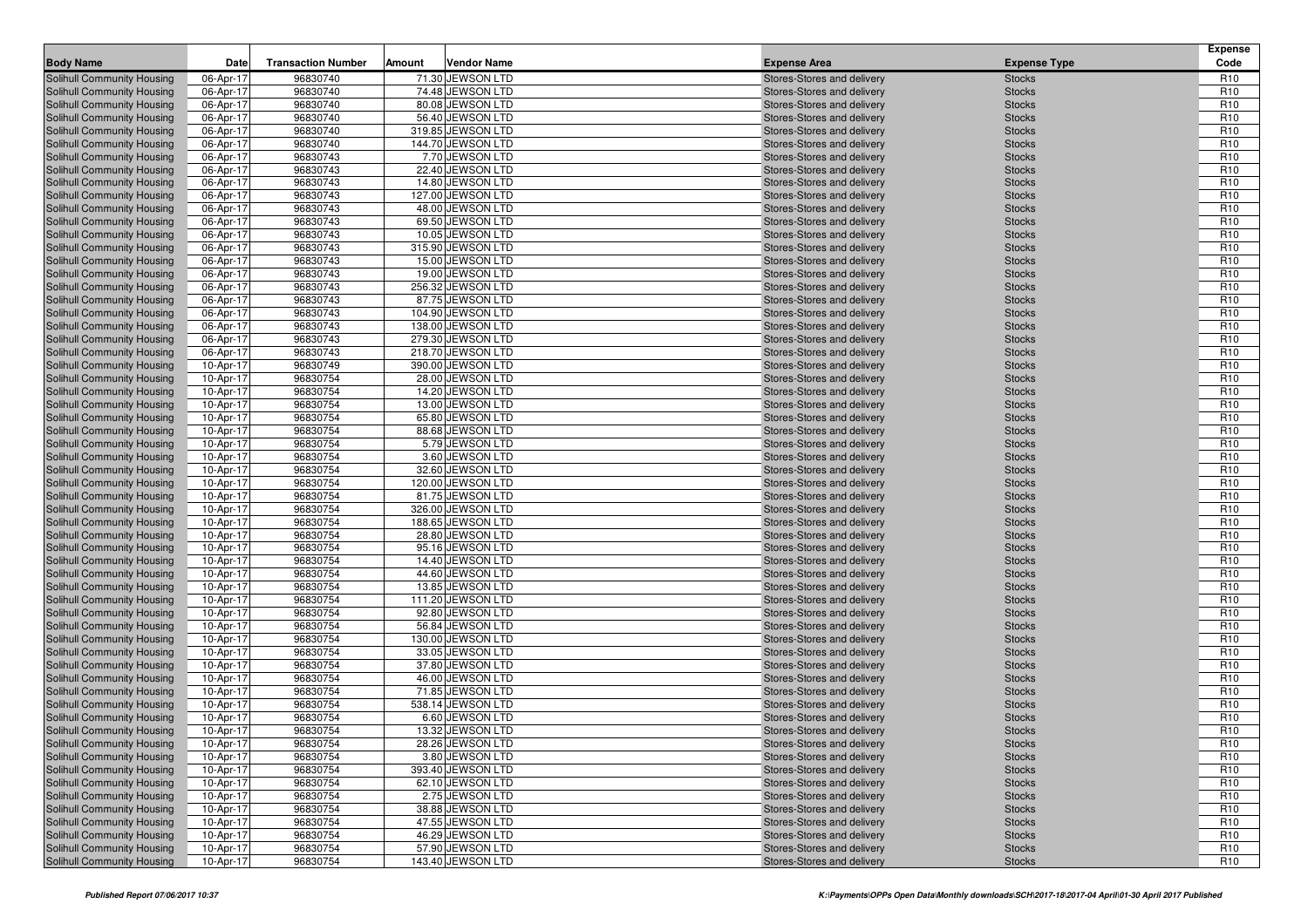| <b>Body Name</b>                                         | Date                   | <b>Transaction Number</b> | Amount | <b>Vendor Name</b>                     | <b>Expense Area</b>                                      | <b>Expense Type</b>            | <b>Expense</b><br>Code             |
|----------------------------------------------------------|------------------------|---------------------------|--------|----------------------------------------|----------------------------------------------------------|--------------------------------|------------------------------------|
| Solihull Community Housing                               | 06-Apr-17              | 96830740                  |        | 71.30 JEWSON LTD                       | Stores-Stores and delivery                               | <b>Stocks</b>                  | R <sub>10</sub>                    |
| Solihull Community Housing                               | 06-Apr-17              | 96830740                  |        | 74.48 JEWSON LTD                       | Stores-Stores and delivery                               | <b>Stocks</b>                  | R <sub>10</sub>                    |
| Solihull Community Housing                               | 06-Apr-17              | 96830740                  |        | 80.08 JEWSON LTD                       | Stores-Stores and delivery                               | <b>Stocks</b>                  | R <sub>10</sub>                    |
| Solihull Community Housing                               | 06-Apr-17              | 96830740                  |        | 56.40 JEWSON LTD                       | Stores-Stores and delivery                               | <b>Stocks</b>                  | R <sub>10</sub>                    |
| Solihull Community Housing                               | 06-Apr-17              | 96830740                  |        | 319.85 JEWSON LTD                      | Stores-Stores and delivery                               | <b>Stocks</b>                  | R <sub>10</sub>                    |
| Solihull Community Housing                               | 06-Apr-17              | 96830740                  |        | 144.70 JEWSON LTD                      | Stores-Stores and delivery                               | <b>Stocks</b>                  | R <sub>10</sub>                    |
| Solihull Community Housing                               | 06-Apr-17              | 96830743                  |        | 7.70 JEWSON LTD                        | Stores-Stores and delivery                               | <b>Stocks</b>                  | R <sub>10</sub>                    |
| Solihull Community Housing                               | 06-Apr-17              | 96830743                  |        | 22.40 JEWSON LTD                       | Stores-Stores and delivery                               | <b>Stocks</b>                  | R <sub>10</sub>                    |
| Solihull Community Housing                               | 06-Apr-17              | 96830743                  |        | 14.80 JEWSON LTD                       | Stores-Stores and delivery                               | <b>Stocks</b>                  | R <sub>10</sub>                    |
| Solihull Community Housing                               | 06-Apr-17              | 96830743                  |        | 127.00 JEWSON LTD                      | Stores-Stores and delivery                               | <b>Stocks</b>                  | R <sub>10</sub>                    |
| Solihull Community Housing                               | 06-Apr-17              | 96830743                  |        | 48.00 JEWSON LTD                       | Stores-Stores and delivery                               | <b>Stocks</b>                  | R <sub>10</sub>                    |
| Solihull Community Housing                               | 06-Apr-17              | 96830743                  |        | 69.50 JEWSON LTD                       | Stores-Stores and delivery                               | <b>Stocks</b>                  | R <sub>10</sub>                    |
| <b>Solihull Community Housing</b>                        | 06-Apr-17              | 96830743                  |        | 10.05 JEWSON LTD                       | Stores-Stores and delivery                               | <b>Stocks</b>                  | R <sub>10</sub>                    |
| Solihull Community Housing                               | 06-Apr-17              | 96830743                  |        | 315.90 JEWSON LTD                      | Stores-Stores and delivery                               | <b>Stocks</b>                  | R <sub>10</sub>                    |
| Solihull Community Housing                               | 06-Apr-17              | 96830743                  |        | 15.00 JEWSON LTD                       | Stores-Stores and delivery                               | <b>Stocks</b>                  | R <sub>10</sub>                    |
| <b>Solihull Community Housing</b>                        | 06-Apr-17              | 96830743                  |        | 19.00 JEWSON LTD                       | Stores-Stores and delivery                               | <b>Stocks</b>                  | R <sub>10</sub>                    |
| Solihull Community Housing                               | 06-Apr-17              | 96830743                  |        | 256.32 JEWSON LTD                      | Stores-Stores and delivery                               | <b>Stocks</b>                  | R <sub>10</sub>                    |
| <b>Solihull Community Housing</b>                        | 06-Apr-17              | 96830743                  |        | 87.75 JEWSON LTD                       | Stores-Stores and delivery                               | <b>Stocks</b>                  | R <sub>10</sub><br>R <sub>10</sub> |
| Solihull Community Housing                               | 06-Apr-17              | 96830743                  |        | 104.90 JEWSON LTD                      | Stores-Stores and delivery                               | <b>Stocks</b>                  |                                    |
| Solihull Community Housing<br>Solihull Community Housing | 06-Apr-17<br>06-Apr-17 | 96830743<br>96830743      |        | 138.00 JEWSON LTD<br>279.30 JEWSON LTD | Stores-Stores and delivery<br>Stores-Stores and delivery | <b>Stocks</b><br><b>Stocks</b> | R <sub>10</sub><br>R <sub>10</sub> |
| Solihull Community Housing                               | 06-Apr-17              | 96830743                  |        | 218.70 JEWSON LTD                      | Stores-Stores and delivery                               | <b>Stocks</b>                  | R <sub>10</sub>                    |
| <b>Solihull Community Housing</b>                        | 10-Apr-17              | 96830749                  |        | 390.00 JEWSON LTD                      | Stores-Stores and delivery                               | <b>Stocks</b>                  | R <sub>10</sub>                    |
| <b>Solihull Community Housing</b>                        | 10-Apr-17              | 96830754                  |        | 28.00 JEWSON LTD                       | Stores-Stores and delivery                               | <b>Stocks</b>                  | R <sub>10</sub>                    |
| Solihull Community Housing                               | 10-Apr-17              | 96830754                  |        | 14.20 JEWSON LTD                       | Stores-Stores and delivery                               | <b>Stocks</b>                  | R <sub>10</sub>                    |
| Solihull Community Housing                               | 10-Apr-17              | 96830754                  |        | 13.00 JEWSON LTD                       | Stores-Stores and delivery                               | <b>Stocks</b>                  | R <sub>10</sub>                    |
| Solihull Community Housing                               | 10-Apr-17              | 96830754                  |        | 65.80 JEWSON LTD                       | Stores-Stores and delivery                               | <b>Stocks</b>                  | R <sub>10</sub>                    |
| Solihull Community Housing                               | 10-Apr-17              | 96830754                  |        | 88.68 JEWSON LTD                       | Stores-Stores and delivery                               | <b>Stocks</b>                  | R <sub>10</sub>                    |
| <b>Solihull Community Housing</b>                        | 10-Apr-17              | 96830754                  |        | 5.79 JEWSON LTD                        | Stores-Stores and delivery                               | <b>Stocks</b>                  | R <sub>10</sub>                    |
| Solihull Community Housing                               | 10-Apr-17              | 96830754                  |        | 3.60 JEWSON LTD                        | Stores-Stores and delivery                               | <b>Stocks</b>                  | R <sub>10</sub>                    |
| Solihull Community Housing                               | 10-Apr-17              | 96830754                  |        | 32.60 JEWSON LTD                       | Stores-Stores and delivery                               | <b>Stocks</b>                  | R <sub>10</sub>                    |
| Solihull Community Housing                               | 10-Apr-17              | 96830754                  |        | 120.00 JEWSON LTD                      | Stores-Stores and delivery                               | <b>Stocks</b>                  | R <sub>10</sub>                    |
| Solihull Community Housing                               | 10-Apr-17              | 96830754                  |        | 81.75 JEWSON LTD                       | Stores-Stores and delivery                               | <b>Stocks</b>                  | R <sub>10</sub>                    |
| Solihull Community Housing                               | 10-Apr-17              | 96830754                  |        | 326.00 JEWSON LTD                      | Stores-Stores and delivery                               | <b>Stocks</b>                  | R <sub>10</sub>                    |
| Solihull Community Housing                               | 10-Apr-17              | 96830754                  |        | 188.65 JEWSON LTD                      | Stores-Stores and delivery                               | <b>Stocks</b>                  | R <sub>10</sub>                    |
| Solihull Community Housing                               | 10-Apr-17              | 96830754                  |        | 28.80 JEWSON LTD                       | Stores-Stores and delivery                               | <b>Stocks</b>                  | R <sub>10</sub>                    |
| Solihull Community Housing                               | 10-Apr-17              | 96830754                  |        | 95.16 JEWSON LTD                       | Stores-Stores and delivery                               | <b>Stocks</b>                  | R <sub>10</sub>                    |
| Solihull Community Housing                               | 10-Apr-17              | 96830754                  |        | 14.40 JEWSON LTD                       | Stores-Stores and delivery                               | <b>Stocks</b>                  | R <sub>10</sub>                    |
| Solihull Community Housing                               | 10-Apr-17              | 96830754                  |        | 44.60 JEWSON LTD                       | Stores-Stores and delivery                               | <b>Stocks</b>                  | R <sub>10</sub>                    |
| Solihull Community Housing                               | 10-Apr-17              | 96830754                  |        | 13.85 JEWSON LTD                       | Stores-Stores and delivery                               | <b>Stocks</b>                  | R <sub>10</sub>                    |
| Solihull Community Housing<br>Solihull Community Housing | 10-Apr-17<br>10-Apr-17 | 96830754<br>96830754      |        | 111.20 JEWSON LTD<br>92.80 JEWSON LTD  | Stores-Stores and delivery                               | <b>Stocks</b>                  | R <sub>10</sub><br>R <sub>10</sub> |
| Solihull Community Housing                               | 10-Apr-17              | 96830754                  |        | 56.84 JEWSON LTD                       | Stores-Stores and delivery<br>Stores-Stores and delivery | <b>Stocks</b><br><b>Stocks</b> | R <sub>10</sub>                    |
| Solihull Community Housing                               | 10-Apr-17              | 96830754                  |        | 130.00 JEWSON LTD                      | Stores-Stores and delivery                               | <b>Stocks</b>                  | R <sub>10</sub>                    |
| Solihull Community Housing                               | 10-Apr-17              | 96830754                  |        | 33.05 JEWSON LTD                       | Stores-Stores and delivery                               | <b>Stocks</b>                  | R <sub>10</sub>                    |
| Solihull Community Housing                               | 10-Apr-17              | 96830754                  |        | 37.80 JEWSON LTD                       | Stores-Stores and delivery                               | <b>Stocks</b>                  | R <sub>10</sub>                    |
| Solihull Community Housing                               | 10-Apr-17              | 96830754                  |        | 46.00 JEWSON LTD                       | Stores-Stores and delivery                               | <b>Stocks</b>                  | R <sub>10</sub>                    |
| Solihull Community Housing                               | 10-Apr-17              | 96830754                  |        | 71.85 JEWSON LTD                       | Stores-Stores and delivery                               | <b>Stocks</b>                  | R <sub>10</sub>                    |
| Solihull Community Housing                               | 10-Apr-17              | 96830754                  |        | 538.14 JEWSON LTD                      | Stores-Stores and delivery                               | <b>Stocks</b>                  | R <sub>10</sub>                    |
| Solihull Community Housing                               | 10-Apr-17              | 96830754                  |        | 6.60 JEWSON LTD                        | Stores-Stores and delivery                               | <b>Stocks</b>                  | R <sub>10</sub>                    |
| Solihull Community Housing                               | 10-Apr-17              | 96830754                  |        | 13.32 JEWSON LTD                       | Stores-Stores and delivery                               | <b>Stocks</b>                  | R <sub>10</sub>                    |
| Solihull Community Housing                               | 10-Apr-17              | 96830754                  |        | 28.26 JEWSON LTD                       | Stores-Stores and delivery                               | <b>Stocks</b>                  | R <sub>10</sub>                    |
| Solihull Community Housing                               | 10-Apr-17              | 96830754                  |        | 3.80 JEWSON LTD                        | Stores-Stores and delivery                               | <b>Stocks</b>                  | R <sub>10</sub>                    |
| Solihull Community Housing                               | 10-Apr-17              | 96830754                  |        | 393.40 JEWSON LTD                      | Stores-Stores and delivery                               | <b>Stocks</b>                  | R <sub>10</sub>                    |
| Solihull Community Housing                               | 10-Apr-17              | 96830754                  |        | 62.10 JEWSON LTD                       | Stores-Stores and delivery                               | <b>Stocks</b>                  | R <sub>10</sub>                    |
| Solihull Community Housing                               | 10-Apr-17              | 96830754                  |        | 2.75 JEWSON LTD                        | Stores-Stores and delivery                               | <b>Stocks</b>                  | R <sub>10</sub>                    |
| Solihull Community Housing                               | 10-Apr-17              | 96830754                  |        | 38.88 JEWSON LTD                       | Stores-Stores and delivery                               | <b>Stocks</b>                  | R <sub>10</sub>                    |
| Solihull Community Housing                               | 10-Apr-17              | 96830754                  |        | 47.55 JEWSON LTD                       | Stores-Stores and delivery                               | <b>Stocks</b>                  | R <sub>10</sub>                    |
| Solihull Community Housing                               | 10-Apr-17              | 96830754                  |        | 46.29 JEWSON LTD                       | Stores-Stores and delivery                               | <b>Stocks</b>                  | R <sub>10</sub>                    |
| Solihull Community Housing                               | 10-Apr-17              | 96830754                  |        | 57.90 JEWSON LTD                       | Stores-Stores and delivery                               | <b>Stocks</b>                  | R <sub>10</sub>                    |
| Solihull Community Housing                               | 10-Apr-17              | 96830754                  |        | 143.40 JEWSON LTD                      | Stores-Stores and delivery                               | <b>Stocks</b>                  | R <sub>10</sub>                    |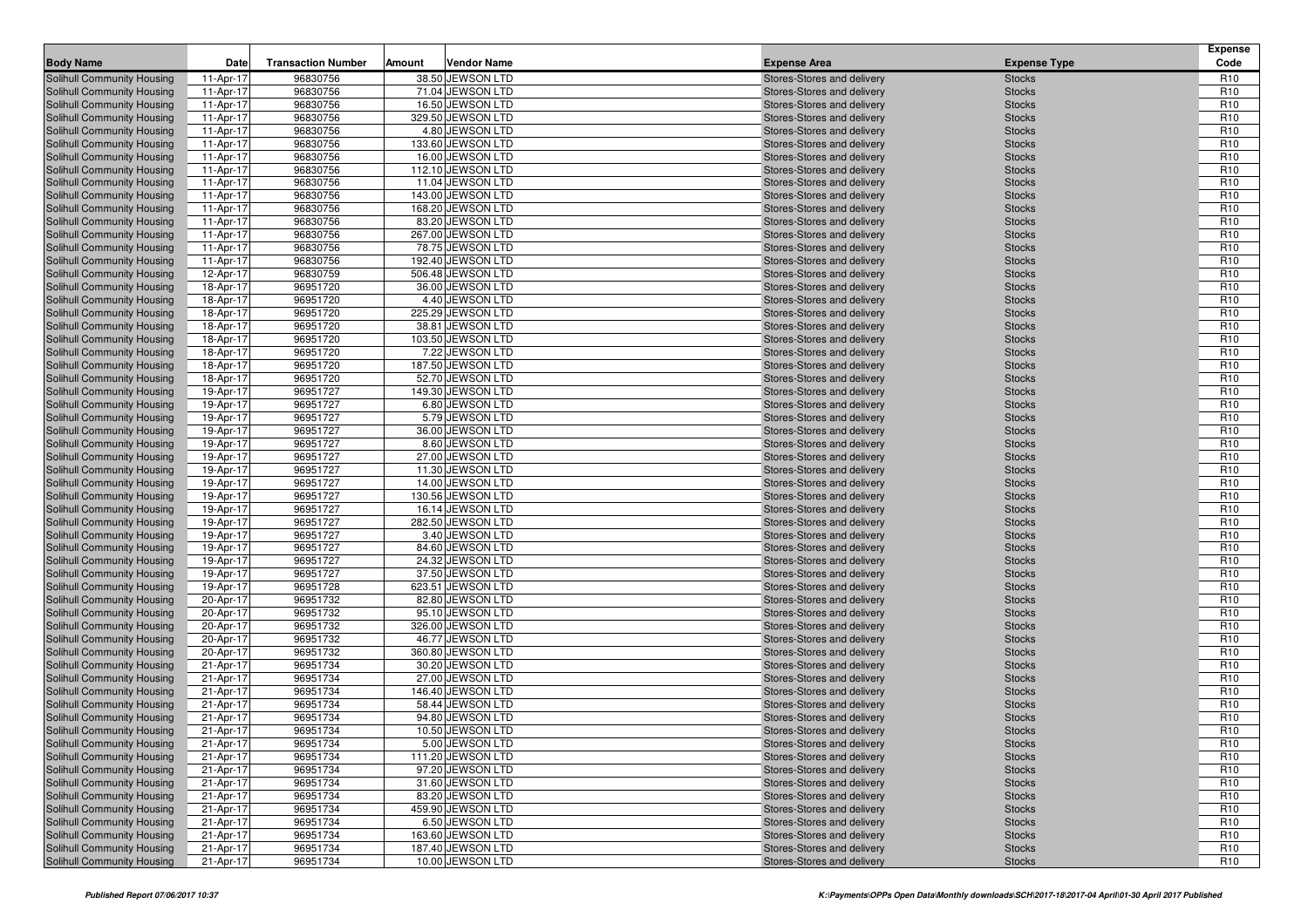| <b>Body Name</b><br>Date<br><b>Transaction Number</b><br>Amount<br><b>Vendor Name</b><br><b>Expense Area</b><br><b>Expense Type</b><br>Solihull Community Housing<br>96830756<br>38.50 JEWSON LTD<br>Stores-Stores and delivery<br>11-Apr-17<br><b>Stocks</b><br>96830756<br>71.04 JEWSON LTD<br>Solihull Community Housing<br>11-Apr-17<br><b>Stocks</b><br>Stores-Stores and delivery<br>11-Apr-17<br>96830756<br>16.50 JEWSON LTD<br>Stores-Stores and delivery<br><b>Stocks</b><br>Solihull Community Housing<br>96830756<br>329.50 JEWSON LTD<br><b>Stocks</b><br>Solihull Community Housing<br>11-Apr-17<br>Stores-Stores and delivery<br>4.80 JEWSON LTD<br>Solihull Community Housing<br>11-Apr-17<br>96830756<br><b>Stocks</b><br>Stores-Stores and delivery<br>96830756<br>133.60 JEWSON LTD<br>Solihull Community Housing<br>11-Apr-17<br>Stores-Stores and delivery<br><b>Stocks</b><br>96830756<br>16.00 JEWSON LTD<br>Solihull Community Housing<br>11-Apr-17<br>Stores-Stores and delivery<br><b>Stocks</b><br>Solihull Community Housing<br>11-Apr-17<br>96830756<br>112.10 JEWSON LTD<br>Stores-Stores and delivery<br><b>Stocks</b><br>96830756<br>11.04 JEWSON LTD<br><b>Stocks</b><br>Solihull Community Housing<br>11-Apr-17<br>Stores-Stores and delivery<br>143.00 JEWSON LTD<br>Solihull Community Housing<br>11-Apr-17<br>96830756<br>Stores-Stores and delivery<br><b>Stocks</b><br>96830756<br>168.20 JEWSON LTD<br><b>Solihull Community Housing</b><br>11-Apr-17<br>Stores-Stores and delivery<br><b>Stocks</b><br>96830756<br>83.20 JEWSON LTD<br><b>Solihull Community Housing</b><br>11-Apr-17<br>Stores-Stores and delivery<br><b>Stocks</b><br>11-Apr-17<br>96830756<br>267.00 JEWSON LTD<br>Stores-Stores and delivery<br><b>Stocks</b><br>Solihull Community Housing<br>96830756<br>78.75 JEWSON LTD<br><b>Stocks</b><br>Solihull Community Housing<br>11-Apr-17<br>Stores-Stores and delivery<br>96830756<br>192.40 JEWSON LTD<br>Solihull Community Housing<br>11-Apr-17<br><b>Stocks</b><br>Stores-Stores and delivery<br>96830759<br>506.48 JEWSON LTD<br><b>Solihull Community Housing</b><br>12-Apr-17<br>Stores-Stores and delivery<br><b>Stocks</b><br>96951720<br>36.00 JEWSON LTD<br><b>Solihull Community Housing</b><br>18-Apr-17<br>Stores-Stores and delivery<br><b>Stocks</b><br>18-Apr-17<br>96951720<br>4.40 JEWSON LTD<br><b>Stocks</b><br>Solihull Community Housing<br>Stores-Stores and delivery<br>96951720<br>225.29 JEWSON LTD<br><b>Stocks</b><br>Solihull Community Housing<br>18-Apr-17<br>Stores-Stores and delivery<br>96951720<br>38.81 JEWSON LTD<br>Solihull Community Housing<br>18-Apr-17<br>Stores-Stores and delivery<br><b>Stocks</b><br>96951720<br>103.50 JEWSON LTD<br><b>Solihull Community Housing</b><br>18-Apr-17<br>Stores-Stores and delivery<br><b>Stocks</b><br>96951720<br>7.22 JEWSON LTD<br><b>Solihull Community Housing</b><br>18-Apr-17<br>Stores-Stores and delivery<br><b>Stocks</b><br>18-Apr-17<br>96951720<br>187.50 JEWSON LTD<br><b>Stocks</b><br>Solihull Community Housing<br>Stores-Stores and delivery<br>96951720<br>52.70 JEWSON LTD<br><b>Stocks</b><br>Solihull Community Housing<br>18-Apr-17<br>Stores-Stores and delivery<br>96951727<br>149.30 JEWSON LTD<br>Solihull Community Housing<br>19-Apr-17<br>Stores-Stores and delivery<br><b>Stocks</b><br>96951727<br>6.80 JEWSON LTD<br>Solihull Community Housing<br>19-Apr-17<br>Stores-Stores and delivery<br><b>Stocks</b><br>96951727<br>5.79 JEWSON LTD<br><b>Solihull Community Housing</b><br>19-Apr-17<br>Stores-Stores and delivery<br><b>Stocks</b><br>96951727<br>19-Apr-17<br>36.00 JEWSON LTD<br><b>Stocks</b><br>Solihull Community Housing<br>Stores-Stores and delivery<br>96951727<br>8.60 JEWSON LTD<br><b>Stocks</b><br>Solihull Community Housing<br>19-Apr-17<br>Stores-Stores and delivery<br>96951727<br>27.00 JEWSON LTD<br>Solihull Community Housing<br>19-Apr-17<br>Stores-Stores and delivery<br><b>Stocks</b><br>96951727<br>11.30 JEWSON LTD<br>Solihull Community Housing<br>19-Apr-17<br>Stores-Stores and delivery<br><b>Stocks</b><br>96951727<br>14.00 JEWSON LTD<br><b>Solihull Community Housing</b><br>19-Apr-17<br>Stores-Stores and delivery<br><b>Stocks</b><br>Solihull Community Housing<br>19-Apr-17<br>96951727<br>130.56 JEWSON LTD<br>Stores-Stores and delivery<br><b>Stocks</b><br>96951727<br>16.14 JEWSON LTD<br>Solihull Community Housing<br>19-Apr-17<br><b>Stocks</b><br>Stores-Stores and delivery<br>282.50 JEWSON LTD<br>Solihull Community Housing<br>96951727<br>19-Apr-17<br>Stores-Stores and delivery<br><b>Stocks</b><br>96951727<br>3.40 JEWSON LTD<br>Solihull Community Housing<br>19-Apr-17<br>Stores-Stores and delivery<br><b>Stocks</b><br>96951727<br>84.60 JEWSON LTD<br><b>Solihull Community Housing</b><br>19-Apr-17<br>Stores-Stores and delivery<br><b>Stocks</b><br>96951727<br>Solihull Community Housing<br>19-Apr-17<br>24.32 JEWSON LTD<br><b>Stocks</b><br>Stores-Stores and delivery<br>96951727<br>37.50 JEWSON LTD<br>Solihull Community Housing<br>19-Apr-17<br><b>Stocks</b><br>Stores-Stores and delivery | Code<br>R <sub>10</sub><br>R <sub>10</sub><br>R <sub>10</sub><br>R <sub>10</sub><br>R <sub>10</sub><br>R <sub>10</sub><br>R <sub>10</sub><br>R <sub>10</sub> |
|-----------------------------------------------------------------------------------------------------------------------------------------------------------------------------------------------------------------------------------------------------------------------------------------------------------------------------------------------------------------------------------------------------------------------------------------------------------------------------------------------------------------------------------------------------------------------------------------------------------------------------------------------------------------------------------------------------------------------------------------------------------------------------------------------------------------------------------------------------------------------------------------------------------------------------------------------------------------------------------------------------------------------------------------------------------------------------------------------------------------------------------------------------------------------------------------------------------------------------------------------------------------------------------------------------------------------------------------------------------------------------------------------------------------------------------------------------------------------------------------------------------------------------------------------------------------------------------------------------------------------------------------------------------------------------------------------------------------------------------------------------------------------------------------------------------------------------------------------------------------------------------------------------------------------------------------------------------------------------------------------------------------------------------------------------------------------------------------------------------------------------------------------------------------------------------------------------------------------------------------------------------------------------------------------------------------------------------------------------------------------------------------------------------------------------------------------------------------------------------------------------------------------------------------------------------------------------------------------------------------------------------------------------------------------------------------------------------------------------------------------------------------------------------------------------------------------------------------------------------------------------------------------------------------------------------------------------------------------------------------------------------------------------------------------------------------------------------------------------------------------------------------------------------------------------------------------------------------------------------------------------------------------------------------------------------------------------------------------------------------------------------------------------------------------------------------------------------------------------------------------------------------------------------------------------------------------------------------------------------------------------------------------------------------------------------------------------------------------------------------------------------------------------------------------------------------------------------------------------------------------------------------------------------------------------------------------------------------------------------------------------------------------------------------------------------------------------------------------------------------------------------------------------------------------------------------------------------------------------------------------------------------------------------------------------------------------------------------------------------------------------------------------------------------------------------------------------------------------------------------------------------------------------------------------------------------------------------------------------------------------------------------------------------------------------------------------------------------------------------------------------------------------------------------------------------------------------------------------------------------------------------------------------------------------------------------------------------------------------------------------------------------------------------------------------------------------------------------------------------------------------------------------------------------|--------------------------------------------------------------------------------------------------------------------------------------------------------------|
|                                                                                                                                                                                                                                                                                                                                                                                                                                                                                                                                                                                                                                                                                                                                                                                                                                                                                                                                                                                                                                                                                                                                                                                                                                                                                                                                                                                                                                                                                                                                                                                                                                                                                                                                                                                                                                                                                                                                                                                                                                                                                                                                                                                                                                                                                                                                                                                                                                                                                                                                                                                                                                                                                                                                                                                                                                                                                                                                                                                                                                                                                                                                                                                                                                                                                                                                                                                                                                                                                                                                                                                                                                                                                                                                                                                                                                                                                                                                                                                                                                                                                                                                                                                                                                                                                                                                                                                                                                                                                                                                                                                                                                                                                                                                                                                                                                                                                                                                                                                                                                                                                                                                                                 |                                                                                                                                                              |
|                                                                                                                                                                                                                                                                                                                                                                                                                                                                                                                                                                                                                                                                                                                                                                                                                                                                                                                                                                                                                                                                                                                                                                                                                                                                                                                                                                                                                                                                                                                                                                                                                                                                                                                                                                                                                                                                                                                                                                                                                                                                                                                                                                                                                                                                                                                                                                                                                                                                                                                                                                                                                                                                                                                                                                                                                                                                                                                                                                                                                                                                                                                                                                                                                                                                                                                                                                                                                                                                                                                                                                                                                                                                                                                                                                                                                                                                                                                                                                                                                                                                                                                                                                                                                                                                                                                                                                                                                                                                                                                                                                                                                                                                                                                                                                                                                                                                                                                                                                                                                                                                                                                                                                 |                                                                                                                                                              |
|                                                                                                                                                                                                                                                                                                                                                                                                                                                                                                                                                                                                                                                                                                                                                                                                                                                                                                                                                                                                                                                                                                                                                                                                                                                                                                                                                                                                                                                                                                                                                                                                                                                                                                                                                                                                                                                                                                                                                                                                                                                                                                                                                                                                                                                                                                                                                                                                                                                                                                                                                                                                                                                                                                                                                                                                                                                                                                                                                                                                                                                                                                                                                                                                                                                                                                                                                                                                                                                                                                                                                                                                                                                                                                                                                                                                                                                                                                                                                                                                                                                                                                                                                                                                                                                                                                                                                                                                                                                                                                                                                                                                                                                                                                                                                                                                                                                                                                                                                                                                                                                                                                                                                                 |                                                                                                                                                              |
|                                                                                                                                                                                                                                                                                                                                                                                                                                                                                                                                                                                                                                                                                                                                                                                                                                                                                                                                                                                                                                                                                                                                                                                                                                                                                                                                                                                                                                                                                                                                                                                                                                                                                                                                                                                                                                                                                                                                                                                                                                                                                                                                                                                                                                                                                                                                                                                                                                                                                                                                                                                                                                                                                                                                                                                                                                                                                                                                                                                                                                                                                                                                                                                                                                                                                                                                                                                                                                                                                                                                                                                                                                                                                                                                                                                                                                                                                                                                                                                                                                                                                                                                                                                                                                                                                                                                                                                                                                                                                                                                                                                                                                                                                                                                                                                                                                                                                                                                                                                                                                                                                                                                                                 |                                                                                                                                                              |
|                                                                                                                                                                                                                                                                                                                                                                                                                                                                                                                                                                                                                                                                                                                                                                                                                                                                                                                                                                                                                                                                                                                                                                                                                                                                                                                                                                                                                                                                                                                                                                                                                                                                                                                                                                                                                                                                                                                                                                                                                                                                                                                                                                                                                                                                                                                                                                                                                                                                                                                                                                                                                                                                                                                                                                                                                                                                                                                                                                                                                                                                                                                                                                                                                                                                                                                                                                                                                                                                                                                                                                                                                                                                                                                                                                                                                                                                                                                                                                                                                                                                                                                                                                                                                                                                                                                                                                                                                                                                                                                                                                                                                                                                                                                                                                                                                                                                                                                                                                                                                                                                                                                                                                 |                                                                                                                                                              |
|                                                                                                                                                                                                                                                                                                                                                                                                                                                                                                                                                                                                                                                                                                                                                                                                                                                                                                                                                                                                                                                                                                                                                                                                                                                                                                                                                                                                                                                                                                                                                                                                                                                                                                                                                                                                                                                                                                                                                                                                                                                                                                                                                                                                                                                                                                                                                                                                                                                                                                                                                                                                                                                                                                                                                                                                                                                                                                                                                                                                                                                                                                                                                                                                                                                                                                                                                                                                                                                                                                                                                                                                                                                                                                                                                                                                                                                                                                                                                                                                                                                                                                                                                                                                                                                                                                                                                                                                                                                                                                                                                                                                                                                                                                                                                                                                                                                                                                                                                                                                                                                                                                                                                                 |                                                                                                                                                              |
|                                                                                                                                                                                                                                                                                                                                                                                                                                                                                                                                                                                                                                                                                                                                                                                                                                                                                                                                                                                                                                                                                                                                                                                                                                                                                                                                                                                                                                                                                                                                                                                                                                                                                                                                                                                                                                                                                                                                                                                                                                                                                                                                                                                                                                                                                                                                                                                                                                                                                                                                                                                                                                                                                                                                                                                                                                                                                                                                                                                                                                                                                                                                                                                                                                                                                                                                                                                                                                                                                                                                                                                                                                                                                                                                                                                                                                                                                                                                                                                                                                                                                                                                                                                                                                                                                                                                                                                                                                                                                                                                                                                                                                                                                                                                                                                                                                                                                                                                                                                                                                                                                                                                                                 |                                                                                                                                                              |
|                                                                                                                                                                                                                                                                                                                                                                                                                                                                                                                                                                                                                                                                                                                                                                                                                                                                                                                                                                                                                                                                                                                                                                                                                                                                                                                                                                                                                                                                                                                                                                                                                                                                                                                                                                                                                                                                                                                                                                                                                                                                                                                                                                                                                                                                                                                                                                                                                                                                                                                                                                                                                                                                                                                                                                                                                                                                                                                                                                                                                                                                                                                                                                                                                                                                                                                                                                                                                                                                                                                                                                                                                                                                                                                                                                                                                                                                                                                                                                                                                                                                                                                                                                                                                                                                                                                                                                                                                                                                                                                                                                                                                                                                                                                                                                                                                                                                                                                                                                                                                                                                                                                                                                 |                                                                                                                                                              |
|                                                                                                                                                                                                                                                                                                                                                                                                                                                                                                                                                                                                                                                                                                                                                                                                                                                                                                                                                                                                                                                                                                                                                                                                                                                                                                                                                                                                                                                                                                                                                                                                                                                                                                                                                                                                                                                                                                                                                                                                                                                                                                                                                                                                                                                                                                                                                                                                                                                                                                                                                                                                                                                                                                                                                                                                                                                                                                                                                                                                                                                                                                                                                                                                                                                                                                                                                                                                                                                                                                                                                                                                                                                                                                                                                                                                                                                                                                                                                                                                                                                                                                                                                                                                                                                                                                                                                                                                                                                                                                                                                                                                                                                                                                                                                                                                                                                                                                                                                                                                                                                                                                                                                                 | R <sub>10</sub>                                                                                                                                              |
|                                                                                                                                                                                                                                                                                                                                                                                                                                                                                                                                                                                                                                                                                                                                                                                                                                                                                                                                                                                                                                                                                                                                                                                                                                                                                                                                                                                                                                                                                                                                                                                                                                                                                                                                                                                                                                                                                                                                                                                                                                                                                                                                                                                                                                                                                                                                                                                                                                                                                                                                                                                                                                                                                                                                                                                                                                                                                                                                                                                                                                                                                                                                                                                                                                                                                                                                                                                                                                                                                                                                                                                                                                                                                                                                                                                                                                                                                                                                                                                                                                                                                                                                                                                                                                                                                                                                                                                                                                                                                                                                                                                                                                                                                                                                                                                                                                                                                                                                                                                                                                                                                                                                                                 | R <sub>10</sub>                                                                                                                                              |
|                                                                                                                                                                                                                                                                                                                                                                                                                                                                                                                                                                                                                                                                                                                                                                                                                                                                                                                                                                                                                                                                                                                                                                                                                                                                                                                                                                                                                                                                                                                                                                                                                                                                                                                                                                                                                                                                                                                                                                                                                                                                                                                                                                                                                                                                                                                                                                                                                                                                                                                                                                                                                                                                                                                                                                                                                                                                                                                                                                                                                                                                                                                                                                                                                                                                                                                                                                                                                                                                                                                                                                                                                                                                                                                                                                                                                                                                                                                                                                                                                                                                                                                                                                                                                                                                                                                                                                                                                                                                                                                                                                                                                                                                                                                                                                                                                                                                                                                                                                                                                                                                                                                                                                 | R <sub>10</sub>                                                                                                                                              |
|                                                                                                                                                                                                                                                                                                                                                                                                                                                                                                                                                                                                                                                                                                                                                                                                                                                                                                                                                                                                                                                                                                                                                                                                                                                                                                                                                                                                                                                                                                                                                                                                                                                                                                                                                                                                                                                                                                                                                                                                                                                                                                                                                                                                                                                                                                                                                                                                                                                                                                                                                                                                                                                                                                                                                                                                                                                                                                                                                                                                                                                                                                                                                                                                                                                                                                                                                                                                                                                                                                                                                                                                                                                                                                                                                                                                                                                                                                                                                                                                                                                                                                                                                                                                                                                                                                                                                                                                                                                                                                                                                                                                                                                                                                                                                                                                                                                                                                                                                                                                                                                                                                                                                                 | R <sub>10</sub>                                                                                                                                              |
|                                                                                                                                                                                                                                                                                                                                                                                                                                                                                                                                                                                                                                                                                                                                                                                                                                                                                                                                                                                                                                                                                                                                                                                                                                                                                                                                                                                                                                                                                                                                                                                                                                                                                                                                                                                                                                                                                                                                                                                                                                                                                                                                                                                                                                                                                                                                                                                                                                                                                                                                                                                                                                                                                                                                                                                                                                                                                                                                                                                                                                                                                                                                                                                                                                                                                                                                                                                                                                                                                                                                                                                                                                                                                                                                                                                                                                                                                                                                                                                                                                                                                                                                                                                                                                                                                                                                                                                                                                                                                                                                                                                                                                                                                                                                                                                                                                                                                                                                                                                                                                                                                                                                                                 | R <sub>10</sub>                                                                                                                                              |
|                                                                                                                                                                                                                                                                                                                                                                                                                                                                                                                                                                                                                                                                                                                                                                                                                                                                                                                                                                                                                                                                                                                                                                                                                                                                                                                                                                                                                                                                                                                                                                                                                                                                                                                                                                                                                                                                                                                                                                                                                                                                                                                                                                                                                                                                                                                                                                                                                                                                                                                                                                                                                                                                                                                                                                                                                                                                                                                                                                                                                                                                                                                                                                                                                                                                                                                                                                                                                                                                                                                                                                                                                                                                                                                                                                                                                                                                                                                                                                                                                                                                                                                                                                                                                                                                                                                                                                                                                                                                                                                                                                                                                                                                                                                                                                                                                                                                                                                                                                                                                                                                                                                                                                 | R <sub>10</sub>                                                                                                                                              |
|                                                                                                                                                                                                                                                                                                                                                                                                                                                                                                                                                                                                                                                                                                                                                                                                                                                                                                                                                                                                                                                                                                                                                                                                                                                                                                                                                                                                                                                                                                                                                                                                                                                                                                                                                                                                                                                                                                                                                                                                                                                                                                                                                                                                                                                                                                                                                                                                                                                                                                                                                                                                                                                                                                                                                                                                                                                                                                                                                                                                                                                                                                                                                                                                                                                                                                                                                                                                                                                                                                                                                                                                                                                                                                                                                                                                                                                                                                                                                                                                                                                                                                                                                                                                                                                                                                                                                                                                                                                                                                                                                                                                                                                                                                                                                                                                                                                                                                                                                                                                                                                                                                                                                                 | R <sub>10</sub>                                                                                                                                              |
|                                                                                                                                                                                                                                                                                                                                                                                                                                                                                                                                                                                                                                                                                                                                                                                                                                                                                                                                                                                                                                                                                                                                                                                                                                                                                                                                                                                                                                                                                                                                                                                                                                                                                                                                                                                                                                                                                                                                                                                                                                                                                                                                                                                                                                                                                                                                                                                                                                                                                                                                                                                                                                                                                                                                                                                                                                                                                                                                                                                                                                                                                                                                                                                                                                                                                                                                                                                                                                                                                                                                                                                                                                                                                                                                                                                                                                                                                                                                                                                                                                                                                                                                                                                                                                                                                                                                                                                                                                                                                                                                                                                                                                                                                                                                                                                                                                                                                                                                                                                                                                                                                                                                                                 | R <sub>10</sub>                                                                                                                                              |
|                                                                                                                                                                                                                                                                                                                                                                                                                                                                                                                                                                                                                                                                                                                                                                                                                                                                                                                                                                                                                                                                                                                                                                                                                                                                                                                                                                                                                                                                                                                                                                                                                                                                                                                                                                                                                                                                                                                                                                                                                                                                                                                                                                                                                                                                                                                                                                                                                                                                                                                                                                                                                                                                                                                                                                                                                                                                                                                                                                                                                                                                                                                                                                                                                                                                                                                                                                                                                                                                                                                                                                                                                                                                                                                                                                                                                                                                                                                                                                                                                                                                                                                                                                                                                                                                                                                                                                                                                                                                                                                                                                                                                                                                                                                                                                                                                                                                                                                                                                                                                                                                                                                                                                 | R <sub>10</sub>                                                                                                                                              |
|                                                                                                                                                                                                                                                                                                                                                                                                                                                                                                                                                                                                                                                                                                                                                                                                                                                                                                                                                                                                                                                                                                                                                                                                                                                                                                                                                                                                                                                                                                                                                                                                                                                                                                                                                                                                                                                                                                                                                                                                                                                                                                                                                                                                                                                                                                                                                                                                                                                                                                                                                                                                                                                                                                                                                                                                                                                                                                                                                                                                                                                                                                                                                                                                                                                                                                                                                                                                                                                                                                                                                                                                                                                                                                                                                                                                                                                                                                                                                                                                                                                                                                                                                                                                                                                                                                                                                                                                                                                                                                                                                                                                                                                                                                                                                                                                                                                                                                                                                                                                                                                                                                                                                                 | R <sub>10</sub>                                                                                                                                              |
|                                                                                                                                                                                                                                                                                                                                                                                                                                                                                                                                                                                                                                                                                                                                                                                                                                                                                                                                                                                                                                                                                                                                                                                                                                                                                                                                                                                                                                                                                                                                                                                                                                                                                                                                                                                                                                                                                                                                                                                                                                                                                                                                                                                                                                                                                                                                                                                                                                                                                                                                                                                                                                                                                                                                                                                                                                                                                                                                                                                                                                                                                                                                                                                                                                                                                                                                                                                                                                                                                                                                                                                                                                                                                                                                                                                                                                                                                                                                                                                                                                                                                                                                                                                                                                                                                                                                                                                                                                                                                                                                                                                                                                                                                                                                                                                                                                                                                                                                                                                                                                                                                                                                                                 | R <sub>10</sub>                                                                                                                                              |
|                                                                                                                                                                                                                                                                                                                                                                                                                                                                                                                                                                                                                                                                                                                                                                                                                                                                                                                                                                                                                                                                                                                                                                                                                                                                                                                                                                                                                                                                                                                                                                                                                                                                                                                                                                                                                                                                                                                                                                                                                                                                                                                                                                                                                                                                                                                                                                                                                                                                                                                                                                                                                                                                                                                                                                                                                                                                                                                                                                                                                                                                                                                                                                                                                                                                                                                                                                                                                                                                                                                                                                                                                                                                                                                                                                                                                                                                                                                                                                                                                                                                                                                                                                                                                                                                                                                                                                                                                                                                                                                                                                                                                                                                                                                                                                                                                                                                                                                                                                                                                                                                                                                                                                 | R <sub>10</sub>                                                                                                                                              |
|                                                                                                                                                                                                                                                                                                                                                                                                                                                                                                                                                                                                                                                                                                                                                                                                                                                                                                                                                                                                                                                                                                                                                                                                                                                                                                                                                                                                                                                                                                                                                                                                                                                                                                                                                                                                                                                                                                                                                                                                                                                                                                                                                                                                                                                                                                                                                                                                                                                                                                                                                                                                                                                                                                                                                                                                                                                                                                                                                                                                                                                                                                                                                                                                                                                                                                                                                                                                                                                                                                                                                                                                                                                                                                                                                                                                                                                                                                                                                                                                                                                                                                                                                                                                                                                                                                                                                                                                                                                                                                                                                                                                                                                                                                                                                                                                                                                                                                                                                                                                                                                                                                                                                                 | R <sub>10</sub>                                                                                                                                              |
|                                                                                                                                                                                                                                                                                                                                                                                                                                                                                                                                                                                                                                                                                                                                                                                                                                                                                                                                                                                                                                                                                                                                                                                                                                                                                                                                                                                                                                                                                                                                                                                                                                                                                                                                                                                                                                                                                                                                                                                                                                                                                                                                                                                                                                                                                                                                                                                                                                                                                                                                                                                                                                                                                                                                                                                                                                                                                                                                                                                                                                                                                                                                                                                                                                                                                                                                                                                                                                                                                                                                                                                                                                                                                                                                                                                                                                                                                                                                                                                                                                                                                                                                                                                                                                                                                                                                                                                                                                                                                                                                                                                                                                                                                                                                                                                                                                                                                                                                                                                                                                                                                                                                                                 | R <sub>10</sub>                                                                                                                                              |
|                                                                                                                                                                                                                                                                                                                                                                                                                                                                                                                                                                                                                                                                                                                                                                                                                                                                                                                                                                                                                                                                                                                                                                                                                                                                                                                                                                                                                                                                                                                                                                                                                                                                                                                                                                                                                                                                                                                                                                                                                                                                                                                                                                                                                                                                                                                                                                                                                                                                                                                                                                                                                                                                                                                                                                                                                                                                                                                                                                                                                                                                                                                                                                                                                                                                                                                                                                                                                                                                                                                                                                                                                                                                                                                                                                                                                                                                                                                                                                                                                                                                                                                                                                                                                                                                                                                                                                                                                                                                                                                                                                                                                                                                                                                                                                                                                                                                                                                                                                                                                                                                                                                                                                 | R <sub>10</sub>                                                                                                                                              |
|                                                                                                                                                                                                                                                                                                                                                                                                                                                                                                                                                                                                                                                                                                                                                                                                                                                                                                                                                                                                                                                                                                                                                                                                                                                                                                                                                                                                                                                                                                                                                                                                                                                                                                                                                                                                                                                                                                                                                                                                                                                                                                                                                                                                                                                                                                                                                                                                                                                                                                                                                                                                                                                                                                                                                                                                                                                                                                                                                                                                                                                                                                                                                                                                                                                                                                                                                                                                                                                                                                                                                                                                                                                                                                                                                                                                                                                                                                                                                                                                                                                                                                                                                                                                                                                                                                                                                                                                                                                                                                                                                                                                                                                                                                                                                                                                                                                                                                                                                                                                                                                                                                                                                                 | R <sub>10</sub>                                                                                                                                              |
|                                                                                                                                                                                                                                                                                                                                                                                                                                                                                                                                                                                                                                                                                                                                                                                                                                                                                                                                                                                                                                                                                                                                                                                                                                                                                                                                                                                                                                                                                                                                                                                                                                                                                                                                                                                                                                                                                                                                                                                                                                                                                                                                                                                                                                                                                                                                                                                                                                                                                                                                                                                                                                                                                                                                                                                                                                                                                                                                                                                                                                                                                                                                                                                                                                                                                                                                                                                                                                                                                                                                                                                                                                                                                                                                                                                                                                                                                                                                                                                                                                                                                                                                                                                                                                                                                                                                                                                                                                                                                                                                                                                                                                                                                                                                                                                                                                                                                                                                                                                                                                                                                                                                                                 | R <sub>10</sub>                                                                                                                                              |
|                                                                                                                                                                                                                                                                                                                                                                                                                                                                                                                                                                                                                                                                                                                                                                                                                                                                                                                                                                                                                                                                                                                                                                                                                                                                                                                                                                                                                                                                                                                                                                                                                                                                                                                                                                                                                                                                                                                                                                                                                                                                                                                                                                                                                                                                                                                                                                                                                                                                                                                                                                                                                                                                                                                                                                                                                                                                                                                                                                                                                                                                                                                                                                                                                                                                                                                                                                                                                                                                                                                                                                                                                                                                                                                                                                                                                                                                                                                                                                                                                                                                                                                                                                                                                                                                                                                                                                                                                                                                                                                                                                                                                                                                                                                                                                                                                                                                                                                                                                                                                                                                                                                                                                 | R <sub>10</sub>                                                                                                                                              |
|                                                                                                                                                                                                                                                                                                                                                                                                                                                                                                                                                                                                                                                                                                                                                                                                                                                                                                                                                                                                                                                                                                                                                                                                                                                                                                                                                                                                                                                                                                                                                                                                                                                                                                                                                                                                                                                                                                                                                                                                                                                                                                                                                                                                                                                                                                                                                                                                                                                                                                                                                                                                                                                                                                                                                                                                                                                                                                                                                                                                                                                                                                                                                                                                                                                                                                                                                                                                                                                                                                                                                                                                                                                                                                                                                                                                                                                                                                                                                                                                                                                                                                                                                                                                                                                                                                                                                                                                                                                                                                                                                                                                                                                                                                                                                                                                                                                                                                                                                                                                                                                                                                                                                                 | R <sub>10</sub>                                                                                                                                              |
|                                                                                                                                                                                                                                                                                                                                                                                                                                                                                                                                                                                                                                                                                                                                                                                                                                                                                                                                                                                                                                                                                                                                                                                                                                                                                                                                                                                                                                                                                                                                                                                                                                                                                                                                                                                                                                                                                                                                                                                                                                                                                                                                                                                                                                                                                                                                                                                                                                                                                                                                                                                                                                                                                                                                                                                                                                                                                                                                                                                                                                                                                                                                                                                                                                                                                                                                                                                                                                                                                                                                                                                                                                                                                                                                                                                                                                                                                                                                                                                                                                                                                                                                                                                                                                                                                                                                                                                                                                                                                                                                                                                                                                                                                                                                                                                                                                                                                                                                                                                                                                                                                                                                                                 | R <sub>10</sub><br>R <sub>10</sub>                                                                                                                           |
|                                                                                                                                                                                                                                                                                                                                                                                                                                                                                                                                                                                                                                                                                                                                                                                                                                                                                                                                                                                                                                                                                                                                                                                                                                                                                                                                                                                                                                                                                                                                                                                                                                                                                                                                                                                                                                                                                                                                                                                                                                                                                                                                                                                                                                                                                                                                                                                                                                                                                                                                                                                                                                                                                                                                                                                                                                                                                                                                                                                                                                                                                                                                                                                                                                                                                                                                                                                                                                                                                                                                                                                                                                                                                                                                                                                                                                                                                                                                                                                                                                                                                                                                                                                                                                                                                                                                                                                                                                                                                                                                                                                                                                                                                                                                                                                                                                                                                                                                                                                                                                                                                                                                                                 | R <sub>10</sub>                                                                                                                                              |
|                                                                                                                                                                                                                                                                                                                                                                                                                                                                                                                                                                                                                                                                                                                                                                                                                                                                                                                                                                                                                                                                                                                                                                                                                                                                                                                                                                                                                                                                                                                                                                                                                                                                                                                                                                                                                                                                                                                                                                                                                                                                                                                                                                                                                                                                                                                                                                                                                                                                                                                                                                                                                                                                                                                                                                                                                                                                                                                                                                                                                                                                                                                                                                                                                                                                                                                                                                                                                                                                                                                                                                                                                                                                                                                                                                                                                                                                                                                                                                                                                                                                                                                                                                                                                                                                                                                                                                                                                                                                                                                                                                                                                                                                                                                                                                                                                                                                                                                                                                                                                                                                                                                                                                 | R <sub>10</sub>                                                                                                                                              |
|                                                                                                                                                                                                                                                                                                                                                                                                                                                                                                                                                                                                                                                                                                                                                                                                                                                                                                                                                                                                                                                                                                                                                                                                                                                                                                                                                                                                                                                                                                                                                                                                                                                                                                                                                                                                                                                                                                                                                                                                                                                                                                                                                                                                                                                                                                                                                                                                                                                                                                                                                                                                                                                                                                                                                                                                                                                                                                                                                                                                                                                                                                                                                                                                                                                                                                                                                                                                                                                                                                                                                                                                                                                                                                                                                                                                                                                                                                                                                                                                                                                                                                                                                                                                                                                                                                                                                                                                                                                                                                                                                                                                                                                                                                                                                                                                                                                                                                                                                                                                                                                                                                                                                                 | R <sub>10</sub>                                                                                                                                              |
|                                                                                                                                                                                                                                                                                                                                                                                                                                                                                                                                                                                                                                                                                                                                                                                                                                                                                                                                                                                                                                                                                                                                                                                                                                                                                                                                                                                                                                                                                                                                                                                                                                                                                                                                                                                                                                                                                                                                                                                                                                                                                                                                                                                                                                                                                                                                                                                                                                                                                                                                                                                                                                                                                                                                                                                                                                                                                                                                                                                                                                                                                                                                                                                                                                                                                                                                                                                                                                                                                                                                                                                                                                                                                                                                                                                                                                                                                                                                                                                                                                                                                                                                                                                                                                                                                                                                                                                                                                                                                                                                                                                                                                                                                                                                                                                                                                                                                                                                                                                                                                                                                                                                                                 | R <sub>10</sub>                                                                                                                                              |
|                                                                                                                                                                                                                                                                                                                                                                                                                                                                                                                                                                                                                                                                                                                                                                                                                                                                                                                                                                                                                                                                                                                                                                                                                                                                                                                                                                                                                                                                                                                                                                                                                                                                                                                                                                                                                                                                                                                                                                                                                                                                                                                                                                                                                                                                                                                                                                                                                                                                                                                                                                                                                                                                                                                                                                                                                                                                                                                                                                                                                                                                                                                                                                                                                                                                                                                                                                                                                                                                                                                                                                                                                                                                                                                                                                                                                                                                                                                                                                                                                                                                                                                                                                                                                                                                                                                                                                                                                                                                                                                                                                                                                                                                                                                                                                                                                                                                                                                                                                                                                                                                                                                                                                 | R <sub>10</sub>                                                                                                                                              |
|                                                                                                                                                                                                                                                                                                                                                                                                                                                                                                                                                                                                                                                                                                                                                                                                                                                                                                                                                                                                                                                                                                                                                                                                                                                                                                                                                                                                                                                                                                                                                                                                                                                                                                                                                                                                                                                                                                                                                                                                                                                                                                                                                                                                                                                                                                                                                                                                                                                                                                                                                                                                                                                                                                                                                                                                                                                                                                                                                                                                                                                                                                                                                                                                                                                                                                                                                                                                                                                                                                                                                                                                                                                                                                                                                                                                                                                                                                                                                                                                                                                                                                                                                                                                                                                                                                                                                                                                                                                                                                                                                                                                                                                                                                                                                                                                                                                                                                                                                                                                                                                                                                                                                                 | R <sub>10</sub>                                                                                                                                              |
|                                                                                                                                                                                                                                                                                                                                                                                                                                                                                                                                                                                                                                                                                                                                                                                                                                                                                                                                                                                                                                                                                                                                                                                                                                                                                                                                                                                                                                                                                                                                                                                                                                                                                                                                                                                                                                                                                                                                                                                                                                                                                                                                                                                                                                                                                                                                                                                                                                                                                                                                                                                                                                                                                                                                                                                                                                                                                                                                                                                                                                                                                                                                                                                                                                                                                                                                                                                                                                                                                                                                                                                                                                                                                                                                                                                                                                                                                                                                                                                                                                                                                                                                                                                                                                                                                                                                                                                                                                                                                                                                                                                                                                                                                                                                                                                                                                                                                                                                                                                                                                                                                                                                                                 | R <sub>10</sub>                                                                                                                                              |
|                                                                                                                                                                                                                                                                                                                                                                                                                                                                                                                                                                                                                                                                                                                                                                                                                                                                                                                                                                                                                                                                                                                                                                                                                                                                                                                                                                                                                                                                                                                                                                                                                                                                                                                                                                                                                                                                                                                                                                                                                                                                                                                                                                                                                                                                                                                                                                                                                                                                                                                                                                                                                                                                                                                                                                                                                                                                                                                                                                                                                                                                                                                                                                                                                                                                                                                                                                                                                                                                                                                                                                                                                                                                                                                                                                                                                                                                                                                                                                                                                                                                                                                                                                                                                                                                                                                                                                                                                                                                                                                                                                                                                                                                                                                                                                                                                                                                                                                                                                                                                                                                                                                                                                 | R <sub>10</sub>                                                                                                                                              |
|                                                                                                                                                                                                                                                                                                                                                                                                                                                                                                                                                                                                                                                                                                                                                                                                                                                                                                                                                                                                                                                                                                                                                                                                                                                                                                                                                                                                                                                                                                                                                                                                                                                                                                                                                                                                                                                                                                                                                                                                                                                                                                                                                                                                                                                                                                                                                                                                                                                                                                                                                                                                                                                                                                                                                                                                                                                                                                                                                                                                                                                                                                                                                                                                                                                                                                                                                                                                                                                                                                                                                                                                                                                                                                                                                                                                                                                                                                                                                                                                                                                                                                                                                                                                                                                                                                                                                                                                                                                                                                                                                                                                                                                                                                                                                                                                                                                                                                                                                                                                                                                                                                                                                                 | R <sub>10</sub>                                                                                                                                              |
|                                                                                                                                                                                                                                                                                                                                                                                                                                                                                                                                                                                                                                                                                                                                                                                                                                                                                                                                                                                                                                                                                                                                                                                                                                                                                                                                                                                                                                                                                                                                                                                                                                                                                                                                                                                                                                                                                                                                                                                                                                                                                                                                                                                                                                                                                                                                                                                                                                                                                                                                                                                                                                                                                                                                                                                                                                                                                                                                                                                                                                                                                                                                                                                                                                                                                                                                                                                                                                                                                                                                                                                                                                                                                                                                                                                                                                                                                                                                                                                                                                                                                                                                                                                                                                                                                                                                                                                                                                                                                                                                                                                                                                                                                                                                                                                                                                                                                                                                                                                                                                                                                                                                                                 | R <sub>10</sub>                                                                                                                                              |
| 623.51 JEWSON LTD<br>Solihull Community Housing<br>96951728<br>19-Apr-17<br>Stores-Stores and delivery<br><b>Stocks</b>                                                                                                                                                                                                                                                                                                                                                                                                                                                                                                                                                                                                                                                                                                                                                                                                                                                                                                                                                                                                                                                                                                                                                                                                                                                                                                                                                                                                                                                                                                                                                                                                                                                                                                                                                                                                                                                                                                                                                                                                                                                                                                                                                                                                                                                                                                                                                                                                                                                                                                                                                                                                                                                                                                                                                                                                                                                                                                                                                                                                                                                                                                                                                                                                                                                                                                                                                                                                                                                                                                                                                                                                                                                                                                                                                                                                                                                                                                                                                                                                                                                                                                                                                                                                                                                                                                                                                                                                                                                                                                                                                                                                                                                                                                                                                                                                                                                                                                                                                                                                                                         | R <sub>10</sub>                                                                                                                                              |
| 96951732<br>82.80 JEWSON LTD<br>Solihull Community Housing<br>20-Apr-17<br>Stores-Stores and delivery<br><b>Stocks</b>                                                                                                                                                                                                                                                                                                                                                                                                                                                                                                                                                                                                                                                                                                                                                                                                                                                                                                                                                                                                                                                                                                                                                                                                                                                                                                                                                                                                                                                                                                                                                                                                                                                                                                                                                                                                                                                                                                                                                                                                                                                                                                                                                                                                                                                                                                                                                                                                                                                                                                                                                                                                                                                                                                                                                                                                                                                                                                                                                                                                                                                                                                                                                                                                                                                                                                                                                                                                                                                                                                                                                                                                                                                                                                                                                                                                                                                                                                                                                                                                                                                                                                                                                                                                                                                                                                                                                                                                                                                                                                                                                                                                                                                                                                                                                                                                                                                                                                                                                                                                                                          | R <sub>10</sub>                                                                                                                                              |
| 96951732<br>95.10 JEWSON LTD<br><b>Solihull Community Housing</b><br>20-Apr-17<br>Stores-Stores and delivery<br><b>Stocks</b>                                                                                                                                                                                                                                                                                                                                                                                                                                                                                                                                                                                                                                                                                                                                                                                                                                                                                                                                                                                                                                                                                                                                                                                                                                                                                                                                                                                                                                                                                                                                                                                                                                                                                                                                                                                                                                                                                                                                                                                                                                                                                                                                                                                                                                                                                                                                                                                                                                                                                                                                                                                                                                                                                                                                                                                                                                                                                                                                                                                                                                                                                                                                                                                                                                                                                                                                                                                                                                                                                                                                                                                                                                                                                                                                                                                                                                                                                                                                                                                                                                                                                                                                                                                                                                                                                                                                                                                                                                                                                                                                                                                                                                                                                                                                                                                                                                                                                                                                                                                                                                   | R <sub>10</sub>                                                                                                                                              |
| 96951732<br>326.00 JEWSON LTD<br>Solihull Community Housing<br>20-Apr-17<br>Stores-Stores and delivery<br><b>Stocks</b>                                                                                                                                                                                                                                                                                                                                                                                                                                                                                                                                                                                                                                                                                                                                                                                                                                                                                                                                                                                                                                                                                                                                                                                                                                                                                                                                                                                                                                                                                                                                                                                                                                                                                                                                                                                                                                                                                                                                                                                                                                                                                                                                                                                                                                                                                                                                                                                                                                                                                                                                                                                                                                                                                                                                                                                                                                                                                                                                                                                                                                                                                                                                                                                                                                                                                                                                                                                                                                                                                                                                                                                                                                                                                                                                                                                                                                                                                                                                                                                                                                                                                                                                                                                                                                                                                                                                                                                                                                                                                                                                                                                                                                                                                                                                                                                                                                                                                                                                                                                                                                         | R <sub>10</sub>                                                                                                                                              |
| 96951732<br>46.77 JEWSON LTD<br>Solihull Community Housing<br>20-Apr-17<br><b>Stocks</b><br>Stores-Stores and delivery                                                                                                                                                                                                                                                                                                                                                                                                                                                                                                                                                                                                                                                                                                                                                                                                                                                                                                                                                                                                                                                                                                                                                                                                                                                                                                                                                                                                                                                                                                                                                                                                                                                                                                                                                                                                                                                                                                                                                                                                                                                                                                                                                                                                                                                                                                                                                                                                                                                                                                                                                                                                                                                                                                                                                                                                                                                                                                                                                                                                                                                                                                                                                                                                                                                                                                                                                                                                                                                                                                                                                                                                                                                                                                                                                                                                                                                                                                                                                                                                                                                                                                                                                                                                                                                                                                                                                                                                                                                                                                                                                                                                                                                                                                                                                                                                                                                                                                                                                                                                                                          | R <sub>10</sub>                                                                                                                                              |
| Solihull Community Housing<br>96951732<br>360.80 JEWSON LTD<br>20-Apr-17<br>Stores-Stores and delivery<br><b>Stocks</b>                                                                                                                                                                                                                                                                                                                                                                                                                                                                                                                                                                                                                                                                                                                                                                                                                                                                                                                                                                                                                                                                                                                                                                                                                                                                                                                                                                                                                                                                                                                                                                                                                                                                                                                                                                                                                                                                                                                                                                                                                                                                                                                                                                                                                                                                                                                                                                                                                                                                                                                                                                                                                                                                                                                                                                                                                                                                                                                                                                                                                                                                                                                                                                                                                                                                                                                                                                                                                                                                                                                                                                                                                                                                                                                                                                                                                                                                                                                                                                                                                                                                                                                                                                                                                                                                                                                                                                                                                                                                                                                                                                                                                                                                                                                                                                                                                                                                                                                                                                                                                                         | R <sub>10</sub>                                                                                                                                              |
| 96951734<br>30.20 JEWSON LTD<br>Solihull Community Housing<br>21-Apr-17<br>Stores-Stores and delivery<br><b>Stocks</b>                                                                                                                                                                                                                                                                                                                                                                                                                                                                                                                                                                                                                                                                                                                                                                                                                                                                                                                                                                                                                                                                                                                                                                                                                                                                                                                                                                                                                                                                                                                                                                                                                                                                                                                                                                                                                                                                                                                                                                                                                                                                                                                                                                                                                                                                                                                                                                                                                                                                                                                                                                                                                                                                                                                                                                                                                                                                                                                                                                                                                                                                                                                                                                                                                                                                                                                                                                                                                                                                                                                                                                                                                                                                                                                                                                                                                                                                                                                                                                                                                                                                                                                                                                                                                                                                                                                                                                                                                                                                                                                                                                                                                                                                                                                                                                                                                                                                                                                                                                                                                                          | R <sub>10</sub>                                                                                                                                              |
| 96951734<br>27.00 JEWSON LTD<br><b>Solihull Community Housing</b><br>21-Apr-17<br>Stores-Stores and delivery<br><b>Stocks</b>                                                                                                                                                                                                                                                                                                                                                                                                                                                                                                                                                                                                                                                                                                                                                                                                                                                                                                                                                                                                                                                                                                                                                                                                                                                                                                                                                                                                                                                                                                                                                                                                                                                                                                                                                                                                                                                                                                                                                                                                                                                                                                                                                                                                                                                                                                                                                                                                                                                                                                                                                                                                                                                                                                                                                                                                                                                                                                                                                                                                                                                                                                                                                                                                                                                                                                                                                                                                                                                                                                                                                                                                                                                                                                                                                                                                                                                                                                                                                                                                                                                                                                                                                                                                                                                                                                                                                                                                                                                                                                                                                                                                                                                                                                                                                                                                                                                                                                                                                                                                                                   | R <sub>10</sub>                                                                                                                                              |
| Solihull Community Housing<br>96951734<br>146.40 JEWSON LTD<br>21-Apr-17<br>Stores-Stores and delivery<br><b>Stocks</b>                                                                                                                                                                                                                                                                                                                                                                                                                                                                                                                                                                                                                                                                                                                                                                                                                                                                                                                                                                                                                                                                                                                                                                                                                                                                                                                                                                                                                                                                                                                                                                                                                                                                                                                                                                                                                                                                                                                                                                                                                                                                                                                                                                                                                                                                                                                                                                                                                                                                                                                                                                                                                                                                                                                                                                                                                                                                                                                                                                                                                                                                                                                                                                                                                                                                                                                                                                                                                                                                                                                                                                                                                                                                                                                                                                                                                                                                                                                                                                                                                                                                                                                                                                                                                                                                                                                                                                                                                                                                                                                                                                                                                                                                                                                                                                                                                                                                                                                                                                                                                                         | R <sub>10</sub>                                                                                                                                              |
| 96951734<br>58.44 JEWSON LTD<br>Solihull Community Housing<br>21-Apr-17<br><b>Stocks</b><br>Stores-Stores and delivery<br>96951734<br>94.80 JEWSON LTD<br>Stores-Stores and delivery<br><b>Stocks</b>                                                                                                                                                                                                                                                                                                                                                                                                                                                                                                                                                                                                                                                                                                                                                                                                                                                                                                                                                                                                                                                                                                                                                                                                                                                                                                                                                                                                                                                                                                                                                                                                                                                                                                                                                                                                                                                                                                                                                                                                                                                                                                                                                                                                                                                                                                                                                                                                                                                                                                                                                                                                                                                                                                                                                                                                                                                                                                                                                                                                                                                                                                                                                                                                                                                                                                                                                                                                                                                                                                                                                                                                                                                                                                                                                                                                                                                                                                                                                                                                                                                                                                                                                                                                                                                                                                                                                                                                                                                                                                                                                                                                                                                                                                                                                                                                                                                                                                                                                           | R <sub>10</sub><br>R <sub>10</sub>                                                                                                                           |
| Solihull Community Housing<br>21-Apr-17<br>96951734<br>10.50 JEWSON LTD<br>Solihull Community Housing<br>21-Apr-17<br>Stores-Stores and delivery<br><b>Stocks</b>                                                                                                                                                                                                                                                                                                                                                                                                                                                                                                                                                                                                                                                                                                                                                                                                                                                                                                                                                                                                                                                                                                                                                                                                                                                                                                                                                                                                                                                                                                                                                                                                                                                                                                                                                                                                                                                                                                                                                                                                                                                                                                                                                                                                                                                                                                                                                                                                                                                                                                                                                                                                                                                                                                                                                                                                                                                                                                                                                                                                                                                                                                                                                                                                                                                                                                                                                                                                                                                                                                                                                                                                                                                                                                                                                                                                                                                                                                                                                                                                                                                                                                                                                                                                                                                                                                                                                                                                                                                                                                                                                                                                                                                                                                                                                                                                                                                                                                                                                                                               | R <sub>10</sub>                                                                                                                                              |
| 21-Apr-17<br>96951734<br>5.00 JEWSON LTD<br><b>Stocks</b><br>Solihull Community Housing<br>Stores-Stores and delivery                                                                                                                                                                                                                                                                                                                                                                                                                                                                                                                                                                                                                                                                                                                                                                                                                                                                                                                                                                                                                                                                                                                                                                                                                                                                                                                                                                                                                                                                                                                                                                                                                                                                                                                                                                                                                                                                                                                                                                                                                                                                                                                                                                                                                                                                                                                                                                                                                                                                                                                                                                                                                                                                                                                                                                                                                                                                                                                                                                                                                                                                                                                                                                                                                                                                                                                                                                                                                                                                                                                                                                                                                                                                                                                                                                                                                                                                                                                                                                                                                                                                                                                                                                                                                                                                                                                                                                                                                                                                                                                                                                                                                                                                                                                                                                                                                                                                                                                                                                                                                                           | R <sub>10</sub>                                                                                                                                              |
| 96951734<br>Solihull Community Housing<br>21-Apr-17<br>111.20 JEWSON LTD<br>Stores-Stores and delivery<br><b>Stocks</b>                                                                                                                                                                                                                                                                                                                                                                                                                                                                                                                                                                                                                                                                                                                                                                                                                                                                                                                                                                                                                                                                                                                                                                                                                                                                                                                                                                                                                                                                                                                                                                                                                                                                                                                                                                                                                                                                                                                                                                                                                                                                                                                                                                                                                                                                                                                                                                                                                                                                                                                                                                                                                                                                                                                                                                                                                                                                                                                                                                                                                                                                                                                                                                                                                                                                                                                                                                                                                                                                                                                                                                                                                                                                                                                                                                                                                                                                                                                                                                                                                                                                                                                                                                                                                                                                                                                                                                                                                                                                                                                                                                                                                                                                                                                                                                                                                                                                                                                                                                                                                                         | R <sub>10</sub>                                                                                                                                              |
| 96951734<br>97.20 JEWSON LTD<br>Solihull Community Housing<br>21-Apr-17<br>Stores-Stores and delivery<br><b>Stocks</b>                                                                                                                                                                                                                                                                                                                                                                                                                                                                                                                                                                                                                                                                                                                                                                                                                                                                                                                                                                                                                                                                                                                                                                                                                                                                                                                                                                                                                                                                                                                                                                                                                                                                                                                                                                                                                                                                                                                                                                                                                                                                                                                                                                                                                                                                                                                                                                                                                                                                                                                                                                                                                                                                                                                                                                                                                                                                                                                                                                                                                                                                                                                                                                                                                                                                                                                                                                                                                                                                                                                                                                                                                                                                                                                                                                                                                                                                                                                                                                                                                                                                                                                                                                                                                                                                                                                                                                                                                                                                                                                                                                                                                                                                                                                                                                                                                                                                                                                                                                                                                                          | R <sub>10</sub>                                                                                                                                              |
| 96951734<br>31.60 JEWSON LTD<br>Solihull Community Housing<br>21-Apr-17<br>Stores-Stores and delivery<br><b>Stocks</b>                                                                                                                                                                                                                                                                                                                                                                                                                                                                                                                                                                                                                                                                                                                                                                                                                                                                                                                                                                                                                                                                                                                                                                                                                                                                                                                                                                                                                                                                                                                                                                                                                                                                                                                                                                                                                                                                                                                                                                                                                                                                                                                                                                                                                                                                                                                                                                                                                                                                                                                                                                                                                                                                                                                                                                                                                                                                                                                                                                                                                                                                                                                                                                                                                                                                                                                                                                                                                                                                                                                                                                                                                                                                                                                                                                                                                                                                                                                                                                                                                                                                                                                                                                                                                                                                                                                                                                                                                                                                                                                                                                                                                                                                                                                                                                                                                                                                                                                                                                                                                                          | R <sub>10</sub>                                                                                                                                              |
| 96951734<br>83.20 JEWSON LTD<br>Solihull Community Housing<br>21-Apr-17<br>Stores-Stores and delivery<br><b>Stocks</b>                                                                                                                                                                                                                                                                                                                                                                                                                                                                                                                                                                                                                                                                                                                                                                                                                                                                                                                                                                                                                                                                                                                                                                                                                                                                                                                                                                                                                                                                                                                                                                                                                                                                                                                                                                                                                                                                                                                                                                                                                                                                                                                                                                                                                                                                                                                                                                                                                                                                                                                                                                                                                                                                                                                                                                                                                                                                                                                                                                                                                                                                                                                                                                                                                                                                                                                                                                                                                                                                                                                                                                                                                                                                                                                                                                                                                                                                                                                                                                                                                                                                                                                                                                                                                                                                                                                                                                                                                                                                                                                                                                                                                                                                                                                                                                                                                                                                                                                                                                                                                                          | R <sub>10</sub>                                                                                                                                              |
| 96951734<br>459.90 JEWSON LTD<br>Solihull Community Housing<br>21-Apr-17<br>Stores-Stores and delivery<br><b>Stocks</b>                                                                                                                                                                                                                                                                                                                                                                                                                                                                                                                                                                                                                                                                                                                                                                                                                                                                                                                                                                                                                                                                                                                                                                                                                                                                                                                                                                                                                                                                                                                                                                                                                                                                                                                                                                                                                                                                                                                                                                                                                                                                                                                                                                                                                                                                                                                                                                                                                                                                                                                                                                                                                                                                                                                                                                                                                                                                                                                                                                                                                                                                                                                                                                                                                                                                                                                                                                                                                                                                                                                                                                                                                                                                                                                                                                                                                                                                                                                                                                                                                                                                                                                                                                                                                                                                                                                                                                                                                                                                                                                                                                                                                                                                                                                                                                                                                                                                                                                                                                                                                                         | R <sub>10</sub>                                                                                                                                              |
| 96951734<br>Solihull Community Housing<br>21-Apr-17<br>6.50 JEWSON LTD<br>Stores-Stores and delivery<br><b>Stocks</b>                                                                                                                                                                                                                                                                                                                                                                                                                                                                                                                                                                                                                                                                                                                                                                                                                                                                                                                                                                                                                                                                                                                                                                                                                                                                                                                                                                                                                                                                                                                                                                                                                                                                                                                                                                                                                                                                                                                                                                                                                                                                                                                                                                                                                                                                                                                                                                                                                                                                                                                                                                                                                                                                                                                                                                                                                                                                                                                                                                                                                                                                                                                                                                                                                                                                                                                                                                                                                                                                                                                                                                                                                                                                                                                                                                                                                                                                                                                                                                                                                                                                                                                                                                                                                                                                                                                                                                                                                                                                                                                                                                                                                                                                                                                                                                                                                                                                                                                                                                                                                                           | R <sub>10</sub>                                                                                                                                              |
| 96951734<br>163.60 JEWSON LTD<br>Solihull Community Housing<br>21-Apr-17<br>Stores-Stores and delivery<br><b>Stocks</b>                                                                                                                                                                                                                                                                                                                                                                                                                                                                                                                                                                                                                                                                                                                                                                                                                                                                                                                                                                                                                                                                                                                                                                                                                                                                                                                                                                                                                                                                                                                                                                                                                                                                                                                                                                                                                                                                                                                                                                                                                                                                                                                                                                                                                                                                                                                                                                                                                                                                                                                                                                                                                                                                                                                                                                                                                                                                                                                                                                                                                                                                                                                                                                                                                                                                                                                                                                                                                                                                                                                                                                                                                                                                                                                                                                                                                                                                                                                                                                                                                                                                                                                                                                                                                                                                                                                                                                                                                                                                                                                                                                                                                                                                                                                                                                                                                                                                                                                                                                                                                                         | R <sub>10</sub>                                                                                                                                              |
| 187.40 JEWSON LTD<br>Solihull Community Housing<br>21-Apr-17<br>96951734<br>Stores-Stores and delivery<br><b>Stocks</b>                                                                                                                                                                                                                                                                                                                                                                                                                                                                                                                                                                                                                                                                                                                                                                                                                                                                                                                                                                                                                                                                                                                                                                                                                                                                                                                                                                                                                                                                                                                                                                                                                                                                                                                                                                                                                                                                                                                                                                                                                                                                                                                                                                                                                                                                                                                                                                                                                                                                                                                                                                                                                                                                                                                                                                                                                                                                                                                                                                                                                                                                                                                                                                                                                                                                                                                                                                                                                                                                                                                                                                                                                                                                                                                                                                                                                                                                                                                                                                                                                                                                                                                                                                                                                                                                                                                                                                                                                                                                                                                                                                                                                                                                                                                                                                                                                                                                                                                                                                                                                                         | R <sub>10</sub>                                                                                                                                              |
| Solihull Community Housing<br>21-Apr-17<br>96951734<br>10.00 JEWSON LTD<br>Stores-Stores and delivery<br><b>Stocks</b>                                                                                                                                                                                                                                                                                                                                                                                                                                                                                                                                                                                                                                                                                                                                                                                                                                                                                                                                                                                                                                                                                                                                                                                                                                                                                                                                                                                                                                                                                                                                                                                                                                                                                                                                                                                                                                                                                                                                                                                                                                                                                                                                                                                                                                                                                                                                                                                                                                                                                                                                                                                                                                                                                                                                                                                                                                                                                                                                                                                                                                                                                                                                                                                                                                                                                                                                                                                                                                                                                                                                                                                                                                                                                                                                                                                                                                                                                                                                                                                                                                                                                                                                                                                                                                                                                                                                                                                                                                                                                                                                                                                                                                                                                                                                                                                                                                                                                                                                                                                                                                          | R <sub>10</sub>                                                                                                                                              |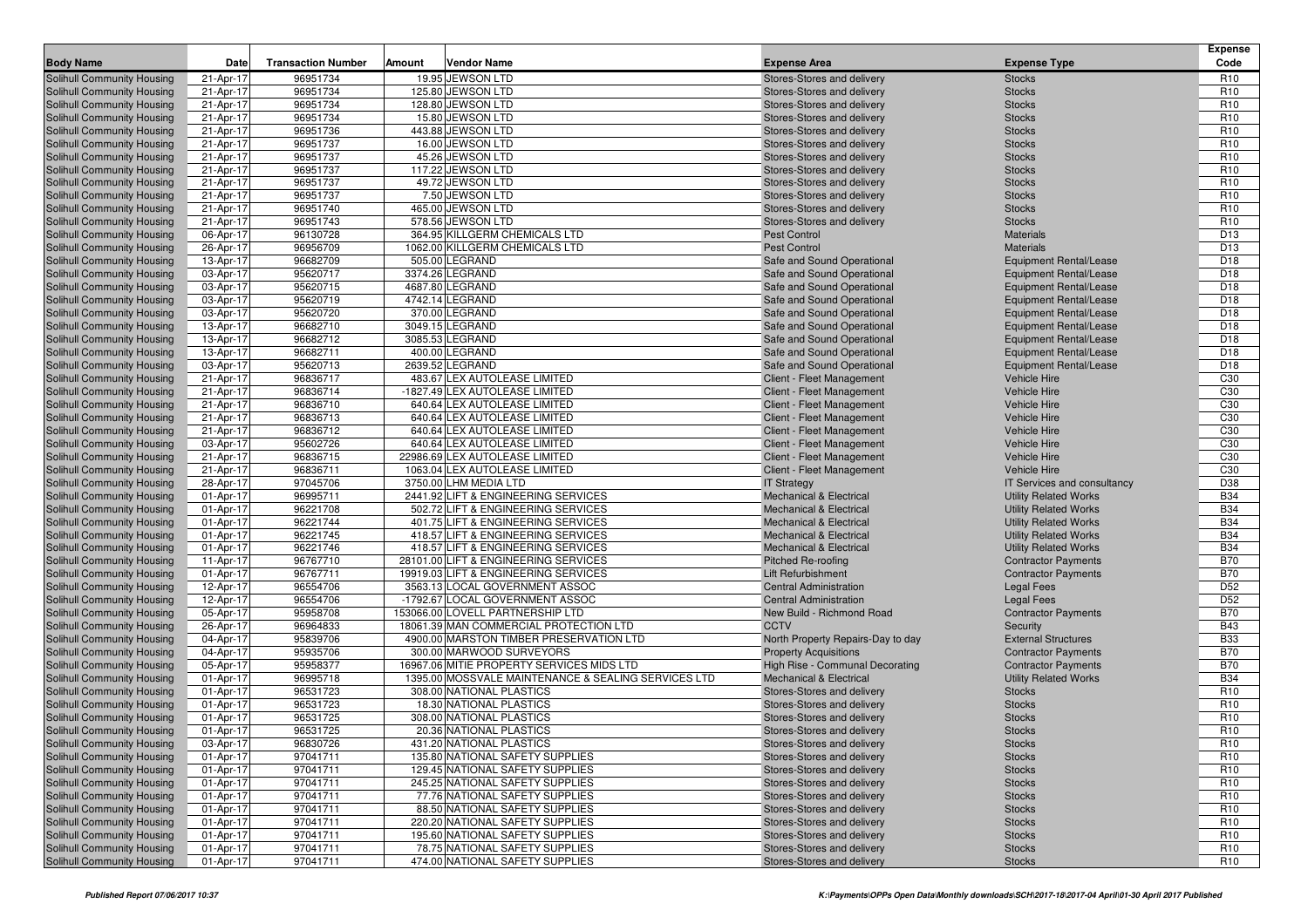|                                                          |                        |                           |        |                                                                     |                                                                 |                                                          | <b>Expense</b>                     |
|----------------------------------------------------------|------------------------|---------------------------|--------|---------------------------------------------------------------------|-----------------------------------------------------------------|----------------------------------------------------------|------------------------------------|
| <b>Body Name</b>                                         | Date                   | <b>Transaction Number</b> | Amount | <b>Vendor Name</b>                                                  | <b>Expense Area</b>                                             | <b>Expense Type</b>                                      | Code                               |
| Solihull Community Housing<br>Solihull Community Housing | 21-Apr-17              | 96951734                  |        | 19.95 JEWSON LTD<br>125.80 JEWSON LTD                               | Stores-Stores and delivery                                      | <b>Stocks</b>                                            | R <sub>10</sub><br>R <sub>10</sub> |
| Solihull Community Housing                               | 21-Apr-17<br>21-Apr-17 | 96951734<br>96951734      |        | 128.80 JEWSON LTD                                                   | Stores-Stores and delivery<br>Stores-Stores and delivery        | <b>Stocks</b><br><b>Stocks</b>                           | R <sub>10</sub>                    |
| Solihull Community Housing                               | 21-Apr-17              | 96951734                  |        | 15.80 JEWSON LTD                                                    | Stores-Stores and delivery                                      | <b>Stocks</b>                                            | R <sub>10</sub>                    |
| Solihull Community Housing                               | 21-Apr-17              | 96951736                  |        | 443.88 JEWSON LTD                                                   | Stores-Stores and delivery                                      | <b>Stocks</b>                                            | R <sub>10</sub>                    |
| Solihull Community Housing                               | 21-Apr-17              | 96951737                  |        | 16.00 JEWSON LTD                                                    | Stores-Stores and delivery                                      | <b>Stocks</b>                                            | R <sub>10</sub>                    |
| Solihull Community Housing                               | 21-Apr-17              | 96951737                  |        | 45.26 JEWSON LTD                                                    | Stores-Stores and delivery                                      | <b>Stocks</b>                                            | R <sub>10</sub>                    |
| Solihull Community Housing                               | 21-Apr-17              | 96951737                  |        | 117.22 JEWSON LTD                                                   | Stores-Stores and delivery                                      | <b>Stocks</b>                                            | R <sub>10</sub>                    |
| Solihull Community Housing                               | 21-Apr-17              | 96951737                  |        | 49.72 JEWSON LTD                                                    | Stores-Stores and delivery                                      | <b>Stocks</b>                                            | R <sub>10</sub>                    |
| Solihull Community Housing                               | 21-Apr-17              | 96951737                  |        | 7.50 JEWSON LTD                                                     | Stores-Stores and delivery                                      | <b>Stocks</b>                                            | R <sub>10</sub>                    |
| Solihull Community Housing                               | 21-Apr-17              | 96951740                  |        | 465.00 JEWSON LTD                                                   | Stores-Stores and delivery                                      | <b>Stocks</b>                                            | R <sub>10</sub>                    |
| Solihull Community Housing                               | 21-Apr-17              | 96951743                  |        | 578.56 JEWSON LTD                                                   | Stores-Stores and delivery                                      | <b>Stocks</b>                                            | R <sub>10</sub>                    |
| <b>Solihull Community Housing</b>                        | 06-Apr-17              | 96130728                  |        | 364.95 KILLGERM CHEMICALS LTD                                       | <b>Pest Control</b>                                             | <b>Materials</b>                                         | D <sub>13</sub>                    |
| Solihull Community Housing                               | 26-Apr-17              | 96956709                  |        | 1062.00 KILLGERM CHEMICALS LTD                                      | <b>Pest Control</b>                                             | <b>Materials</b>                                         | D <sub>13</sub>                    |
| Solihull Community Housing                               | 13-Apr-17              | 96682709                  |        | 505.00 LEGRAND                                                      | Safe and Sound Operational                                      | <b>Equipment Rental/Lease</b>                            | D <sub>18</sub>                    |
| Solihull Community Housing                               | 03-Apr-17              | 95620717                  |        | 3374.26 LEGRAND                                                     | Safe and Sound Operational                                      | <b>Equipment Rental/Lease</b>                            | D <sub>18</sub>                    |
| <b>Solihull Community Housing</b>                        | 03-Apr-17              | 95620715                  |        | 4687.80 LEGRAND                                                     | Safe and Sound Operational                                      | <b>Equipment Rental/Lease</b>                            | D18                                |
| <b>Solihull Community Housing</b>                        | 03-Apr-17              | 95620719                  |        | 4742.14 LEGRAND                                                     | Safe and Sound Operational                                      | <b>Equipment Rental/Lease</b>                            | D <sub>18</sub>                    |
| Solihull Community Housing                               | 03-Apr-17              | 95620720                  |        | 370.00 LEGRAND                                                      | Safe and Sound Operational                                      | <b>Equipment Rental/Lease</b>                            | D <sub>18</sub>                    |
| Solihull Community Housing                               | 13-Apr-17              | 96682710                  |        | 3049.15 LEGRAND                                                     | Safe and Sound Operational                                      | <b>Equipment Rental/Lease</b>                            | D <sub>18</sub>                    |
| Solihull Community Housing                               | 13-Apr-17              | 96682712                  |        | 3085.53 LEGRAND                                                     | Safe and Sound Operational                                      | <b>Equipment Rental/Lease</b>                            | D <sub>18</sub>                    |
| Solihull Community Housing                               | 13-Apr-17              | 96682711                  |        | 400.00 LEGRAND                                                      | Safe and Sound Operational                                      | <b>Equipment Rental/Lease</b>                            | D18                                |
| <b>Solihull Community Housing</b>                        | 03-Apr-17<br>21-Apr-17 | 95620713<br>96836717      |        | 2639.52 LEGRAND<br>483.67 LEX AUTOLEASE LIMITED                     | Safe and Sound Operational                                      | <b>Equipment Rental/Lease</b><br><b>Vehicle Hire</b>     | D <sub>18</sub><br>C <sub>30</sub> |
| Solihull Community Housing<br>Solihull Community Housing | 21-Apr-17              | 96836714                  |        | -1827.49 LEX AUTOLEASE LIMITED                                      | Client - Fleet Management                                       | Vehicle Hire                                             | C <sub>30</sub>                    |
| Solihull Community Housing                               | 21-Apr-17              | 96836710                  |        | 640.64 LEX AUTOLEASE LIMITED                                        | Client - Fleet Management<br>Client - Fleet Management          | <b>Vehicle Hire</b>                                      | C <sub>30</sub>                    |
| Solihull Community Housing                               | 21-Apr-17              | 96836713                  |        | 640.64 LEX AUTOLEASE LIMITED                                        | Client - Fleet Management                                       | <b>Vehicle Hire</b>                                      | C30                                |
| Solihull Community Housing                               | 21-Apr-17              | 96836712                  |        | 640.64 LEX AUTOLEASE LIMITED                                        | Client - Fleet Management                                       | <b>Vehicle Hire</b>                                      | C <sub>30</sub>                    |
| Solihull Community Housing                               | 03-Apr-17              | 95602726                  |        | 640.64 LEX AUTOLEASE LIMITED                                        | Client - Fleet Management                                       | <b>Vehicle Hire</b>                                      | C <sub>30</sub>                    |
| Solihull Community Housing                               | 21-Apr-17              | 96836715                  |        | 22986.69 LEX AUTOLEASE LIMITED                                      | <b>Client - Fleet Management</b>                                | Vehicle Hire                                             | C <sub>30</sub>                    |
| Solihull Community Housing                               | 21-Apr-17              | 96836711                  |        | 1063.04 LEX AUTOLEASE LIMITED                                       | Client - Fleet Management                                       | <b>Vehicle Hire</b>                                      | C <sub>30</sub>                    |
| Solihull Community Housing                               | 28-Apr-17              | 97045706                  |        | 3750.00 LHM MEDIA LTD                                               | <b>IT Strategy</b>                                              | IT Services and consultancy                              | D38                                |
| <b>Solihull Community Housing</b>                        | 01-Apr-17              | 96995711                  |        | 2441.92 LIFT & ENGINEERING SERVICES                                 | <b>Mechanical &amp; Electrical</b>                              | <b>Utility Related Works</b>                             | <b>B34</b>                         |
| Solihull Community Housing                               | 01-Apr-17              | 96221708                  |        | 502.72 LIFT & ENGINEERING SERVICES                                  | <b>Mechanical &amp; Electrical</b>                              | <b>Utility Related Works</b>                             | <b>B34</b>                         |
| Solihull Community Housing                               | 01-Apr-17              | 96221744                  |        | 401.75 LIFT & ENGINEERING SERVICES                                  | <b>Mechanical &amp; Electrical</b>                              | <b>Utility Related Works</b>                             | <b>B34</b>                         |
| Solihull Community Housing                               | 01-Apr-17              | 96221745                  |        | 418.57 LIFT & ENGINEERING SERVICES                                  | <b>Mechanical &amp; Electrical</b>                              | <b>Utility Related Works</b>                             | <b>B34</b>                         |
| Solihull Community Housing                               | 01-Apr-17              | 96221746                  |        | 418.57 LIFT & ENGINEERING SERVICES                                  | <b>Mechanical &amp; Electrical</b>                              | <b>Utility Related Works</b>                             | <b>B34</b>                         |
| <b>Solihull Community Housing</b>                        | 11-Apr-17              | 96767710                  |        | 28101.00 LIFT & ENGINEERING SERVICES                                | <b>Pitched Re-roofing</b>                                       | <b>Contractor Payments</b>                               | <b>B70</b>                         |
| Solihull Community Housing                               | 01-Apr-17              | 96767711                  |        | 19919.03 LIFT & ENGINEERING SERVICES                                | Lift Refurbishment                                              | <b>Contractor Payments</b>                               | <b>B70</b>                         |
| Solihull Community Housing                               | 12-Apr-17              | 96554706                  |        | 3563.13 LOCAL GOVERNMENT ASSOC                                      | <b>Central Administration</b>                                   | <b>Legal Fees</b>                                        | D <sub>52</sub>                    |
| Solihull Community Housing                               | 12-Apr-17              | 96554706                  |        | -1792.67 LOCAL GOVERNMENT ASSOC                                     | <b>Central Administration</b>                                   | <b>Legal Fees</b>                                        | D <sub>52</sub>                    |
| <b>Solihull Community Housing</b>                        | 05-Apr-17              | 95958708                  |        | 153066.00 LOVELL PARTNERSHIP LTD                                    | New Build - Richmond Road                                       | <b>Contractor Payments</b>                               | <b>B70</b>                         |
| <b>Solihull Community Housing</b>                        | 26-Apr-17              | 96964833                  |        | 18061.39 MAN COMMERCIAL PROTECTION LTD                              | <b>CCTV</b>                                                     | Security                                                 | <b>B43</b>                         |
| Solihull Community Housing                               | 04-Apr-17              | 95839706<br>95935706      |        | 4900.00 MARSTON TIMBER PRESERVATION LTD<br>300.00 MARWOOD SURVEYORS | North Property Repairs-Day to day                               | <b>External Structures</b>                               | <b>B33</b><br><b>B70</b>           |
| Solihull Community Housing<br>Solihull Community Housing | 04-Apr-17<br>05-Apr-17 | 95958377                  |        | 16967.06 MITIE PROPERTY SERVICES MIDS LTD                           | <b>Property Acquisitions</b><br>High Rise - Communal Decorating | <b>Contractor Payments</b><br><b>Contractor Payments</b> | <b>B70</b>                         |
| Solihull Community Housing                               | 01-Apr-17              | 96995718                  |        | 1395.00 MOSSVALE MAINTENANCE & SEALING SERVICES LTD                 | <b>Mechanical &amp; Electrical</b>                              | <b>Utility Related Works</b>                             | <b>B34</b>                         |
| <b>Solihull Community Housing</b>                        | 01-Apr-17              | 96531723                  |        | 308.00 NATIONAL PLASTICS                                            | Stores-Stores and delivery                                      | <b>Stocks</b>                                            | R <sub>10</sub>                    |
| Solihull Community Housing                               | 01-Apr-17              | 96531723                  |        | 18.30 NATIONAL PLASTICS                                             | Stores-Stores and delivery                                      | <b>Stocks</b>                                            | R <sub>10</sub>                    |
| Solihull Community Housing                               | 01-Apr-17              | 96531725                  |        | 308.00 NATIONAL PLASTICS                                            | Stores-Stores and delivery                                      | <b>Stocks</b>                                            | R <sub>10</sub>                    |
| Solihull Community Housing                               | 01-Apr-17              | 96531725                  |        | 20.36 NATIONAL PLASTICS                                             | Stores-Stores and delivery                                      | <b>Stocks</b>                                            | R <sub>10</sub>                    |
| Solihull Community Housing                               | 03-Apr-17              | 96830726                  |        | 431.20 NATIONAL PLASTICS                                            | Stores-Stores and delivery                                      | <b>Stocks</b>                                            | R <sub>10</sub>                    |
| Solihull Community Housing                               | 01-Apr-17              | 97041711                  |        | 135.80 NATIONAL SAFETY SUPPLIES                                     | Stores-Stores and delivery                                      | <b>Stocks</b>                                            | R <sub>10</sub>                    |
| Solihull Community Housing                               | 01-Apr-17              | 97041711                  |        | 129.45 NATIONAL SAFETY SUPPLIES                                     | Stores-Stores and delivery                                      | <b>Stocks</b>                                            | R <sub>10</sub>                    |
| Solihull Community Housing                               | 01-Apr-17              | 97041711                  |        | 245.25 NATIONAL SAFETY SUPPLIES                                     | Stores-Stores and delivery                                      | <b>Stocks</b>                                            | R <sub>10</sub>                    |
| Solihull Community Housing                               | 01-Apr-17              | 97041711                  |        | 77.76 NATIONAL SAFETY SUPPLIES                                      | Stores-Stores and delivery                                      | <b>Stocks</b>                                            | R <sub>10</sub>                    |
| Solihull Community Housing                               | 01-Apr-17              | 97041711                  |        | 88.50 NATIONAL SAFETY SUPPLIES                                      | Stores-Stores and delivery                                      | <b>Stocks</b>                                            | R <sub>10</sub>                    |
| Solihull Community Housing                               | 01-Apr-17              | 97041711                  |        | 220.20 NATIONAL SAFETY SUPPLIES                                     | Stores-Stores and delivery                                      | <b>Stocks</b>                                            | R <sub>10</sub>                    |
| Solihull Community Housing                               | 01-Apr-17              | 97041711                  |        | 195.60 NATIONAL SAFETY SUPPLIES                                     | Stores-Stores and delivery                                      | <b>Stocks</b>                                            | R <sub>10</sub>                    |
| Solihull Community Housing                               | 01-Apr-17              | 97041711                  |        | 78.75 NATIONAL SAFETY SUPPLIES                                      | Stores-Stores and delivery                                      | <b>Stocks</b>                                            | R <sub>10</sub>                    |
| Solihull Community Housing                               | 01-Apr-17              | 97041711                  |        | 474.00 NATIONAL SAFETY SUPPLIES                                     | Stores-Stores and delivery                                      | <b>Stocks</b>                                            | R <sub>10</sub>                    |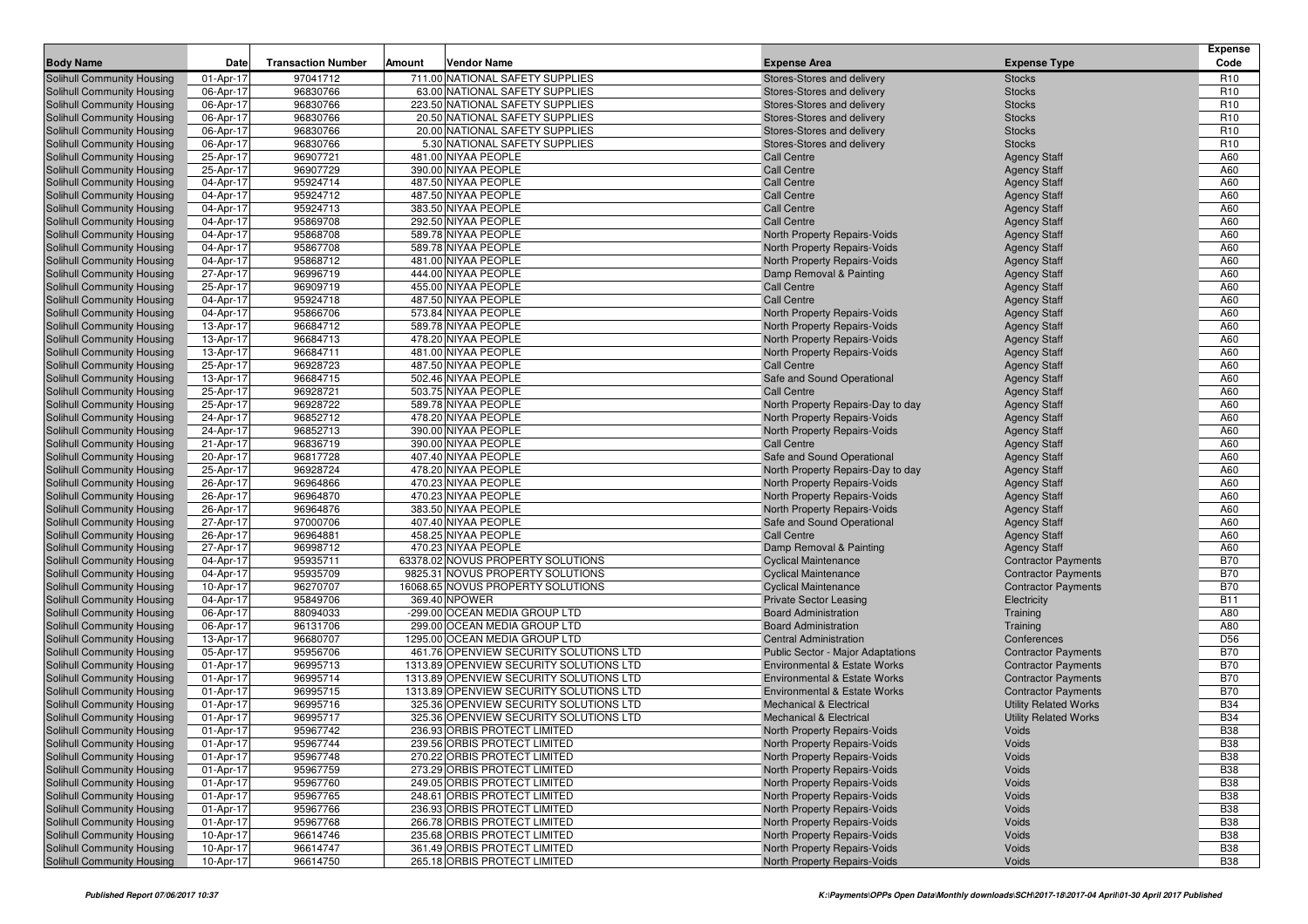| <b>Body Name</b>                                         | Date                   | <b>Transaction Number</b> | Amount | <b>Vendor Name</b>                                                      | <b>Expense Area</b>                                                       | <b>Expense Type</b>                                      | <b>Expense</b><br>Code        |
|----------------------------------------------------------|------------------------|---------------------------|--------|-------------------------------------------------------------------------|---------------------------------------------------------------------------|----------------------------------------------------------|-------------------------------|
| Solihull Community Housing                               | 01-Apr-17              | 97041712                  |        | 711.00 NATIONAL SAFETY SUPPLIES                                         | Stores-Stores and delivery                                                | <b>Stocks</b>                                            | R <sub>10</sub>               |
| Solihull Community Housing                               | 06-Apr-17              | 96830766                  |        | 63.00 NATIONAL SAFETY SUPPLIES                                          | Stores-Stores and delivery                                                | <b>Stocks</b>                                            | R <sub>10</sub>               |
| Solihull Community Housing                               | 06-Apr-17              | 96830766                  |        | 223.50 NATIONAL SAFETY SUPPLIES                                         | Stores-Stores and delivery                                                | <b>Stocks</b>                                            | R <sub>10</sub>               |
| Solihull Community Housing                               | 06-Apr-17              | 96830766                  |        | 20.50 NATIONAL SAFETY SUPPLIES                                          | Stores-Stores and delivery                                                | <b>Stocks</b>                                            | R <sub>10</sub>               |
| Solihull Community Housing                               | 06-Apr-17              | 96830766                  |        | 20.00 NATIONAL SAFETY SUPPLIES                                          | Stores-Stores and delivery                                                | <b>Stocks</b>                                            | R <sub>10</sub>               |
| <b>Solihull Community Housing</b>                        | 06-Apr-17              | 96830766                  |        | 5.30 NATIONAL SAFETY SUPPLIES                                           | Stores-Stores and delivery                                                | <b>Stocks</b>                                            | R <sub>10</sub>               |
| <b>Solihull Community Housing</b>                        | 25-Apr-17              | 96907721                  |        | 481.00 NIYAA PEOPLE                                                     | Call Centre                                                               | <b>Agency Staff</b>                                      | A60                           |
| Solihull Community Housing                               | 25-Apr-17              | 96907729                  |        | 390.00 NIYAA PEOPLE                                                     | <b>Call Centre</b>                                                        | <b>Agency Staff</b>                                      | A60                           |
| Solihull Community Housing                               | 04-Apr-17              | 95924714                  |        | 487.50 NIYAA PEOPLE                                                     | <b>Call Centre</b>                                                        | <b>Agency Staff</b>                                      | A60                           |
| Solihull Community Housing                               | 04-Apr-17              | 95924712                  |        | 487.50 NIYAA PEOPLE                                                     | <b>Call Centre</b>                                                        | <b>Agency Staff</b>                                      | A60                           |
| Solihull Community Housing                               | 04-Apr-17              | 95924713                  |        | 383.50 NIYAA PEOPLE                                                     | <b>Call Centre</b>                                                        | <b>Agency Staff</b>                                      | A60                           |
| <b>Solihull Community Housing</b>                        | 04-Apr-17              | 95869708                  |        | 292.50 NIYAA PEOPLE                                                     | <b>Call Centre</b>                                                        | <b>Agency Staff</b>                                      | A60                           |
| Solihull Community Housing                               | 04-Apr-17              | 95868708                  |        | 589.78 NIYAA PEOPLE                                                     | North Property Repairs-Voids                                              | <b>Agency Staff</b>                                      | A60                           |
| Solihull Community Housing                               | 04-Apr-17              | 95867708                  |        | 589.78 NIYAA PEOPLE                                                     | North Property Repairs-Voids                                              | <b>Agency Staff</b>                                      | A60                           |
| Solihull Community Housing                               | 04-Apr-17              | 95868712                  |        | 481.00 NIYAA PEOPLE                                                     | North Property Repairs-Voids                                              | <b>Agency Staff</b>                                      | A60                           |
| <b>Solihull Community Housing</b>                        | 27-Apr-17              | 96996719                  |        | 444.00 NIYAA PEOPLE                                                     | Damp Removal & Painting                                                   | <b>Agency Staff</b>                                      | A60                           |
| Solihull Community Housing                               | 25-Apr-17              | 96909719                  |        | 455.00 NIYAA PEOPLE                                                     | Call Centre                                                               | <b>Agency Staff</b>                                      | A60                           |
| <b>Solihull Community Housing</b>                        | 04-Apr-17              | 95924718                  |        | 487.50 NIYAA PEOPLE                                                     | <b>Call Centre</b>                                                        | <b>Agency Staff</b>                                      | A60                           |
| Solihull Community Housing                               | 04-Apr-17              | 95866706                  |        | 573.84 NIYAA PEOPLE                                                     | North Property Repairs-Voids                                              | <b>Agency Staff</b>                                      | A60                           |
| Solihull Community Housing                               | 13-Apr-17              | 96684712<br>96684713      |        | 589.78 NIYAA PEOPLE<br>478.20 NIYAA PEOPLE                              | North Property Repairs-Voids                                              | <b>Agency Staff</b>                                      | A60<br>A60                    |
| Solihull Community Housing<br>Solihull Community Housing | 13-Apr-17<br>13-Apr-17 | 96684711                  |        | 481.00 NIYAA PEOPLE                                                     | North Property Repairs-Voids<br>North Property Repairs-Voids              | <b>Agency Staff</b>                                      | A60                           |
| Solihull Community Housing                               | 25-Apr-17              | 96928723                  |        | 487.50 NIYAA PEOPLE                                                     | <b>Call Centre</b>                                                        | <b>Agency Staff</b><br><b>Agency Staff</b>               | A60                           |
| Solihull Community Housing                               | 13-Apr-17              | 96684715                  |        | 502.46 NIYAA PEOPLE                                                     | Safe and Sound Operational                                                | <b>Agency Staff</b>                                      | A60                           |
| Solihull Community Housing                               | 25-Apr-17              | 96928721                  |        | 503.75 NIYAA PEOPLE                                                     | <b>Call Centre</b>                                                        | <b>Agency Staff</b>                                      | A60                           |
| Solihull Community Housing                               | 25-Apr-17              | 96928722                  |        | 589.78 NIYAA PEOPLE                                                     | North Property Repairs-Day to day                                         | <b>Agency Staff</b>                                      | A60                           |
| Solihull Community Housing                               | 24-Apr-17              | 96852712                  |        | 478.20 NIYAA PEOPLE                                                     | North Property Repairs-Voids                                              | <b>Agency Staff</b>                                      | A60                           |
| Solihull Community Housing                               | 24-Apr-17              | 96852713                  |        | 390.00 NIYAA PEOPLE                                                     | North Property Repairs-Voids                                              | <b>Agency Staff</b>                                      | A60                           |
| Solihull Community Housing                               | 21-Apr-17              | 96836719                  |        | 390.00 NIYAA PEOPLE                                                     | Call Centre                                                               | <b>Agency Staff</b>                                      | A60                           |
| Solihull Community Housing                               | 20-Apr-17              | 96817728                  |        | 407.40 NIYAA PEOPLE                                                     | Safe and Sound Operational                                                | <b>Agency Staff</b>                                      | A60                           |
| Solihull Community Housing                               | 25-Apr-17              | 96928724                  |        | 478.20 NIYAA PEOPLE                                                     | North Property Repairs-Day to day                                         | <b>Agency Staff</b>                                      | A60                           |
| Solihull Community Housing                               | 26-Apr-17              | 96964866                  |        | 470.23 NIYAA PEOPLE                                                     | North Property Repairs-Voids                                              | <b>Agency Staff</b>                                      | A60                           |
| Solihull Community Housing                               | 26-Apr-17              | 96964870                  |        | 470.23 NIYAA PEOPLE                                                     | North Property Repairs-Voids                                              | <b>Agency Staff</b>                                      | A60                           |
| Solihull Community Housing                               | 26-Apr-17              | 96964876                  |        | 383.50 NIYAA PEOPLE                                                     | North Property Repairs-Voids                                              | <b>Agency Staff</b>                                      | A60                           |
| Solihull Community Housing                               | 27-Apr-17              | 97000706                  |        | 407.40 NIYAA PEOPLE                                                     | Safe and Sound Operational                                                | <b>Agency Staff</b>                                      | A60                           |
| Solihull Community Housing                               | 26-Apr-17              | 96964881                  |        | 458.25 NIYAA PEOPLE                                                     | <b>Call Centre</b>                                                        | <b>Agency Staff</b>                                      | A60                           |
| Solihull Community Housing                               | 27-Apr-17              | 96998712                  |        | 470.23 NIYAA PEOPLE                                                     | Damp Removal & Painting                                                   | <b>Agency Staff</b>                                      | A60                           |
| Solihull Community Housing                               | 04-Apr-17              | 95935711                  |        | 63378.02 NOVUS PROPERTY SOLUTIONS                                       | <b>Cyclical Maintenance</b>                                               | <b>Contractor Payments</b>                               | <b>B70</b>                    |
| Solihull Community Housing                               | 04-Apr-17              | 95935709                  |        | 9825.31 NOVUS PROPERTY SOLUTIONS                                        | <b>Cyclical Maintenance</b>                                               | <b>Contractor Payments</b>                               | <b>B70</b>                    |
| Solihull Community Housing                               | 10-Apr-17              | 96270707                  |        | 16068.65 NOVUS PROPERTY SOLUTIONS                                       | <b>Cyclical Maintenance</b>                                               | <b>Contractor Payments</b>                               | <b>B70</b>                    |
| Solihull Community Housing                               | 04-Apr-17              | 95849706                  |        | 369.40 NPOWER                                                           | <b>Private Sector Leasing</b>                                             | Electricity                                              | <b>B11</b>                    |
| Solihull Community Housing                               | 06-Apr-17              | 88094033                  |        | -299.00 OCEAN MEDIA GROUP LTD                                           | <b>Board Administration</b>                                               | Training                                                 | A80                           |
| Solihull Community Housing                               | 06-Apr-17              | 96131706                  |        | 299.00 OCEAN MEDIA GROUP LTD                                            | <b>Board Administration</b>                                               | Training                                                 | A80                           |
| Solihull Community Housing<br>Solihull Community Housing | 13-Apr-17              | 96680707<br>95956706      |        | 1295.00 OCEAN MEDIA GROUP LTD<br>461.76 OPENVIEW SECURITY SOLUTIONS LTD | <b>Central Administration</b><br><b>Public Sector - Major Adaptations</b> | Conferences                                              | D <sub>56</sub><br><b>B70</b> |
| Solihull Community Housing                               | 05-Apr-17<br>01-Apr-17 | 96995713                  |        | 1313.89 OPENVIEW SECURITY SOLUTIONS LTD                                 | <b>Environmental &amp; Estate Works</b>                                   | <b>Contractor Payments</b><br><b>Contractor Payments</b> | <b>B70</b>                    |
| Solihull Community Housing                               | 01-Apr-17              | 96995714                  |        | 1313.89 OPENVIEW SECURITY SOLUTIONS LTD                                 | <b>Environmental &amp; Estate Works</b>                                   | <b>Contractor Payments</b>                               | <b>B70</b>                    |
| Solihull Community Housing                               | 01-Apr-17              | 96995715                  |        | 1313.89 OPENVIEW SECURITY SOLUTIONS LTD                                 | <b>Environmental &amp; Estate Works</b>                                   | <b>Contractor Payments</b>                               | <b>B70</b>                    |
| Solihull Community Housing                               | 01-Apr-17              | 96995716                  |        | 325.36 OPENVIEW SECURITY SOLUTIONS LTD                                  | <b>Mechanical &amp; Electrical</b>                                        | <b>Utility Related Works</b>                             | <b>B34</b>                    |
| Solihull Community Housing                               | 01-Apr-17              | 96995717                  |        | 325.36 OPENVIEW SECURITY SOLUTIONS LTD                                  | <b>Mechanical &amp; Electrical</b>                                        | <b>Utility Related Works</b>                             | <b>B34</b>                    |
| Solihull Community Housing                               | 01-Apr-17              | 95967742                  |        | 236.93 ORBIS PROTECT LIMITED                                            | North Property Repairs-Voids                                              | Voids                                                    | <b>B38</b>                    |
| Solihull Community Housing                               | 01-Apr-17              | 95967744                  |        | 239.56 ORBIS PROTECT LIMITED                                            | North Property Repairs-Voids                                              | Voids                                                    | <b>B38</b>                    |
| Solihull Community Housing                               | 01-Apr-17              | 95967748                  |        | 270.22 ORBIS PROTECT LIMITED                                            | North Property Repairs-Voids                                              | Voids                                                    | <b>B38</b>                    |
| Solihull Community Housing                               | 01-Apr-17              | 95967759                  |        | 273.29 ORBIS PROTECT LIMITED                                            | North Property Repairs-Voids                                              | Voids                                                    | <b>B38</b>                    |
| Solihull Community Housing                               | 01-Apr-17              | 95967760                  |        | 249.05 ORBIS PROTECT LIMITED                                            | North Property Repairs-Voids                                              | Voids                                                    | <b>B38</b>                    |
| Solihull Community Housing                               | 01-Apr-17              | 95967765                  |        | 248.61 ORBIS PROTECT LIMITED                                            | North Property Repairs-Voids                                              | Voids                                                    | <b>B38</b>                    |
| Solihull Community Housing                               | 01-Apr-17              | 95967766                  |        | 236.93 ORBIS PROTECT LIMITED                                            | North Property Repairs-Voids                                              | Voids                                                    | <b>B38</b>                    |
| Solihull Community Housing                               | 01-Apr-17              | 95967768                  |        | 266.78 ORBIS PROTECT LIMITED                                            | North Property Repairs-Voids                                              | Voids                                                    | <b>B38</b>                    |
| Solihull Community Housing                               | 10-Apr-17              | 96614746                  |        | 235.68 ORBIS PROTECT LIMITED                                            | North Property Repairs-Voids                                              | Voids                                                    | <b>B38</b>                    |
| Solihull Community Housing                               | 10-Apr-17              | 96614747                  |        | 361.49 ORBIS PROTECT LIMITED                                            | North Property Repairs-Voids                                              | Voids                                                    | <b>B38</b>                    |
| Solihull Community Housing                               | 10-Apr-17              | 96614750                  |        | 265.18 ORBIS PROTECT LIMITED                                            | North Property Repairs-Voids                                              | Voids                                                    | <b>B38</b>                    |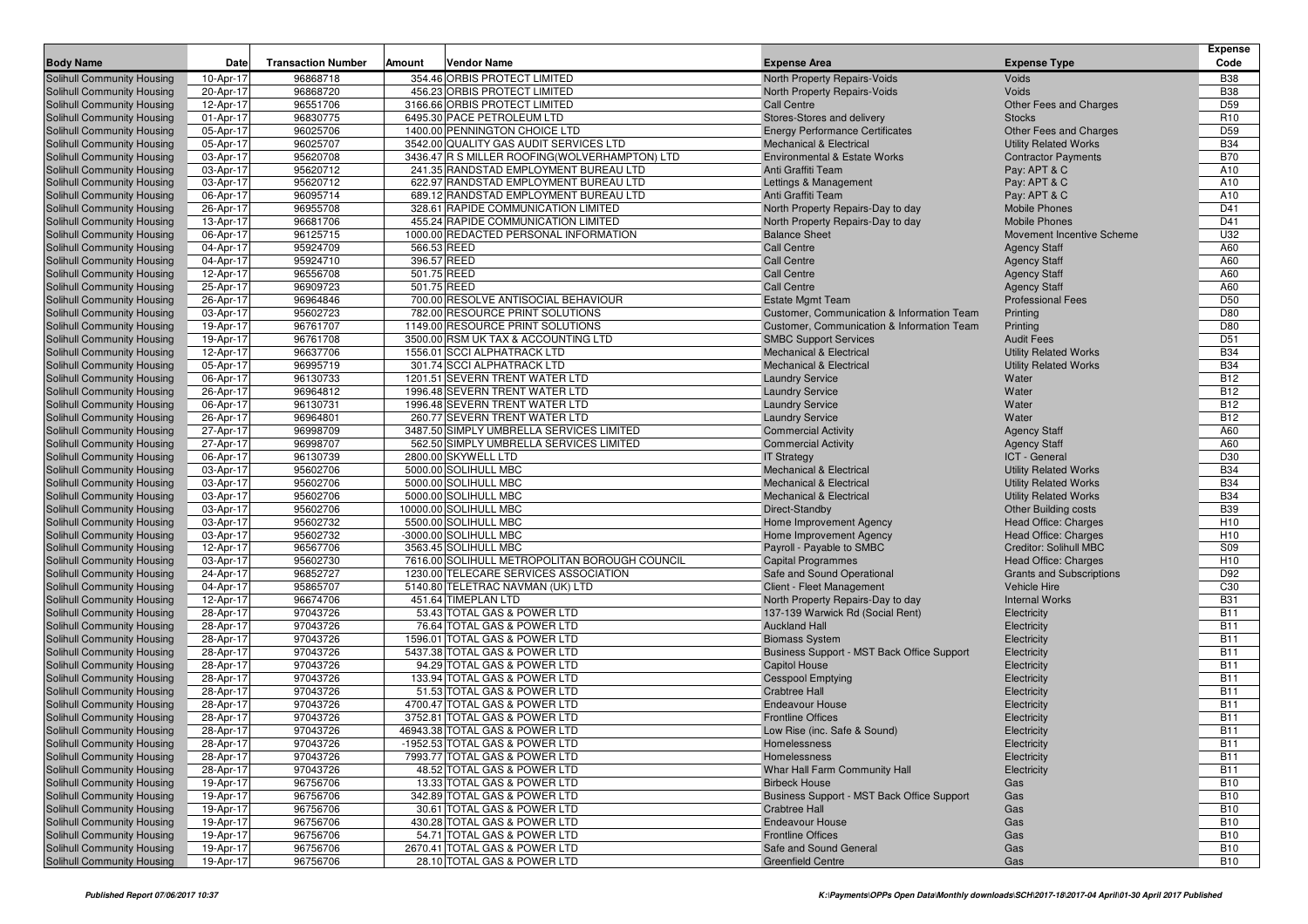| <b>Body Name</b>                                         | Date                   | <b>Transaction Number</b> | Amount                     | <b>Vendor Name</b>                                             | <b>Expense Area</b>                                                 | <b>Expense Type</b>                           | <b>Expense</b><br>Code   |
|----------------------------------------------------------|------------------------|---------------------------|----------------------------|----------------------------------------------------------------|---------------------------------------------------------------------|-----------------------------------------------|--------------------------|
| Solihull Community Housing                               | 10-Apr-17              | 96868718                  |                            | 354.46 ORBIS PROTECT LIMITED                                   | North Property Repairs-Voids                                        | Voids                                         | <b>B38</b>               |
| Solihull Community Housing                               | 20-Apr-17              | 96868720                  |                            | 456.23 ORBIS PROTECT LIMITED                                   | North Property Repairs-Voids                                        | Voids                                         | <b>B38</b>               |
| Solihull Community Housing                               | 12-Apr-17              | 96551706                  |                            | 3166.66 ORBIS PROTECT LIMITED                                  | <b>Call Centre</b>                                                  | Other Fees and Charges                        | D <sub>59</sub>          |
| Solihull Community Housing                               | 01-Apr-17              | 96830775                  |                            | 6495.30 PACE PETROLEUM LTD                                     | Stores-Stores and delivery                                          | <b>Stocks</b>                                 | R <sub>10</sub>          |
| Solihull Community Housing                               | 05-Apr-17              | 96025706                  |                            | 1400.00 PENNINGTON CHOICE LTD                                  | <b>Energy Performance Certificates</b>                              | Other Fees and Charges                        | D <sub>59</sub>          |
| Solihull Community Housing                               | 05-Apr-17              | 96025707                  |                            | 3542.00 QUALITY GAS AUDIT SERVICES LTD                         | <b>Mechanical &amp; Electrical</b>                                  | <b>Utility Related Works</b>                  | <b>B34</b>               |
| Solihull Community Housing                               | 03-Apr-17              | 95620708                  |                            | 3436.47 R S MILLER ROOFING(WOLVERHAMPTON) LTD                  | <b>Environmental &amp; Estate Works</b>                             | <b>Contractor Payments</b>                    | <b>B70</b>               |
| Solihull Community Housing                               | 03-Apr-17              | 95620712                  |                            | 241.35 RANDSTAD EMPLOYMENT BUREAU LTD                          | Anti Graffiti Team                                                  | Pay: APT & C                                  | A10                      |
| Solihull Community Housing                               | 03-Apr-17              | 95620712                  |                            | 622.97 RANDSTAD EMPLOYMENT BUREAU LTD                          | Lettings & Management                                               | Pay: APT & C                                  | A10                      |
| Solihull Community Housing                               | 06-Apr-17              | 96095714                  |                            | 689.12 RANDSTAD EMPLOYMENT BUREAU LTD                          | Anti Graffiti Team                                                  | Pay: APT & C                                  | A10                      |
| Solihull Community Housing                               | 26-Apr-17              | 96955708                  |                            | 328.61 RAPIDE COMMUNICATION LIMITED                            | North Property Repairs-Day to day                                   | <b>Mobile Phones</b>                          | D41                      |
| Solihull Community Housing                               | 13-Apr-17              | 96681706                  |                            | 455.24 RAPIDE COMMUNICATION LIMITED                            | North Property Repairs-Day to day                                   | <b>Mobile Phones</b>                          | D41                      |
| Solihull Community Housing                               | 06-Apr-17              | 96125715                  |                            | 1000.00 REDACTED PERSONAL INFORMATION                          | <b>Balance Sheet</b>                                                | Movement Incentive Scheme                     | U32                      |
| Solihull Community Housing<br>Solihull Community Housing | 04-Apr-17              | 95924709<br>95924710      | 566.53 REED<br>396.57 REED |                                                                | <b>Call Centre</b><br><b>Call Centre</b>                            | <b>Agency Staff</b>                           | A60<br>A60               |
| Solihull Community Housing                               | 04-Apr-17<br>12-Apr-17 | 96556708                  | 501.75 REED                |                                                                | <b>Call Centre</b>                                                  | <b>Agency Staff</b><br><b>Agency Staff</b>    | A60                      |
| Solihull Community Housing                               | 25-Apr-17              | 96909723                  | 501.75 REED                |                                                                | <b>Call Centre</b>                                                  | <b>Agency Staff</b>                           | A60                      |
| Solihull Community Housing                               | 26-Apr-17              | 96964846                  |                            | 700.00 RESOLVE ANTISOCIAL BEHAVIOUR                            | <b>Estate Mgmt Team</b>                                             | <b>Professional Fees</b>                      | D <sub>50</sub>          |
| Solihull Community Housing                               | 03-Apr-17              | 95602723                  |                            | 782.00 RESOURCE PRINT SOLUTIONS                                | Customer, Communication & Information Team                          | Printing                                      | D80                      |
| Solihull Community Housing                               | 19-Apr-17              | 96761707                  |                            | 1149.00 RESOURCE PRINT SOLUTIONS                               | Customer, Communication & Information Team                          | Printing                                      | D80                      |
| Solihull Community Housing                               | 19-Apr-17              | 96761708                  |                            | 3500.00 RSM UK TAX & ACCOUNTING LTD                            | <b>SMBC Support Services</b>                                        | <b>Audit Fees</b>                             | D <sub>51</sub>          |
| Solihull Community Housing                               | 12-Apr-17              | 96637706                  |                            | 1556.01 SCCI ALPHATRACK LTD                                    | <b>Mechanical &amp; Electrical</b>                                  | <b>Utility Related Works</b>                  | <b>B34</b>               |
| Solihull Community Housing                               | 05-Apr-17              | 96995719                  |                            | 301.74 SCCI ALPHATRACK LTD                                     | <b>Mechanical &amp; Electrical</b>                                  | <b>Utility Related Works</b>                  | <b>B34</b>               |
| Solihull Community Housing                               | 06-Apr-17              | 96130733                  |                            | 1201.51 SEVERN TRENT WATER LTD                                 | <b>Laundry Service</b>                                              | Water                                         | <b>B12</b>               |
| Solihull Community Housing                               | 26-Apr-17              | 96964812                  |                            | 1996.48 SEVERN TRENT WATER LTD                                 | <b>Laundry Service</b>                                              | Water                                         | <b>B12</b>               |
| Solihull Community Housing                               | 06-Apr-17              | 96130731                  |                            | 1996.48 SEVERN TRENT WATER LTD                                 | <b>Laundry Service</b>                                              | Water                                         | <b>B12</b>               |
| Solihull Community Housing                               | 26-Apr-17              | 96964801                  |                            | 260.77 SEVERN TRENT WATER LTD                                  | <b>Laundry Service</b>                                              | Water                                         | <b>B12</b>               |
| Solihull Community Housing                               | 27-Apr-17              | 96998709                  |                            | 3487.50 SIMPLY UMBRELLA SERVICES LIMITED                       | <b>Commercial Activity</b>                                          | <b>Agency Staff</b>                           | A60                      |
| Solihull Community Housing                               | 27-Apr-17              | 96998707                  |                            | 562.50 SIMPLY UMBRELLA SERVICES LIMITED<br>2800.00 SKYWELL LTD | <b>Commercial Activity</b>                                          | <b>Agency Staff</b>                           | A60                      |
| Solihull Community Housing                               | 06-Apr-17              | 96130739<br>95602706      |                            | 5000.00 SOLIHULL MBC                                           | <b>IT Strategy</b><br><b>Mechanical &amp; Electrical</b>            | ICT - General<br><b>Utility Related Works</b> | D30<br><b>B34</b>        |
| Solihull Community Housing<br>Solihull Community Housing | 03-Apr-17<br>03-Apr-17 | 95602706                  |                            | 5000.00 SOLIHULL MBC                                           | <b>Mechanical &amp; Electrical</b>                                  | <b>Utility Related Works</b>                  | <b>B34</b>               |
| Solihull Community Housing                               | 03-Apr-17              | 95602706                  |                            | 5000.00 SOLIHULL MBC                                           | <b>Mechanical &amp; Electrical</b>                                  | <b>Utility Related Works</b>                  | <b>B34</b>               |
| Solihull Community Housing                               | 03-Apr-17              | 95602706                  |                            | 10000.00 SOLIHULL MBC                                          | Direct-Standby                                                      | <b>Other Building costs</b>                   | <b>B39</b>               |
| Solihull Community Housing                               | 03-Apr-17              | 95602732                  |                            | 5500.00 SOLIHULL MBC                                           | Home Improvement Agency                                             | <b>Head Office: Charges</b>                   | H <sub>10</sub>          |
| Solihull Community Housing                               | 03-Apr-17              | 95602732                  |                            | -3000.00 SOLIHULL MBC                                          | Home Improvement Agency                                             | Head Office: Charges                          | H <sub>10</sub>          |
| Solihull Community Housing                               | 12-Apr-17              | 96567706                  |                            | 3563.45 SOLIHULL MBC                                           | Payroll - Payable to SMBC                                           | Creditor: Solihull MBC                        | S09                      |
| Solihull Community Housing                               | 03-Apr-17              | 95602730                  |                            | 7616.00 SOLIHULL METROPOLITAN BOROUGH COUNCIL                  | <b>Capital Programmes</b>                                           | Head Office: Charges                          | H <sub>10</sub>          |
| Solihull Community Housing                               | 24-Apr-17              | 96852727                  |                            | 1230.00 TELECARE SERVICES ASSOCIATION                          | Safe and Sound Operational                                          | <b>Grants and Subscriptions</b>               | D92                      |
| Solihull Community Housing                               | 04-Apr-17              | 95865707                  |                            | 5140.80 TELETRAC NAVMAN (UK) LTD                               | Client - Fleet Management                                           | <b>Vehicle Hire</b>                           | C30                      |
| Solihull Community Housing                               | 12-Apr-17              | 96674706                  |                            | 451.64 TIMEPLAN LTD                                            | North Property Repairs-Day to day                                   | <b>Internal Works</b>                         | <b>B31</b>               |
| Solihull Community Housing                               | 28-Apr-17              | 97043726                  |                            | 53.43 TOTAL GAS & POWER LTD                                    | 137-139 Warwick Rd (Social Rent)                                    | Electricity                                   | <b>B11</b>               |
| Solihull Community Housing                               | 28-Apr-17              | 97043726<br>97043726      |                            | 76.64 TOTAL GAS & POWER LTD<br>1596.01 TOTAL GAS & POWER LTD   | <b>Auckland Hall</b>                                                | Electricity                                   | <b>B11</b><br><b>B11</b> |
| Solihull Community Housing<br>Solihull Community Housing | 28-Apr-17<br>28-Apr-17 | 97043726                  |                            | 5437.38 TOTAL GAS & POWER LTD                                  | <b>Biomass System</b><br>Business Support - MST Back Office Support | Electricity<br>Electricity                    | <b>B11</b>               |
| Solihull Community Housing                               | 28-Apr-17              | 97043726                  |                            | 94.29 TOTAL GAS & POWER LTD                                    | <b>Capitol House</b>                                                | Electricity                                   | <b>B11</b>               |
| Solihull Community Housing                               | 28-Apr-17              | 97043726                  |                            | 133.94 TOTAL GAS & POWER LTD                                   | <b>Cesspool Emptying</b>                                            | Electricity                                   | <b>B11</b>               |
| Solihull Community Housing                               | 28-Apr-17              | 97043726                  |                            | 51.53 TOTAL GAS & POWER LTD                                    | <b>Crabtree Hall</b>                                                | Electricity                                   | <b>B11</b>               |
| Solihull Community Housing                               | 28-Apr-17              | 97043726                  |                            | 4700.47 TOTAL GAS & POWER LTD                                  | <b>Endeavour House</b>                                              | Electricity                                   | <b>B11</b>               |
| Solihull Community Housing                               | 28-Apr-17              | 97043726                  |                            | 3752.81 TOTAL GAS & POWER LTD                                  | <b>Frontline Offices</b>                                            | Electricity                                   | <b>B11</b>               |
| Solihull Community Housing                               | 28-Apr-17              | 97043726                  |                            | 46943.38 TOTAL GAS & POWER LTD                                 | Low Rise (inc. Safe & Sound)                                        | Electricity                                   | <b>B11</b>               |
| Solihull Community Housing                               | 28-Apr-17              | 97043726                  |                            | -1952.53 TOTAL GAS & POWER LTD                                 | Homelessness                                                        | Electricity                                   | <b>B11</b>               |
| Solihull Community Housing                               | 28-Apr-17              | 97043726                  |                            | 7993.77 TOTAL GAS & POWER LTD                                  | Homelessness                                                        | Electricity                                   | <b>B11</b>               |
| Solihull Community Housing                               | 28-Apr-17              | 97043726                  |                            | 48.52 TOTAL GAS & POWER LTD                                    | Whar Hall Farm Community Hall                                       | Electricity                                   | <b>B11</b>               |
| Solihull Community Housing                               | 19-Apr-17              | 96756706                  |                            | 13.33 TOTAL GAS & POWER LTD                                    | <b>Birbeck House</b>                                                | Gas                                           | <b>B10</b>               |
| Solihull Community Housing                               | 19-Apr-17              | 96756706                  |                            | 342.89 TOTAL GAS & POWER LTD                                   | Business Support - MST Back Office Support                          | Gas                                           | <b>B10</b>               |
| Solihull Community Housing<br>Solihull Community Housing | 19-Apr-17<br>19-Apr-17 | 96756706                  |                            | 30.61 TOTAL GAS & POWER LTD                                    | <b>Crabtree Hall</b>                                                | Gas                                           | <b>B10</b>               |
| Solihull Community Housing                               | 19-Apr-17              | 96756706<br>96756706      |                            | 430.28 TOTAL GAS & POWER LTD<br>54.71 TOTAL GAS & POWER LTD    | <b>Endeavour House</b><br><b>Frontline Offices</b>                  | Gas<br>Gas                                    | <b>B10</b><br><b>B10</b> |
| Solihull Community Housing                               | 19-Apr-17              | 96756706                  |                            | 2670.41 TOTAL GAS & POWER LTD                                  | Safe and Sound General                                              | Gas                                           | <b>B10</b>               |
| Solihull Community Housing                               | 19-Apr-17              | 96756706                  |                            | 28.10 TOTAL GAS & POWER LTD                                    | <b>Greenfield Centre</b>                                            | Gas                                           | <b>B10</b>               |
|                                                          |                        |                           |                            |                                                                |                                                                     |                                               |                          |